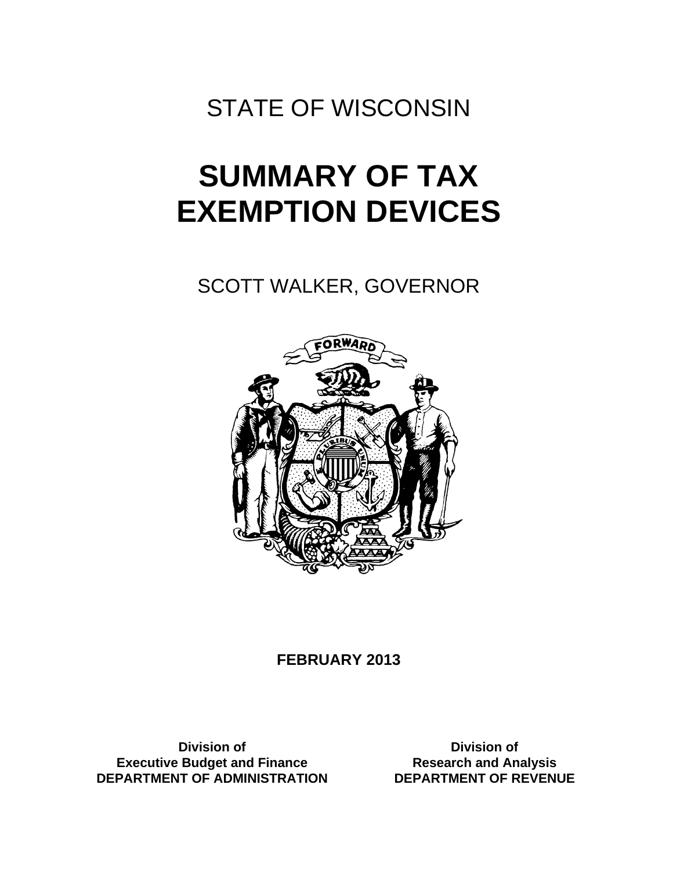STATE OF WISCONSIN

# **SUMMARY OF TAX EXEMPTION DEVICES**

SCOTT WALKER, GOVERNOR



# **FEBRUARY 2013**

**Division of Executive Budget and Finance DEPARTMENT OF ADMINISTRATION** 

**Division of Research and Analysis DEPARTMENT OF REVENUE**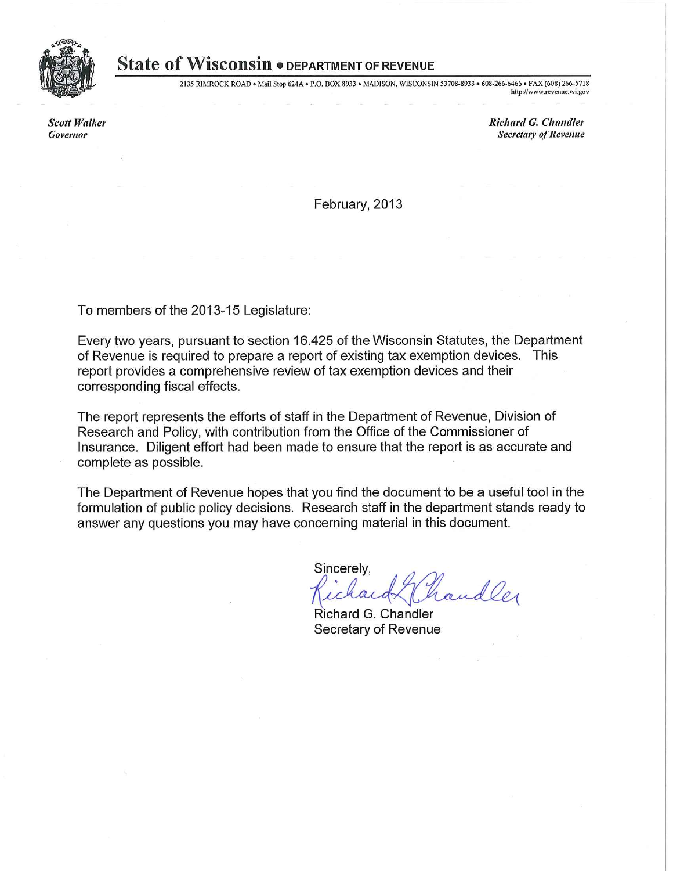

# **State of Wisconsin • DEPARTMENT OF REVENUE**

2135 RIMROCK ROAD . Mail Stop 624A . P.O. BOX 8933 . MADISON, WISCONSIN 53708-8933 . 608-266-6466 . FAX (608) 266-5718 http://www.revenue.wi.gov

**Scott Walker** Governor

**Richard G. Chandler Secretary of Revenue** 

February, 2013

To members of the 2013-15 Legislature:

Every two years, pursuant to section 16.425 of the Wisconsin Statutes, the Department of Revenue is required to prepare a report of existing tax exemption devices. This report provides a comprehensive review of tax exemption devices and their corresponding fiscal effects.

The report represents the efforts of staff in the Department of Revenue, Division of Research and Policy, with contribution from the Office of the Commissioner of Insurance. Diligent effort had been made to ensure that the report is as accurate and complete as possible.

The Department of Revenue hopes that you find the document to be a useful tool in the formulation of public policy decisions. Research staff in the department stands ready to answer any questions you may have concerning material in this document.

Sincerely, handler

Richard G. Chandler Secretary of Revenue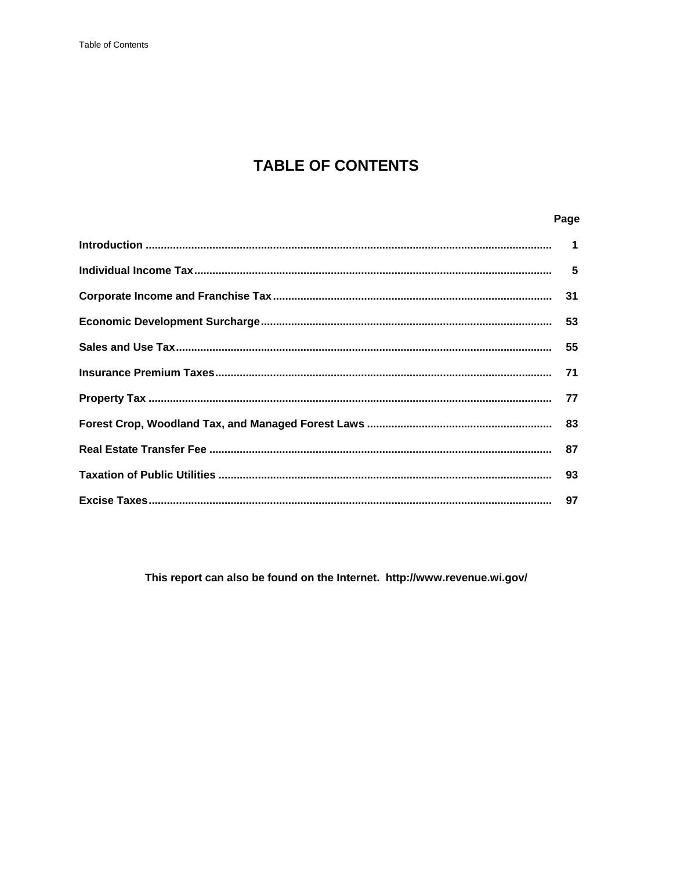# **TABLE OF CONTENTS**

# Page

This report can also be found on the Internet. http://www.revenue.wi.gov/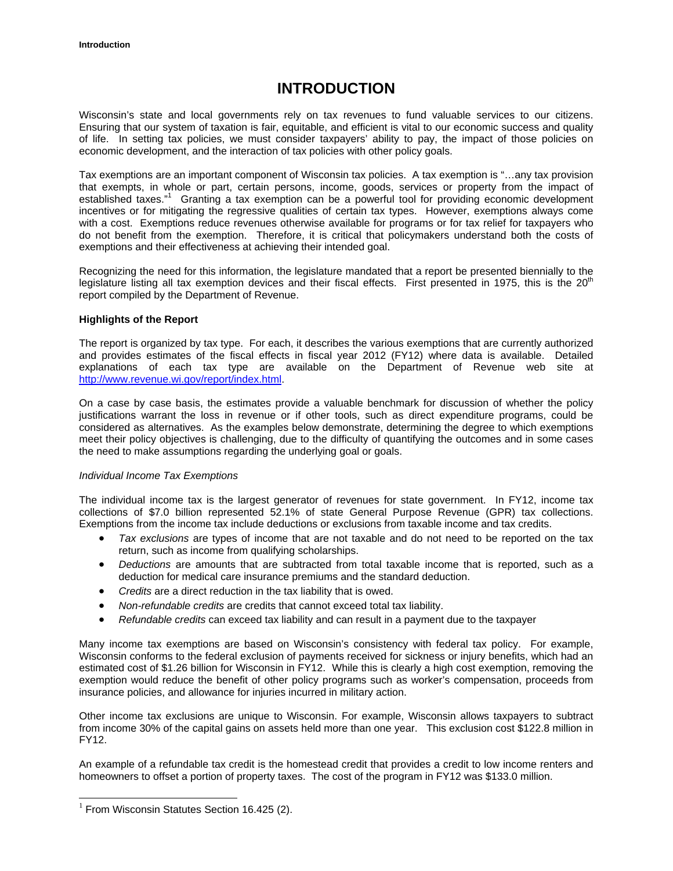# **INTRODUCTION**

Wisconsin's state and local governments rely on tax revenues to fund valuable services to our citizens. Ensuring that our system of taxation is fair, equitable, and efficient is vital to our economic success and quality of life. In setting tax policies, we must consider taxpayers' ability to pay, the impact of those policies on economic development, and the interaction of tax policies with other policy goals.

Tax exemptions are an important component of Wisconsin tax policies. A tax exemption is "…any tax provision that exempts, in whole or part, certain persons, income, goods, services or property from the impact of established taxes."<sup>1</sup> Granting a tax exemption can be a powerful tool for providing economic development incentives or for mitigating the regressive qualities of certain tax types. However, exemptions always come with a cost. Exemptions reduce revenues otherwise available for programs or for tax relief for taxpayers who do not benefit from the exemption. Therefore, it is critical that policymakers understand both the costs of exemptions and their effectiveness at achieving their intended goal.

Recognizing the need for this information, the legislature mandated that a report be presented biennially to the legislature listing all tax exemption devices and their fiscal effects. First presented in 1975, this is the  $20<sup>th</sup>$ report compiled by the Department of Revenue.

# **Highlights of the Report**

The report is organized by tax type. For each, it describes the various exemptions that are currently authorized and provides estimates of the fiscal effects in fiscal year 2012 (FY12) where data is available. Detailed explanations of each tax type are available on the Department of Revenue web site at http://www.revenue.wi.gov/report/index.html.

On a case by case basis, the estimates provide a valuable benchmark for discussion of whether the policy justifications warrant the loss in revenue or if other tools, such as direct expenditure programs, could be considered as alternatives. As the examples below demonstrate, determining the degree to which exemptions meet their policy objectives is challenging, due to the difficulty of quantifying the outcomes and in some cases the need to make assumptions regarding the underlying goal or goals.

# *Individual Income Tax Exemptions*

The individual income tax is the largest generator of revenues for state government. In FY12, income tax collections of \$7.0 billion represented 52.1% of state General Purpose Revenue (GPR) tax collections. Exemptions from the income tax include deductions or exclusions from taxable income and tax credits.

- *Tax exclusions* are types of income that are not taxable and do not need to be reported on the tax return, such as income from qualifying scholarships.
- *Deductions* are amounts that are subtracted from total taxable income that is reported, such as a deduction for medical care insurance premiums and the standard deduction.
- *Credits* are a direct reduction in the tax liability that is owed.
- *Non-refundable credits* are credits that cannot exceed total tax liability.
- *Refundable credits* can exceed tax liability and can result in a payment due to the taxpayer

Many income tax exemptions are based on Wisconsin's consistency with federal tax policy. For example, Wisconsin conforms to the federal exclusion of payments received for sickness or injury benefits, which had an estimated cost of \$1.26 billion for Wisconsin in FY12. While this is clearly a high cost exemption, removing the exemption would reduce the benefit of other policy programs such as worker's compensation, proceeds from insurance policies, and allowance for injuries incurred in military action.

Other income tax exclusions are unique to Wisconsin. For example, Wisconsin allows taxpayers to subtract from income 30% of the capital gains on assets held more than one year. This exclusion cost \$122.8 million in FY12.

An example of a refundable tax credit is the homestead credit that provides a credit to low income renters and homeowners to offset a portion of property taxes. The cost of the program in FY12 was \$133.0 million.

 $\overline{a}$ 

 $1$  From Wisconsin Statutes Section 16.425 (2).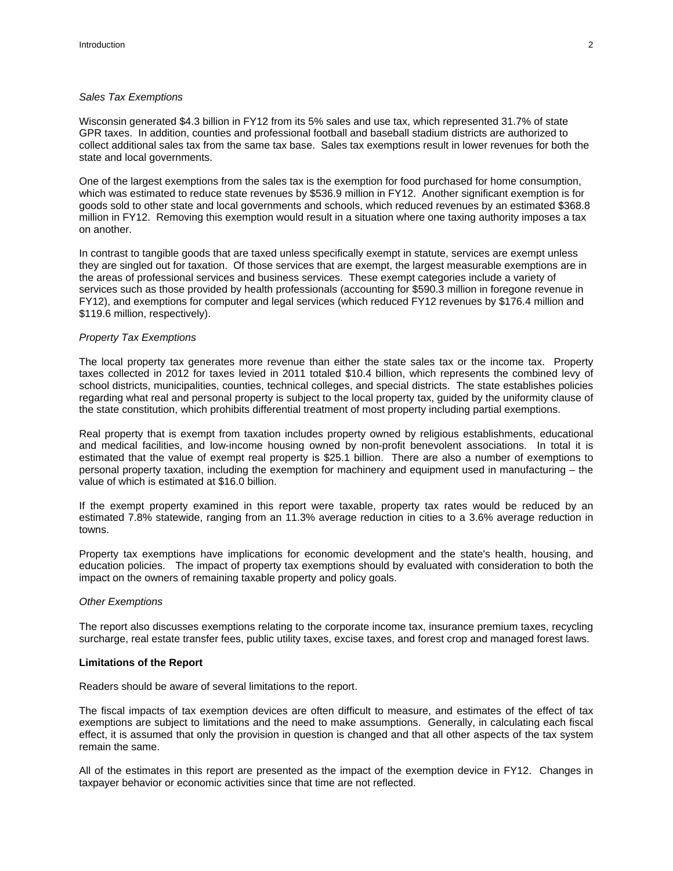# *Sales Tax Exemptions*

Wisconsin generated \$4.3 billion in FY12 from its 5% sales and use tax, which represented 31.7% of state GPR taxes. In addition, counties and professional football and baseball stadium districts are authorized to collect additional sales tax from the same tax base. Sales tax exemptions result in lower revenues for both the state and local governments.

One of the largest exemptions from the sales tax is the exemption for food purchased for home consumption, which was estimated to reduce state revenues by \$536.9 million in FY12. Another significant exemption is for goods sold to other state and local governments and schools, which reduced revenues by an estimated \$368.8 million in FY12. Removing this exemption would result in a situation where one taxing authority imposes a tax on another.

In contrast to tangible goods that are taxed unless specifically exempt in statute, services are exempt unless they are singled out for taxation. Of those services that are exempt, the largest measurable exemptions are in the areas of professional services and business services. These exempt categories include a variety of services such as those provided by health professionals (accounting for \$590.3 million in foregone revenue in FY12), and exemptions for computer and legal services (which reduced FY12 revenues by \$176.4 million and \$119.6 million, respectively).

# *Property Tax Exemptions*

The local property tax generates more revenue than either the state sales tax or the income tax. Property taxes collected in 2012 for taxes levied in 2011 totaled \$10.4 billion, which represents the combined levy of school districts, municipalities, counties, technical colleges, and special districts. The state establishes policies regarding what real and personal property is subject to the local property tax, guided by the uniformity clause of the state constitution, which prohibits differential treatment of most property including partial exemptions.

Real property that is exempt from taxation includes property owned by religious establishments, educational and medical facilities, and low-income housing owned by non-profit benevolent associations. In total it is estimated that the value of exempt real property is \$25.1 billion. There are also a number of exemptions to personal property taxation, including the exemption for machinery and equipment used in manufacturing – the value of which is estimated at \$16.0 billion.

If the exempt property examined in this report were taxable, property tax rates would be reduced by an estimated 7.8% statewide, ranging from an 11.3% average reduction in cities to a 3.6% average reduction in towns.

Property tax exemptions have implications for economic development and the state's health, housing, and education policies. The impact of property tax exemptions should by evaluated with consideration to both the impact on the owners of remaining taxable property and policy goals.

#### *Other Exemptions*

The report also discusses exemptions relating to the corporate income tax, insurance premium taxes, recycling surcharge, real estate transfer fees, public utility taxes, excise taxes, and forest crop and managed forest laws.

#### **Limitations of the Report**

Readers should be aware of several limitations to the report.

The fiscal impacts of tax exemption devices are often difficult to measure, and estimates of the effect of tax exemptions are subject to limitations and the need to make assumptions. Generally, in calculating each fiscal effect, it is assumed that only the provision in question is changed and that all other aspects of the tax system remain the same.

All of the estimates in this report are presented as the impact of the exemption device in FY12. Changes in taxpayer behavior or economic activities since that time are not reflected.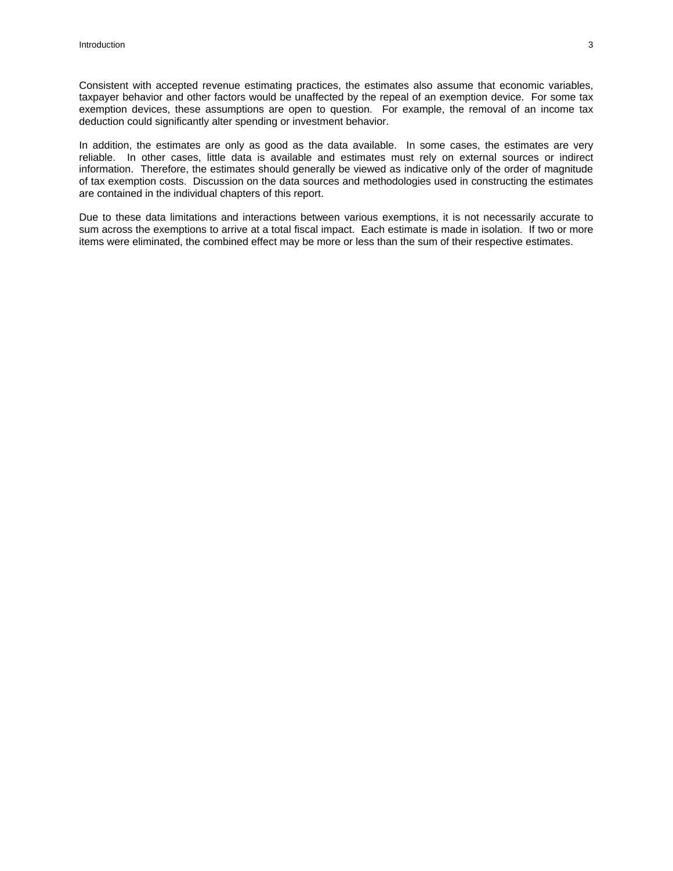Consistent with accepted revenue estimating practices, the estimates also assume that economic variables, taxpayer behavior and other factors would be unaffected by the repeal of an exemption device. For some tax exemption devices, these assumptions are open to question. For example, the removal of an income tax deduction could significantly alter spending or investment behavior.

In addition, the estimates are only as good as the data available. In some cases, the estimates are very reliable. In other cases, little data is available and estimates must rely on external sources or indirect information. Therefore, the estimates should generally be viewed as indicative only of the order of magnitude of tax exemption costs. Discussion on the data sources and methodologies used in constructing the estimates are contained in the individual chapters of this report.

Due to these data limitations and interactions between various exemptions, it is not necessarily accurate to sum across the exemptions to arrive at a total fiscal impact. Each estimate is made in isolation. If two or more items were eliminated, the combined effect may be more or less than the sum of their respective estimates.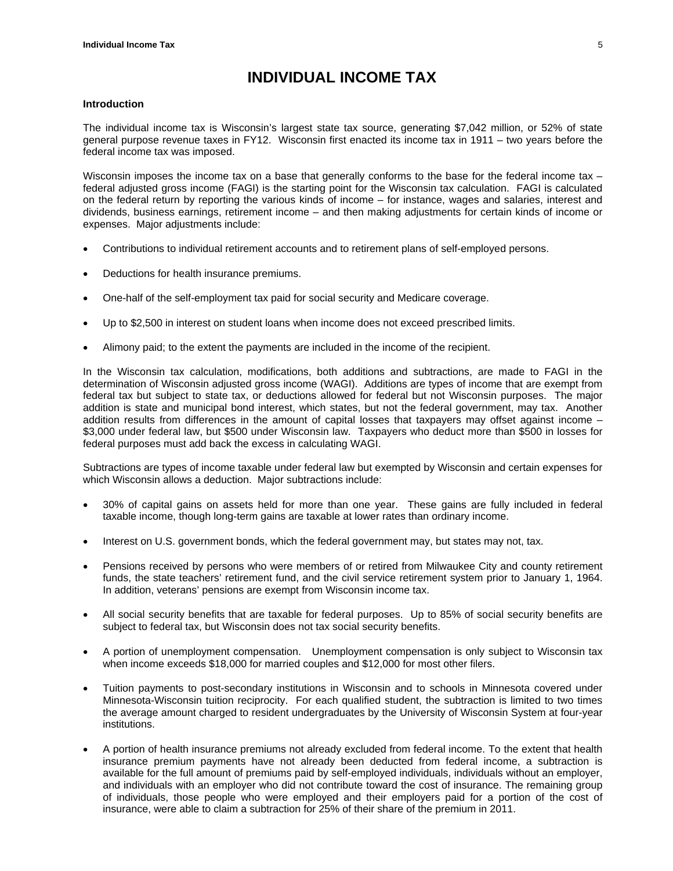# **INDIVIDUAL INCOME TAX**

# **Introduction**

The individual income tax is Wisconsin's largest state tax source, generating \$7,042 million, or 52% of state general purpose revenue taxes in FY12. Wisconsin first enacted its income tax in 1911 – two years before the federal income tax was imposed.

Wisconsin imposes the income tax on a base that generally conforms to the base for the federal income tax federal adjusted gross income (FAGI) is the starting point for the Wisconsin tax calculation. FAGI is calculated on the federal return by reporting the various kinds of income – for instance, wages and salaries, interest and dividends, business earnings, retirement income – and then making adjustments for certain kinds of income or expenses. Major adjustments include:

- Contributions to individual retirement accounts and to retirement plans of self-employed persons.
- Deductions for health insurance premiums.
- One-half of the self-employment tax paid for social security and Medicare coverage.
- Up to \$2,500 in interest on student loans when income does not exceed prescribed limits.
- Alimony paid; to the extent the payments are included in the income of the recipient.

In the Wisconsin tax calculation, modifications, both additions and subtractions, are made to FAGI in the determination of Wisconsin adjusted gross income (WAGI). Additions are types of income that are exempt from federal tax but subject to state tax, or deductions allowed for federal but not Wisconsin purposes. The major addition is state and municipal bond interest, which states, but not the federal government, may tax. Another addition results from differences in the amount of capital losses that taxpayers may offset against income – \$3,000 under federal law, but \$500 under Wisconsin law. Taxpayers who deduct more than \$500 in losses for federal purposes must add back the excess in calculating WAGI.

Subtractions are types of income taxable under federal law but exempted by Wisconsin and certain expenses for which Wisconsin allows a deduction. Major subtractions include:

- 30% of capital gains on assets held for more than one year. These gains are fully included in federal taxable income, though long-term gains are taxable at lower rates than ordinary income.
- Interest on U.S. government bonds, which the federal government may, but states may not, tax.
- Pensions received by persons who were members of or retired from Milwaukee City and county retirement funds, the state teachers' retirement fund, and the civil service retirement system prior to January 1, 1964. In addition, veterans' pensions are exempt from Wisconsin income tax.
- All social security benefits that are taxable for federal purposes. Up to 85% of social security benefits are subject to federal tax, but Wisconsin does not tax social security benefits.
- A portion of unemployment compensation. Unemployment compensation is only subject to Wisconsin tax when income exceeds \$18,000 for married couples and \$12,000 for most other filers.
- Tuition payments to post-secondary institutions in Wisconsin and to schools in Minnesota covered under Minnesota-Wisconsin tuition reciprocity. For each qualified student, the subtraction is limited to two times the average amount charged to resident undergraduates by the University of Wisconsin System at four-year institutions.
- A portion of health insurance premiums not already excluded from federal income. To the extent that health insurance premium payments have not already been deducted from federal income, a subtraction is available for the full amount of premiums paid by self-employed individuals, individuals without an employer, and individuals with an employer who did not contribute toward the cost of insurance. The remaining group of individuals, those people who were employed and their employers paid for a portion of the cost of insurance, were able to claim a subtraction for 25% of their share of the premium in 2011.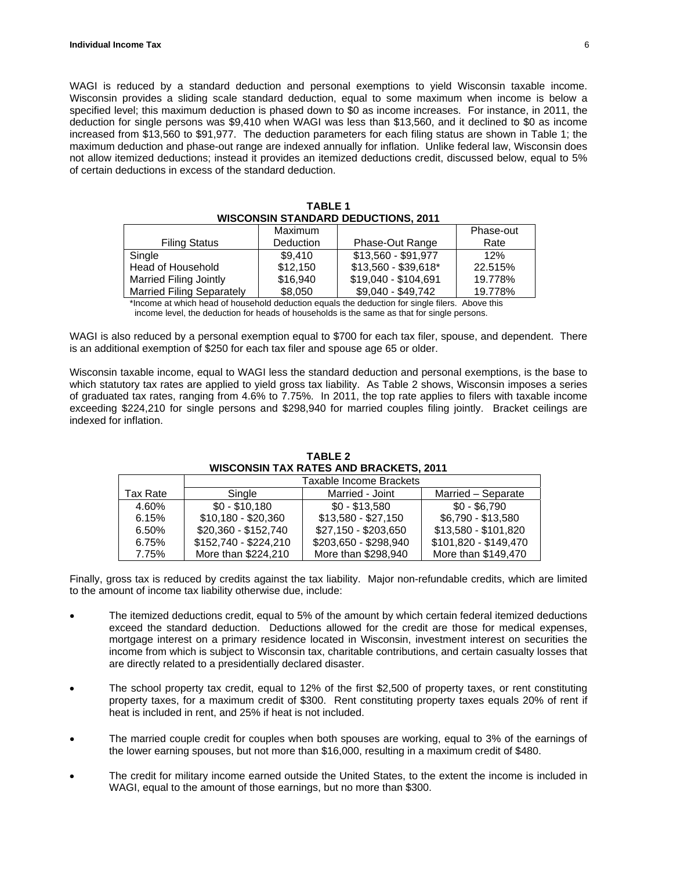WAGI is reduced by a standard deduction and personal exemptions to yield Wisconsin taxable income. Wisconsin provides a sliding scale standard deduction, equal to some maximum when income is below a specified level; this maximum deduction is phased down to \$0 as income increases. For instance, in 2011, the deduction for single persons was \$9,410 when WAGI was less than \$13,560, and it declined to \$0 as income increased from \$13,560 to \$91,977. The deduction parameters for each filing status are shown in Table 1; the maximum deduction and phase-out range are indexed annually for inflation. Unlike federal law, Wisconsin does not allow itemized deductions; instead it provides an itemized deductions credit, discussed below, equal to 5% of certain deductions in excess of the standard deduction.

|                                  | Maximum   |                      | Phase-out |
|----------------------------------|-----------|----------------------|-----------|
| <b>Filing Status</b>             | Deduction | Phase-Out Range      | Rate      |
| Single                           | \$9.410   | \$13,560 - \$91,977  | 12%       |
| Head of Household                | \$12,150  | $$13,560 - $39,618"$ | 22.515%   |
| <b>Married Filing Jointly</b>    | \$16,940  | \$19,040 - \$104,691 | 19.778%   |
| <b>Married Filing Separately</b> | \$8,050   | \$9,040 - \$49,742   | 19.778%   |

| <b>TABLE 1</b>                             |
|--------------------------------------------|
| <b>WISCONSIN STANDARD DEDUCTIONS, 2011</b> |

\*Income at which head of household deduction equals the deduction for single filers. Above this income level, the deduction for heads of households is the same as that for single persons.

WAGI is also reduced by a personal exemption equal to \$700 for each tax filer, spouse, and dependent. There is an additional exemption of \$250 for each tax filer and spouse age 65 or older.

Wisconsin taxable income, equal to WAGI less the standard deduction and personal exemptions, is the base to which statutory tax rates are applied to yield gross tax liability. As Table 2 shows, Wisconsin imposes a series of graduated tax rates, ranging from 4.6% to 7.75%. In 2011, the top rate applies to filers with taxable income exceeding \$224,210 for single persons and \$298,940 for married couples filing jointly. Bracket ceilings are indexed for inflation.

|          | Taxable Income Brackets |                       |                       |
|----------|-------------------------|-----------------------|-----------------------|
| Tax Rate | Single                  | Married - Joint       | Married - Separate    |
| 4.60%    | $$0 - $10.180$          | $$0 - $13.580$        | \$0 - \$6.790         |
| 6.15%    | $$10,180 - $20,360$     | \$13,580 - \$27,150   | \$6,790 - \$13,580    |
| 6.50%    | \$20,360 - \$152,740    | \$27,150 - \$203,650  | \$13,580 - \$101,820  |
| 6.75%    | \$152,740 - \$224,210   | \$203,650 - \$298,940 | \$101,820 - \$149,470 |
| 7.75%    | More than \$224,210     | More than \$298,940   | More than \$149,470   |

**TABLE 2 WISCONSIN TAX RATES AND BRACKETS, 2011**

Finally, gross tax is reduced by credits against the tax liability. Major non-refundable credits, which are limited to the amount of income tax liability otherwise due, include:

- The itemized deductions credit, equal to 5% of the amount by which certain federal itemized deductions exceed the standard deduction. Deductions allowed for the credit are those for medical expenses, mortgage interest on a primary residence located in Wisconsin, investment interest on securities the income from which is subject to Wisconsin tax, charitable contributions, and certain casualty losses that are directly related to a presidentially declared disaster.
- The school property tax credit, equal to 12% of the first \$2,500 of property taxes, or rent constituting property taxes, for a maximum credit of \$300. Rent constituting property taxes equals 20% of rent if heat is included in rent, and 25% if heat is not included.
- The married couple credit for couples when both spouses are working, equal to 3% of the earnings of the lower earning spouses, but not more than \$16,000, resulting in a maximum credit of \$480.
- The credit for military income earned outside the United States, to the extent the income is included in WAGI, equal to the amount of those earnings, but no more than \$300.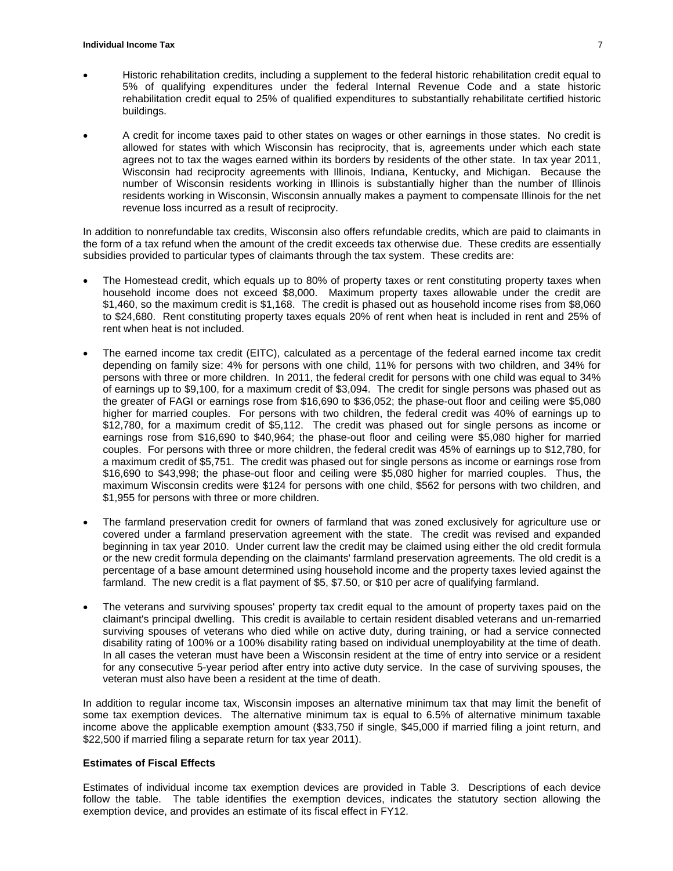- Historic rehabilitation credits, including a supplement to the federal historic rehabilitation credit equal to 5% of qualifying expenditures under the federal Internal Revenue Code and a state historic rehabilitation credit equal to 25% of qualified expenditures to substantially rehabilitate certified historic buildings.
- A credit for income taxes paid to other states on wages or other earnings in those states. No credit is allowed for states with which Wisconsin has reciprocity, that is, agreements under which each state agrees not to tax the wages earned within its borders by residents of the other state. In tax year 2011, Wisconsin had reciprocity agreements with Illinois, Indiana, Kentucky, and Michigan. Because the number of Wisconsin residents working in Illinois is substantially higher than the number of Illinois residents working in Wisconsin, Wisconsin annually makes a payment to compensate Illinois for the net revenue loss incurred as a result of reciprocity.

In addition to nonrefundable tax credits, Wisconsin also offers refundable credits, which are paid to claimants in the form of a tax refund when the amount of the credit exceeds tax otherwise due. These credits are essentially subsidies provided to particular types of claimants through the tax system. These credits are:

- The Homestead credit, which equals up to 80% of property taxes or rent constituting property taxes when household income does not exceed \$8,000. Maximum property taxes allowable under the credit are \$1,460, so the maximum credit is \$1,168. The credit is phased out as household income rises from \$8,060 to \$24,680. Rent constituting property taxes equals 20% of rent when heat is included in rent and 25% of rent when heat is not included.
- The earned income tax credit (EITC), calculated as a percentage of the federal earned income tax credit depending on family size: 4% for persons with one child, 11% for persons with two children, and 34% for persons with three or more children. In 2011, the federal credit for persons with one child was equal to 34% of earnings up to \$9,100, for a maximum credit of \$3,094. The credit for single persons was phased out as the greater of FAGI or earnings rose from \$16,690 to \$36,052; the phase-out floor and ceiling were \$5,080 higher for married couples. For persons with two children, the federal credit was 40% of earnings up to \$12,780, for a maximum credit of \$5,112. The credit was phased out for single persons as income or earnings rose from \$16,690 to \$40,964; the phase-out floor and ceiling were \$5,080 higher for married couples. For persons with three or more children, the federal credit was 45% of earnings up to \$12,780, for a maximum credit of \$5,751. The credit was phased out for single persons as income or earnings rose from \$16,690 to \$43,998; the phase-out floor and ceiling were \$5,080 higher for married couples. Thus, the maximum Wisconsin credits were \$124 for persons with one child, \$562 for persons with two children, and \$1,955 for persons with three or more children.
- The farmland preservation credit for owners of farmland that was zoned exclusively for agriculture use or covered under a farmland preservation agreement with the state. The credit was revised and expanded beginning in tax year 2010. Under current law the credit may be claimed using either the old credit formula or the new credit formula depending on the claimants' farmland preservation agreements. The old credit is a percentage of a base amount determined using household income and the property taxes levied against the farmland. The new credit is a flat payment of \$5, \$7.50, or \$10 per acre of qualifying farmland.
- The veterans and surviving spouses' property tax credit equal to the amount of property taxes paid on the claimant's principal dwelling. This credit is available to certain resident disabled veterans and un-remarried surviving spouses of veterans who died while on active duty, during training, or had a service connected disability rating of 100% or a 100% disability rating based on individual unemployability at the time of death. In all cases the veteran must have been a Wisconsin resident at the time of entry into service or a resident for any consecutive 5-year period after entry into active duty service. In the case of surviving spouses, the veteran must also have been a resident at the time of death.

In addition to regular income tax, Wisconsin imposes an alternative minimum tax that may limit the benefit of some tax exemption devices. The alternative minimum tax is equal to 6.5% of alternative minimum taxable income above the applicable exemption amount (\$33,750 if single, \$45,000 if married filing a joint return, and \$22,500 if married filing a separate return for tax year 2011).

#### **Estimates of Fiscal Effects**

Estimates of individual income tax exemption devices are provided in Table 3. Descriptions of each device follow the table. The table identifies the exemption devices, indicates the statutory section allowing the exemption device, and provides an estimate of its fiscal effect in FY12.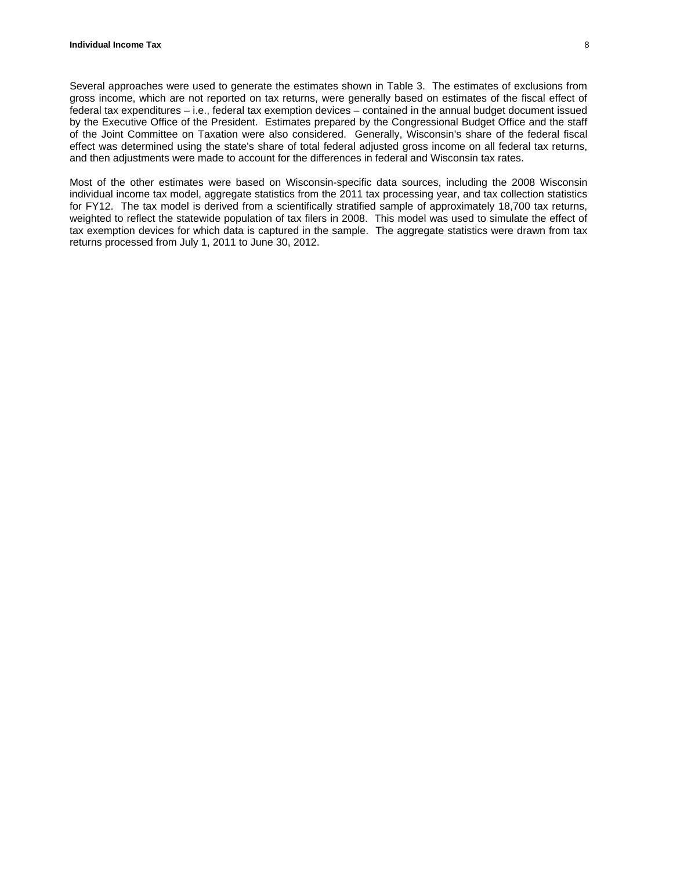Several approaches were used to generate the estimates shown in Table 3. The estimates of exclusions from gross income, which are not reported on tax returns, were generally based on estimates of the fiscal effect of federal tax expenditures – i.e., federal tax exemption devices – contained in the annual budget document issued by the Executive Office of the President. Estimates prepared by the Congressional Budget Office and the staff of the Joint Committee on Taxation were also considered. Generally, Wisconsin's share of the federal fiscal effect was determined using the state's share of total federal adjusted gross income on all federal tax returns, and then adjustments were made to account for the differences in federal and Wisconsin tax rates.

Most of the other estimates were based on Wisconsin-specific data sources, including the 2008 Wisconsin individual income tax model, aggregate statistics from the 2011 tax processing year, and tax collection statistics for FY12. The tax model is derived from a scientifically stratified sample of approximately 18,700 tax returns, weighted to reflect the statewide population of tax filers in 2008. This model was used to simulate the effect of tax exemption devices for which data is captured in the sample. The aggregate statistics were drawn from tax returns processed from July 1, 2011 to June 30, 2012.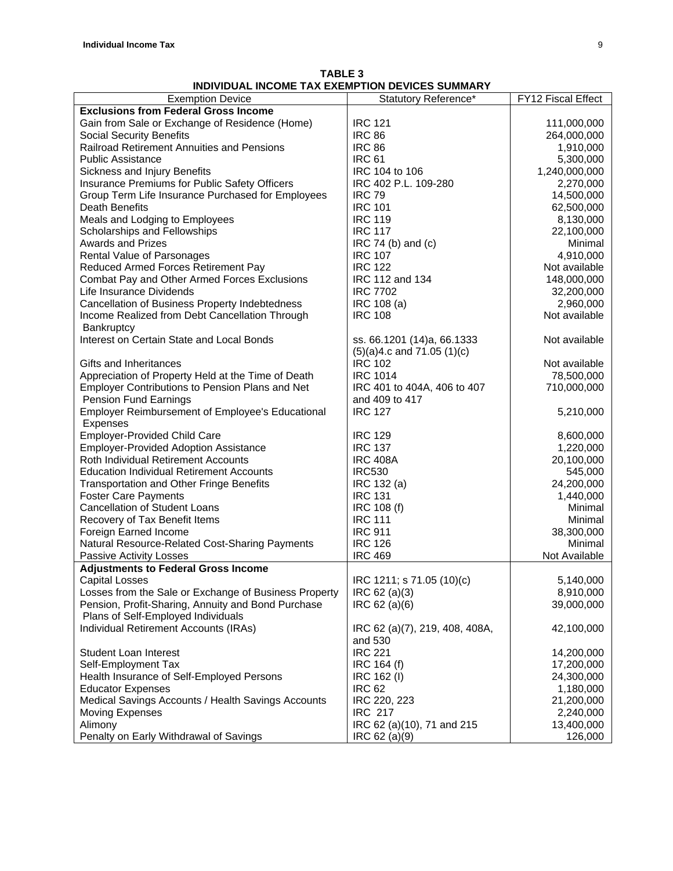| <b>Exemption Device</b>                                             | Statutory Reference*           | FY12 Fiscal Effect |
|---------------------------------------------------------------------|--------------------------------|--------------------|
| <b>Exclusions from Federal Gross Income</b>                         |                                |                    |
| Gain from Sale or Exchange of Residence (Home)                      | <b>IRC 121</b>                 | 111,000,000        |
| <b>Social Security Benefits</b>                                     | <b>IRC 86</b>                  | 264,000,000        |
| Railroad Retirement Annuities and Pensions                          | <b>IRC 86</b>                  | 1,910,000          |
| <b>Public Assistance</b>                                            | <b>IRC 61</b>                  | 5,300,000          |
| Sickness and Injury Benefits                                        | IRC 104 to 106                 | 1,240,000,000      |
| Insurance Premiums for Public Safety Officers                       | IRC 402 P.L. 109-280           | 2,270,000          |
| Group Term Life Insurance Purchased for Employees                   | <b>IRC 79</b>                  | 14,500,000         |
| Death Benefits                                                      | <b>IRC 101</b>                 | 62,500,000         |
| Meals and Lodging to Employees                                      | <b>IRC 119</b>                 | 8,130,000          |
| Scholarships and Fellowships                                        | <b>IRC 117</b>                 | 22,100,000         |
| <b>Awards and Prizes</b>                                            | $IRC 74 (b)$ and $(c)$         | Minimal            |
| Rental Value of Parsonages                                          | <b>IRC 107</b>                 | 4,910,000          |
| Reduced Armed Forces Retirement Pay                                 | <b>IRC 122</b>                 | Not available      |
| Combat Pay and Other Armed Forces Exclusions                        | IRC 112 and 134                | 148,000,000        |
| Life Insurance Dividends                                            | <b>IRC 7702</b>                | 32,200,000         |
| Cancellation of Business Property Indebtedness                      | IRC 108 (a)                    | 2,960,000          |
| Income Realized from Debt Cancellation Through<br>Bankruptcy        | <b>IRC 108</b>                 | Not available      |
| Interest on Certain State and Local Bonds                           | ss. 66.1201 (14)a, 66.1333     | Not available      |
|                                                                     | $(5)(a)4.c$ and 71.05 $(1)(c)$ |                    |
| Gifts and Inheritances                                              | <b>IRC 102</b>                 | Not available      |
| Appreciation of Property Held at the Time of Death                  | <b>IRC 1014</b>                | 78,500,000         |
| Employer Contributions to Pension Plans and Net                     | IRC 401 to 404A, 406 to 407    | 710,000,000        |
| <b>Pension Fund Earnings</b>                                        | and 409 to 417                 |                    |
| <b>Employer Reimbursement of Employee's Educational</b><br>Expenses | <b>IRC 127</b>                 | 5,210,000          |
| <b>Employer-Provided Child Care</b>                                 | <b>IRC 129</b>                 | 8,600,000          |
| <b>Employer-Provided Adoption Assistance</b>                        | <b>IRC 137</b>                 | 1,220,000          |
| Roth Individual Retirement Accounts                                 | <b>IRC 408A</b>                | 20,100,000         |
| <b>Education Individual Retirement Accounts</b>                     | <b>IRC530</b>                  | 545,000            |
| <b>Transportation and Other Fringe Benefits</b>                     | IRC 132 (a)                    | 24,200,000         |
| <b>Foster Care Payments</b>                                         | <b>IRC 131</b>                 | 1,440,000          |
| <b>Cancellation of Student Loans</b>                                | IRC 108 (f)                    | Minimal            |
| Recovery of Tax Benefit Items                                       | <b>IRC 111</b>                 | Minimal            |
| Foreign Earned Income                                               | <b>IRC 911</b>                 | 38,300,000         |
| Natural Resource-Related Cost-Sharing Payments                      | <b>IRC 126</b>                 | Minimal            |
| Passive Activity Losses                                             | <b>IRC 469</b>                 | Not Available      |
| <b>Adjustments to Federal Gross Income</b>                          |                                |                    |
| <b>Capital Losses</b>                                               | IRC 1211; s 71.05 (10)(c)      | 5,140,000          |
| Losses from the Sale or Exchange of Business Property               | IRC 62 (a)(3)                  | 8,910,000          |
| Pension, Profit-Sharing, Annuity and Bond Purchase                  | IRC 62 (a)(6)                  | 39,000,000         |
| Plans of Self-Employed Individuals                                  |                                |                    |
| Individual Retirement Accounts (IRAs)                               | IRC 62 (a)(7), 219, 408, 408A, | 42,100,000         |
|                                                                     | and 530                        |                    |
| Student Loan Interest                                               | <b>IRC 221</b>                 | 14,200,000         |
| Self-Employment Tax                                                 | IRC 164 (f)                    | 17,200,000         |
| Health Insurance of Self-Employed Persons                           | IRC 162 (I)                    | 24,300,000         |
| <b>Educator Expenses</b>                                            | <b>IRC 62</b>                  | 1,180,000          |
| Medical Savings Accounts / Health Savings Accounts                  | IRC 220, 223                   | 21,200,000         |
| Moving Expenses                                                     | <b>IRC 217</b>                 | 2,240,000          |
| Alimony                                                             | IRC 62 (a)(10), 71 and 215     | 13,400,000         |
| Penalty on Early Withdrawal of Savings                              | IRC 62 (a)(9)                  | 126,000            |

**TABLE 3 INDIVIDUAL INCOME TAX EXEMPTION DEVICES SUMMARY**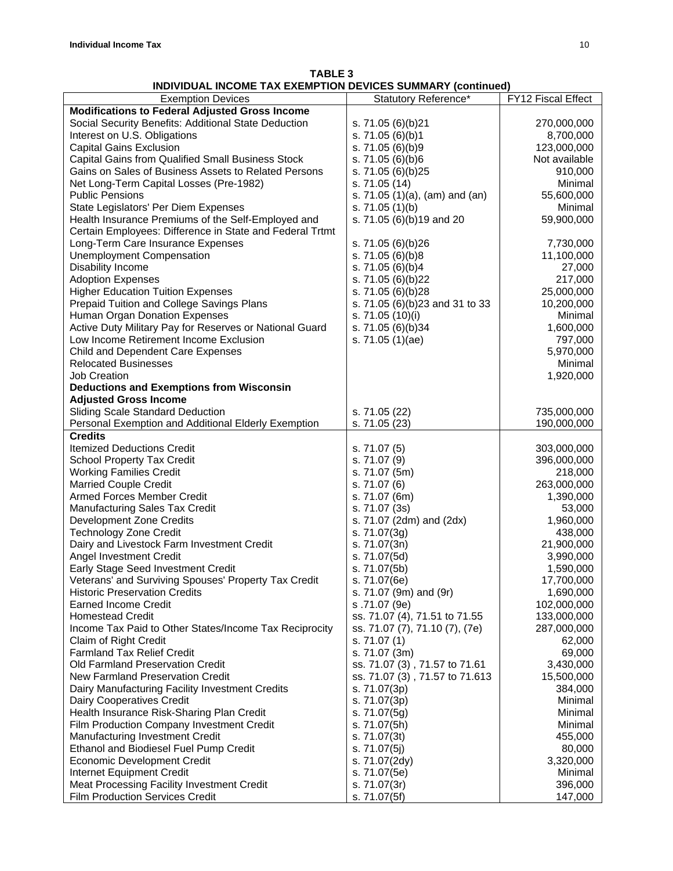| <b>TABLE 3</b>                                              |  |
|-------------------------------------------------------------|--|
| INDIVIDUAL INCOME TAX EXEMPTION DEVICES SUMMARY (continued) |  |

|                                                          | , oannmart (aannmaa                   |                    |
|----------------------------------------------------------|---------------------------------------|--------------------|
| <b>Exemption Devices</b>                                 | Statutory Reference*                  | FY12 Fiscal Effect |
| <b>Modifications to Federal Adjusted Gross Income</b>    |                                       |                    |
| Social Security Benefits: Additional State Deduction     | s. 71.05 (6)(b)21                     | 270,000,000        |
| Interest on U.S. Obligations                             | s. 71.05 (6)(b)1                      | 8,700,000          |
| <b>Capital Gains Exclusion</b>                           | s. 71.05 (6)(b)9                      | 123,000,000        |
| Capital Gains from Qualified Small Business Stock        | s. $71.05(6)(b)6$                     | Not available      |
| Gains on Sales of Business Assets to Related Persons     | s. 71.05 (6)(b)25                     | 910,000            |
|                                                          |                                       |                    |
| Net Long-Term Capital Losses (Pre-1982)                  | s. 71.05 (14)                         | Minimal            |
| <b>Public Pensions</b>                                   | s. 71.05 $(1)(a)$ , $(am)$ and $(an)$ | 55,600,000         |
| State Legislators' Per Diem Expenses                     | s. $71.05(1)(b)$                      | Minimal            |
| Health Insurance Premiums of the Self-Employed and       | s. 71.05 (6)(b)19 and 20              | 59,900,000         |
| Certain Employees: Difference in State and Federal Trtmt |                                       |                    |
| Long-Term Care Insurance Expenses                        | s. 71.05 (6)(b)26                     | 7,730,000          |
| <b>Unemployment Compensation</b>                         | s. 71.05 (6)(b)8                      | 11,100,000         |
| Disability Income                                        | s. 71.05 (6)(b)4                      | 27,000             |
| <b>Adoption Expenses</b>                                 | s. 71.05 (6)(b)22                     | 217,000            |
| <b>Higher Education Tuition Expenses</b>                 | s. 71.05 (6)(b)28                     | 25,000,000         |
| Prepaid Tuition and College Savings Plans                | s. 71.05 (6)(b)23 and 31 to 33        | 10,200,000         |
| Human Organ Donation Expenses                            | s. 71.05 (10)(i)                      | Minimal            |
| Active Duty Military Pay for Reserves or National Guard  |                                       | 1,600,000          |
|                                                          | s. 71.05 (6)(b)34                     |                    |
| Low Income Retirement Income Exclusion                   | s. 71.05 (1)(ae)                      | 797,000            |
| Child and Dependent Care Expenses                        |                                       | 5,970,000          |
| <b>Relocated Businesses</b>                              |                                       | Minimal            |
| <b>Job Creation</b>                                      |                                       | 1,920,000          |
| <b>Deductions and Exemptions from Wisconsin</b>          |                                       |                    |
| <b>Adjusted Gross Income</b>                             |                                       |                    |
| <b>Sliding Scale Standard Deduction</b>                  | s. 71.05 (22)                         | 735,000,000        |
| Personal Exemption and Additional Elderly Exemption      | s. 71.05 (23)                         | 190,000,000        |
| <b>Credits</b>                                           |                                       |                    |
| <b>Itemized Deductions Credit</b>                        | s. 71.07 (5)                          | 303,000,000        |
| <b>School Property Tax Credit</b>                        | s. 71.07 (9)                          | 396,000,000        |
|                                                          |                                       |                    |
| <b>Working Families Credit</b>                           | s. 71.07 (5m)                         | 218,000            |
| <b>Married Couple Credit</b>                             | s. 71.07 (6)                          | 263,000,000        |
| Armed Forces Member Credit                               | s. 71.07 (6m)                         | 1,390,000          |
| Manufacturing Sales Tax Credit                           | s. 71.07 (3s)                         | 53,000             |
| Development Zone Credits                                 | s. 71.07 (2dm) and (2dx)              | 1,960,000          |
| <b>Technology Zone Credit</b>                            | s. 71.07(3g)                          | 438,000            |
| Dairy and Livestock Farm Investment Credit               | s. 71.07(3n)                          | 21,900,000         |
| Angel Investment Credit                                  | s. 71.07(5d)                          | 3,990,000          |
| Early Stage Seed Investment Credit                       | s. 71.07(5b)                          | 1,590,000          |
| Veterans' and Surviving Spouses' Property Tax Credit     | s. 71.07(6e)                          | 17,700,000         |
| <b>Historic Preservation Credits</b>                     | s. 71.07 (9m) and (9r)                | 1,690,000          |
| <b>Earned Income Credit</b>                              | s.71.07 (9e)                          | 102,000,000        |
| <b>Homestead Credit</b>                                  |                                       | 133,000,000        |
|                                                          | ss. 71.07 (4), 71.51 to 71.55         |                    |
| Income Tax Paid to Other States/Income Tax Reciprocity   | ss. 71.07 (7), 71.10 (7), (7e)        | 287,000,000        |
| Claim of Right Credit                                    | s. 71.07 (1)                          | 62,000             |
| <b>Farmland Tax Relief Credit</b>                        | s. 71.07 (3m)                         | 69,000             |
| Old Farmland Preservation Credit                         | ss. 71.07 (3), 71.57 to 71.61         | 3,430,000          |
| New Farmland Preservation Credit                         | ss. 71.07 (3), 71.57 to 71.613        | 15,500,000         |
| Dairy Manufacturing Facility Investment Credits          | s. 71.07(3p)                          | 384,000            |
| Dairy Cooperatives Credit                                | s. 71.07(3p)                          | Minimal            |
| Health Insurance Risk-Sharing Plan Credit                | s. 71.07(5g)                          | Minimal            |
| Film Production Company Investment Credit                | s. 71.07(5h)                          | Minimal            |
| Manufacturing Investment Credit                          | s. 71.07(3t)                          | 455,000            |
| Ethanol and Biodiesel Fuel Pump Credit                   | s. 71.07(5j)                          | 80,000             |
| <b>Economic Development Credit</b>                       | s. 71.07(2dy)                         | 3,320,000          |
|                                                          |                                       |                    |
| Internet Equipment Credit                                | s. 71.07(5e)                          | Minimal            |
| Meat Processing Facility Investment Credit               | s. 71.07(3r)                          | 396,000            |
| Film Production Services Credit                          | s. 71.07(5f)                          | 147,000            |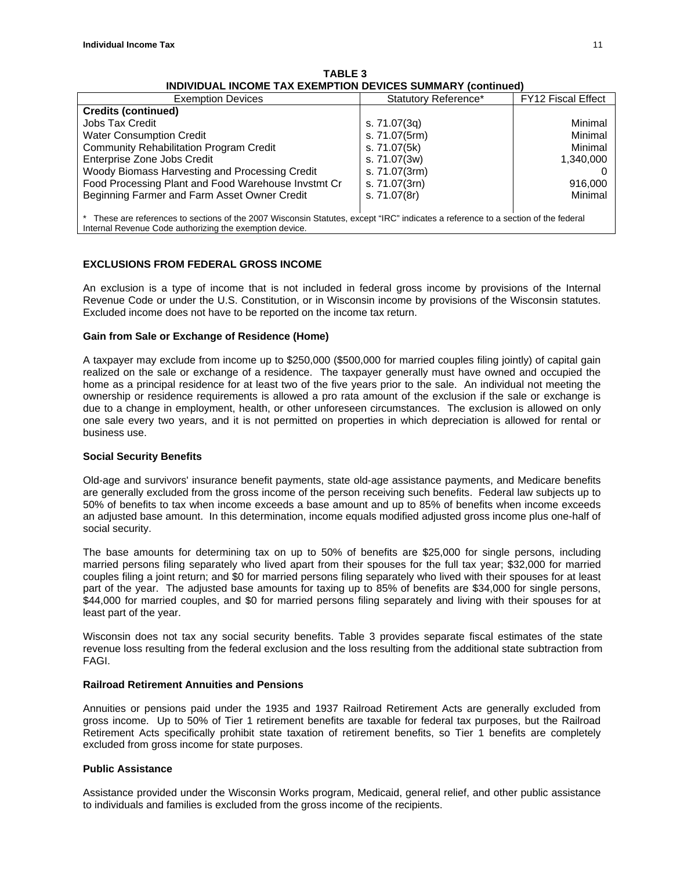| <b>Exemption Devices</b>                                                                                                          | Statutory Reference* | <b>FY12 Fiscal Effect</b> |
|-----------------------------------------------------------------------------------------------------------------------------------|----------------------|---------------------------|
| <b>Credits (continued)</b>                                                                                                        |                      |                           |
| Jobs Tax Credit                                                                                                                   | s. 71.07(3g)         | Minimal                   |
| <b>Water Consumption Credit</b>                                                                                                   | s. 71.07(5rm)        | Minimal                   |
| <b>Community Rehabilitation Program Credit</b>                                                                                    | s. 71.07(5k)         | Minimal                   |
| Enterprise Zone Jobs Credit                                                                                                       | s. 71.07(3w)         | 1,340,000                 |
| Woody Biomass Harvesting and Processing Credit                                                                                    | s. 71.07(3rm)        |                           |
| Food Processing Plant and Food Warehouse Invstmt Cr                                                                               | s. 71.07(3rn)        | 916,000                   |
| Beginning Farmer and Farm Asset Owner Credit                                                                                      | s. 71.07(8r)         | Minimal                   |
|                                                                                                                                   |                      |                           |
| * These are references to sections of the 2007 Wisconsin Statutes, except "IRC" indicates a reference to a section of the federal |                      |                           |
| Internal Revenue Code authorizing the exemption device.                                                                           |                      |                           |

**TABLE 3 INDIVIDUAL INCOME TAX EXEMPTION DEVICES SUMMARY (continued)**

# **EXCLUSIONS FROM FEDERAL GROSS INCOME**

An exclusion is a type of income that is not included in federal gross income by provisions of the Internal Revenue Code or under the U.S. Constitution, or in Wisconsin income by provisions of the Wisconsin statutes. Excluded income does not have to be reported on the income tax return.

# **Gain from Sale or Exchange of Residence (Home)**

A taxpayer may exclude from income up to \$250,000 (\$500,000 for married couples filing jointly) of capital gain realized on the sale or exchange of a residence. The taxpayer generally must have owned and occupied the home as a principal residence for at least two of the five years prior to the sale. An individual not meeting the ownership or residence requirements is allowed a pro rata amount of the exclusion if the sale or exchange is due to a change in employment, health, or other unforeseen circumstances. The exclusion is allowed on only one sale every two years, and it is not permitted on properties in which depreciation is allowed for rental or business use.

# **Social Security Benefits**

Old-age and survivors' insurance benefit payments, state old-age assistance payments, and Medicare benefits are generally excluded from the gross income of the person receiving such benefits. Federal law subjects up to 50% of benefits to tax when income exceeds a base amount and up to 85% of benefits when income exceeds an adjusted base amount. In this determination, income equals modified adjusted gross income plus one-half of social security.

The base amounts for determining tax on up to 50% of benefits are \$25,000 for single persons, including married persons filing separately who lived apart from their spouses for the full tax year; \$32,000 for married couples filing a joint return; and \$0 for married persons filing separately who lived with their spouses for at least part of the year. The adjusted base amounts for taxing up to 85% of benefits are \$34,000 for single persons, \$44,000 for married couples, and \$0 for married persons filing separately and living with their spouses for at least part of the year.

Wisconsin does not tax any social security benefits. Table 3 provides separate fiscal estimates of the state revenue loss resulting from the federal exclusion and the loss resulting from the additional state subtraction from FAGI.

#### **Railroad Retirement Annuities and Pensions**

Annuities or pensions paid under the 1935 and 1937 Railroad Retirement Acts are generally excluded from gross income. Up to 50% of Tier 1 retirement benefits are taxable for federal tax purposes, but the Railroad Retirement Acts specifically prohibit state taxation of retirement benefits, so Tier 1 benefits are completely excluded from gross income for state purposes.

# **Public Assistance**

Assistance provided under the Wisconsin Works program, Medicaid, general relief, and other public assistance to individuals and families is excluded from the gross income of the recipients.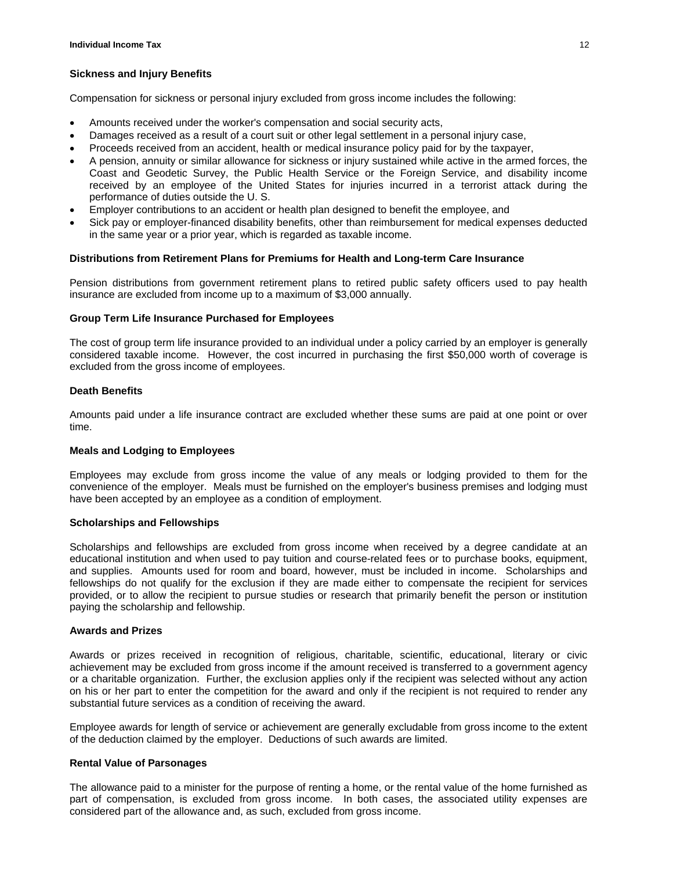# **Sickness and Injury Benefits**

Compensation for sickness or personal injury excluded from gross income includes the following:

- Amounts received under the worker's compensation and social security acts,
- Damages received as a result of a court suit or other legal settlement in a personal injury case,
- Proceeds received from an accident, health or medical insurance policy paid for by the taxpayer,
- A pension, annuity or similar allowance for sickness or injury sustained while active in the armed forces, the Coast and Geodetic Survey, the Public Health Service or the Foreign Service, and disability income received by an employee of the United States for injuries incurred in a terrorist attack during the performance of duties outside the U. S.
- Employer contributions to an accident or health plan designed to benefit the employee, and
- Sick pay or employer-financed disability benefits, other than reimbursement for medical expenses deducted in the same year or a prior year, which is regarded as taxable income.

#### **Distributions from Retirement Plans for Premiums for Health and Long-term Care Insurance**

Pension distributions from government retirement plans to retired public safety officers used to pay health insurance are excluded from income up to a maximum of \$3,000 annually.

#### **Group Term Life Insurance Purchased for Employees**

The cost of group term life insurance provided to an individual under a policy carried by an employer is generally considered taxable income. However, the cost incurred in purchasing the first \$50,000 worth of coverage is excluded from the gross income of employees.

# **Death Benefits**

Amounts paid under a life insurance contract are excluded whether these sums are paid at one point or over time.

# **Meals and Lodging to Employees**

Employees may exclude from gross income the value of any meals or lodging provided to them for the convenience of the employer. Meals must be furnished on the employer's business premises and lodging must have been accepted by an employee as a condition of employment.

# **Scholarships and Fellowships**

Scholarships and fellowships are excluded from gross income when received by a degree candidate at an educational institution and when used to pay tuition and course-related fees or to purchase books, equipment, and supplies. Amounts used for room and board, however, must be included in income. Scholarships and fellowships do not qualify for the exclusion if they are made either to compensate the recipient for services provided, or to allow the recipient to pursue studies or research that primarily benefit the person or institution paying the scholarship and fellowship.

#### **Awards and Prizes**

Awards or prizes received in recognition of religious, charitable, scientific, educational, literary or civic achievement may be excluded from gross income if the amount received is transferred to a government agency or a charitable organization. Further, the exclusion applies only if the recipient was selected without any action on his or her part to enter the competition for the award and only if the recipient is not required to render any substantial future services as a condition of receiving the award.

Employee awards for length of service or achievement are generally excludable from gross income to the extent of the deduction claimed by the employer. Deductions of such awards are limited.

#### **Rental Value of Parsonages**

The allowance paid to a minister for the purpose of renting a home, or the rental value of the home furnished as part of compensation, is excluded from gross income. In both cases, the associated utility expenses are considered part of the allowance and, as such, excluded from gross income.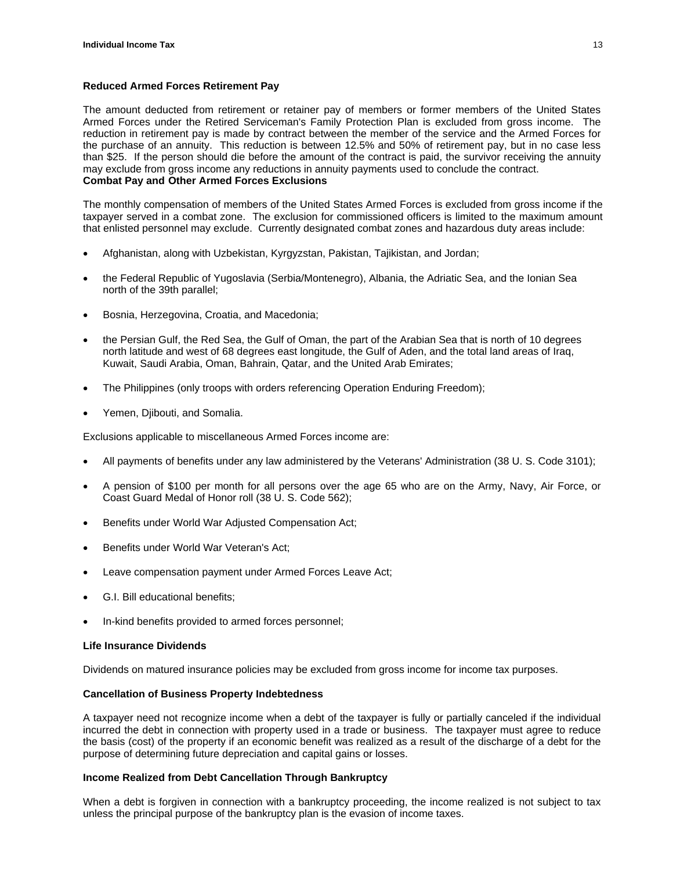# **Reduced Armed Forces Retirement Pay**

The amount deducted from retirement or retainer pay of members or former members of the United States Armed Forces under the Retired Serviceman's Family Protection Plan is excluded from gross income. The reduction in retirement pay is made by contract between the member of the service and the Armed Forces for the purchase of an annuity. This reduction is between 12.5% and 50% of retirement pay, but in no case less than \$25. If the person should die before the amount of the contract is paid, the survivor receiving the annuity may exclude from gross income any reductions in annuity payments used to conclude the contract. **Combat Pay and Other Armed Forces Exclusions** 

The monthly compensation of members of the United States Armed Forces is excluded from gross income if the taxpayer served in a combat zone. The exclusion for commissioned officers is limited to the maximum amount that enlisted personnel may exclude. Currently designated combat zones and hazardous duty areas include:

- Afghanistan, along with Uzbekistan, Kyrgyzstan, Pakistan, Tajikistan, and Jordan;
- the Federal Republic of Yugoslavia (Serbia/Montenegro), Albania, the Adriatic Sea, and the Ionian Sea north of the 39th parallel;
- Bosnia, Herzegovina, Croatia, and Macedonia;
- the Persian Gulf, the Red Sea, the Gulf of Oman, the part of the Arabian Sea that is north of 10 degrees north latitude and west of 68 degrees east longitude, the Gulf of Aden, and the total land areas of Iraq, Kuwait, Saudi Arabia, Oman, Bahrain, Qatar, and the United Arab Emirates;
- The Philippines (only troops with orders referencing Operation Enduring Freedom);
- Yemen, Djibouti, and Somalia.

Exclusions applicable to miscellaneous Armed Forces income are:

- All payments of benefits under any law administered by the Veterans' Administration (38 U. S. Code 3101);
- A pension of \$100 per month for all persons over the age 65 who are on the Army, Navy, Air Force, or Coast Guard Medal of Honor roll (38 U. S. Code 562);
- Benefits under World War Adjusted Compensation Act;
- Benefits under World War Veteran's Act;
- Leave compensation payment under Armed Forces Leave Act;
- G.I. Bill educational benefits;
- In-kind benefits provided to armed forces personnel;

# **Life Insurance Dividends**

Dividends on matured insurance policies may be excluded from gross income for income tax purposes.

# **Cancellation of Business Property Indebtedness**

A taxpayer need not recognize income when a debt of the taxpayer is fully or partially canceled if the individual incurred the debt in connection with property used in a trade or business. The taxpayer must agree to reduce the basis (cost) of the property if an economic benefit was realized as a result of the discharge of a debt for the purpose of determining future depreciation and capital gains or losses.

# **Income Realized from Debt Cancellation Through Bankruptcy**

When a debt is forgiven in connection with a bankruptcy proceeding, the income realized is not subject to tax unless the principal purpose of the bankruptcy plan is the evasion of income taxes.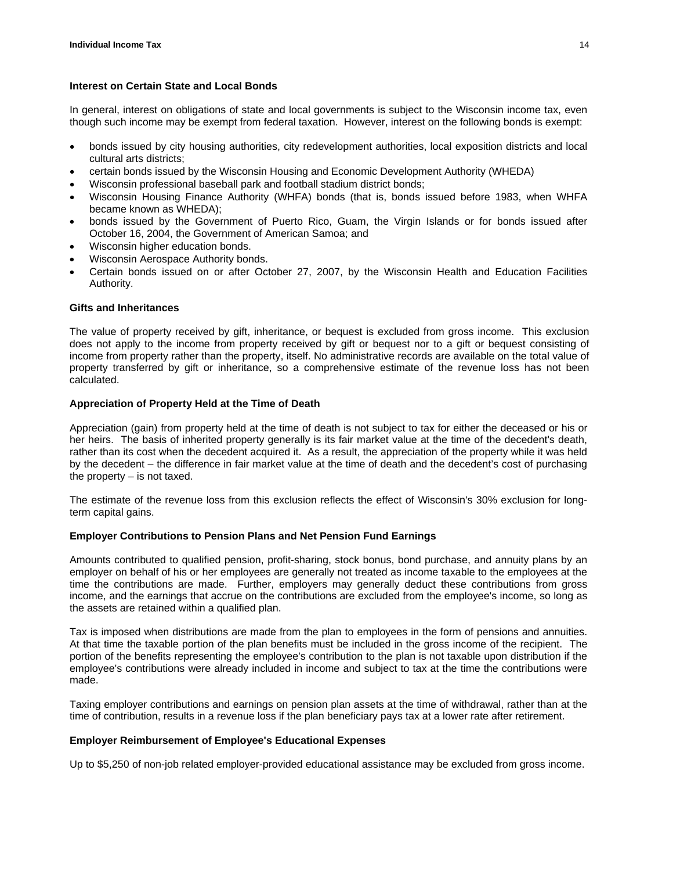# **Interest on Certain State and Local Bonds**

In general, interest on obligations of state and local governments is subject to the Wisconsin income tax, even though such income may be exempt from federal taxation. However, interest on the following bonds is exempt:

- bonds issued by city housing authorities, city redevelopment authorities, local exposition districts and local cultural arts districts;
- certain bonds issued by the Wisconsin Housing and Economic Development Authority (WHEDA)
- Wisconsin professional baseball park and football stadium district bonds;
- Wisconsin Housing Finance Authority (WHFA) bonds (that is, bonds issued before 1983, when WHFA became known as WHEDA);
- bonds issued by the Government of Puerto Rico, Guam, the Virgin Islands or for bonds issued after October 16, 2004, the Government of American Samoa; and
- Wisconsin higher education bonds.
- Wisconsin Aerospace Authority bonds.
- Certain bonds issued on or after October 27, 2007, by the Wisconsin Health and Education Facilities Authority.

# **Gifts and Inheritances**

The value of property received by gift, inheritance, or bequest is excluded from gross income. This exclusion does not apply to the income from property received by gift or bequest nor to a gift or bequest consisting of income from property rather than the property, itself. No administrative records are available on the total value of property transferred by gift or inheritance, so a comprehensive estimate of the revenue loss has not been calculated.

# **Appreciation of Property Held at the Time of Death**

Appreciation (gain) from property held at the time of death is not subject to tax for either the deceased or his or her heirs. The basis of inherited property generally is its fair market value at the time of the decedent's death, rather than its cost when the decedent acquired it. As a result, the appreciation of the property while it was held by the decedent – the difference in fair market value at the time of death and the decedent's cost of purchasing the property – is not taxed.

The estimate of the revenue loss from this exclusion reflects the effect of Wisconsin's 30% exclusion for longterm capital gains.

# **Employer Contributions to Pension Plans and Net Pension Fund Earnings**

Amounts contributed to qualified pension, profit-sharing, stock bonus, bond purchase, and annuity plans by an employer on behalf of his or her employees are generally not treated as income taxable to the employees at the time the contributions are made. Further, employers may generally deduct these contributions from gross income, and the earnings that accrue on the contributions are excluded from the employee's income, so long as the assets are retained within a qualified plan.

Tax is imposed when distributions are made from the plan to employees in the form of pensions and annuities. At that time the taxable portion of the plan benefits must be included in the gross income of the recipient. The portion of the benefits representing the employee's contribution to the plan is not taxable upon distribution if the employee's contributions were already included in income and subject to tax at the time the contributions were made.

Taxing employer contributions and earnings on pension plan assets at the time of withdrawal, rather than at the time of contribution, results in a revenue loss if the plan beneficiary pays tax at a lower rate after retirement.

# **Employer Reimbursement of Employee's Educational Expenses**

Up to \$5,250 of non-job related employer-provided educational assistance may be excluded from gross income.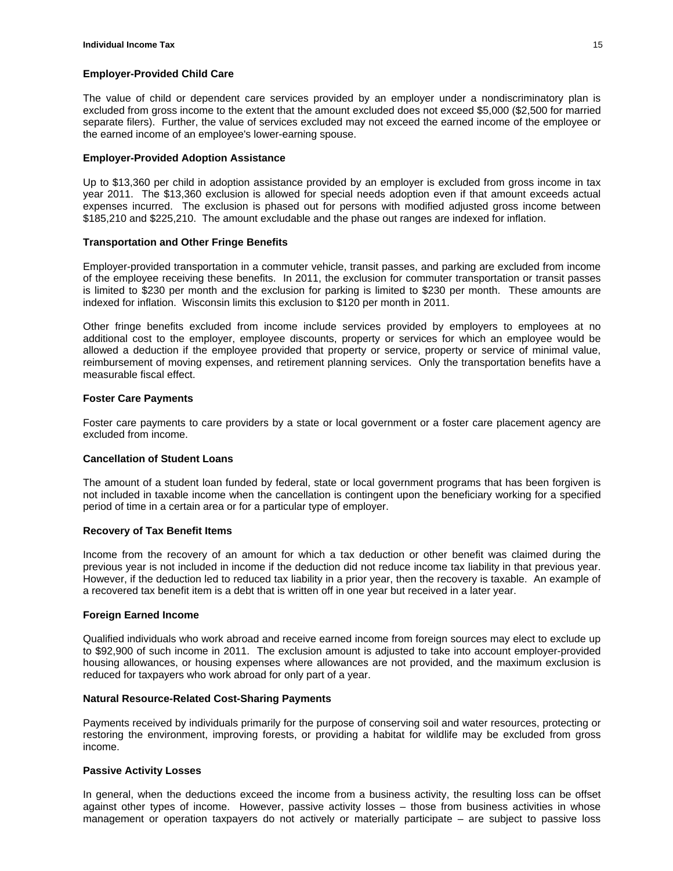#### **Employer-Provided Child Care**

The value of child or dependent care services provided by an employer under a nondiscriminatory plan is excluded from gross income to the extent that the amount excluded does not exceed \$5,000 (\$2,500 for married separate filers). Further, the value of services excluded may not exceed the earned income of the employee or the earned income of an employee's lower-earning spouse.

#### **Employer-Provided Adoption Assistance**

Up to \$13,360 per child in adoption assistance provided by an employer is excluded from gross income in tax year 2011. The \$13,360 exclusion is allowed for special needs adoption even if that amount exceeds actual expenses incurred. The exclusion is phased out for persons with modified adjusted gross income between \$185,210 and \$225,210. The amount excludable and the phase out ranges are indexed for inflation.

# **Transportation and Other Fringe Benefits**

Employer-provided transportation in a commuter vehicle, transit passes, and parking are excluded from income of the employee receiving these benefits. In 2011, the exclusion for commuter transportation or transit passes is limited to \$230 per month and the exclusion for parking is limited to \$230 per month. These amounts are indexed for inflation. Wisconsin limits this exclusion to \$120 per month in 2011.

Other fringe benefits excluded from income include services provided by employers to employees at no additional cost to the employer, employee discounts, property or services for which an employee would be allowed a deduction if the employee provided that property or service, property or service of minimal value, reimbursement of moving expenses, and retirement planning services. Only the transportation benefits have a measurable fiscal effect.

#### **Foster Care Payments**

Foster care payments to care providers by a state or local government or a foster care placement agency are excluded from income.

#### **Cancellation of Student Loans**

The amount of a student loan funded by federal, state or local government programs that has been forgiven is not included in taxable income when the cancellation is contingent upon the beneficiary working for a specified period of time in a certain area or for a particular type of employer.

#### **Recovery of Tax Benefit Items**

Income from the recovery of an amount for which a tax deduction or other benefit was claimed during the previous year is not included in income if the deduction did not reduce income tax liability in that previous year. However, if the deduction led to reduced tax liability in a prior year, then the recovery is taxable. An example of a recovered tax benefit item is a debt that is written off in one year but received in a later year.

#### **Foreign Earned Income**

Qualified individuals who work abroad and receive earned income from foreign sources may elect to exclude up to \$92,900 of such income in 2011. The exclusion amount is adjusted to take into account employer-provided housing allowances, or housing expenses where allowances are not provided, and the maximum exclusion is reduced for taxpayers who work abroad for only part of a year.

#### **Natural Resource-Related Cost-Sharing Payments**

Payments received by individuals primarily for the purpose of conserving soil and water resources, protecting or restoring the environment, improving forests, or providing a habitat for wildlife may be excluded from gross income.

#### **Passive Activity Losses**

In general, when the deductions exceed the income from a business activity, the resulting loss can be offset against other types of income. However, passive activity losses – those from business activities in whose management or operation taxpayers do not actively or materially participate – are subject to passive loss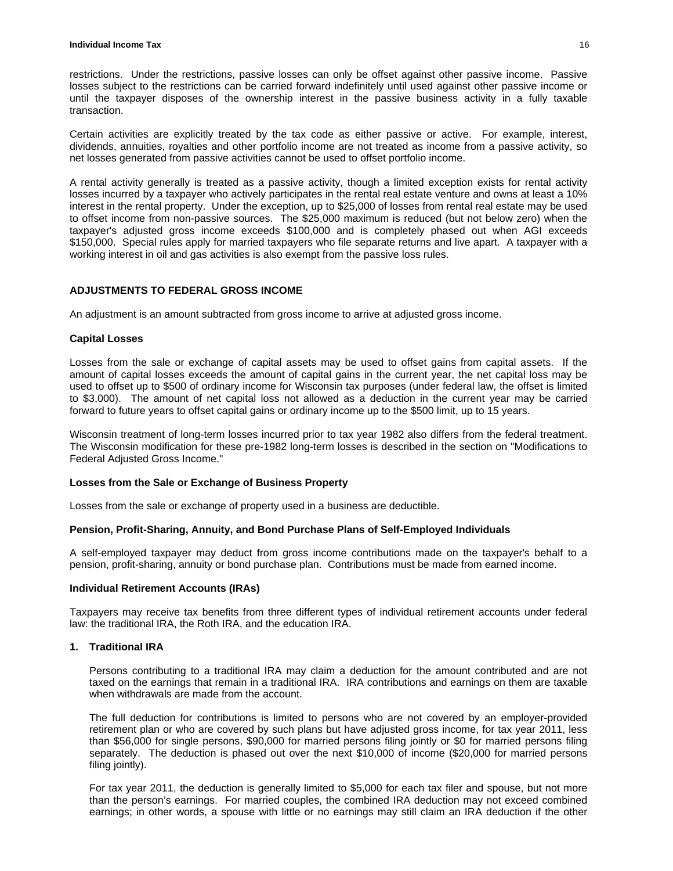restrictions. Under the restrictions, passive losses can only be offset against other passive income. Passive losses subject to the restrictions can be carried forward indefinitely until used against other passive income or until the taxpayer disposes of the ownership interest in the passive business activity in a fully taxable transaction.

Certain activities are explicitly treated by the tax code as either passive or active. For example, interest, dividends, annuities, royalties and other portfolio income are not treated as income from a passive activity, so net losses generated from passive activities cannot be used to offset portfolio income.

A rental activity generally is treated as a passive activity, though a limited exception exists for rental activity losses incurred by a taxpayer who actively participates in the rental real estate venture and owns at least a 10% interest in the rental property. Under the exception, up to \$25,000 of losses from rental real estate may be used to offset income from non-passive sources. The \$25,000 maximum is reduced (but not below zero) when the taxpayer's adjusted gross income exceeds \$100,000 and is completely phased out when AGI exceeds \$150,000. Special rules apply for married taxpayers who file separate returns and live apart. A taxpayer with a working interest in oil and gas activities is also exempt from the passive loss rules.

# **ADJUSTMENTS TO FEDERAL GROSS INCOME**

An adjustment is an amount subtracted from gross income to arrive at adjusted gross income.

# **Capital Losses**

Losses from the sale or exchange of capital assets may be used to offset gains from capital assets. If the amount of capital losses exceeds the amount of capital gains in the current year, the net capital loss may be used to offset up to \$500 of ordinary income for Wisconsin tax purposes (under federal law, the offset is limited to \$3,000). The amount of net capital loss not allowed as a deduction in the current year may be carried forward to future years to offset capital gains or ordinary income up to the \$500 limit, up to 15 years.

Wisconsin treatment of long-term losses incurred prior to tax year 1982 also differs from the federal treatment. The Wisconsin modification for these pre-1982 long-term losses is described in the section on "Modifications to Federal Adjusted Gross Income."

# **Losses from the Sale or Exchange of Business Property**

Losses from the sale or exchange of property used in a business are deductible.

# **Pension, Profit-Sharing, Annuity, and Bond Purchase Plans of Self-Employed Individuals**

A self-employed taxpayer may deduct from gross income contributions made on the taxpayer's behalf to a pension, profit-sharing, annuity or bond purchase plan. Contributions must be made from earned income.

#### **Individual Retirement Accounts (IRAs)**

Taxpayers may receive tax benefits from three different types of individual retirement accounts under federal law: the traditional IRA, the Roth IRA, and the education IRA.

# **1. Traditional IRA**

Persons contributing to a traditional IRA may claim a deduction for the amount contributed and are not taxed on the earnings that remain in a traditional IRA. IRA contributions and earnings on them are taxable when withdrawals are made from the account.

The full deduction for contributions is limited to persons who are not covered by an employer-provided retirement plan or who are covered by such plans but have adjusted gross income, for tax year 2011, less than \$56,000 for single persons, \$90,000 for married persons filing jointly or \$0 for married persons filing separately. The deduction is phased out over the next \$10,000 of income (\$20,000 for married persons filing jointly).

For tax year 2011, the deduction is generally limited to \$5,000 for each tax filer and spouse, but not more than the person's earnings. For married couples, the combined IRA deduction may not exceed combined earnings; in other words, a spouse with little or no earnings may still claim an IRA deduction if the other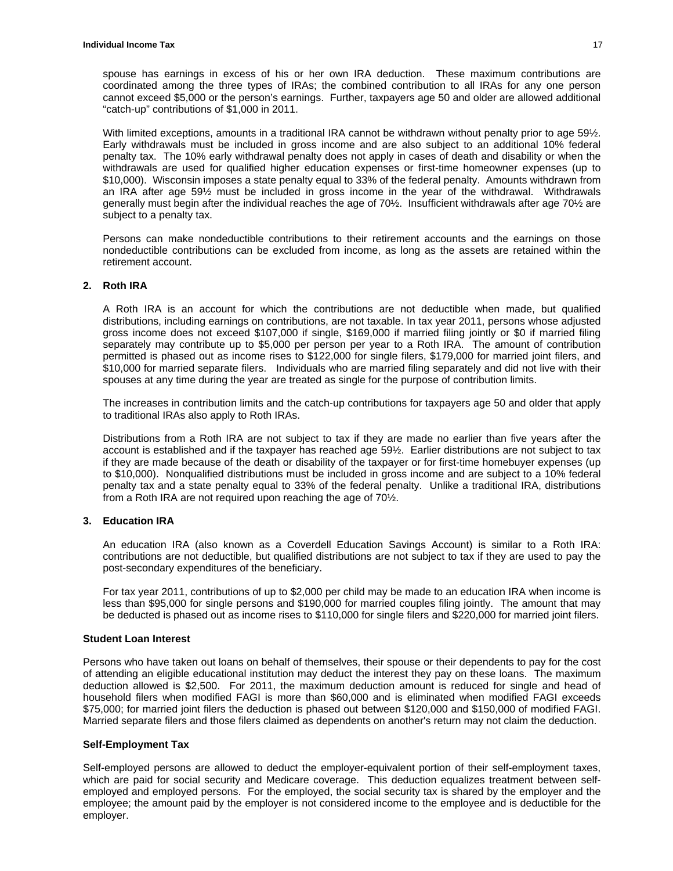spouse has earnings in excess of his or her own IRA deduction. These maximum contributions are coordinated among the three types of IRAs; the combined contribution to all IRAs for any one person cannot exceed \$5,000 or the person's earnings. Further, taxpayers age 50 and older are allowed additional "catch-up" contributions of \$1,000 in 2011.

With limited exceptions, amounts in a traditional IRA cannot be withdrawn without penalty prior to age 591/2. Early withdrawals must be included in gross income and are also subject to an additional 10% federal penalty tax. The 10% early withdrawal penalty does not apply in cases of death and disability or when the withdrawals are used for qualified higher education expenses or first-time homeowner expenses (up to \$10,000). Wisconsin imposes a state penalty equal to 33% of the federal penalty. Amounts withdrawn from an IRA after age 59½ must be included in gross income in the year of the withdrawal. Withdrawals generally must begin after the individual reaches the age of 70½. Insufficient withdrawals after age 70½ are subject to a penalty tax.

Persons can make nondeductible contributions to their retirement accounts and the earnings on those nondeductible contributions can be excluded from income, as long as the assets are retained within the retirement account.

#### **2. Roth IRA**

A Roth IRA is an account for which the contributions are not deductible when made, but qualified distributions, including earnings on contributions, are not taxable. In tax year 2011, persons whose adjusted gross income does not exceed \$107,000 if single, \$169,000 if married filing jointly or \$0 if married filing separately may contribute up to \$5,000 per person per year to a Roth IRA. The amount of contribution permitted is phased out as income rises to \$122,000 for single filers, \$179,000 for married joint filers, and \$10,000 for married separate filers. Individuals who are married filing separately and did not live with their spouses at any time during the year are treated as single for the purpose of contribution limits.

The increases in contribution limits and the catch-up contributions for taxpayers age 50 and older that apply to traditional IRAs also apply to Roth IRAs.

Distributions from a Roth IRA are not subject to tax if they are made no earlier than five years after the account is established and if the taxpayer has reached age 59½. Earlier distributions are not subject to tax if they are made because of the death or disability of the taxpayer or for first-time homebuyer expenses (up to \$10,000). Nonqualified distributions must be included in gross income and are subject to a 10% federal penalty tax and a state penalty equal to 33% of the federal penalty. Unlike a traditional IRA, distributions from a Roth IRA are not required upon reaching the age of 70½.

# **3. Education IRA**

An education IRA (also known as a Coverdell Education Savings Account) is similar to a Roth IRA: contributions are not deductible, but qualified distributions are not subject to tax if they are used to pay the post-secondary expenditures of the beneficiary.

For tax year 2011, contributions of up to \$2,000 per child may be made to an education IRA when income is less than \$95,000 for single persons and \$190,000 for married couples filing jointly. The amount that may be deducted is phased out as income rises to \$110,000 for single filers and \$220,000 for married joint filers.

#### **Student Loan Interest**

Persons who have taken out loans on behalf of themselves, their spouse or their dependents to pay for the cost of attending an eligible educational institution may deduct the interest they pay on these loans. The maximum deduction allowed is \$2,500. For 2011, the maximum deduction amount is reduced for single and head of household filers when modified FAGI is more than \$60,000 and is eliminated when modified FAGI exceeds \$75,000; for married joint filers the deduction is phased out between \$120,000 and \$150,000 of modified FAGI. Married separate filers and those filers claimed as dependents on another's return may not claim the deduction.

#### **Self-Employment Tax**

Self-employed persons are allowed to deduct the employer-equivalent portion of their self-employment taxes, which are paid for social security and Medicare coverage. This deduction equalizes treatment between selfemployed and employed persons. For the employed, the social security tax is shared by the employer and the employee; the amount paid by the employer is not considered income to the employee and is deductible for the employer.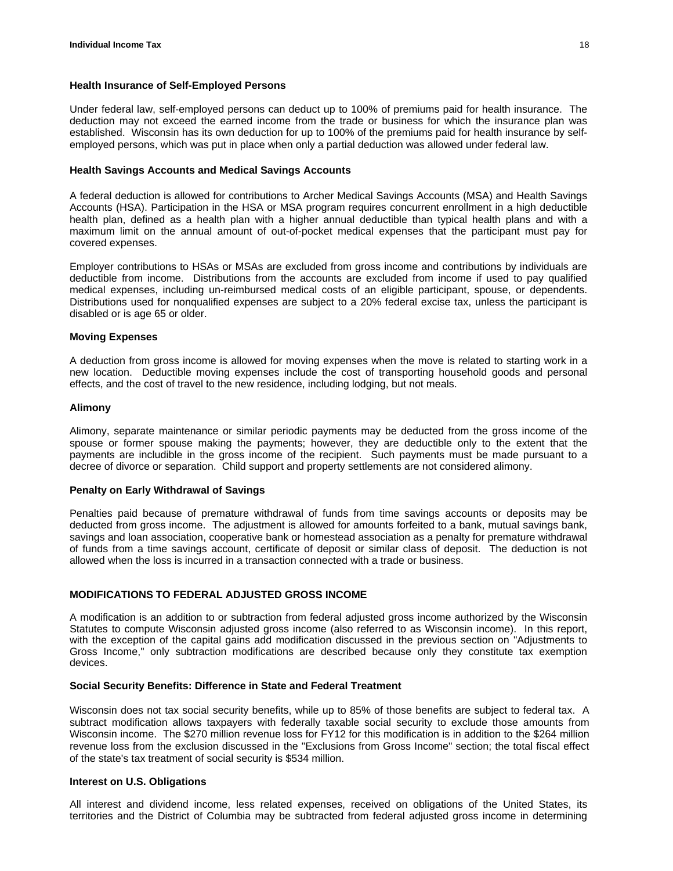# **Health Insurance of Self-Employed Persons**

Under federal law, self-employed persons can deduct up to 100% of premiums paid for health insurance. The deduction may not exceed the earned income from the trade or business for which the insurance plan was established. Wisconsin has its own deduction for up to 100% of the premiums paid for health insurance by selfemployed persons, which was put in place when only a partial deduction was allowed under federal law.

#### **Health Savings Accounts and Medical Savings Accounts**

A federal deduction is allowed for contributions to Archer Medical Savings Accounts (MSA) and Health Savings Accounts (HSA). Participation in the HSA or MSA program requires concurrent enrollment in a high deductible health plan, defined as a health plan with a higher annual deductible than typical health plans and with a maximum limit on the annual amount of out-of-pocket medical expenses that the participant must pay for covered expenses.

Employer contributions to HSAs or MSAs are excluded from gross income and contributions by individuals are deductible from income. Distributions from the accounts are excluded from income if used to pay qualified medical expenses, including un-reimbursed medical costs of an eligible participant, spouse, or dependents. Distributions used for nonqualified expenses are subject to a 20% federal excise tax, unless the participant is disabled or is age 65 or older.

#### **Moving Expenses**

A deduction from gross income is allowed for moving expenses when the move is related to starting work in a new location. Deductible moving expenses include the cost of transporting household goods and personal effects, and the cost of travel to the new residence, including lodging, but not meals.

#### **Alimony**

Alimony, separate maintenance or similar periodic payments may be deducted from the gross income of the spouse or former spouse making the payments; however, they are deductible only to the extent that the payments are includible in the gross income of the recipient. Such payments must be made pursuant to a decree of divorce or separation. Child support and property settlements are not considered alimony.

# **Penalty on Early Withdrawal of Savings**

Penalties paid because of premature withdrawal of funds from time savings accounts or deposits may be deducted from gross income. The adjustment is allowed for amounts forfeited to a bank, mutual savings bank, savings and loan association, cooperative bank or homestead association as a penalty for premature withdrawal of funds from a time savings account, certificate of deposit or similar class of deposit. The deduction is not allowed when the loss is incurred in a transaction connected with a trade or business.

# **MODIFICATIONS TO FEDERAL ADJUSTED GROSS INCOME**

A modification is an addition to or subtraction from federal adjusted gross income authorized by the Wisconsin Statutes to compute Wisconsin adjusted gross income (also referred to as Wisconsin income). In this report, with the exception of the capital gains add modification discussed in the previous section on "Adjustments to Gross Income," only subtraction modifications are described because only they constitute tax exemption devices.

#### **Social Security Benefits: Difference in State and Federal Treatment**

Wisconsin does not tax social security benefits, while up to 85% of those benefits are subject to federal tax. A subtract modification allows taxpayers with federally taxable social security to exclude those amounts from Wisconsin income. The \$270 million revenue loss for FY12 for this modification is in addition to the \$264 million revenue loss from the exclusion discussed in the "Exclusions from Gross Income" section; the total fiscal effect of the state's tax treatment of social security is \$534 million.

#### **Interest on U.S. Obligations**

All interest and dividend income, less related expenses, received on obligations of the United States, its territories and the District of Columbia may be subtracted from federal adjusted gross income in determining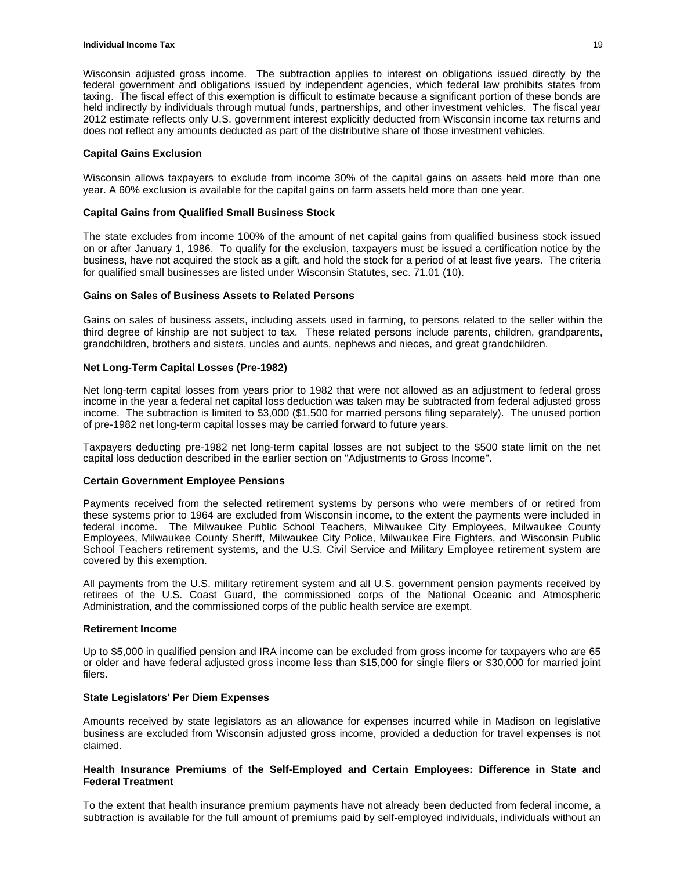Wisconsin adjusted gross income. The subtraction applies to interest on obligations issued directly by the federal government and obligations issued by independent agencies, which federal law prohibits states from taxing. The fiscal effect of this exemption is difficult to estimate because a significant portion of these bonds are held indirectly by individuals through mutual funds, partnerships, and other investment vehicles. The fiscal year 2012 estimate reflects only U.S. government interest explicitly deducted from Wisconsin income tax returns and does not reflect any amounts deducted as part of the distributive share of those investment vehicles.

#### **Capital Gains Exclusion**

Wisconsin allows taxpayers to exclude from income 30% of the capital gains on assets held more than one year. A 60% exclusion is available for the capital gains on farm assets held more than one year.

#### **Capital Gains from Qualified Small Business Stock**

The state excludes from income 100% of the amount of net capital gains from qualified business stock issued on or after January 1, 1986. To qualify for the exclusion, taxpayers must be issued a certification notice by the business, have not acquired the stock as a gift, and hold the stock for a period of at least five years. The criteria for qualified small businesses are listed under Wisconsin Statutes, sec. 71.01 (10).

#### **Gains on Sales of Business Assets to Related Persons**

Gains on sales of business assets, including assets used in farming, to persons related to the seller within the third degree of kinship are not subject to tax. These related persons include parents, children, grandparents, grandchildren, brothers and sisters, uncles and aunts, nephews and nieces, and great grandchildren.

# **Net Long-Term Capital Losses (Pre-1982)**

Net long-term capital losses from years prior to 1982 that were not allowed as an adjustment to federal gross income in the year a federal net capital loss deduction was taken may be subtracted from federal adjusted gross income. The subtraction is limited to \$3,000 (\$1,500 for married persons filing separately). The unused portion of pre-1982 net long-term capital losses may be carried forward to future years.

Taxpayers deducting pre-1982 net long-term capital losses are not subject to the \$500 state limit on the net capital loss deduction described in the earlier section on "Adjustments to Gross Income".

#### **Certain Government Employee Pensions**

Payments received from the selected retirement systems by persons who were members of or retired from these systems prior to 1964 are excluded from Wisconsin income, to the extent the payments were included in federal income. The Milwaukee Public School Teachers, Milwaukee City Employees, Milwaukee County Employees, Milwaukee County Sheriff, Milwaukee City Police, Milwaukee Fire Fighters, and Wisconsin Public School Teachers retirement systems, and the U.S. Civil Service and Military Employee retirement system are covered by this exemption.

All payments from the U.S. military retirement system and all U.S. government pension payments received by retirees of the U.S. Coast Guard, the commissioned corps of the National Oceanic and Atmospheric Administration, and the commissioned corps of the public health service are exempt.

#### **Retirement Income**

Up to \$5,000 in qualified pension and IRA income can be excluded from gross income for taxpayers who are 65 or older and have federal adjusted gross income less than \$15,000 for single filers or \$30,000 for married joint filers.

#### **State Legislators' Per Diem Expenses**

Amounts received by state legislators as an allowance for expenses incurred while in Madison on legislative business are excluded from Wisconsin adjusted gross income, provided a deduction for travel expenses is not claimed.

# **Health Insurance Premiums of the Self-Employed and Certain Employees: Difference in State and Federal Treatment**

To the extent that health insurance premium payments have not already been deducted from federal income, a subtraction is available for the full amount of premiums paid by self-employed individuals, individuals without an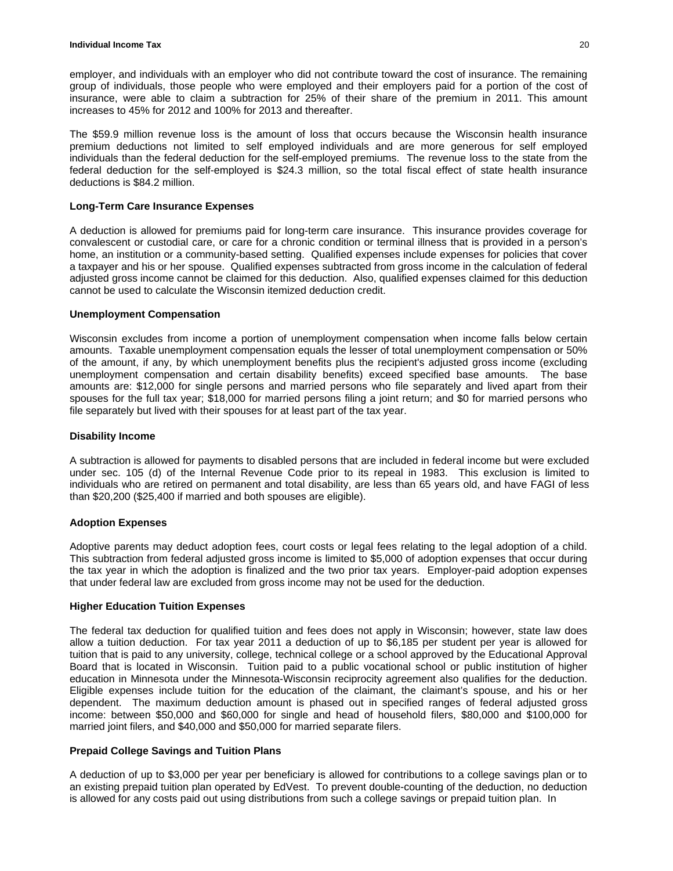employer, and individuals with an employer who did not contribute toward the cost of insurance. The remaining group of individuals, those people who were employed and their employers paid for a portion of the cost of insurance, were able to claim a subtraction for 25% of their share of the premium in 2011. This amount increases to 45% for 2012 and 100% for 2013 and thereafter.

The \$59.9 million revenue loss is the amount of loss that occurs because the Wisconsin health insurance premium deductions not limited to self employed individuals and are more generous for self employed individuals than the federal deduction for the self-employed premiums. The revenue loss to the state from the federal deduction for the self-employed is \$24.3 million, so the total fiscal effect of state health insurance deductions is \$84.2 million.

# **Long-Term Care Insurance Expenses**

A deduction is allowed for premiums paid for long-term care insurance. This insurance provides coverage for convalescent or custodial care, or care for a chronic condition or terminal illness that is provided in a person's home, an institution or a community-based setting. Qualified expenses include expenses for policies that cover a taxpayer and his or her spouse. Qualified expenses subtracted from gross income in the calculation of federal adjusted gross income cannot be claimed for this deduction. Also, qualified expenses claimed for this deduction cannot be used to calculate the Wisconsin itemized deduction credit.

# **Unemployment Compensation**

Wisconsin excludes from income a portion of unemployment compensation when income falls below certain amounts. Taxable unemployment compensation equals the lesser of total unemployment compensation or 50% of the amount, if any, by which unemployment benefits plus the recipient's adjusted gross income (excluding unemployment compensation and certain disability benefits) exceed specified base amounts. The base amounts are: \$12,000 for single persons and married persons who file separately and lived apart from their spouses for the full tax year; \$18,000 for married persons filing a joint return; and \$0 for married persons who file separately but lived with their spouses for at least part of the tax year.

# **Disability Income**

A subtraction is allowed for payments to disabled persons that are included in federal income but were excluded under sec. 105 (d) of the Internal Revenue Code prior to its repeal in 1983. This exclusion is limited to individuals who are retired on permanent and total disability, are less than 65 years old, and have FAGI of less than \$20,200 (\$25,400 if married and both spouses are eligible).

# **Adoption Expenses**

Adoptive parents may deduct adoption fees, court costs or legal fees relating to the legal adoption of a child. This subtraction from federal adjusted gross income is limited to \$5,000 of adoption expenses that occur during the tax year in which the adoption is finalized and the two prior tax years. Employer-paid adoption expenses that under federal law are excluded from gross income may not be used for the deduction.

# **Higher Education Tuition Expenses**

The federal tax deduction for qualified tuition and fees does not apply in Wisconsin; however, state law does allow a tuition deduction. For tax year 2011 a deduction of up to \$6,185 per student per year is allowed for tuition that is paid to any university, college, technical college or a school approved by the Educational Approval Board that is located in Wisconsin. Tuition paid to a public vocational school or public institution of higher education in Minnesota under the Minnesota-Wisconsin reciprocity agreement also qualifies for the deduction. Eligible expenses include tuition for the education of the claimant, the claimant's spouse, and his or her dependent. The maximum deduction amount is phased out in specified ranges of federal adjusted gross income: between \$50,000 and \$60,000 for single and head of household filers, \$80,000 and \$100,000 for married joint filers, and \$40,000 and \$50,000 for married separate filers.

# **Prepaid College Savings and Tuition Plans**

A deduction of up to \$3,000 per year per beneficiary is allowed for contributions to a college savings plan or to an existing prepaid tuition plan operated by EdVest. To prevent double-counting of the deduction, no deduction is allowed for any costs paid out using distributions from such a college savings or prepaid tuition plan. In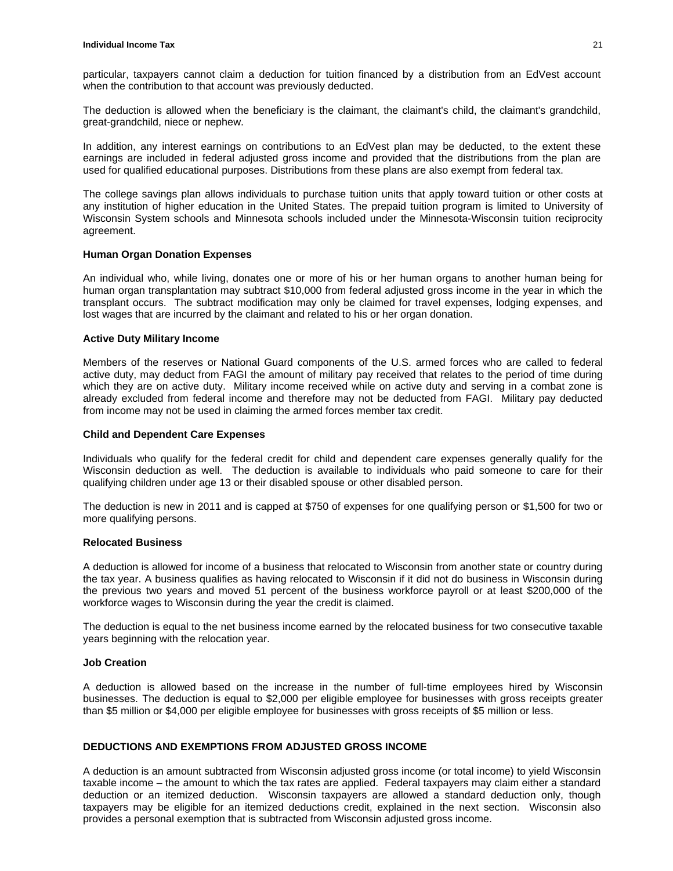particular, taxpayers cannot claim a deduction for tuition financed by a distribution from an EdVest account when the contribution to that account was previously deducted.

The deduction is allowed when the beneficiary is the claimant, the claimant's child, the claimant's grandchild, great-grandchild, niece or nephew.

In addition, any interest earnings on contributions to an EdVest plan may be deducted, to the extent these earnings are included in federal adjusted gross income and provided that the distributions from the plan are used for qualified educational purposes. Distributions from these plans are also exempt from federal tax.

The college savings plan allows individuals to purchase tuition units that apply toward tuition or other costs at any institution of higher education in the United States. The prepaid tuition program is limited to University of Wisconsin System schools and Minnesota schools included under the Minnesota-Wisconsin tuition reciprocity agreement.

#### **Human Organ Donation Expenses**

An individual who, while living, donates one or more of his or her human organs to another human being for human organ transplantation may subtract \$10,000 from federal adjusted gross income in the year in which the transplant occurs. The subtract modification may only be claimed for travel expenses, lodging expenses, and lost wages that are incurred by the claimant and related to his or her organ donation.

#### **Active Duty Military Income**

Members of the reserves or National Guard components of the U.S. armed forces who are called to federal active duty, may deduct from FAGI the amount of military pay received that relates to the period of time during which they are on active duty. Military income received while on active duty and serving in a combat zone is already excluded from federal income and therefore may not be deducted from FAGI. Military pay deducted from income may not be used in claiming the armed forces member tax credit.

#### **Child and Dependent Care Expenses**

Individuals who qualify for the federal credit for child and dependent care expenses generally qualify for the Wisconsin deduction as well. The deduction is available to individuals who paid someone to care for their qualifying children under age 13 or their disabled spouse or other disabled person.

The deduction is new in 2011 and is capped at \$750 of expenses for one qualifying person or \$1,500 for two or more qualifying persons.

#### **Relocated Business**

A deduction is allowed for income of a business that relocated to Wisconsin from another state or country during the tax year. A business qualifies as having relocated to Wisconsin if it did not do business in Wisconsin during the previous two years and moved 51 percent of the business workforce payroll or at least \$200,000 of the workforce wages to Wisconsin during the year the credit is claimed.

The deduction is equal to the net business income earned by the relocated business for two consecutive taxable years beginning with the relocation year.

#### **Job Creation**

A deduction is allowed based on the increase in the number of full-time employees hired by Wisconsin businesses. The deduction is equal to \$2,000 per eligible employee for businesses with gross receipts greater than \$5 million or \$4,000 per eligible employee for businesses with gross receipts of \$5 million or less.

# **DEDUCTIONS AND EXEMPTIONS FROM ADJUSTED GROSS INCOME**

A deduction is an amount subtracted from Wisconsin adjusted gross income (or total income) to yield Wisconsin taxable income – the amount to which the tax rates are applied. Federal taxpayers may claim either a standard deduction or an itemized deduction. Wisconsin taxpayers are allowed a standard deduction only, though taxpayers may be eligible for an itemized deductions credit, explained in the next section. Wisconsin also provides a personal exemption that is subtracted from Wisconsin adjusted gross income.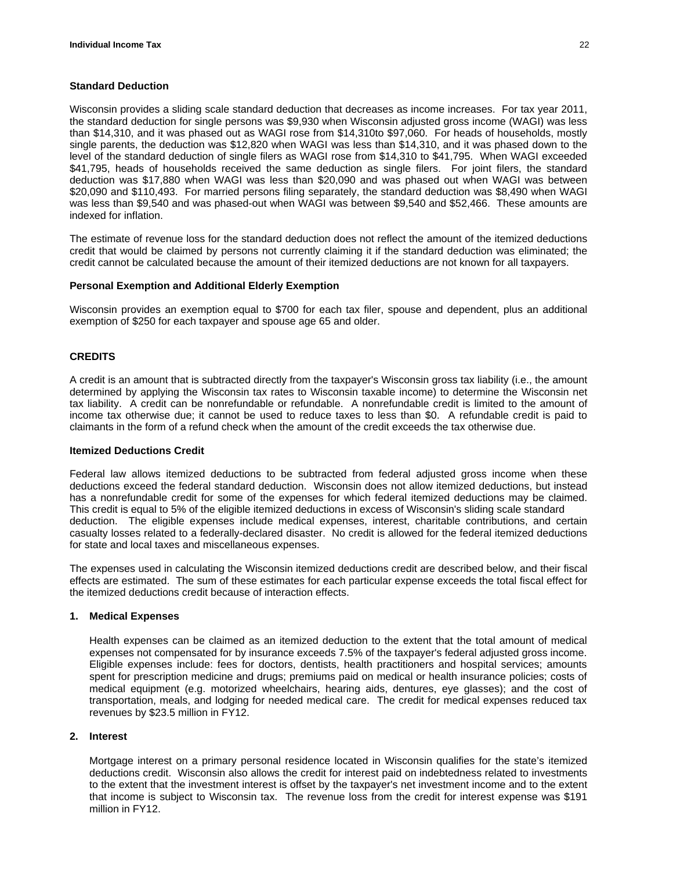# **Standard Deduction**

Wisconsin provides a sliding scale standard deduction that decreases as income increases. For tax year 2011, the standard deduction for single persons was \$9,930 when Wisconsin adjusted gross income (WAGI) was less than \$14,310, and it was phased out as WAGI rose from \$14,310to \$97,060. For heads of households, mostly single parents, the deduction was \$12,820 when WAGI was less than \$14,310, and it was phased down to the level of the standard deduction of single filers as WAGI rose from \$14,310 to \$41,795. When WAGI exceeded \$41,795, heads of households received the same deduction as single filers. For joint filers, the standard deduction was \$17,880 when WAGI was less than \$20,090 and was phased out when WAGI was between \$20,090 and \$110,493. For married persons filing separately, the standard deduction was \$8,490 when WAGI was less than \$9,540 and was phased-out when WAGI was between \$9,540 and \$52,466. These amounts are indexed for inflation.

The estimate of revenue loss for the standard deduction does not reflect the amount of the itemized deductions credit that would be claimed by persons not currently claiming it if the standard deduction was eliminated; the credit cannot be calculated because the amount of their itemized deductions are not known for all taxpayers.

# **Personal Exemption and Additional Elderly Exemption**

Wisconsin provides an exemption equal to \$700 for each tax filer, spouse and dependent, plus an additional exemption of \$250 for each taxpayer and spouse age 65 and older.

# **CREDITS**

A credit is an amount that is subtracted directly from the taxpayer's Wisconsin gross tax liability (i.e., the amount determined by applying the Wisconsin tax rates to Wisconsin taxable income) to determine the Wisconsin net tax liability. A credit can be nonrefundable or refundable. A nonrefundable credit is limited to the amount of income tax otherwise due; it cannot be used to reduce taxes to less than \$0. A refundable credit is paid to claimants in the form of a refund check when the amount of the credit exceeds the tax otherwise due.

# **Itemized Deductions Credit**

Federal law allows itemized deductions to be subtracted from federal adjusted gross income when these deductions exceed the federal standard deduction. Wisconsin does not allow itemized deductions, but instead has a nonrefundable credit for some of the expenses for which federal itemized deductions may be claimed. This credit is equal to 5% of the eligible itemized deductions in excess of Wisconsin's sliding scale standard deduction. The eligible expenses include medical expenses, interest, charitable contributions, and certain casualty losses related to a federally-declared disaster. No credit is allowed for the federal itemized deductions for state and local taxes and miscellaneous expenses.

The expenses used in calculating the Wisconsin itemized deductions credit are described below, and their fiscal effects are estimated. The sum of these estimates for each particular expense exceeds the total fiscal effect for the itemized deductions credit because of interaction effects.

# **1. Medical Expenses**

Health expenses can be claimed as an itemized deduction to the extent that the total amount of medical expenses not compensated for by insurance exceeds 7.5% of the taxpayer's federal adjusted gross income. Eligible expenses include: fees for doctors, dentists, health practitioners and hospital services; amounts spent for prescription medicine and drugs; premiums paid on medical or health insurance policies; costs of medical equipment (e.g. motorized wheelchairs, hearing aids, dentures, eye glasses); and the cost of transportation, meals, and lodging for needed medical care. The credit for medical expenses reduced tax revenues by \$23.5 million in FY12.

# **2. Interest**

Mortgage interest on a primary personal residence located in Wisconsin qualifies for the state's itemized deductions credit. Wisconsin also allows the credit for interest paid on indebtedness related to investments to the extent that the investment interest is offset by the taxpayer's net investment income and to the extent that income is subject to Wisconsin tax. The revenue loss from the credit for interest expense was \$191 million in FY12.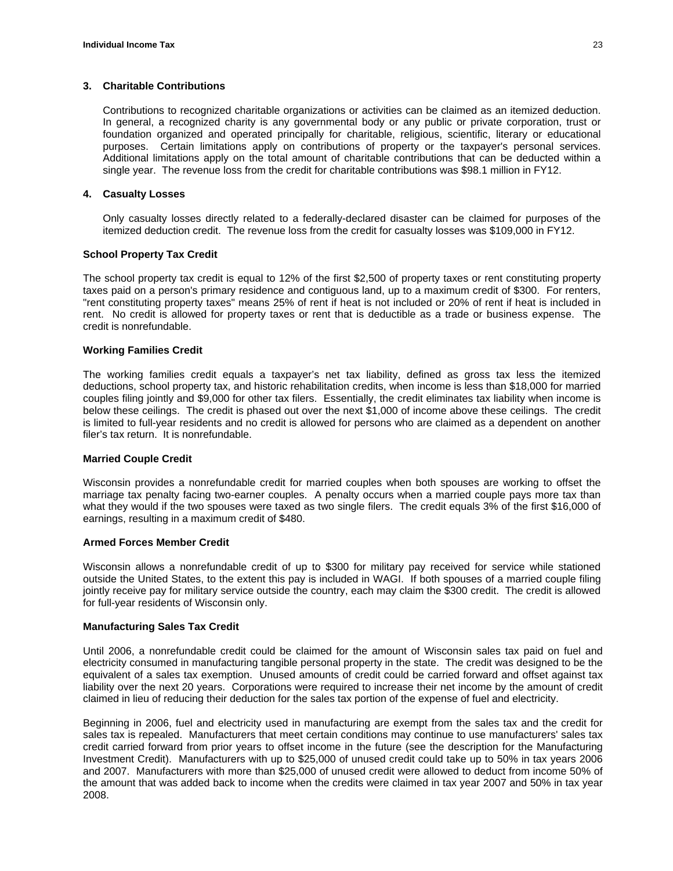#### **3. Charitable Contributions**

Contributions to recognized charitable organizations or activities can be claimed as an itemized deduction. In general, a recognized charity is any governmental body or any public or private corporation, trust or foundation organized and operated principally for charitable, religious, scientific, literary or educational purposes. Certain limitations apply on contributions of property or the taxpayer's personal services. Additional limitations apply on the total amount of charitable contributions that can be deducted within a single year. The revenue loss from the credit for charitable contributions was \$98.1 million in FY12.

#### **4. Casualty Losses**

Only casualty losses directly related to a federally-declared disaster can be claimed for purposes of the itemized deduction credit. The revenue loss from the credit for casualty losses was \$109,000 in FY12.

#### **School Property Tax Credit**

The school property tax credit is equal to 12% of the first \$2,500 of property taxes or rent constituting property taxes paid on a person's primary residence and contiguous land, up to a maximum credit of \$300. For renters, "rent constituting property taxes" means 25% of rent if heat is not included or 20% of rent if heat is included in rent. No credit is allowed for property taxes or rent that is deductible as a trade or business expense. The credit is nonrefundable.

#### **Working Families Credit**

The working families credit equals a taxpayer's net tax liability, defined as gross tax less the itemized deductions, school property tax, and historic rehabilitation credits, when income is less than \$18,000 for married couples filing jointly and \$9,000 for other tax filers. Essentially, the credit eliminates tax liability when income is below these ceilings. The credit is phased out over the next \$1,000 of income above these ceilings. The credit is limited to full-year residents and no credit is allowed for persons who are claimed as a dependent on another filer's tax return. It is nonrefundable.

#### **Married Couple Credit**

Wisconsin provides a nonrefundable credit for married couples when both spouses are working to offset the marriage tax penalty facing two-earner couples. A penalty occurs when a married couple pays more tax than what they would if the two spouses were taxed as two single filers. The credit equals 3% of the first \$16,000 of earnings, resulting in a maximum credit of \$480.

# **Armed Forces Member Credit**

Wisconsin allows a nonrefundable credit of up to \$300 for military pay received for service while stationed outside the United States, to the extent this pay is included in WAGI. If both spouses of a married couple filing jointly receive pay for military service outside the country, each may claim the \$300 credit. The credit is allowed for full-year residents of Wisconsin only.

# **Manufacturing Sales Tax Credit**

Until 2006, a nonrefundable credit could be claimed for the amount of Wisconsin sales tax paid on fuel and electricity consumed in manufacturing tangible personal property in the state. The credit was designed to be the equivalent of a sales tax exemption. Unused amounts of credit could be carried forward and offset against tax liability over the next 20 years. Corporations were required to increase their net income by the amount of credit claimed in lieu of reducing their deduction for the sales tax portion of the expense of fuel and electricity.

Beginning in 2006, fuel and electricity used in manufacturing are exempt from the sales tax and the credit for sales tax is repealed. Manufacturers that meet certain conditions may continue to use manufacturers' sales tax credit carried forward from prior years to offset income in the future (see the description for the Manufacturing Investment Credit). Manufacturers with up to \$25,000 of unused credit could take up to 50% in tax years 2006 and 2007. Manufacturers with more than \$25,000 of unused credit were allowed to deduct from income 50% of the amount that was added back to income when the credits were claimed in tax year 2007 and 50% in tax year 2008.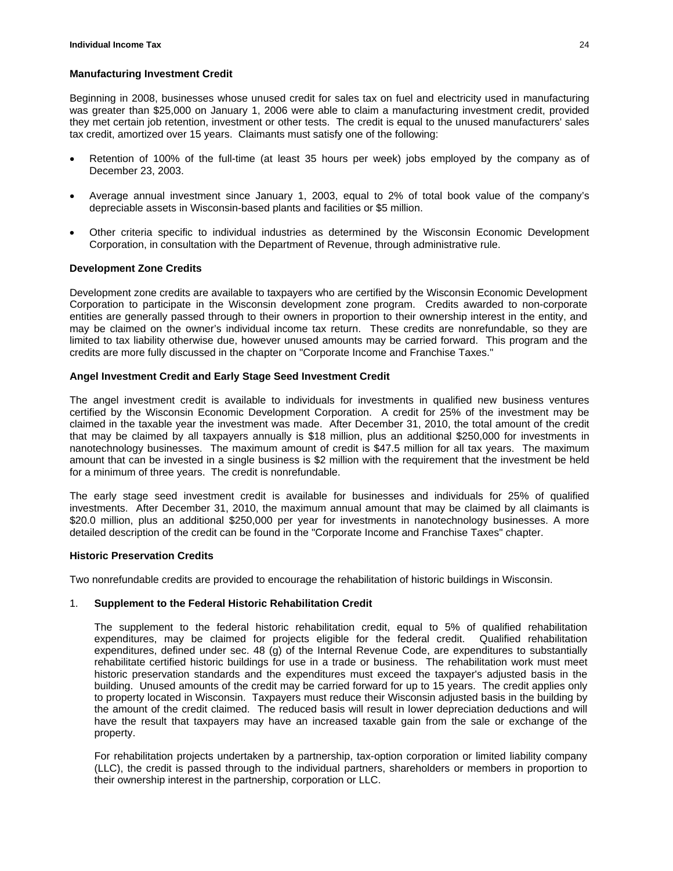#### **Manufacturing Investment Credit**

Beginning in 2008, businesses whose unused credit for sales tax on fuel and electricity used in manufacturing was greater than \$25,000 on January 1, 2006 were able to claim a manufacturing investment credit, provided they met certain job retention, investment or other tests. The credit is equal to the unused manufacturers' sales tax credit, amortized over 15 years. Claimants must satisfy one of the following:

- Retention of 100% of the full-time (at least 35 hours per week) jobs employed by the company as of December 23, 2003.
- Average annual investment since January 1, 2003, equal to 2% of total book value of the company's depreciable assets in Wisconsin-based plants and facilities or \$5 million.
- Other criteria specific to individual industries as determined by the Wisconsin Economic Development Corporation, in consultation with the Department of Revenue, through administrative rule.

#### **Development Zone Credits**

Development zone credits are available to taxpayers who are certified by the Wisconsin Economic Development Corporation to participate in the Wisconsin development zone program. Credits awarded to non-corporate entities are generally passed through to their owners in proportion to their ownership interest in the entity, and may be claimed on the owner's individual income tax return. These credits are nonrefundable, so they are limited to tax liability otherwise due, however unused amounts may be carried forward. This program and the credits are more fully discussed in the chapter on "Corporate Income and Franchise Taxes."

#### **Angel Investment Credit and Early Stage Seed Investment Credit**

The angel investment credit is available to individuals for investments in qualified new business ventures certified by the Wisconsin Economic Development Corporation. A credit for 25% of the investment may be claimed in the taxable year the investment was made. After December 31, 2010, the total amount of the credit that may be claimed by all taxpayers annually is \$18 million, plus an additional \$250,000 for investments in nanotechnology businesses. The maximum amount of credit is \$47.5 million for all tax years. The maximum amount that can be invested in a single business is \$2 million with the requirement that the investment be held for a minimum of three years. The credit is nonrefundable.

The early stage seed investment credit is available for businesses and individuals for 25% of qualified investments. After December 31, 2010, the maximum annual amount that may be claimed by all claimants is \$20.0 million, plus an additional \$250,000 per year for investments in nanotechnology businesses. A more detailed description of the credit can be found in the "Corporate Income and Franchise Taxes" chapter.

# **Historic Preservation Credits**

Two nonrefundable credits are provided to encourage the rehabilitation of historic buildings in Wisconsin.

# 1. **Supplement to the Federal Historic Rehabilitation Credit**

The supplement to the federal historic rehabilitation credit, equal to 5% of qualified rehabilitation expenditures, may be claimed for projects eligible for the federal credit. Qualified rehabilitation expenditures, defined under sec. 48 (g) of the Internal Revenue Code, are expenditures to substantially rehabilitate certified historic buildings for use in a trade or business. The rehabilitation work must meet historic preservation standards and the expenditures must exceed the taxpayer's adjusted basis in the building. Unused amounts of the credit may be carried forward for up to 15 years. The credit applies only to property located in Wisconsin. Taxpayers must reduce their Wisconsin adjusted basis in the building by the amount of the credit claimed. The reduced basis will result in lower depreciation deductions and will have the result that taxpayers may have an increased taxable gain from the sale or exchange of the property.

For rehabilitation projects undertaken by a partnership, tax-option corporation or limited liability company (LLC), the credit is passed through to the individual partners, shareholders or members in proportion to their ownership interest in the partnership, corporation or LLC.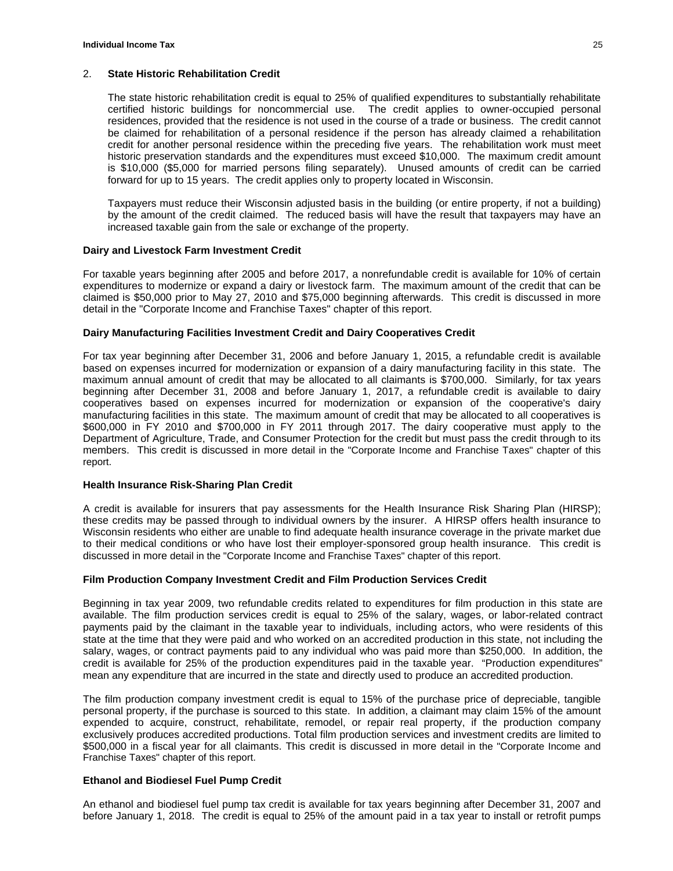# 2. **State Historic Rehabilitation Credit**

The state historic rehabilitation credit is equal to 25% of qualified expenditures to substantially rehabilitate certified historic buildings for noncommercial use. The credit applies to owner-occupied personal residences, provided that the residence is not used in the course of a trade or business. The credit cannot be claimed for rehabilitation of a personal residence if the person has already claimed a rehabilitation credit for another personal residence within the preceding five years. The rehabilitation work must meet historic preservation standards and the expenditures must exceed \$10,000. The maximum credit amount is \$10,000 (\$5,000 for married persons filing separately). Unused amounts of credit can be carried forward for up to 15 years. The credit applies only to property located in Wisconsin.

Taxpayers must reduce their Wisconsin adjusted basis in the building (or entire property, if not a building) by the amount of the credit claimed. The reduced basis will have the result that taxpayers may have an increased taxable gain from the sale or exchange of the property.

# **Dairy and Livestock Farm Investment Credit**

For taxable years beginning after 2005 and before 2017, a nonrefundable credit is available for 10% of certain expenditures to modernize or expand a dairy or livestock farm. The maximum amount of the credit that can be claimed is \$50,000 prior to May 27, 2010 and \$75,000 beginning afterwards. This credit is discussed in more detail in the "Corporate Income and Franchise Taxes" chapter of this report.

#### **Dairy Manufacturing Facilities Investment Credit and Dairy Cooperatives Credit**

For tax year beginning after December 31, 2006 and before January 1, 2015, a refundable credit is available based on expenses incurred for modernization or expansion of a dairy manufacturing facility in this state. The maximum annual amount of credit that may be allocated to all claimants is \$700,000. Similarly, for tax years beginning after December 31, 2008 and before January 1, 2017, a refundable credit is available to dairy cooperatives based on expenses incurred for modernization or expansion of the cooperative's dairy manufacturing facilities in this state. The maximum amount of credit that may be allocated to all cooperatives is \$600,000 in FY 2010 and \$700,000 in FY 2011 through 2017. The dairy cooperative must apply to the Department of Agriculture, Trade, and Consumer Protection for the credit but must pass the credit through to its members. This credit is discussed in more detail in the "Corporate Income and Franchise Taxes" chapter of this report.

# **Health Insurance Risk-Sharing Plan Credit**

A credit is available for insurers that pay assessments for the Health Insurance Risk Sharing Plan (HIRSP); these credits may be passed through to individual owners by the insurer. A HIRSP offers health insurance to Wisconsin residents who either are unable to find adequate health insurance coverage in the private market due to their medical conditions or who have lost their employer-sponsored group health insurance. This credit is discussed in more detail in the "Corporate Income and Franchise Taxes" chapter of this report.

# **Film Production Company Investment Credit and Film Production Services Credit**

Beginning in tax year 2009, two refundable credits related to expenditures for film production in this state are available. The film production services credit is equal to 25% of the salary, wages, or labor-related contract payments paid by the claimant in the taxable year to individuals, including actors, who were residents of this state at the time that they were paid and who worked on an accredited production in this state, not including the salary, wages, or contract payments paid to any individual who was paid more than \$250,000. In addition, the credit is available for 25% of the production expenditures paid in the taxable year. "Production expenditures" mean any expenditure that are incurred in the state and directly used to produce an accredited production.

The film production company investment credit is equal to 15% of the purchase price of depreciable, tangible personal property, if the purchase is sourced to this state. In addition, a claimant may claim 15% of the amount expended to acquire, construct, rehabilitate, remodel, or repair real property, if the production company exclusively produces accredited productions. Total film production services and investment credits are limited to \$500,000 in a fiscal year for all claimants. This credit is discussed in more detail in the "Corporate Income and Franchise Taxes" chapter of this report.

# **Ethanol and Biodiesel Fuel Pump Credit**

An ethanol and biodiesel fuel pump tax credit is available for tax years beginning after December 31, 2007 and before January 1, 2018. The credit is equal to 25% of the amount paid in a tax year to install or retrofit pumps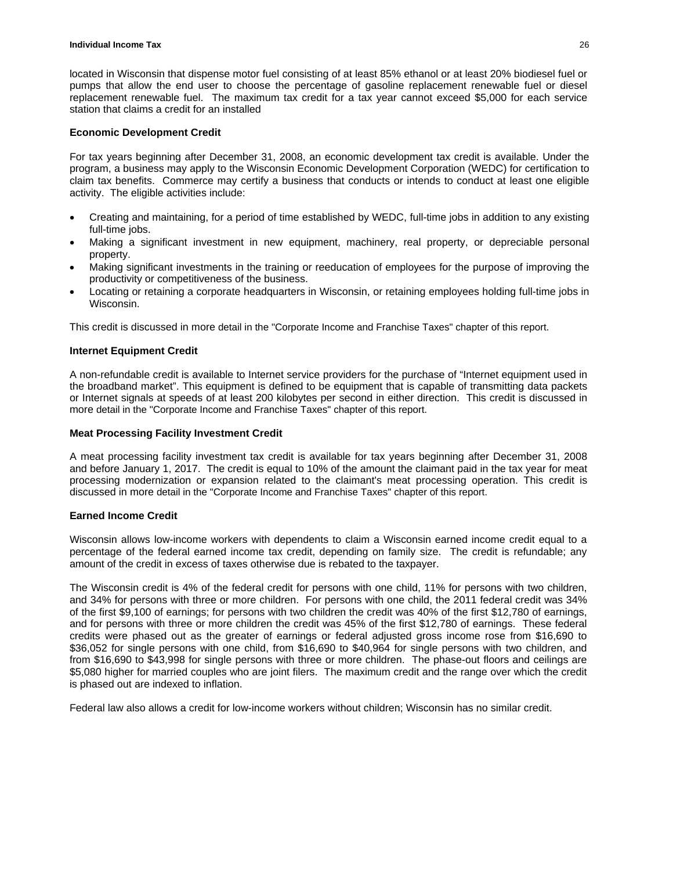located in Wisconsin that dispense motor fuel consisting of at least 85% ethanol or at least 20% biodiesel fuel or pumps that allow the end user to choose the percentage of gasoline replacement renewable fuel or diesel replacement renewable fuel. The maximum tax credit for a tax year cannot exceed \$5,000 for each service station that claims a credit for an installed

# **Economic Development Credit**

For tax years beginning after December 31, 2008, an economic development tax credit is available. Under the program, a business may apply to the Wisconsin Economic Development Corporation (WEDC) for certification to claim tax benefits. Commerce may certify a business that conducts or intends to conduct at least one eligible activity. The eligible activities include:

- Creating and maintaining, for a period of time established by WEDC, full-time jobs in addition to any existing full-time jobs.
- Making a significant investment in new equipment, machinery, real property, or depreciable personal property.
- Making significant investments in the training or reeducation of employees for the purpose of improving the productivity or competitiveness of the business.
- Locating or retaining a corporate headquarters in Wisconsin, or retaining employees holding full-time jobs in Wisconsin.

This credit is discussed in more detail in the "Corporate Income and Franchise Taxes" chapter of this report.

# **Internet Equipment Credit**

A non-refundable credit is available to Internet service providers for the purchase of "Internet equipment used in the broadband market". This equipment is defined to be equipment that is capable of transmitting data packets or Internet signals at speeds of at least 200 kilobytes per second in either direction. This credit is discussed in more detail in the "Corporate Income and Franchise Taxes" chapter of this report.

#### **Meat Processing Facility Investment Credit**

A meat processing facility investment tax credit is available for tax years beginning after December 31, 2008 and before January 1, 2017. The credit is equal to 10% of the amount the claimant paid in the tax year for meat processing modernization or expansion related to the claimant's meat processing operation. This credit is discussed in more detail in the "Corporate Income and Franchise Taxes" chapter of this report.

#### **Earned Income Credit**

Wisconsin allows low-income workers with dependents to claim a Wisconsin earned income credit equal to a percentage of the federal earned income tax credit, depending on family size. The credit is refundable; any amount of the credit in excess of taxes otherwise due is rebated to the taxpayer.

The Wisconsin credit is 4% of the federal credit for persons with one child, 11% for persons with two children, and 34% for persons with three or more children. For persons with one child, the 2011 federal credit was 34% of the first \$9,100 of earnings; for persons with two children the credit was 40% of the first \$12,780 of earnings, and for persons with three or more children the credit was 45% of the first \$12,780 of earnings. These federal credits were phased out as the greater of earnings or federal adjusted gross income rose from \$16,690 to \$36,052 for single persons with one child, from \$16,690 to \$40,964 for single persons with two children, and from \$16,690 to \$43,998 for single persons with three or more children. The phase-out floors and ceilings are \$5,080 higher for married couples who are joint filers. The maximum credit and the range over which the credit is phased out are indexed to inflation.

Federal law also allows a credit for low-income workers without children; Wisconsin has no similar credit.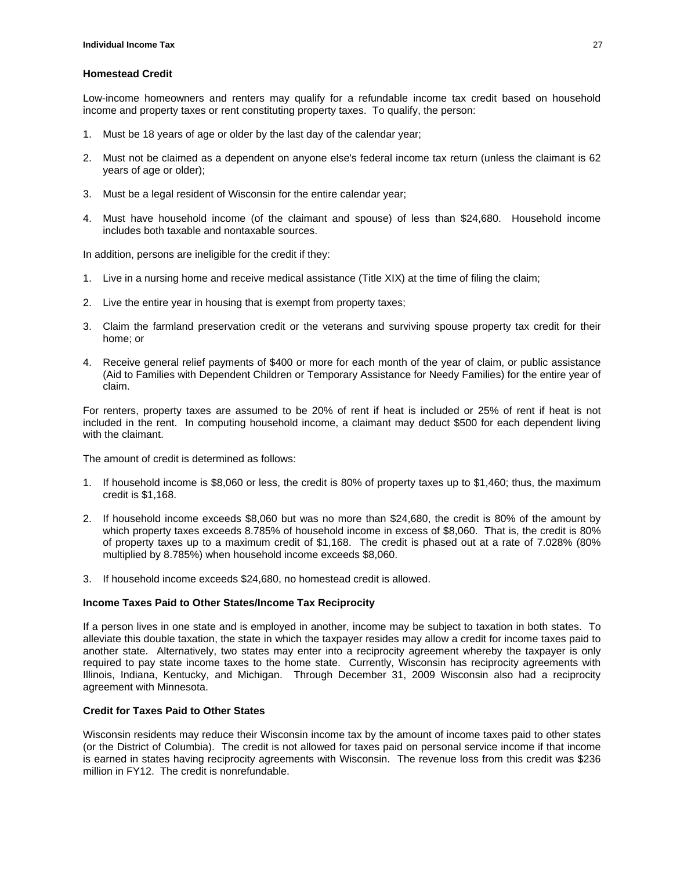#### **Homestead Credit**

Low-income homeowners and renters may qualify for a refundable income tax credit based on household income and property taxes or rent constituting property taxes. To qualify, the person:

- 1. Must be 18 years of age or older by the last day of the calendar year;
- 2. Must not be claimed as a dependent on anyone else's federal income tax return (unless the claimant is 62 years of age or older);
- 3. Must be a legal resident of Wisconsin for the entire calendar year;
- 4. Must have household income (of the claimant and spouse) of less than \$24,680. Household income includes both taxable and nontaxable sources.

In addition, persons are ineligible for the credit if they:

- 1. Live in a nursing home and receive medical assistance (Title XIX) at the time of filing the claim;
- 2. Live the entire year in housing that is exempt from property taxes;
- 3. Claim the farmland preservation credit or the veterans and surviving spouse property tax credit for their home; or
- 4. Receive general relief payments of \$400 or more for each month of the year of claim, or public assistance (Aid to Families with Dependent Children or Temporary Assistance for Needy Families) for the entire year of claim.

For renters, property taxes are assumed to be 20% of rent if heat is included or 25% of rent if heat is not included in the rent. In computing household income, a claimant may deduct \$500 for each dependent living with the claimant.

The amount of credit is determined as follows:

- 1. If household income is \$8,060 or less, the credit is 80% of property taxes up to \$1,460; thus, the maximum credit is \$1,168.
- 2. If household income exceeds \$8,060 but was no more than \$24,680, the credit is 80% of the amount by which property taxes exceeds 8.785% of household income in excess of \$8,060. That is, the credit is 80% of property taxes up to a maximum credit of \$1,168. The credit is phased out at a rate of 7.028% (80% multiplied by 8.785%) when household income exceeds \$8,060.
- 3. If household income exceeds \$24,680, no homestead credit is allowed.

# **Income Taxes Paid to Other States/Income Tax Reciprocity**

If a person lives in one state and is employed in another, income may be subject to taxation in both states. To alleviate this double taxation, the state in which the taxpayer resides may allow a credit for income taxes paid to another state. Alternatively, two states may enter into a reciprocity agreement whereby the taxpayer is only required to pay state income taxes to the home state. Currently, Wisconsin has reciprocity agreements with Illinois, Indiana, Kentucky, and Michigan. Through December 31, 2009 Wisconsin also had a reciprocity agreement with Minnesota.

# **Credit for Taxes Paid to Other States**

Wisconsin residents may reduce their Wisconsin income tax by the amount of income taxes paid to other states (or the District of Columbia). The credit is not allowed for taxes paid on personal service income if that income is earned in states having reciprocity agreements with Wisconsin. The revenue loss from this credit was \$236 million in FY12. The credit is nonrefundable.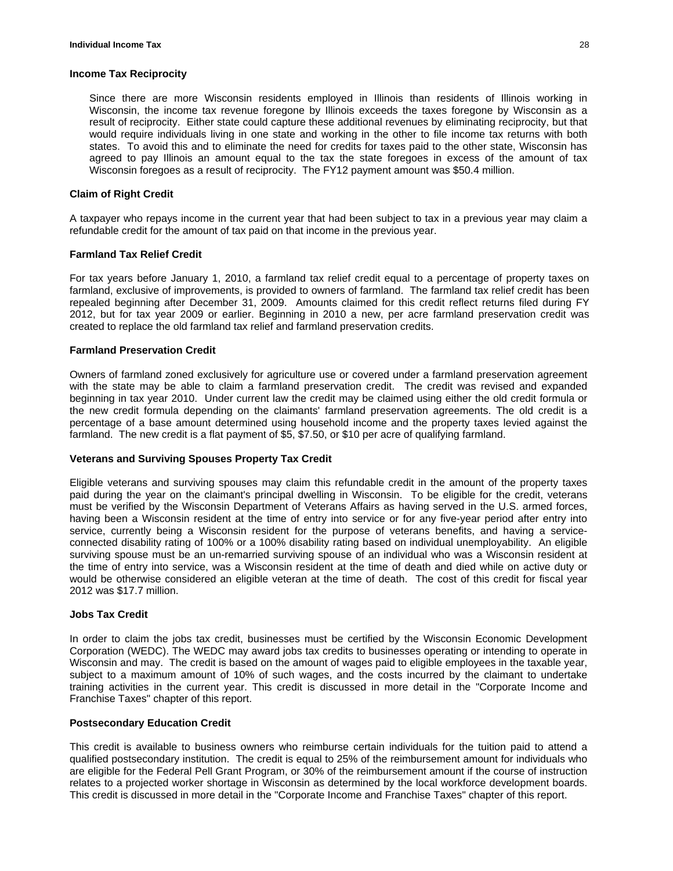#### **Income Tax Reciprocity**

Since there are more Wisconsin residents employed in Illinois than residents of Illinois working in Wisconsin, the income tax revenue foregone by Illinois exceeds the taxes foregone by Wisconsin as a result of reciprocity. Either state could capture these additional revenues by eliminating reciprocity, but that would require individuals living in one state and working in the other to file income tax returns with both states. To avoid this and to eliminate the need for credits for taxes paid to the other state, Wisconsin has agreed to pay Illinois an amount equal to the tax the state foregoes in excess of the amount of tax Wisconsin foregoes as a result of reciprocity. The FY12 payment amount was \$50.4 million.

#### **Claim of Right Credit**

A taxpayer who repays income in the current year that had been subject to tax in a previous year may claim a refundable credit for the amount of tax paid on that income in the previous year.

#### **Farmland Tax Relief Credit**

For tax years before January 1, 2010, a farmland tax relief credit equal to a percentage of property taxes on farmland, exclusive of improvements, is provided to owners of farmland. The farmland tax relief credit has been repealed beginning after December 31, 2009. Amounts claimed for this credit reflect returns filed during FY 2012, but for tax year 2009 or earlier. Beginning in 2010 a new, per acre farmland preservation credit was created to replace the old farmland tax relief and farmland preservation credits.

#### **Farmland Preservation Credit**

Owners of farmland zoned exclusively for agriculture use or covered under a farmland preservation agreement with the state may be able to claim a farmland preservation credit. The credit was revised and expanded beginning in tax year 2010. Under current law the credit may be claimed using either the old credit formula or the new credit formula depending on the claimants' farmland preservation agreements. The old credit is a percentage of a base amount determined using household income and the property taxes levied against the farmland. The new credit is a flat payment of \$5, \$7.50, or \$10 per acre of qualifying farmland.

#### **Veterans and Surviving Spouses Property Tax Credit**

Eligible veterans and surviving spouses may claim this refundable credit in the amount of the property taxes paid during the year on the claimant's principal dwelling in Wisconsin. To be eligible for the credit, veterans must be verified by the Wisconsin Department of Veterans Affairs as having served in the U.S. armed forces, having been a Wisconsin resident at the time of entry into service or for any five-year period after entry into service, currently being a Wisconsin resident for the purpose of veterans benefits, and having a serviceconnected disability rating of 100% or a 100% disability rating based on individual unemployability. An eligible surviving spouse must be an un-remarried surviving spouse of an individual who was a Wisconsin resident at the time of entry into service, was a Wisconsin resident at the time of death and died while on active duty or would be otherwise considered an eligible veteran at the time of death. The cost of this credit for fiscal year 2012 was \$17.7 million.

#### **Jobs Tax Credit**

In order to claim the jobs tax credit, businesses must be certified by the Wisconsin Economic Development Corporation (WEDC). The WEDC may award jobs tax credits to businesses operating or intending to operate in Wisconsin and may. The credit is based on the amount of wages paid to eligible employees in the taxable year, subject to a maximum amount of 10% of such wages, and the costs incurred by the claimant to undertake training activities in the current year. This credit is discussed in more detail in the "Corporate Income and Franchise Taxes" chapter of this report.

#### **Postsecondary Education Credit**

This credit is available to business owners who reimburse certain individuals for the tuition paid to attend a qualified postsecondary institution. The credit is equal to 25% of the reimbursement amount for individuals who are eligible for the Federal Pell Grant Program, or 30% of the reimbursement amount if the course of instruction relates to a projected worker shortage in Wisconsin as determined by the local workforce development boards. This credit is discussed in more detail in the "Corporate Income and Franchise Taxes" chapter of this report.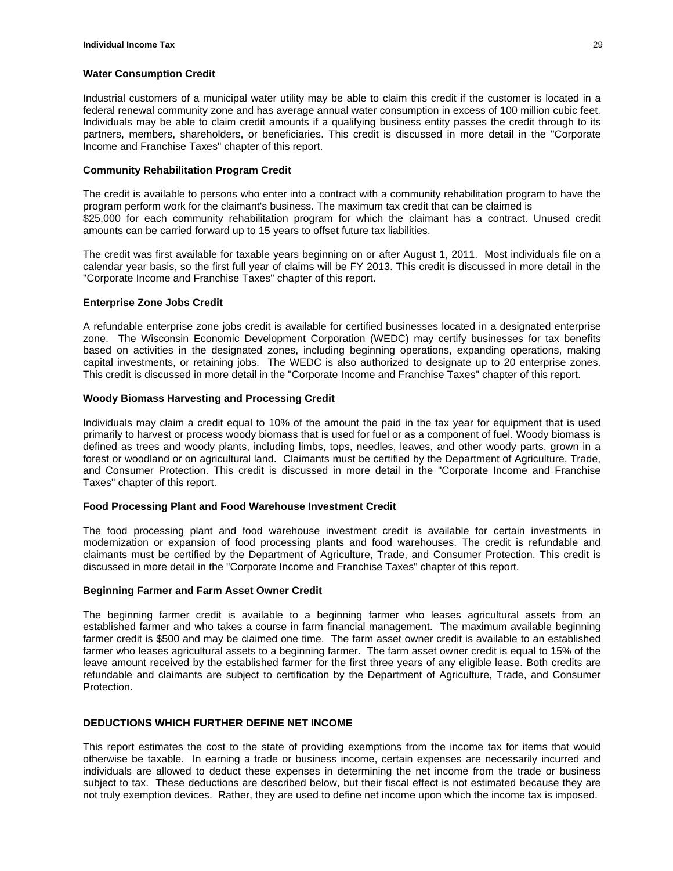#### **Water Consumption Credit**

Industrial customers of a municipal water utility may be able to claim this credit if the customer is located in a federal renewal community zone and has average annual water consumption in excess of 100 million cubic feet. Individuals may be able to claim credit amounts if a qualifying business entity passes the credit through to its partners, members, shareholders, or beneficiaries. This credit is discussed in more detail in the "Corporate Income and Franchise Taxes" chapter of this report.

#### **Community Rehabilitation Program Credit**

The credit is available to persons who enter into a contract with a community rehabilitation program to have the program perform work for the claimant's business. The maximum tax credit that can be claimed is \$25,000 for each community rehabilitation program for which the claimant has a contract. Unused credit amounts can be carried forward up to 15 years to offset future tax liabilities.

The credit was first available for taxable years beginning on or after August 1, 2011. Most individuals file on a calendar year basis, so the first full year of claims will be FY 2013. This credit is discussed in more detail in the "Corporate Income and Franchise Taxes" chapter of this report.

# **Enterprise Zone Jobs Credit**

A refundable enterprise zone jobs credit is available for certified businesses located in a designated enterprise zone. The Wisconsin Economic Development Corporation (WEDC) may certify businesses for tax benefits based on activities in the designated zones, including beginning operations, expanding operations, making capital investments, or retaining jobs. The WEDC is also authorized to designate up to 20 enterprise zones. This credit is discussed in more detail in the "Corporate Income and Franchise Taxes" chapter of this report.

# **Woody Biomass Harvesting and Processing Credit**

Individuals may claim a credit equal to 10% of the amount the paid in the tax year for equipment that is used primarily to harvest or process woody biomass that is used for fuel or as a component of fuel. Woody biomass is defined as trees and woody plants, including limbs, tops, needles, leaves, and other woody parts, grown in a forest or woodland or on agricultural land. Claimants must be certified by the Department of Agriculture, Trade, and Consumer Protection. This credit is discussed in more detail in the "Corporate Income and Franchise Taxes" chapter of this report.

# **Food Processing Plant and Food Warehouse Investment Credit**

The food processing plant and food warehouse investment credit is available for certain investments in modernization or expansion of food processing plants and food warehouses. The credit is refundable and claimants must be certified by the Department of Agriculture, Trade, and Consumer Protection. This credit is discussed in more detail in the "Corporate Income and Franchise Taxes" chapter of this report.

#### **Beginning Farmer and Farm Asset Owner Credit**

The beginning farmer credit is available to a beginning farmer who leases agricultural assets from an established farmer and who takes a course in farm financial management. The maximum available beginning farmer credit is \$500 and may be claimed one time. The farm asset owner credit is available to an established farmer who leases agricultural assets to a beginning farmer. The farm asset owner credit is equal to 15% of the leave amount received by the established farmer for the first three years of any eligible lease. Both credits are refundable and claimants are subject to certification by the Department of Agriculture, Trade, and Consumer Protection.

# **DEDUCTIONS WHICH FURTHER DEFINE NET INCOME**

This report estimates the cost to the state of providing exemptions from the income tax for items that would otherwise be taxable. In earning a trade or business income, certain expenses are necessarily incurred and individuals are allowed to deduct these expenses in determining the net income from the trade or business subject to tax. These deductions are described below, but their fiscal effect is not estimated because they are not truly exemption devices. Rather, they are used to define net income upon which the income tax is imposed.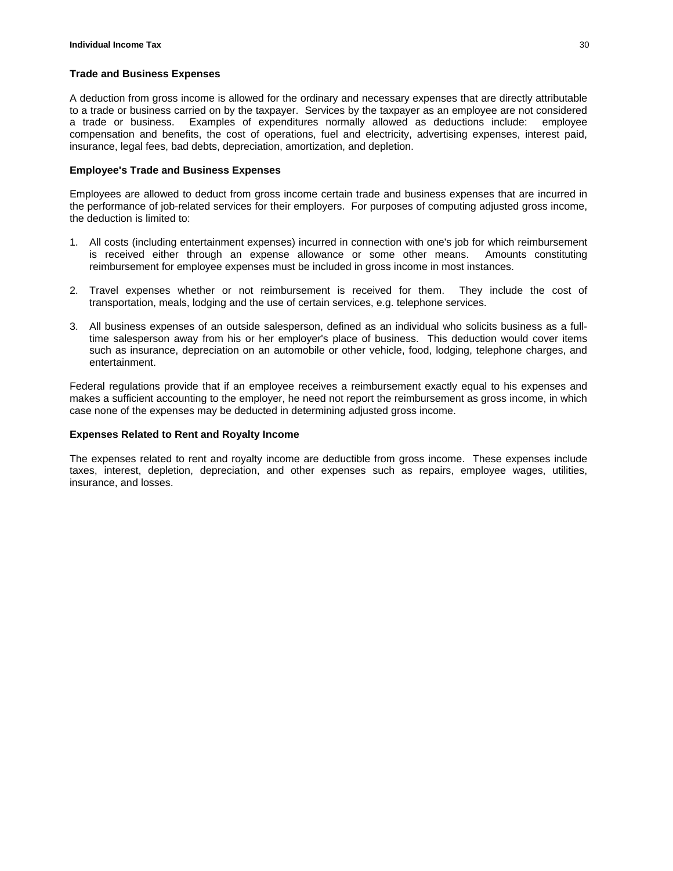#### **Trade and Business Expenses**

A deduction from gross income is allowed for the ordinary and necessary expenses that are directly attributable to a trade or business carried on by the taxpayer. Services by the taxpayer as an employee are not considered a trade or business. Examples of expenditures normally allowed as deductions include: employee compensation and benefits, the cost of operations, fuel and electricity, advertising expenses, interest paid, insurance, legal fees, bad debts, depreciation, amortization, and depletion.

#### **Employee's Trade and Business Expenses**

Employees are allowed to deduct from gross income certain trade and business expenses that are incurred in the performance of job-related services for their employers. For purposes of computing adjusted gross income, the deduction is limited to:

- 1. All costs (including entertainment expenses) incurred in connection with one's job for which reimbursement is received either through an expense allowance or some other means. Amounts constituting reimbursement for employee expenses must be included in gross income in most instances.
- 2. Travel expenses whether or not reimbursement is received for them. They include the cost of transportation, meals, lodging and the use of certain services, e.g. telephone services.
- 3. All business expenses of an outside salesperson, defined as an individual who solicits business as a fulltime salesperson away from his or her employer's place of business. This deduction would cover items such as insurance, depreciation on an automobile or other vehicle, food, lodging, telephone charges, and entertainment.

Federal regulations provide that if an employee receives a reimbursement exactly equal to his expenses and makes a sufficient accounting to the employer, he need not report the reimbursement as gross income, in which case none of the expenses may be deducted in determining adjusted gross income.

#### **Expenses Related to Rent and Royalty Income**

The expenses related to rent and royalty income are deductible from gross income. These expenses include taxes, interest, depletion, depreciation, and other expenses such as repairs, employee wages, utilities, insurance, and losses.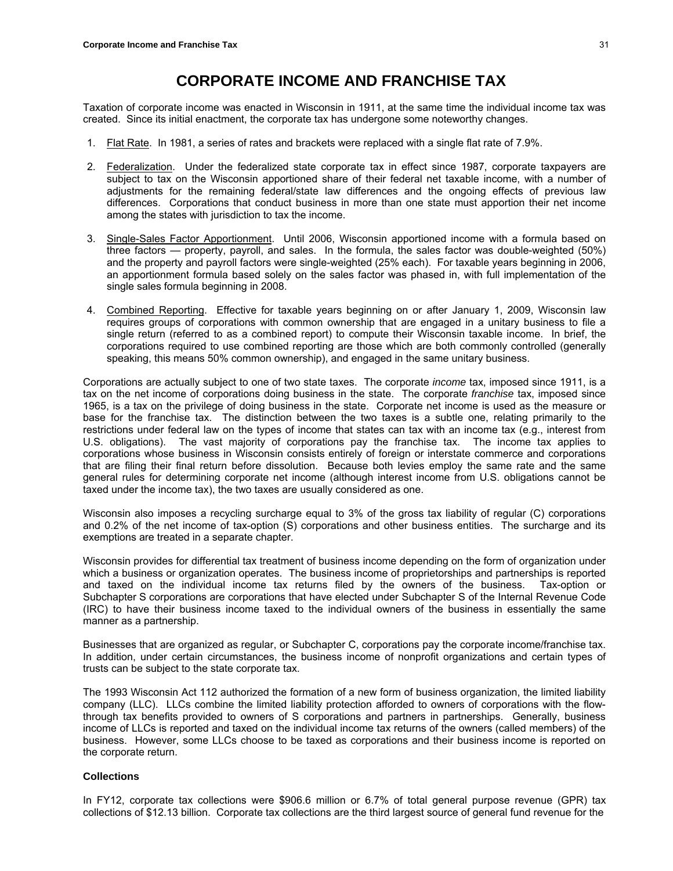# **CORPORATE INCOME AND FRANCHISE TAX**

Taxation of corporate income was enacted in Wisconsin in 1911, at the same time the individual income tax was created. Since its initial enactment, the corporate tax has undergone some noteworthy changes.

- 1. Flat Rate. In 1981, a series of rates and brackets were replaced with a single flat rate of 7.9%.
- 2. Federalization. Under the federalized state corporate tax in effect since 1987, corporate taxpayers are subject to tax on the Wisconsin apportioned share of their federal net taxable income, with a number of adjustments for the remaining federal/state law differences and the ongoing effects of previous law differences. Corporations that conduct business in more than one state must apportion their net income among the states with jurisdiction to tax the income.
- 3. Single-Sales Factor Apportionment. Until 2006, Wisconsin apportioned income with a formula based on three factors — property, payroll, and sales. In the formula, the sales factor was double-weighted (50%) and the property and payroll factors were single-weighted (25% each). For taxable years beginning in 2006, an apportionment formula based solely on the sales factor was phased in, with full implementation of the single sales formula beginning in 2008.
- 4. Combined Reporting. Effective for taxable years beginning on or after January 1, 2009, Wisconsin law requires groups of corporations with common ownership that are engaged in a unitary business to file a single return (referred to as a combined report) to compute their Wisconsin taxable income. In brief, the corporations required to use combined reporting are those which are both commonly controlled (generally speaking, this means 50% common ownership), and engaged in the same unitary business.

Corporations are actually subject to one of two state taxes. The corporate *income* tax, imposed since 1911, is a tax on the net income of corporations doing business in the state. The corporate *franchise* tax, imposed since 1965, is a tax on the privilege of doing business in the state. Corporate net income is used as the measure or base for the franchise tax. The distinction between the two taxes is a subtle one, relating primarily to the restrictions under federal law on the types of income that states can tax with an income tax (e.g., interest from U.S. obligations). The vast majority of corporations pay the franchise tax. The income tax applies to corporations whose business in Wisconsin consists entirely of foreign or interstate commerce and corporations that are filing their final return before dissolution. Because both levies employ the same rate and the same general rules for determining corporate net income (although interest income from U.S. obligations cannot be taxed under the income tax), the two taxes are usually considered as one.

Wisconsin also imposes a recycling surcharge equal to 3% of the gross tax liability of regular (C) corporations and 0.2% of the net income of tax-option (S) corporations and other business entities. The surcharge and its exemptions are treated in a separate chapter.

Wisconsin provides for differential tax treatment of business income depending on the form of organization under which a business or organization operates. The business income of proprietorships and partnerships is reported and taxed on the individual income tax returns filed by the owners of the business. Tax-option or Subchapter S corporations are corporations that have elected under Subchapter S of the Internal Revenue Code (IRC) to have their business income taxed to the individual owners of the business in essentially the same manner as a partnership.

Businesses that are organized as regular, or Subchapter C, corporations pay the corporate income/franchise tax. In addition, under certain circumstances, the business income of nonprofit organizations and certain types of trusts can be subject to the state corporate tax.

The 1993 Wisconsin Act 112 authorized the formation of a new form of business organization, the limited liability company (LLC). LLCs combine the limited liability protection afforded to owners of corporations with the flowthrough tax benefits provided to owners of S corporations and partners in partnerships. Generally, business income of LLCs is reported and taxed on the individual income tax returns of the owners (called members) of the business. However, some LLCs choose to be taxed as corporations and their business income is reported on the corporate return.

#### **Collections**

In FY12, corporate tax collections were \$906.6 million or 6.7% of total general purpose revenue (GPR) tax collections of \$12.13 billion. Corporate tax collections are the third largest source of general fund revenue for the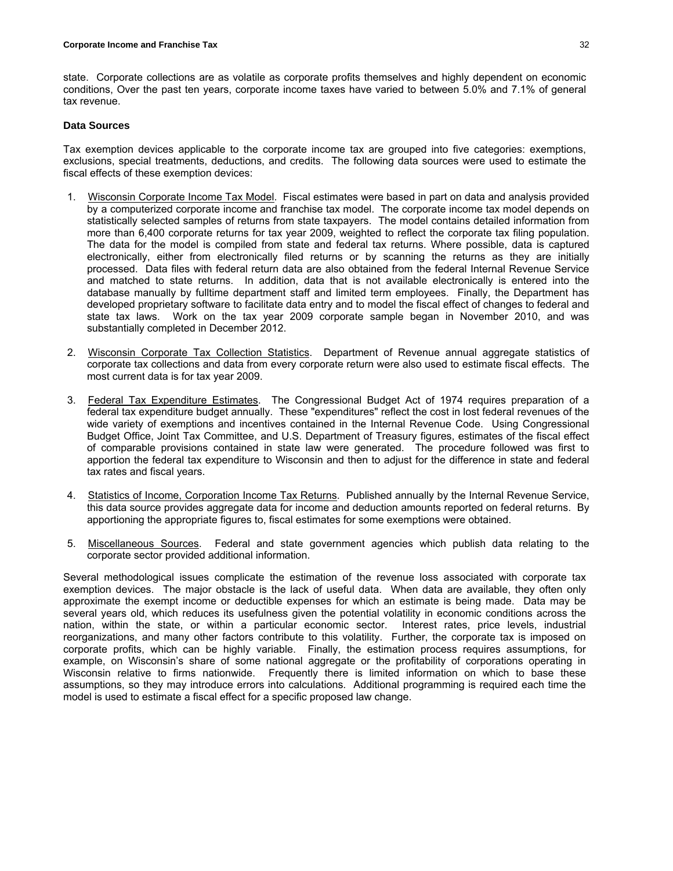state. Corporate collections are as volatile as corporate profits themselves and highly dependent on economic conditions, Over the past ten years, corporate income taxes have varied to between 5.0% and 7.1% of general tax revenue.

#### **Data Sources**

Tax exemption devices applicable to the corporate income tax are grouped into five categories: exemptions, exclusions, special treatments, deductions, and credits. The following data sources were used to estimate the fiscal effects of these exemption devices:

- 1. Wisconsin Corporate Income Tax Model. Fiscal estimates were based in part on data and analysis provided by a computerized corporate income and franchise tax model. The corporate income tax model depends on statistically selected samples of returns from state taxpayers. The model contains detailed information from more than 6,400 corporate returns for tax year 2009, weighted to reflect the corporate tax filing population. The data for the model is compiled from state and federal tax returns. Where possible, data is captured electronically, either from electronically filed returns or by scanning the returns as they are initially processed. Data files with federal return data are also obtained from the federal Internal Revenue Service and matched to state returns. In addition, data that is not available electronically is entered into the database manually by fulltime department staff and limited term employees. Finally, the Department has developed proprietary software to facilitate data entry and to model the fiscal effect of changes to federal and state tax laws. Work on the tax year 2009 corporate sample began in November 2010, and was substantially completed in December 2012.
- 2. Wisconsin Corporate Tax Collection Statistics. Department of Revenue annual aggregate statistics of corporate tax collections and data from every corporate return were also used to estimate fiscal effects. The most current data is for tax year 2009.
- 3. Federal Tax Expenditure Estimates. The Congressional Budget Act of 1974 requires preparation of a federal tax expenditure budget annually. These "expenditures" reflect the cost in lost federal revenues of the wide variety of exemptions and incentives contained in the Internal Revenue Code. Using Congressional Budget Office, Joint Tax Committee, and U.S. Department of Treasury figures, estimates of the fiscal effect of comparable provisions contained in state law were generated. The procedure followed was first to apportion the federal tax expenditure to Wisconsin and then to adjust for the difference in state and federal tax rates and fiscal years.
- 4. Statistics of Income, Corporation Income Tax Returns. Published annually by the Internal Revenue Service, this data source provides aggregate data for income and deduction amounts reported on federal returns. By apportioning the appropriate figures to, fiscal estimates for some exemptions were obtained.
- 5. Miscellaneous Sources. Federal and state government agencies which publish data relating to the corporate sector provided additional information.

Several methodological issues complicate the estimation of the revenue loss associated with corporate tax exemption devices. The major obstacle is the lack of useful data. When data are available, they often only approximate the exempt income or deductible expenses for which an estimate is being made. Data may be several years old, which reduces its usefulness given the potential volatility in economic conditions across the nation, within the state, or within a particular economic sector. Interest rates, price levels, industrial reorganizations, and many other factors contribute to this volatility. Further, the corporate tax is imposed on corporate profits, which can be highly variable. Finally, the estimation process requires assumptions, for example, on Wisconsin's share of some national aggregate or the profitability of corporations operating in Wisconsin relative to firms nationwide. Frequently there is limited information on which to base these assumptions, so they may introduce errors into calculations. Additional programming is required each time the model is used to estimate a fiscal effect for a specific proposed law change.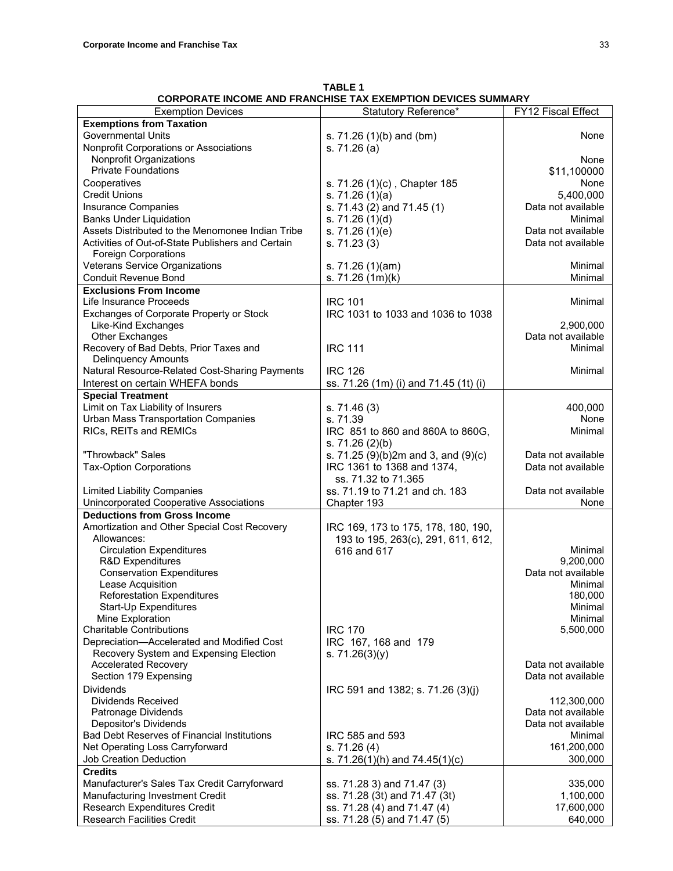**TABLE 1 CORPORATE INCOME AND FRANCHISE TAX EXEMPTION DEVICES SUMMARY**

| <b>Exemption Devices</b>                           | Statutory Reference*                  | FY12 Fiscal Effect |
|----------------------------------------------------|---------------------------------------|--------------------|
| <b>Exemptions from Taxation</b>                    |                                       |                    |
| <b>Governmental Units</b>                          | s. 71.26 (1)(b) and (bm)              | None               |
| Nonprofit Corporations or Associations             | s. 71.26 (a)                          |                    |
| Nonprofit Organizations                            |                                       | None               |
| <b>Private Foundations</b>                         |                                       | \$11,100000        |
| Cooperatives                                       |                                       | None               |
|                                                    | s. 71.26 (1)(c), Chapter 185          |                    |
| <b>Credit Unions</b>                               | s. $71.26(1)(a)$                      | 5,400,000          |
| <b>Insurance Companies</b>                         | s. 71.43 (2) and 71.45 (1)            | Data not available |
| <b>Banks Under Liquidation</b>                     | s. $71.26(1)(d)$                      | Minimal            |
| Assets Distributed to the Menomonee Indian Tribe   | s. $71.26(1)(e)$                      | Data not available |
| Activities of Out-of-State Publishers and Certain  | s. 71.23(3)                           | Data not available |
| <b>Foreign Corporations</b>                        |                                       |                    |
| Veterans Service Organizations                     | s. 71.26 (1)(am)                      | Minimal            |
| Conduit Revenue Bond                               | s. 71.26 (1m)(k)                      | Minimal            |
| <b>Exclusions From Income</b>                      |                                       |                    |
| Life Insurance Proceeds                            | <b>IRC 101</b>                        | Minimal            |
| Exchanges of Corporate Property or Stock           | IRC 1031 to 1033 and 1036 to 1038     |                    |
| Like-Kind Exchanges                                |                                       | 2,900,000          |
|                                                    |                                       | Data not available |
| <b>Other Exchanges</b>                             |                                       | Minimal            |
| Recovery of Bad Debts, Prior Taxes and             | <b>IRC 111</b>                        |                    |
| <b>Delinquency Amounts</b>                         |                                       |                    |
| Natural Resource-Related Cost-Sharing Payments     | <b>IRC 126</b>                        | Minimal            |
| Interest on certain WHEFA bonds                    | ss. 71.26 (1m) (i) and 71.45 (1t) (i) |                    |
| <b>Special Treatment</b>                           |                                       |                    |
| Limit on Tax Liability of Insurers                 | s. 71.46(3)                           | 400,000            |
| <b>Urban Mass Transportation Companies</b>         | s. 71.39                              | None               |
| RICs, REITs and REMICs                             | IRC 851 to 860 and 860A to 860G,      | Minimal            |
|                                                    | s. $71.26(2)(b)$                      |                    |
| "Throwback" Sales                                  | s. 71.25 (9)(b)2m and 3, and (9)(c)   | Data not available |
| <b>Tax-Option Corporations</b>                     | IRC 1361 to 1368 and 1374,            | Data not available |
|                                                    | ss. 71.32 to 71.365                   |                    |
|                                                    |                                       |                    |
| <b>Limited Liability Companies</b>                 | ss. 71.19 to 71.21 and ch. 183        | Data not available |
| Unincorporated Cooperative Associations            | Chapter 193                           | None               |
| <b>Deductions from Gross Income</b>                |                                       |                    |
| Amortization and Other Special Cost Recovery       | IRC 169, 173 to 175, 178, 180, 190,   |                    |
| Allowances:                                        | 193 to 195, 263(c), 291, 611, 612,    |                    |
| <b>Circulation Expenditures</b>                    | 616 and 617                           | Minimal            |
| R&D Expenditures                                   |                                       | 9,200,000          |
| <b>Conservation Expenditures</b>                   |                                       | Data not available |
| Lease Acquisition                                  |                                       | Minimal            |
| <b>Reforestation Expenditures</b>                  |                                       | 180,000            |
| Start-Up Expenditures                              |                                       | Minimal            |
| Mine Exploration                                   |                                       | Minimal            |
| <b>Charitable Contributions</b>                    | <b>IRC 170</b>                        | 5,500,000          |
| Depreciation-Accelerated and Modified Cost         | IRC 167, 168 and 179                  |                    |
| Recovery System and Expensing Election             | s. $71.26(3)(y)$                      |                    |
| <b>Accelerated Recovery</b>                        |                                       | Data not available |
| Section 179 Expensing                              |                                       | Data not available |
|                                                    |                                       |                    |
| <b>Dividends</b>                                   | IRC 591 and 1382; s. 71.26 (3)(j)     |                    |
| <b>Dividends Received</b>                          |                                       | 112,300,000        |
| Patronage Dividends                                |                                       | Data not available |
| Depositor's Dividends                              |                                       | Data not available |
| <b>Bad Debt Reserves of Financial Institutions</b> | IRC 585 and 593                       | Minimal            |
| Net Operating Loss Carryforward                    | s. 71.26(4)                           | 161,200,000        |
| <b>Job Creation Deduction</b>                      | s. $71.26(1)(h)$ and $74.45(1)(c)$    | 300,000            |
| <b>Credits</b>                                     |                                       |                    |
| Manufacturer's Sales Tax Credit Carryforward       | ss. 71.28 3) and 71.47 (3)            | 335,000            |
| Manufacturing Investment Credit                    | ss. 71.28 (3t) and 71.47 (3t)         | 1,100,000          |
| Research Expenditures Credit                       | ss. 71.28 (4) and 71.47 (4)           | 17,600,000         |
| <b>Research Facilities Credit</b>                  | ss. 71.28 (5) and 71.47 (5)           | 640,000            |
|                                                    |                                       |                    |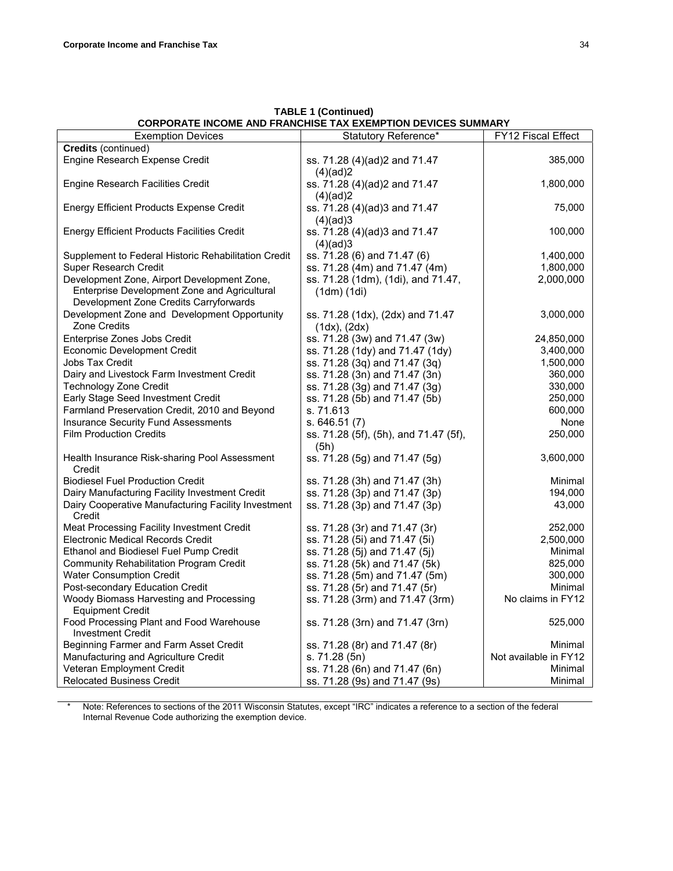| <b>Exemption Devices</b>                                                               | Statutory Reference*                                  | FY12 Fiscal Effect    |
|----------------------------------------------------------------------------------------|-------------------------------------------------------|-----------------------|
| Credits (continued)                                                                    |                                                       |                       |
| Engine Research Expense Credit                                                         | ss. 71.28 (4)(ad)2 and 71.47<br>(4)(ad)2              | 385,000               |
| Engine Research Facilities Credit                                                      | ss. 71.28 (4)(ad)2 and 71.47<br>(4)(ad)2              | 1,800,000             |
| <b>Energy Efficient Products Expense Credit</b>                                        | ss. 71.28 (4)(ad)3 and 71.47                          | 75,000                |
| Energy Efficient Products Facilities Credit                                            | (4)(ad)3<br>ss. 71.28 (4)(ad)3 and 71.47<br>(4)(ad)3  | 100,000               |
| Supplement to Federal Historic Rehabilitation Credit                                   | ss. 71.28 (6) and 71.47 (6)                           | 1,400,000             |
| Super Research Credit                                                                  | ss. 71.28 (4m) and 71.47 (4m)                         | 1,800,000             |
| Development Zone, Airport Development Zone,                                            | ss. 71.28 (1dm), (1di), and 71.47,                    | 2,000,000             |
| Enterprise Development Zone and Agricultural<br>Development Zone Credits Carryforwards | $(1dm)$ $(1di)$                                       |                       |
| Development Zone and Development Opportunity<br><b>Zone Credits</b>                    | ss. 71.28 (1dx), (2dx) and 71.47<br>$(1dx)$ , $(2dx)$ | 3,000,000             |
| Enterprise Zones Jobs Credit                                                           | ss. 71.28 (3w) and 71.47 (3w)                         | 24,850,000            |
| Economic Development Credit                                                            | ss. 71.28 (1dy) and 71.47 (1dy)                       | 3,400,000             |
| <b>Jobs Tax Credit</b>                                                                 | ss. 71.28 (3q) and 71.47 (3q)                         | 1,500,000             |
| Dairy and Livestock Farm Investment Credit                                             | ss. 71.28 (3n) and 71.47 (3n)                         | 360,000               |
| <b>Technology Zone Credit</b>                                                          | ss. 71.28 (3g) and 71.47 (3g)                         | 330,000               |
| Early Stage Seed Investment Credit                                                     | ss. 71.28 (5b) and 71.47 (5b)                         | 250,000               |
| Farmland Preservation Credit, 2010 and Beyond                                          | s. 71.613                                             | 600,000               |
| <b>Insurance Security Fund Assessments</b>                                             | s.646.51(7)                                           | None                  |
| <b>Film Production Credits</b>                                                         | ss. 71.28 (5f), (5h), and 71.47 (5f),<br>(5h)         | 250,000               |
| Health Insurance Risk-sharing Pool Assessment<br>Credit                                | ss. 71.28 (5g) and 71.47 (5g)                         | 3,600,000             |
| <b>Biodiesel Fuel Production Credit</b>                                                | ss. 71.28 (3h) and 71.47 (3h)                         | Minimal               |
| Dairy Manufacturing Facility Investment Credit                                         | ss. 71.28 (3p) and 71.47 (3p)                         | 194,000               |
| Dairy Cooperative Manufacturing Facility Investment<br>Credit                          | ss. 71.28 (3p) and 71.47 (3p)                         | 43,000                |
| Meat Processing Facility Investment Credit                                             | ss. 71.28 (3r) and 71.47 (3r)                         | 252,000               |
| <b>Electronic Medical Records Credit</b>                                               | ss. 71.28 (5i) and 71.47 (5i)                         | 2,500,000             |
| Ethanol and Biodiesel Fuel Pump Credit                                                 | ss. 71.28 (5j) and 71.47 (5j)                         | Minimal               |
| <b>Community Rehabilitation Program Credit</b>                                         | ss. 71.28 (5k) and 71.47 (5k)                         | 825,000               |
| <b>Water Consumption Credit</b>                                                        | ss. 71.28 (5m) and 71.47 (5m)                         | 300,000               |
| Post-secondary Education Credit                                                        | ss. 71.28 (5r) and 71.47 (5r)                         | Minimal               |
| Woody Biomass Harvesting and Processing                                                | ss. 71.28 (3rm) and 71.47 (3rm)                       | No claims in FY12     |
| <b>Equipment Credit</b>                                                                |                                                       |                       |
| Food Processing Plant and Food Warehouse                                               | ss. 71.28 (3rn) and 71.47 (3rn)                       | 525,000               |
| <b>Investment Credit</b>                                                               |                                                       |                       |
| Beginning Farmer and Farm Asset Credit                                                 | ss. 71.28 (8r) and 71.47 (8r)                         | Minimal               |
| Manufacturing and Agriculture Credit                                                   | s. 71.28 (5n)                                         | Not available in FY12 |
| Veteran Employment Credit                                                              | ss. 71.28 (6n) and 71.47 (6n)                         | Minimal               |
| <b>Relocated Business Credit</b>                                                       | ss. 71.28 (9s) and 71.47 (9s)                         | Minimal               |

**TABLE 1 (Continued) CORPORATE INCOME AND FRANCHISE TAX EXEMPTION DEVICES SUMMARY**

Note: References to sections of the 2011 Wisconsin Statutes, except "IRC" indicates a reference to a section of the federal Internal Revenue Code authorizing the exemption device.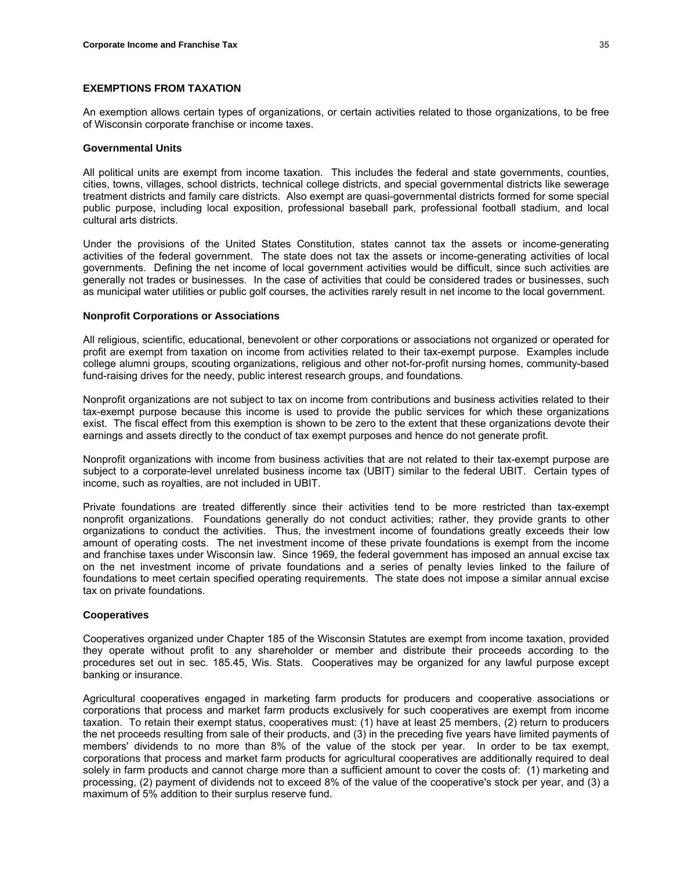### **EXEMPTIONS FROM TAXATION**

An exemption allows certain types of organizations, or certain activities related to those organizations, to be free of Wisconsin corporate franchise or income taxes.

### **Governmental Units**

All political units are exempt from income taxation. This includes the federal and state governments, counties, cities, towns, villages, school districts, technical college districts, and special governmental districts like sewerage treatment districts and family care districts. Also exempt are quasi-governmental districts formed for some special public purpose, including local exposition, professional baseball park, professional football stadium, and local cultural arts districts.

Under the provisions of the United States Constitution, states cannot tax the assets or income-generating activities of the federal government. The state does not tax the assets or income-generating activities of local governments. Defining the net income of local government activities would be difficult, since such activities are generally not trades or businesses. In the case of activities that could be considered trades or businesses, such as municipal water utilities or public golf courses, the activities rarely result in net income to the local government.

### **Nonprofit Corporations or Associations**

All religious, scientific, educational, benevolent or other corporations or associations not organized or operated for profit are exempt from taxation on income from activities related to their tax-exempt purpose. Examples include college alumni groups, scouting organizations, religious and other not-for-profit nursing homes, community-based fund-raising drives for the needy, public interest research groups, and foundations.

Nonprofit organizations are not subject to tax on income from contributions and business activities related to their tax-exempt purpose because this income is used to provide the public services for which these organizations exist. The fiscal effect from this exemption is shown to be zero to the extent that these organizations devote their earnings and assets directly to the conduct of tax exempt purposes and hence do not generate profit.

Nonprofit organizations with income from business activities that are not related to their tax-exempt purpose are subject to a corporate-level unrelated business income tax (UBIT) similar to the federal UBIT. Certain types of income, such as royalties, are not included in UBIT.

Private foundations are treated differently since their activities tend to be more restricted than tax-exempt nonprofit organizations. Foundations generally do not conduct activities; rather, they provide grants to other organizations to conduct the activities. Thus, the investment income of foundations greatly exceeds their low amount of operating costs. The net investment income of these private foundations is exempt from the income and franchise taxes under Wisconsin law. Since 1969, the federal government has imposed an annual excise tax on the net investment income of private foundations and a series of penalty levies linked to the failure of foundations to meet certain specified operating requirements. The state does not impose a similar annual excise tax on private foundations.

# **Cooperatives**

Cooperatives organized under Chapter 185 of the Wisconsin Statutes are exempt from income taxation, provided they operate without profit to any shareholder or member and distribute their proceeds according to the procedures set out in sec. 185.45, Wis. Stats. Cooperatives may be organized for any lawful purpose except banking or insurance.

Agricultural cooperatives engaged in marketing farm products for producers and cooperative associations or corporations that process and market farm products exclusively for such cooperatives are exempt from income taxation. To retain their exempt status, cooperatives must: (1) have at least 25 members, (2) return to producers the net proceeds resulting from sale of their products, and (3) in the preceding five years have limited payments of members' dividends to no more than 8% of the value of the stock per year. In order to be tax exempt, corporations that process and market farm products for agricultural cooperatives are additionally required to deal solely in farm products and cannot charge more than a sufficient amount to cover the costs of: (1) marketing and processing, (2) payment of dividends not to exceed 8% of the value of the cooperative's stock per year, and (3) a maximum of 5% addition to their surplus reserve fund.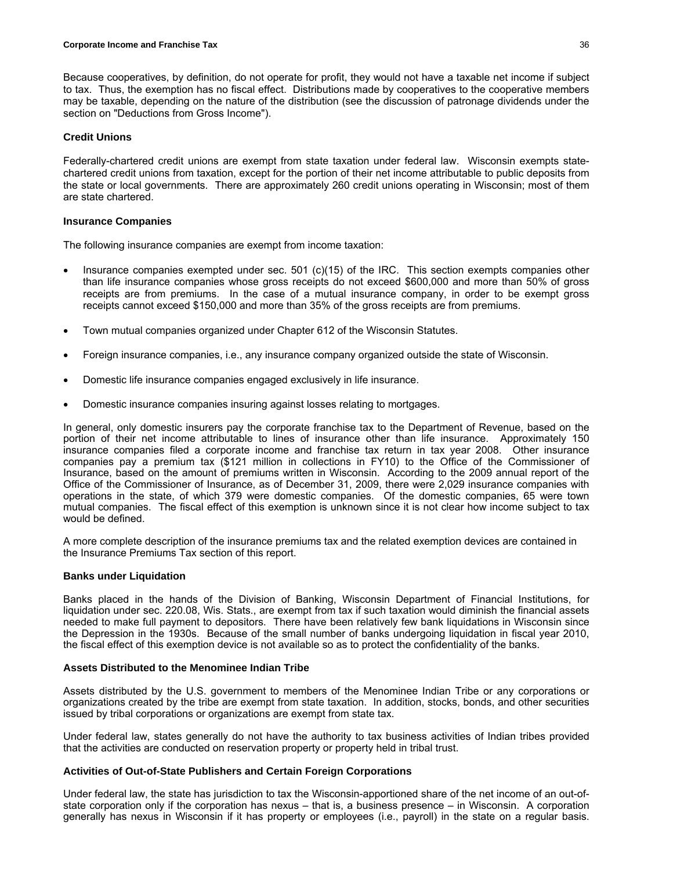Because cooperatives, by definition, do not operate for profit, they would not have a taxable net income if subject to tax. Thus, the exemption has no fiscal effect. Distributions made by cooperatives to the cooperative members may be taxable, depending on the nature of the distribution (see the discussion of patronage dividends under the section on "Deductions from Gross Income").

### **Credit Unions**

Federally-chartered credit unions are exempt from state taxation under federal law. Wisconsin exempts statechartered credit unions from taxation, except for the portion of their net income attributable to public deposits from the state or local governments. There are approximately 260 credit unions operating in Wisconsin; most of them are state chartered.

#### **Insurance Companies**

The following insurance companies are exempt from income taxation:

- Insurance companies exempted under sec. 501 (c)(15) of the IRC. This section exempts companies other than life insurance companies whose gross receipts do not exceed \$600,000 and more than 50% of gross receipts are from premiums. In the case of a mutual insurance company, in order to be exempt gross receipts cannot exceed \$150,000 and more than 35% of the gross receipts are from premiums.
- Town mutual companies organized under Chapter 612 of the Wisconsin Statutes.
- Foreign insurance companies, i.e., any insurance company organized outside the state of Wisconsin.
- Domestic life insurance companies engaged exclusively in life insurance.
- Domestic insurance companies insuring against losses relating to mortgages.

In general, only domestic insurers pay the corporate franchise tax to the Department of Revenue, based on the portion of their net income attributable to lines of insurance other than life insurance. Approximately 150 insurance companies filed a corporate income and franchise tax return in tax year 2008. Other insurance companies pay a premium tax (\$121 million in collections in FY10) to the Office of the Commissioner of Insurance, based on the amount of premiums written in Wisconsin. According to the 2009 annual report of the Office of the Commissioner of Insurance, as of December 31, 2009, there were 2,029 insurance companies with operations in the state, of which 379 were domestic companies. Of the domestic companies, 65 were town mutual companies. The fiscal effect of this exemption is unknown since it is not clear how income subject to tax would be defined.

A more complete description of the insurance premiums tax and the related exemption devices are contained in the Insurance Premiums Tax section of this report.

#### **Banks under Liquidation**

Banks placed in the hands of the Division of Banking, Wisconsin Department of Financial Institutions, for liquidation under sec. 220.08, Wis. Stats., are exempt from tax if such taxation would diminish the financial assets needed to make full payment to depositors. There have been relatively few bank liquidations in Wisconsin since the Depression in the 1930s. Because of the small number of banks undergoing liquidation in fiscal year 2010, the fiscal effect of this exemption device is not available so as to protect the confidentiality of the banks.

#### **Assets Distributed to the Menominee Indian Tribe**

Assets distributed by the U.S. government to members of the Menominee Indian Tribe or any corporations or organizations created by the tribe are exempt from state taxation. In addition, stocks, bonds, and other securities issued by tribal corporations or organizations are exempt from state tax.

Under federal law, states generally do not have the authority to tax business activities of Indian tribes provided that the activities are conducted on reservation property or property held in tribal trust.

# **Activities of Out-of-State Publishers and Certain Foreign Corporations**

Under federal law, the state has jurisdiction to tax the Wisconsin-apportioned share of the net income of an out-ofstate corporation only if the corporation has nexus – that is, a business presence – in Wisconsin. A corporation generally has nexus in Wisconsin if it has property or employees (i.e., payroll) in the state on a regular basis.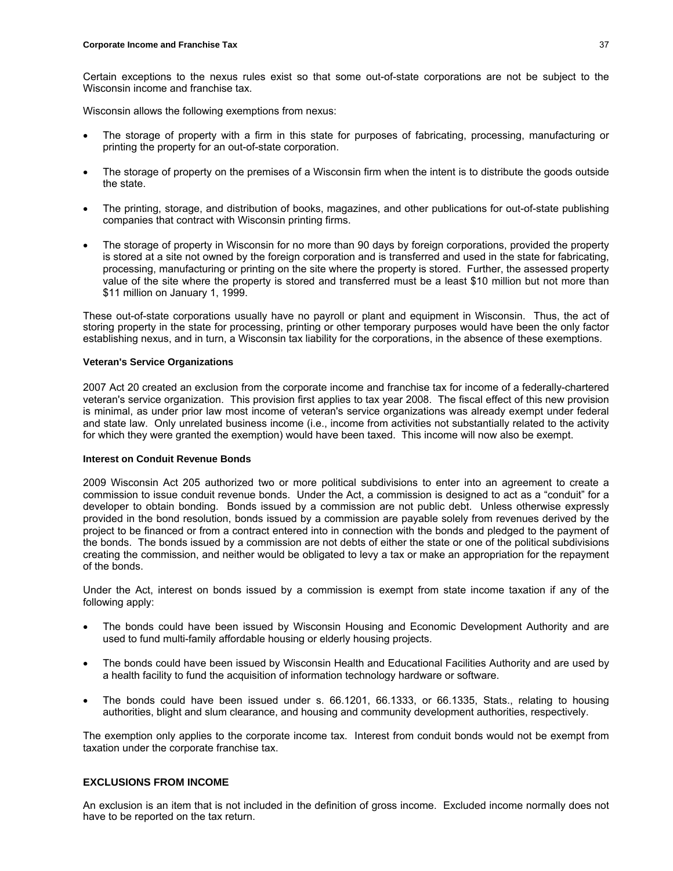Certain exceptions to the nexus rules exist so that some out-of-state corporations are not be subject to the Wisconsin income and franchise tax.

Wisconsin allows the following exemptions from nexus:

- The storage of property with a firm in this state for purposes of fabricating, processing, manufacturing or printing the property for an out-of-state corporation.
- The storage of property on the premises of a Wisconsin firm when the intent is to distribute the goods outside the state.
- The printing, storage, and distribution of books, magazines, and other publications for out-of-state publishing companies that contract with Wisconsin printing firms.
- The storage of property in Wisconsin for no more than 90 days by foreign corporations, provided the property is stored at a site not owned by the foreign corporation and is transferred and used in the state for fabricating, processing, manufacturing or printing on the site where the property is stored. Further, the assessed property value of the site where the property is stored and transferred must be a least \$10 million but not more than \$11 million on January 1, 1999.

These out-of-state corporations usually have no payroll or plant and equipment in Wisconsin. Thus, the act of storing property in the state for processing, printing or other temporary purposes would have been the only factor establishing nexus, and in turn, a Wisconsin tax liability for the corporations, in the absence of these exemptions.

### **Veteran's Service Organizations**

2007 Act 20 created an exclusion from the corporate income and franchise tax for income of a federally-chartered veteran's service organization. This provision first applies to tax year 2008. The fiscal effect of this new provision is minimal, as under prior law most income of veteran's service organizations was already exempt under federal and state law. Only unrelated business income (i.e., income from activities not substantially related to the activity for which they were granted the exemption) would have been taxed. This income will now also be exempt.

# **Interest on Conduit Revenue Bonds**

2009 Wisconsin Act 205 authorized two or more political subdivisions to enter into an agreement to create a commission to issue conduit revenue bonds. Under the Act, a commission is designed to act as a "conduit" for a developer to obtain bonding. Bonds issued by a commission are not public debt. Unless otherwise expressly provided in the bond resolution, bonds issued by a commission are payable solely from revenues derived by the project to be financed or from a contract entered into in connection with the bonds and pledged to the payment of the bonds. The bonds issued by a commission are not debts of either the state or one of the political subdivisions creating the commission, and neither would be obligated to levy a tax or make an appropriation for the repayment of the bonds.

Under the Act, interest on bonds issued by a commission is exempt from state income taxation if any of the following apply:

- The bonds could have been issued by Wisconsin Housing and Economic Development Authority and are used to fund multi-family affordable housing or elderly housing projects.
- The bonds could have been issued by Wisconsin Health and Educational Facilities Authority and are used by a health facility to fund the acquisition of information technology hardware or software.
- The bonds could have been issued under s. 66.1201, 66.1333, or 66.1335, Stats., relating to housing authorities, blight and slum clearance, and housing and community development authorities, respectively.

The exemption only applies to the corporate income tax. Interest from conduit bonds would not be exempt from taxation under the corporate franchise tax.

# **EXCLUSIONS FROM INCOME**

An exclusion is an item that is not included in the definition of gross income. Excluded income normally does not have to be reported on the tax return.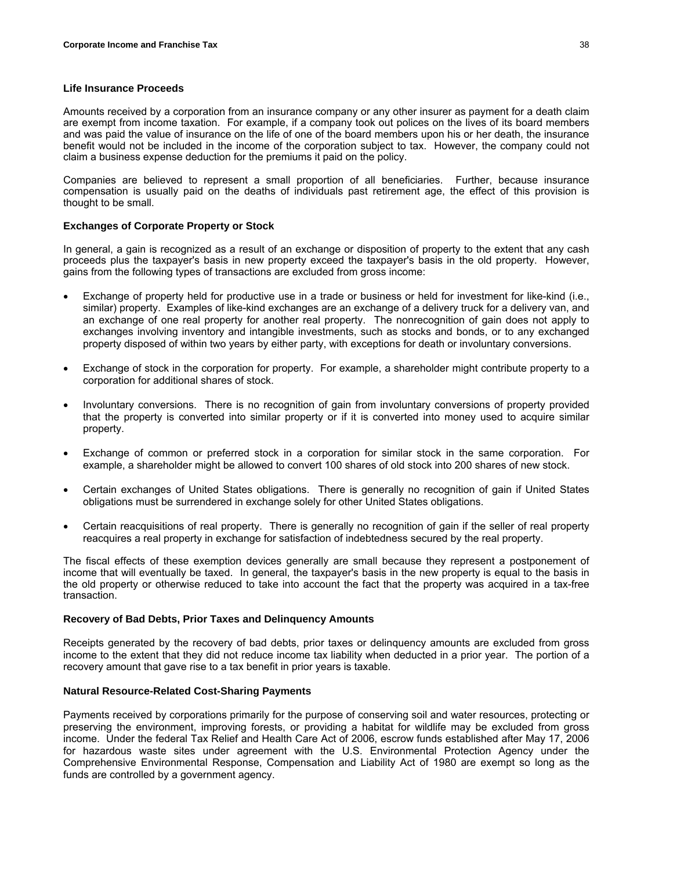### **Life Insurance Proceeds**

Amounts received by a corporation from an insurance company or any other insurer as payment for a death claim are exempt from income taxation. For example, if a company took out polices on the lives of its board members and was paid the value of insurance on the life of one of the board members upon his or her death, the insurance benefit would not be included in the income of the corporation subject to tax. However, the company could not claim a business expense deduction for the premiums it paid on the policy.

Companies are believed to represent a small proportion of all beneficiaries. Further, because insurance compensation is usually paid on the deaths of individuals past retirement age, the effect of this provision is thought to be small.

### **Exchanges of Corporate Property or Stock**

In general, a gain is recognized as a result of an exchange or disposition of property to the extent that any cash proceeds plus the taxpayer's basis in new property exceed the taxpayer's basis in the old property. However, gains from the following types of transactions are excluded from gross income:

- Exchange of property held for productive use in a trade or business or held for investment for like-kind (i.e., similar) property. Examples of like-kind exchanges are an exchange of a delivery truck for a delivery van, and an exchange of one real property for another real property. The nonrecognition of gain does not apply to exchanges involving inventory and intangible investments, such as stocks and bonds, or to any exchanged property disposed of within two years by either party, with exceptions for death or involuntary conversions.
- Exchange of stock in the corporation for property. For example, a shareholder might contribute property to a corporation for additional shares of stock.
- Involuntary conversions. There is no recognition of gain from involuntary conversions of property provided that the property is converted into similar property or if it is converted into money used to acquire similar property.
- Exchange of common or preferred stock in a corporation for similar stock in the same corporation. For example, a shareholder might be allowed to convert 100 shares of old stock into 200 shares of new stock.
- Certain exchanges of United States obligations. There is generally no recognition of gain if United States obligations must be surrendered in exchange solely for other United States obligations.
- Certain reacquisitions of real property. There is generally no recognition of gain if the seller of real property reacquires a real property in exchange for satisfaction of indebtedness secured by the real property.

The fiscal effects of these exemption devices generally are small because they represent a postponement of income that will eventually be taxed. In general, the taxpayer's basis in the new property is equal to the basis in the old property or otherwise reduced to take into account the fact that the property was acquired in a tax-free transaction.

#### **Recovery of Bad Debts, Prior Taxes and Delinquency Amounts**

Receipts generated by the recovery of bad debts, prior taxes or delinquency amounts are excluded from gross income to the extent that they did not reduce income tax liability when deducted in a prior year. The portion of a recovery amount that gave rise to a tax benefit in prior years is taxable.

# **Natural Resource-Related Cost-Sharing Payments**

Payments received by corporations primarily for the purpose of conserving soil and water resources, protecting or preserving the environment, improving forests, or providing a habitat for wildlife may be excluded from gross income. Under the federal Tax Relief and Health Care Act of 2006, escrow funds established after May 17, 2006 for hazardous waste sites under agreement with the U.S. Environmental Protection Agency under the Comprehensive Environmental Response, Compensation and Liability Act of 1980 are exempt so long as the funds are controlled by a government agency.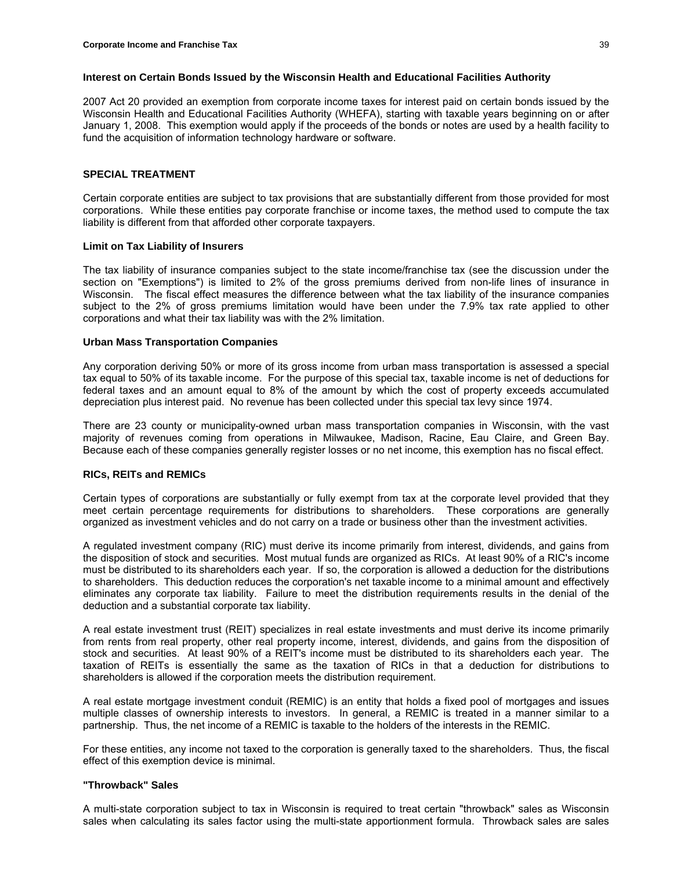### **Interest on Certain Bonds Issued by the Wisconsin Health and Educational Facilities Authority**

2007 Act 20 provided an exemption from corporate income taxes for interest paid on certain bonds issued by the Wisconsin Health and Educational Facilities Authority (WHEFA), starting with taxable years beginning on or after January 1, 2008. This exemption would apply if the proceeds of the bonds or notes are used by a health facility to fund the acquisition of information technology hardware or software.

# **SPECIAL TREATMENT**

Certain corporate entities are subject to tax provisions that are substantially different from those provided for most corporations. While these entities pay corporate franchise or income taxes, the method used to compute the tax liability is different from that afforded other corporate taxpayers.

### **Limit on Tax Liability of Insurers**

The tax liability of insurance companies subject to the state income/franchise tax (see the discussion under the section on "Exemptions") is limited to 2% of the gross premiums derived from non-life lines of insurance in Wisconsin. The fiscal effect measures the difference between what the tax liability of the insurance companies subject to the 2% of gross premiums limitation would have been under the 7.9% tax rate applied to other corporations and what their tax liability was with the 2% limitation.

### **Urban Mass Transportation Companies**

Any corporation deriving 50% or more of its gross income from urban mass transportation is assessed a special tax equal to 50% of its taxable income. For the purpose of this special tax, taxable income is net of deductions for federal taxes and an amount equal to 8% of the amount by which the cost of property exceeds accumulated depreciation plus interest paid. No revenue has been collected under this special tax levy since 1974.

There are 23 county or municipality-owned urban mass transportation companies in Wisconsin, with the vast majority of revenues coming from operations in Milwaukee, Madison, Racine, Eau Claire, and Green Bay. Because each of these companies generally register losses or no net income, this exemption has no fiscal effect.

# **RICs, REITs and REMICs**

Certain types of corporations are substantially or fully exempt from tax at the corporate level provided that they meet certain percentage requirements for distributions to shareholders. These corporations are generally organized as investment vehicles and do not carry on a trade or business other than the investment activities.

A regulated investment company (RIC) must derive its income primarily from interest, dividends, and gains from the disposition of stock and securities. Most mutual funds are organized as RICs. At least 90% of a RIC's income must be distributed to its shareholders each year. If so, the corporation is allowed a deduction for the distributions to shareholders. This deduction reduces the corporation's net taxable income to a minimal amount and effectively eliminates any corporate tax liability. Failure to meet the distribution requirements results in the denial of the deduction and a substantial corporate tax liability.

A real estate investment trust (REIT) specializes in real estate investments and must derive its income primarily from rents from real property, other real property income, interest, dividends, and gains from the disposition of stock and securities. At least 90% of a REIT's income must be distributed to its shareholders each year. The taxation of REITs is essentially the same as the taxation of RICs in that a deduction for distributions to shareholders is allowed if the corporation meets the distribution requirement.

A real estate mortgage investment conduit (REMIC) is an entity that holds a fixed pool of mortgages and issues multiple classes of ownership interests to investors. In general, a REMIC is treated in a manner similar to a partnership. Thus, the net income of a REMIC is taxable to the holders of the interests in the REMIC.

For these entities, any income not taxed to the corporation is generally taxed to the shareholders. Thus, the fiscal effect of this exemption device is minimal.

#### **"Throwback" Sales**

A multi-state corporation subject to tax in Wisconsin is required to treat certain "throwback" sales as Wisconsin sales when calculating its sales factor using the multi-state apportionment formula. Throwback sales are sales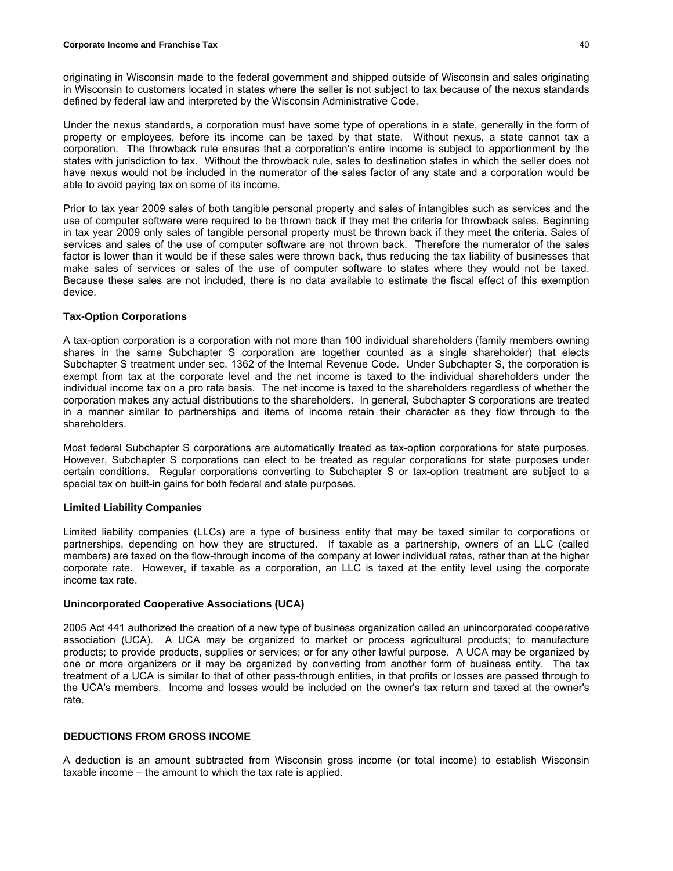originating in Wisconsin made to the federal government and shipped outside of Wisconsin and sales originating in Wisconsin to customers located in states where the seller is not subject to tax because of the nexus standards defined by federal law and interpreted by the Wisconsin Administrative Code.

Under the nexus standards, a corporation must have some type of operations in a state, generally in the form of property or employees, before its income can be taxed by that state. Without nexus, a state cannot tax a corporation. The throwback rule ensures that a corporation's entire income is subject to apportionment by the states with jurisdiction to tax. Without the throwback rule, sales to destination states in which the seller does not have nexus would not be included in the numerator of the sales factor of any state and a corporation would be able to avoid paying tax on some of its income.

Prior to tax year 2009 sales of both tangible personal property and sales of intangibles such as services and the use of computer software were required to be thrown back if they met the criteria for throwback sales, Beginning in tax year 2009 only sales of tangible personal property must be thrown back if they meet the criteria. Sales of services and sales of the use of computer software are not thrown back. Therefore the numerator of the sales factor is lower than it would be if these sales were thrown back, thus reducing the tax liability of businesses that make sales of services or sales of the use of computer software to states where they would not be taxed. Because these sales are not included, there is no data available to estimate the fiscal effect of this exemption device.

### **Tax-Option Corporations**

A tax-option corporation is a corporation with not more than 100 individual shareholders (family members owning shares in the same Subchapter S corporation are together counted as a single shareholder) that elects Subchapter S treatment under sec. 1362 of the Internal Revenue Code. Under Subchapter S, the corporation is exempt from tax at the corporate level and the net income is taxed to the individual shareholders under the individual income tax on a pro rata basis. The net income is taxed to the shareholders regardless of whether the corporation makes any actual distributions to the shareholders. In general, Subchapter S corporations are treated in a manner similar to partnerships and items of income retain their character as they flow through to the shareholders.

Most federal Subchapter S corporations are automatically treated as tax-option corporations for state purposes. However, Subchapter S corporations can elect to be treated as regular corporations for state purposes under certain conditions. Regular corporations converting to Subchapter S or tax-option treatment are subject to a special tax on built-in gains for both federal and state purposes.

#### **Limited Liability Companies**

Limited liability companies (LLCs) are a type of business entity that may be taxed similar to corporations or partnerships, depending on how they are structured. If taxable as a partnership, owners of an LLC (called members) are taxed on the flow-through income of the company at lower individual rates, rather than at the higher corporate rate. However, if taxable as a corporation, an LLC is taxed at the entity level using the corporate income tax rate.

### **Unincorporated Cooperative Associations (UCA)**

2005 Act 441 authorized the creation of a new type of business organization called an unincorporated cooperative association (UCA). A UCA may be organized to market or process agricultural products; to manufacture products; to provide products, supplies or services; or for any other lawful purpose. A UCA may be organized by one or more organizers or it may be organized by converting from another form of business entity. The tax treatment of a UCA is similar to that of other pass-through entities, in that profits or losses are passed through to the UCA's members. Income and losses would be included on the owner's tax return and taxed at the owner's rate.

# **DEDUCTIONS FROM GROSS INCOME**

A deduction is an amount subtracted from Wisconsin gross income (or total income) to establish Wisconsin taxable income – the amount to which the tax rate is applied.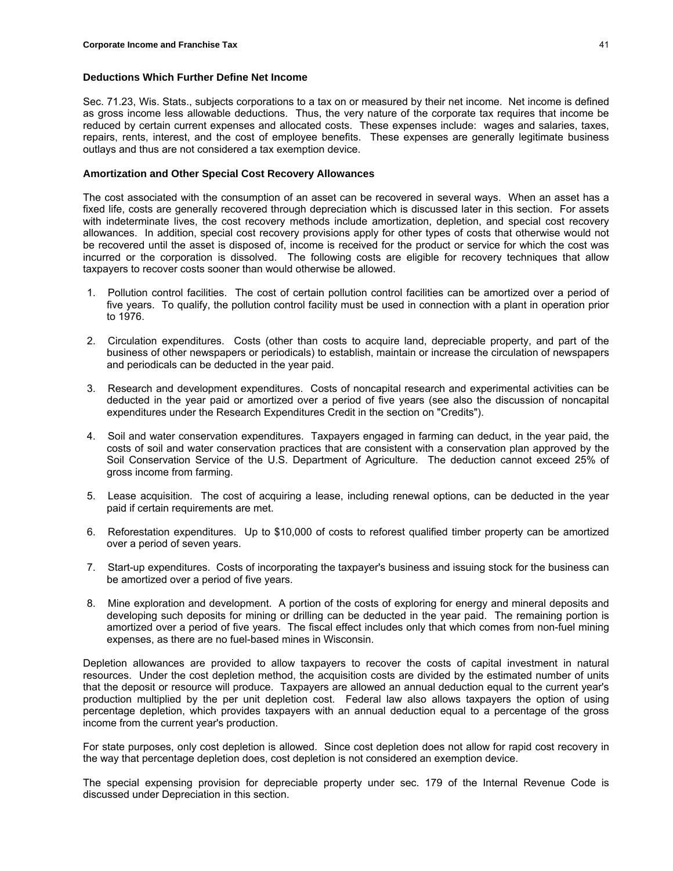### **Deductions Which Further Define Net Income**

Sec. 71.23, Wis. Stats., subjects corporations to a tax on or measured by their net income. Net income is defined as gross income less allowable deductions. Thus, the very nature of the corporate tax requires that income be reduced by certain current expenses and allocated costs. These expenses include: wages and salaries, taxes, repairs, rents, interest, and the cost of employee benefits. These expenses are generally legitimate business outlays and thus are not considered a tax exemption device.

### **Amortization and Other Special Cost Recovery Allowances**

The cost associated with the consumption of an asset can be recovered in several ways. When an asset has a fixed life, costs are generally recovered through depreciation which is discussed later in this section. For assets with indeterminate lives, the cost recovery methods include amortization, depletion, and special cost recovery allowances. In addition, special cost recovery provisions apply for other types of costs that otherwise would not be recovered until the asset is disposed of, income is received for the product or service for which the cost was incurred or the corporation is dissolved. The following costs are eligible for recovery techniques that allow taxpayers to recover costs sooner than would otherwise be allowed.

- 1. Pollution control facilities. The cost of certain pollution control facilities can be amortized over a period of five years. To qualify, the pollution control facility must be used in connection with a plant in operation prior to 1976.
- 2. Circulation expenditures. Costs (other than costs to acquire land, depreciable property, and part of the business of other newspapers or periodicals) to establish, maintain or increase the circulation of newspapers and periodicals can be deducted in the year paid.
- 3. Research and development expenditures. Costs of noncapital research and experimental activities can be deducted in the year paid or amortized over a period of five years (see also the discussion of noncapital expenditures under the Research Expenditures Credit in the section on "Credits").
- 4. Soil and water conservation expenditures. Taxpayers engaged in farming can deduct, in the year paid, the costs of soil and water conservation practices that are consistent with a conservation plan approved by the Soil Conservation Service of the U.S. Department of Agriculture. The deduction cannot exceed 25% of gross income from farming.
- 5. Lease acquisition. The cost of acquiring a lease, including renewal options, can be deducted in the year paid if certain requirements are met.
- 6. Reforestation expenditures. Up to \$10,000 of costs to reforest qualified timber property can be amortized over a period of seven years.
- 7. Start-up expenditures. Costs of incorporating the taxpayer's business and issuing stock for the business can be amortized over a period of five years.
- 8. Mine exploration and development. A portion of the costs of exploring for energy and mineral deposits and developing such deposits for mining or drilling can be deducted in the year paid. The remaining portion is amortized over a period of five years. The fiscal effect includes only that which comes from non-fuel mining expenses, as there are no fuel-based mines in Wisconsin.

Depletion allowances are provided to allow taxpayers to recover the costs of capital investment in natural resources. Under the cost depletion method, the acquisition costs are divided by the estimated number of units that the deposit or resource will produce. Taxpayers are allowed an annual deduction equal to the current year's production multiplied by the per unit depletion cost. Federal law also allows taxpayers the option of using percentage depletion, which provides taxpayers with an annual deduction equal to a percentage of the gross income from the current year's production.

For state purposes, only cost depletion is allowed. Since cost depletion does not allow for rapid cost recovery in the way that percentage depletion does, cost depletion is not considered an exemption device.

The special expensing provision for depreciable property under sec. 179 of the Internal Revenue Code is discussed under Depreciation in this section.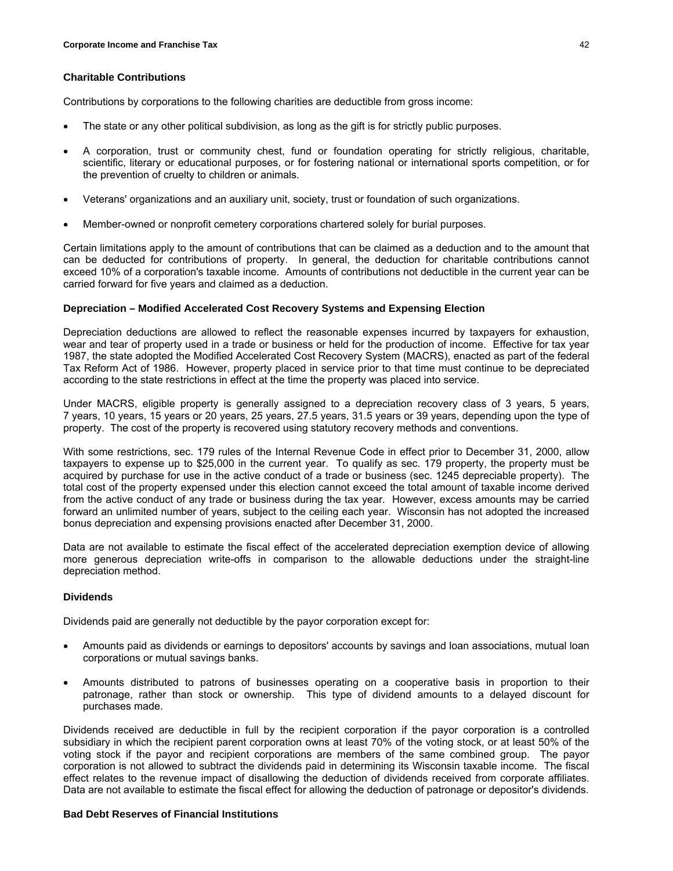# **Charitable Contributions**

Contributions by corporations to the following charities are deductible from gross income:

- The state or any other political subdivision, as long as the gift is for strictly public purposes.
- A corporation, trust or community chest, fund or foundation operating for strictly religious, charitable, scientific, literary or educational purposes, or for fostering national or international sports competition, or for the prevention of cruelty to children or animals.
- Veterans' organizations and an auxiliary unit, society, trust or foundation of such organizations.
- Member-owned or nonprofit cemetery corporations chartered solely for burial purposes.

Certain limitations apply to the amount of contributions that can be claimed as a deduction and to the amount that can be deducted for contributions of property. In general, the deduction for charitable contributions cannot exceed 10% of a corporation's taxable income. Amounts of contributions not deductible in the current year can be carried forward for five years and claimed as a deduction.

### **Depreciation – Modified Accelerated Cost Recovery Systems and Expensing Election**

Depreciation deductions are allowed to reflect the reasonable expenses incurred by taxpayers for exhaustion, wear and tear of property used in a trade or business or held for the production of income. Effective for tax year 1987, the state adopted the Modified Accelerated Cost Recovery System (MACRS), enacted as part of the federal Tax Reform Act of 1986. However, property placed in service prior to that time must continue to be depreciated according to the state restrictions in effect at the time the property was placed into service.

Under MACRS, eligible property is generally assigned to a depreciation recovery class of 3 years, 5 years, 7 years, 10 years, 15 years or 20 years, 25 years, 27.5 years, 31.5 years or 39 years, depending upon the type of property. The cost of the property is recovered using statutory recovery methods and conventions.

With some restrictions, sec. 179 rules of the Internal Revenue Code in effect prior to December 31, 2000, allow taxpayers to expense up to \$25,000 in the current year. To qualify as sec. 179 property, the property must be acquired by purchase for use in the active conduct of a trade or business (sec. 1245 depreciable property). The total cost of the property expensed under this election cannot exceed the total amount of taxable income derived from the active conduct of any trade or business during the tax year. However, excess amounts may be carried forward an unlimited number of years, subject to the ceiling each year. Wisconsin has not adopted the increased bonus depreciation and expensing provisions enacted after December 31, 2000.

Data are not available to estimate the fiscal effect of the accelerated depreciation exemption device of allowing more generous depreciation write-offs in comparison to the allowable deductions under the straight-line depreciation method.

# **Dividends**

Dividends paid are generally not deductible by the payor corporation except for:

- Amounts paid as dividends or earnings to depositors' accounts by savings and loan associations, mutual loan corporations or mutual savings banks.
- Amounts distributed to patrons of businesses operating on a cooperative basis in proportion to their patronage, rather than stock or ownership. This type of dividend amounts to a delayed discount for purchases made.

Dividends received are deductible in full by the recipient corporation if the payor corporation is a controlled subsidiary in which the recipient parent corporation owns at least 70% of the voting stock, or at least 50% of the voting stock if the payor and recipient corporations are members of the same combined group. The payor corporation is not allowed to subtract the dividends paid in determining its Wisconsin taxable income. The fiscal effect relates to the revenue impact of disallowing the deduction of dividends received from corporate affiliates. Data are not available to estimate the fiscal effect for allowing the deduction of patronage or depositor's dividends.

#### **Bad Debt Reserves of Financial Institutions**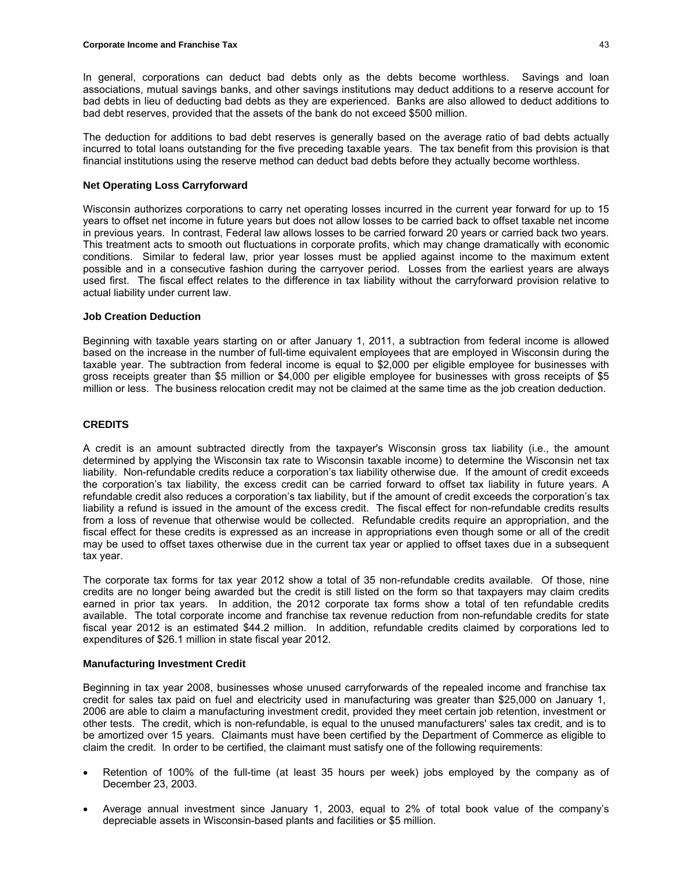In general, corporations can deduct bad debts only as the debts become worthless. Savings and loan associations, mutual savings banks, and other savings institutions may deduct additions to a reserve account for bad debts in lieu of deducting bad debts as they are experienced. Banks are also allowed to deduct additions to bad debt reserves, provided that the assets of the bank do not exceed \$500 million.

The deduction for additions to bad debt reserves is generally based on the average ratio of bad debts actually incurred to total loans outstanding for the five preceding taxable years. The tax benefit from this provision is that financial institutions using the reserve method can deduct bad debts before they actually become worthless.

### **Net Operating Loss Carryforward**

Wisconsin authorizes corporations to carry net operating losses incurred in the current year forward for up to 15 years to offset net income in future years but does not allow losses to be carried back to offset taxable net income in previous years. In contrast, Federal law allows losses to be carried forward 20 years or carried back two years. This treatment acts to smooth out fluctuations in corporate profits, which may change dramatically with economic conditions. Similar to federal law, prior year losses must be applied against income to the maximum extent possible and in a consecutive fashion during the carryover period. Losses from the earliest years are always used first. The fiscal effect relates to the difference in tax liability without the carryforward provision relative to actual liability under current law.

### **Job Creation Deduction**

Beginning with taxable years starting on or after January 1, 2011, a subtraction from federal income is allowed based on the increase in the number of full-time equivalent employees that are employed in Wisconsin during the taxable year. The subtraction from federal income is equal to \$2,000 per eligible employee for businesses with gross receipts greater than \$5 million or \$4,000 per eligible employee for businesses with gross receipts of \$5 million or less. The business relocation credit may not be claimed at the same time as the job creation deduction.

# **CREDITS**

A credit is an amount subtracted directly from the taxpayer's Wisconsin gross tax liability (i.e., the amount determined by applying the Wisconsin tax rate to Wisconsin taxable income) to determine the Wisconsin net tax liability. Non-refundable credits reduce a corporation's tax liability otherwise due. If the amount of credit exceeds the corporation's tax liability, the excess credit can be carried forward to offset tax liability in future years. A refundable credit also reduces a corporation's tax liability, but if the amount of credit exceeds the corporation's tax liability a refund is issued in the amount of the excess credit. The fiscal effect for non-refundable credits results from a loss of revenue that otherwise would be collected. Refundable credits require an appropriation, and the fiscal effect for these credits is expressed as an increase in appropriations even though some or all of the credit may be used to offset taxes otherwise due in the current tax year or applied to offset taxes due in a subsequent tax year.

The corporate tax forms for tax year 2012 show a total of 35 non-refundable credits available. Of those, nine credits are no longer being awarded but the credit is still listed on the form so that taxpayers may claim credits earned in prior tax years. In addition, the 2012 corporate tax forms show a total of ten refundable credits available. The total corporate income and franchise tax revenue reduction from non-refundable credits for state fiscal year 2012 is an estimated \$44.2 million. In addition, refundable credits claimed by corporations led to expenditures of \$26.1 million in state fiscal year 2012.

#### **Manufacturing Investment Credit**

Beginning in tax year 2008, businesses whose unused carryforwards of the repealed income and franchise tax credit for sales tax paid on fuel and electricity used in manufacturing was greater than \$25,000 on January 1, 2006 are able to claim a manufacturing investment credit, provided they meet certain job retention, investment or other tests. The credit, which is non-refundable, is equal to the unused manufacturers' sales tax credit, and is to be amortized over 15 years. Claimants must have been certified by the Department of Commerce as eligible to claim the credit. In order to be certified, the claimant must satisfy one of the following requirements:

- Retention of 100% of the full-time (at least 35 hours per week) jobs employed by the company as of December 23, 2003.
- Average annual investment since January 1, 2003, equal to 2% of total book value of the company's depreciable assets in Wisconsin-based plants and facilities or \$5 million.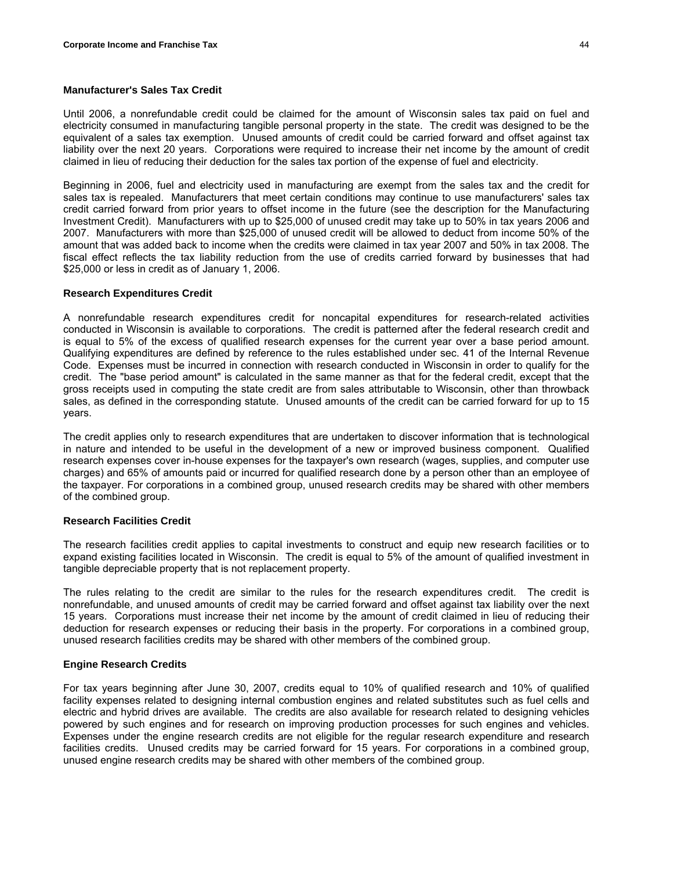### **Manufacturer's Sales Tax Credit**

Until 2006, a nonrefundable credit could be claimed for the amount of Wisconsin sales tax paid on fuel and electricity consumed in manufacturing tangible personal property in the state. The credit was designed to be the equivalent of a sales tax exemption. Unused amounts of credit could be carried forward and offset against tax liability over the next 20 years. Corporations were required to increase their net income by the amount of credit claimed in lieu of reducing their deduction for the sales tax portion of the expense of fuel and electricity.

Beginning in 2006, fuel and electricity used in manufacturing are exempt from the sales tax and the credit for sales tax is repealed. Manufacturers that meet certain conditions may continue to use manufacturers' sales tax credit carried forward from prior years to offset income in the future (see the description for the Manufacturing Investment Credit). Manufacturers with up to \$25,000 of unused credit may take up to 50% in tax years 2006 and 2007. Manufacturers with more than \$25,000 of unused credit will be allowed to deduct from income 50% of the amount that was added back to income when the credits were claimed in tax year 2007 and 50% in tax 2008. The fiscal effect reflects the tax liability reduction from the use of credits carried forward by businesses that had \$25,000 or less in credit as of January 1, 2006.

### **Research Expenditures Credit**

A nonrefundable research expenditures credit for noncapital expenditures for research-related activities conducted in Wisconsin is available to corporations. The credit is patterned after the federal research credit and is equal to 5% of the excess of qualified research expenses for the current year over a base period amount. Qualifying expenditures are defined by reference to the rules established under sec. 41 of the Internal Revenue Code. Expenses must be incurred in connection with research conducted in Wisconsin in order to qualify for the credit. The "base period amount" is calculated in the same manner as that for the federal credit, except that the gross receipts used in computing the state credit are from sales attributable to Wisconsin, other than throwback sales, as defined in the corresponding statute. Unused amounts of the credit can be carried forward for up to 15 years.

The credit applies only to research expenditures that are undertaken to discover information that is technological in nature and intended to be useful in the development of a new or improved business component. Qualified research expenses cover in-house expenses for the taxpayer's own research (wages, supplies, and computer use charges) and 65% of amounts paid or incurred for qualified research done by a person other than an employee of the taxpayer. For corporations in a combined group, unused research credits may be shared with other members of the combined group.

# **Research Facilities Credit**

The research facilities credit applies to capital investments to construct and equip new research facilities or to expand existing facilities located in Wisconsin. The credit is equal to 5% of the amount of qualified investment in tangible depreciable property that is not replacement property.

The rules relating to the credit are similar to the rules for the research expenditures credit. The credit is nonrefundable, and unused amounts of credit may be carried forward and offset against tax liability over the next 15 years. Corporations must increase their net income by the amount of credit claimed in lieu of reducing their deduction for research expenses or reducing their basis in the property. For corporations in a combined group, unused research facilities credits may be shared with other members of the combined group.

#### **Engine Research Credits**

For tax years beginning after June 30, 2007, credits equal to 10% of qualified research and 10% of qualified facility expenses related to designing internal combustion engines and related substitutes such as fuel cells and electric and hybrid drives are available. The credits are also available for research related to designing vehicles powered by such engines and for research on improving production processes for such engines and vehicles. Expenses under the engine research credits are not eligible for the regular research expenditure and research facilities credits. Unused credits may be carried forward for 15 years. For corporations in a combined group, unused engine research credits may be shared with other members of the combined group.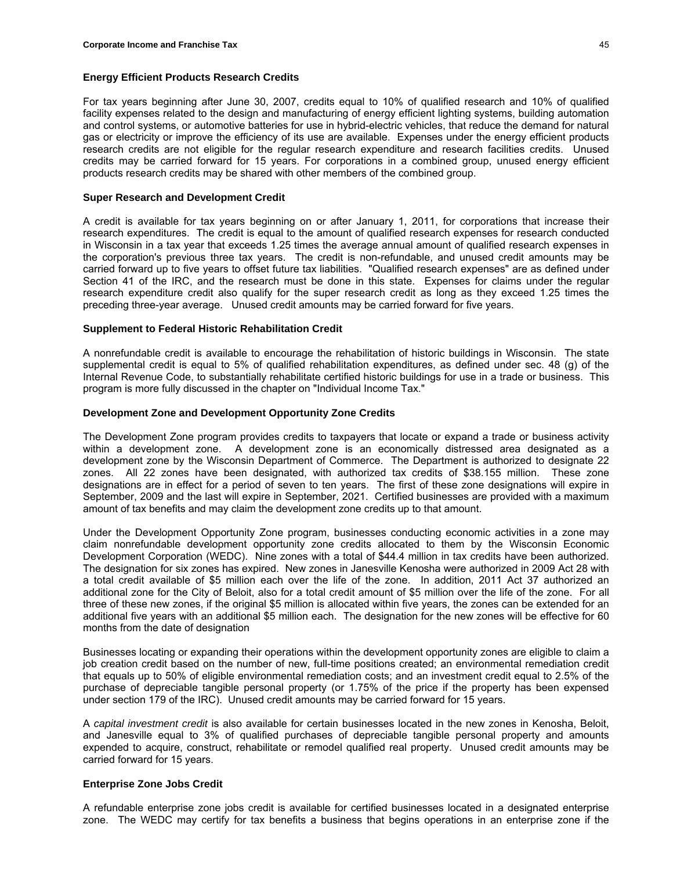### **Energy Efficient Products Research Credits**

For tax years beginning after June 30, 2007, credits equal to 10% of qualified research and 10% of qualified facility expenses related to the design and manufacturing of energy efficient lighting systems, building automation and control systems, or automotive batteries for use in hybrid-electric vehicles, that reduce the demand for natural gas or electricity or improve the efficiency of its use are available. Expenses under the energy efficient products research credits are not eligible for the regular research expenditure and research facilities credits. Unused credits may be carried forward for 15 years. For corporations in a combined group, unused energy efficient products research credits may be shared with other members of the combined group.

### **Super Research and Development Credit**

A credit is available for tax years beginning on or after January 1, 2011, for corporations that increase their research expenditures. The credit is equal to the amount of qualified research expenses for research conducted in Wisconsin in a tax year that exceeds 1.25 times the average annual amount of qualified research expenses in the corporation's previous three tax years. The credit is non-refundable, and unused credit amounts may be carried forward up to five years to offset future tax liabilities. "Qualified research expenses" are as defined under Section 41 of the IRC, and the research must be done in this state. Expenses for claims under the regular research expenditure credit also qualify for the super research credit as long as they exceed 1.25 times the preceding three-year average. Unused credit amounts may be carried forward for five years.

### **Supplement to Federal Historic Rehabilitation Credit**

A nonrefundable credit is available to encourage the rehabilitation of historic buildings in Wisconsin. The state supplemental credit is equal to 5% of qualified rehabilitation expenditures, as defined under sec. 48 (g) of the Internal Revenue Code, to substantially rehabilitate certified historic buildings for use in a trade or business. This program is more fully discussed in the chapter on "Individual Income Tax."

### **Development Zone and Development Opportunity Zone Credits**

The Development Zone program provides credits to taxpayers that locate or expand a trade or business activity within a development zone. A development zone is an economically distressed area designated as a development zone by the Wisconsin Department of Commerce. The Department is authorized to designate 22 zones. All 22 zones have been designated, with authorized tax credits of \$38.155 million. These zone designations are in effect for a period of seven to ten years. The first of these zone designations will expire in September, 2009 and the last will expire in September, 2021. Certified businesses are provided with a maximum amount of tax benefits and may claim the development zone credits up to that amount.

Under the Development Opportunity Zone program, businesses conducting economic activities in a zone may claim nonrefundable development opportunity zone credits allocated to them by the Wisconsin Economic Development Corporation (WEDC). Nine zones with a total of \$44.4 million in tax credits have been authorized. The designation for six zones has expired. New zones in Janesville Kenosha were authorized in 2009 Act 28 with a total credit available of \$5 million each over the life of the zone. In addition, 2011 Act 37 authorized an additional zone for the City of Beloit, also for a total credit amount of \$5 million over the life of the zone. For all three of these new zones, if the original \$5 million is allocated within five years, the zones can be extended for an additional five years with an additional \$5 million each. The designation for the new zones will be effective for 60 months from the date of designation

Businesses locating or expanding their operations within the development opportunity zones are eligible to claim a job creation credit based on the number of new, full-time positions created; an environmental remediation credit that equals up to 50% of eligible environmental remediation costs; and an investment credit equal to 2.5% of the purchase of depreciable tangible personal property (or 1.75% of the price if the property has been expensed under section 179 of the IRC). Unused credit amounts may be carried forward for 15 years.

A *capital investment credit* is also available for certain businesses located in the new zones in Kenosha, Beloit, and Janesville equal to 3% of qualified purchases of depreciable tangible personal property and amounts expended to acquire, construct, rehabilitate or remodel qualified real property. Unused credit amounts may be carried forward for 15 years.

# **Enterprise Zone Jobs Credit**

A refundable enterprise zone jobs credit is available for certified businesses located in a designated enterprise zone. The WEDC may certify for tax benefits a business that begins operations in an enterprise zone if the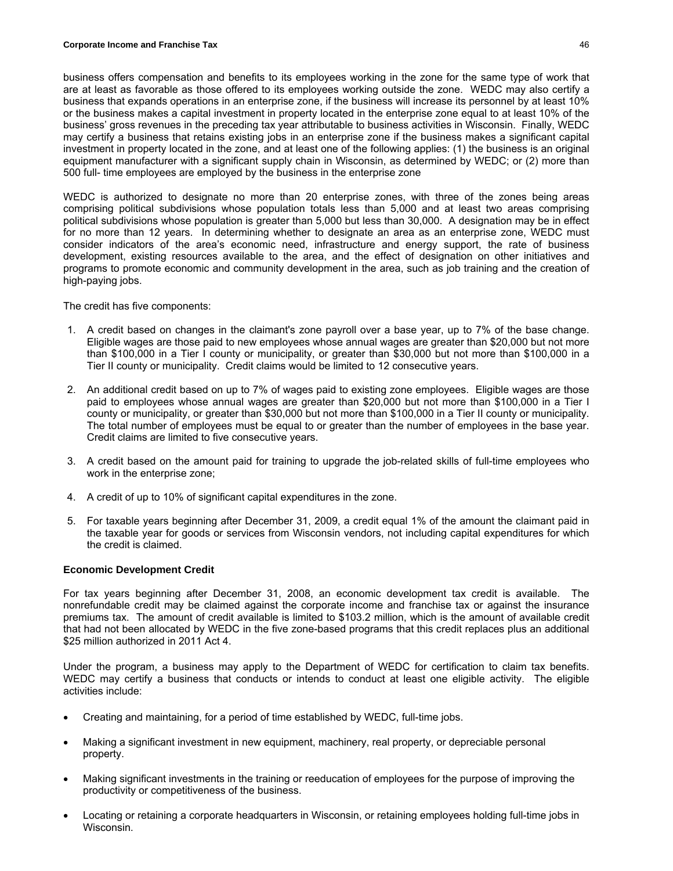business offers compensation and benefits to its employees working in the zone for the same type of work that are at least as favorable as those offered to its employees working outside the zone. WEDC may also certify a business that expands operations in an enterprise zone, if the business will increase its personnel by at least 10% or the business makes a capital investment in property located in the enterprise zone equal to at least 10% of the business' gross revenues in the preceding tax year attributable to business activities in Wisconsin. Finally, WEDC may certify a business that retains existing jobs in an enterprise zone if the business makes a significant capital investment in property located in the zone, and at least one of the following applies: (1) the business is an original equipment manufacturer with a significant supply chain in Wisconsin, as determined by WEDC; or (2) more than 500 full- time employees are employed by the business in the enterprise zone

WEDC is authorized to designate no more than 20 enterprise zones, with three of the zones being areas comprising political subdivisions whose population totals less than 5,000 and at least two areas comprising political subdivisions whose population is greater than 5,000 but less than 30,000. A designation may be in effect for no more than 12 years. In determining whether to designate an area as an enterprise zone, WEDC must consider indicators of the area's economic need, infrastructure and energy support, the rate of business development, existing resources available to the area, and the effect of designation on other initiatives and programs to promote economic and community development in the area, such as job training and the creation of high-paying jobs.

The credit has five components:

- 1. A credit based on changes in the claimant's zone payroll over a base year, up to 7% of the base change. Eligible wages are those paid to new employees whose annual wages are greater than \$20,000 but not more than \$100,000 in a Tier I county or municipality, or greater than \$30,000 but not more than \$100,000 in a Tier II county or municipality. Credit claims would be limited to 12 consecutive years.
- 2. An additional credit based on up to 7% of wages paid to existing zone employees. Eligible wages are those paid to employees whose annual wages are greater than \$20,000 but not more than \$100,000 in a Tier I county or municipality, or greater than \$30,000 but not more than \$100,000 in a Tier II county or municipality. The total number of employees must be equal to or greater than the number of employees in the base year. Credit claims are limited to five consecutive years.
- 3. A credit based on the amount paid for training to upgrade the job-related skills of full-time employees who work in the enterprise zone;
- 4. A credit of up to 10% of significant capital expenditures in the zone.
- 5. For taxable years beginning after December 31, 2009, a credit equal 1% of the amount the claimant paid in the taxable year for goods or services from Wisconsin vendors, not including capital expenditures for which the credit is claimed.

### **Economic Development Credit**

For tax years beginning after December 31, 2008, an economic development tax credit is available. The nonrefundable credit may be claimed against the corporate income and franchise tax or against the insurance premiums tax. The amount of credit available is limited to \$103.2 million, which is the amount of available credit that had not been allocated by WEDC in the five zone-based programs that this credit replaces plus an additional \$25 million authorized in 2011 Act 4.

Under the program, a business may apply to the Department of WEDC for certification to claim tax benefits. WEDC may certify a business that conducts or intends to conduct at least one eligible activity. The eligible activities include:

- Creating and maintaining, for a period of time established by WEDC, full-time jobs.
- Making a significant investment in new equipment, machinery, real property, or depreciable personal property.
- Making significant investments in the training or reeducation of employees for the purpose of improving the productivity or competitiveness of the business.
- Locating or retaining a corporate headquarters in Wisconsin, or retaining employees holding full-time jobs in Wisconsin.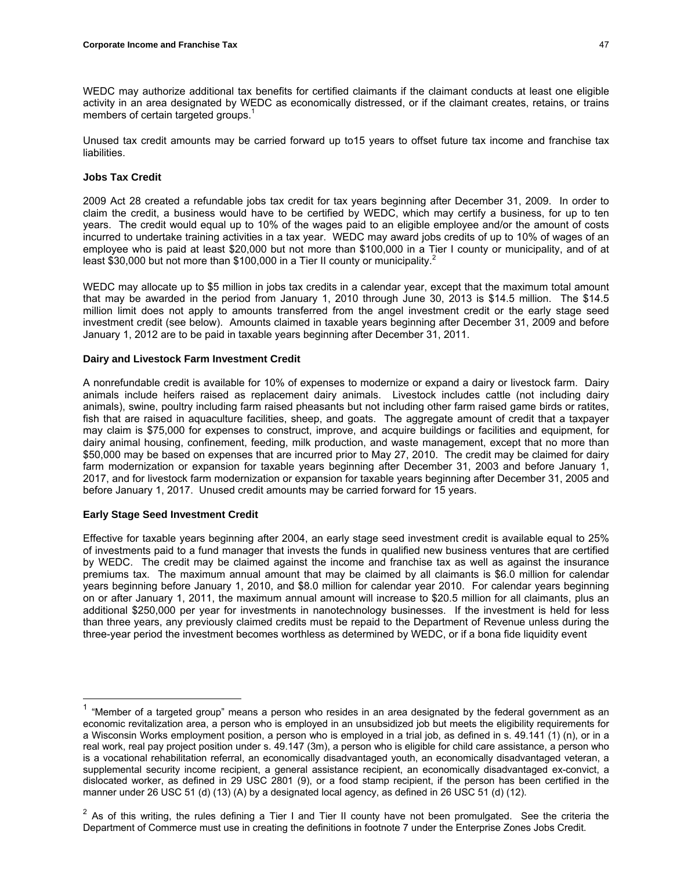members of certain targeted groups.<sup>1</sup>

Unused tax credit amounts may be carried forward up to15 years to offset future tax income and franchise tax liabilities.

# **Jobs Tax Credit**

2009 Act 28 created a refundable jobs tax credit for tax years beginning after December 31, 2009. In order to claim the credit, a business would have to be certified by WEDC, which may certify a business, for up to ten years. The credit would equal up to 10% of the wages paid to an eligible employee and/or the amount of costs incurred to undertake training activities in a tax year. WEDC may award jobs credits of up to 10% of wages of an employee who is paid at least \$20,000 but not more than \$100,000 in a Tier I county or municipality, and of at least \$30,000 but not more than \$100,000 in a Tier II county or municipality.<sup>2</sup>

WEDC may allocate up to \$5 million in jobs tax credits in a calendar year, except that the maximum total amount that may be awarded in the period from January 1, 2010 through June 30, 2013 is \$14.5 million. The \$14.5 million limit does not apply to amounts transferred from the angel investment credit or the early stage seed investment credit (see below). Amounts claimed in taxable years beginning after December 31, 2009 and before January 1, 2012 are to be paid in taxable years beginning after December 31, 2011.

# **Dairy and Livestock Farm Investment Credit**

A nonrefundable credit is available for 10% of expenses to modernize or expand a dairy or livestock farm. Dairy animals include heifers raised as replacement dairy animals. Livestock includes cattle (not including dairy animals), swine, poultry including farm raised pheasants but not including other farm raised game birds or ratites, fish that are raised in aquaculture facilities, sheep, and goats. The aggregate amount of credit that a taxpayer may claim is \$75,000 for expenses to construct, improve, and acquire buildings or facilities and equipment, for dairy animal housing, confinement, feeding, milk production, and waste management, except that no more than \$50,000 may be based on expenses that are incurred prior to May 27, 2010. The credit may be claimed for dairy farm modernization or expansion for taxable years beginning after December 31, 2003 and before January 1, 2017, and for livestock farm modernization or expansion for taxable years beginning after December 31, 2005 and before January 1, 2017. Unused credit amounts may be carried forward for 15 years.

# **Early Stage Seed Investment Credit**

Effective for taxable years beginning after 2004, an early stage seed investment credit is available equal to 25% of investments paid to a fund manager that invests the funds in qualified new business ventures that are certified by WEDC. The credit may be claimed against the income and franchise tax as well as against the insurance premiums tax. The maximum annual amount that may be claimed by all claimants is \$6.0 million for calendar years beginning before January 1, 2010, and \$8.0 million for calendar year 2010. For calendar years beginning on or after January 1, 2011, the maximum annual amount will increase to \$20.5 million for all claimants, plus an additional \$250,000 per year for investments in nanotechnology businesses. If the investment is held for less than three years, any previously claimed credits must be repaid to the Department of Revenue unless during the three-year period the investment becomes worthless as determined by WEDC, or if a bona fide liquidity event

 $1$  "Member of a targeted group" means a person who resides in an area designated by the federal government as an economic revitalization area, a person who is employed in an unsubsidized job but meets the eligibility requirements for a Wisconsin Works employment position, a person who is employed in a trial job, as defined in s. 49.141 (1) (n), or in a real work, real pay project position under s. 49.147 (3m), a person who is eligible for child care assistance, a person who is a vocational rehabilitation referral, an economically disadvantaged youth, an economically disadvantaged veteran, a supplemental security income recipient, a general assistance recipient, an economically disadvantaged ex-convict, a dislocated worker, as defined in 29 USC 2801 (9), or a food stamp recipient, if the person has been certified in the manner under 26 USC 51 (d) (13) (A) by a designated local agency, as defined in 26 USC 51 (d) (12).

 $2$  As of this writing, the rules defining a Tier I and Tier II county have not been promulgated. See the criteria the Department of Commerce must use in creating the definitions in footnote 7 under the Enterprise Zones Jobs Credit.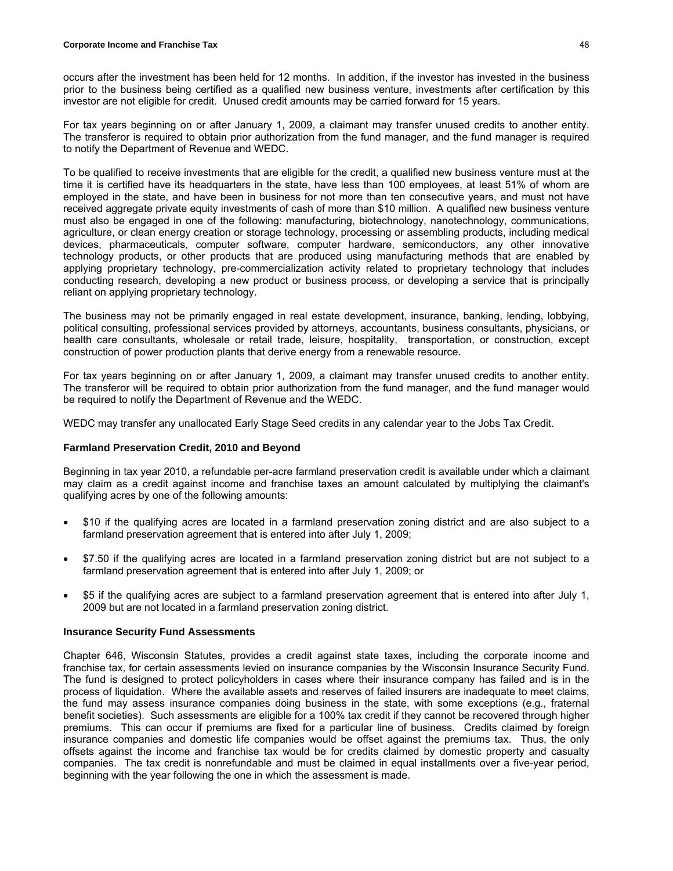occurs after the investment has been held for 12 months. In addition, if the investor has invested in the business prior to the business being certified as a qualified new business venture, investments after certification by this investor are not eligible for credit. Unused credit amounts may be carried forward for 15 years.

For tax years beginning on or after January 1, 2009, a claimant may transfer unused credits to another entity. The transferor is required to obtain prior authorization from the fund manager, and the fund manager is required to notify the Department of Revenue and WEDC.

To be qualified to receive investments that are eligible for the credit, a qualified new business venture must at the time it is certified have its headquarters in the state, have less than 100 employees, at least 51% of whom are employed in the state, and have been in business for not more than ten consecutive years, and must not have received aggregate private equity investments of cash of more than \$10 million. A qualified new business venture must also be engaged in one of the following: manufacturing, biotechnology, nanotechnology, communications, agriculture, or clean energy creation or storage technology, processing or assembling products, including medical devices, pharmaceuticals, computer software, computer hardware, semiconductors, any other innovative technology products, or other products that are produced using manufacturing methods that are enabled by applying proprietary technology, pre-commercialization activity related to proprietary technology that includes conducting research, developing a new product or business process, or developing a service that is principally reliant on applying proprietary technology.

The business may not be primarily engaged in real estate development, insurance, banking, lending, lobbying, political consulting, professional services provided by attorneys, accountants, business consultants, physicians, or health care consultants, wholesale or retail trade, leisure, hospitality, transportation, or construction, except construction of power production plants that derive energy from a renewable resource.

For tax years beginning on or after January 1, 2009, a claimant may transfer unused credits to another entity. The transferor will be required to obtain prior authorization from the fund manager, and the fund manager would be required to notify the Department of Revenue and the WEDC.

WEDC may transfer any unallocated Early Stage Seed credits in any calendar year to the Jobs Tax Credit.

# **Farmland Preservation Credit, 2010 and Beyond**

Beginning in tax year 2010, a refundable per-acre farmland preservation credit is available under which a claimant may claim as a credit against income and franchise taxes an amount calculated by multiplying the claimant's qualifying acres by one of the following amounts:

- \$10 if the qualifying acres are located in a farmland preservation zoning district and are also subject to a farmland preservation agreement that is entered into after July 1, 2009;
- \$7.50 if the qualifying acres are located in a farmland preservation zoning district but are not subject to a farmland preservation agreement that is entered into after July 1, 2009; or
- \$5 if the qualifying acres are subject to a farmland preservation agreement that is entered into after July 1, 2009 but are not located in a farmland preservation zoning district.

# **Insurance Security Fund Assessments**

Chapter 646, Wisconsin Statutes, provides a credit against state taxes, including the corporate income and franchise tax, for certain assessments levied on insurance companies by the Wisconsin Insurance Security Fund. The fund is designed to protect policyholders in cases where their insurance company has failed and is in the process of liquidation. Where the available assets and reserves of failed insurers are inadequate to meet claims, the fund may assess insurance companies doing business in the state, with some exceptions (e.g., fraternal benefit societies). Such assessments are eligible for a 100% tax credit if they cannot be recovered through higher premiums. This can occur if premiums are fixed for a particular line of business. Credits claimed by foreign insurance companies and domestic life companies would be offset against the premiums tax. Thus, the only offsets against the income and franchise tax would be for credits claimed by domestic property and casualty companies. The tax credit is nonrefundable and must be claimed in equal installments over a five-year period, beginning with the year following the one in which the assessment is made.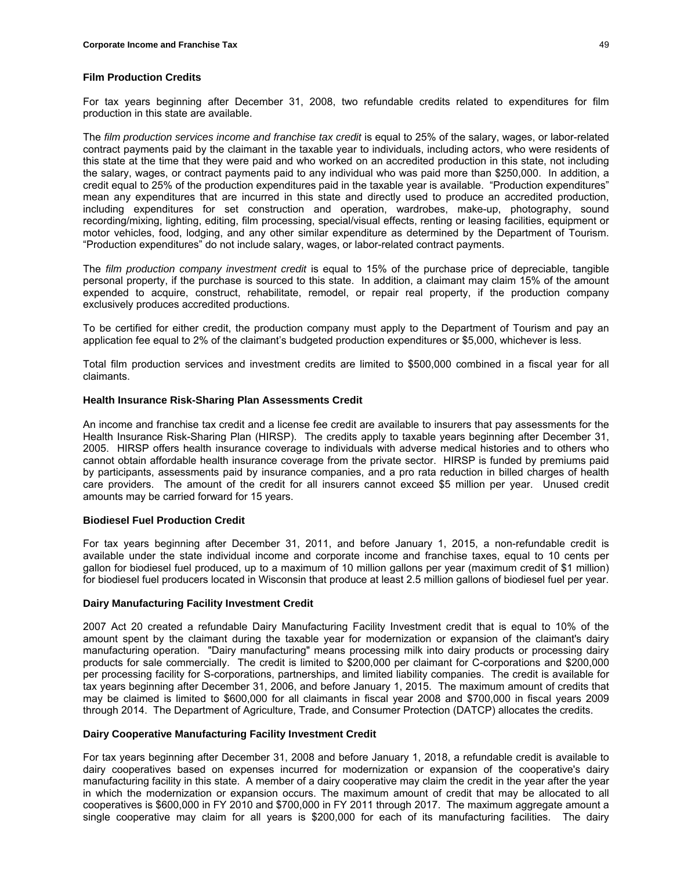### **Film Production Credits**

For tax years beginning after December 31, 2008, two refundable credits related to expenditures for film production in this state are available.

The *film production services income and franchise tax credit* is equal to 25% of the salary, wages, or labor-related contract payments paid by the claimant in the taxable year to individuals, including actors, who were residents of this state at the time that they were paid and who worked on an accredited production in this state, not including the salary, wages, or contract payments paid to any individual who was paid more than \$250,000. In addition, a credit equal to 25% of the production expenditures paid in the taxable year is available. "Production expenditures" mean any expenditures that are incurred in this state and directly used to produce an accredited production, including expenditures for set construction and operation, wardrobes, make-up, photography, sound recording/mixing, lighting, editing, film processing, special/visual effects, renting or leasing facilities, equipment or motor vehicles, food, lodging, and any other similar expenditure as determined by the Department of Tourism. "Production expenditures" do not include salary, wages, or labor-related contract payments.

The *film production company investment credit* is equal to 15% of the purchase price of depreciable, tangible personal property, if the purchase is sourced to this state. In addition, a claimant may claim 15% of the amount expended to acquire, construct, rehabilitate, remodel, or repair real property, if the production company exclusively produces accredited productions.

To be certified for either credit, the production company must apply to the Department of Tourism and pay an application fee equal to 2% of the claimant's budgeted production expenditures or \$5,000, whichever is less.

Total film production services and investment credits are limited to \$500,000 combined in a fiscal year for all claimants.

### **Health Insurance Risk-Sharing Plan Assessments Credit**

An income and franchise tax credit and a license fee credit are available to insurers that pay assessments for the Health Insurance Risk-Sharing Plan (HIRSP). The credits apply to taxable years beginning after December 31, 2005. HIRSP offers health insurance coverage to individuals with adverse medical histories and to others who cannot obtain affordable health insurance coverage from the private sector. HIRSP is funded by premiums paid by participants, assessments paid by insurance companies, and a pro rata reduction in billed charges of health care providers. The amount of the credit for all insurers cannot exceed \$5 million per year.Unused credit amounts may be carried forward for 15 years.

# **Biodiesel Fuel Production Credit**

For tax years beginning after December 31, 2011, and before January 1, 2015, a non-refundable credit is available under the state individual income and corporate income and franchise taxes, equal to 10 cents per gallon for biodiesel fuel produced, up to a maximum of 10 million gallons per year (maximum credit of \$1 million) for biodiesel fuel producers located in Wisconsin that produce at least 2.5 million gallons of biodiesel fuel per year.

#### **Dairy Manufacturing Facility Investment Credit**

2007 Act 20 created a refundable Dairy Manufacturing Facility Investment credit that is equal to 10% of the amount spent by the claimant during the taxable year for modernization or expansion of the claimant's dairy manufacturing operation. "Dairy manufacturing" means processing milk into dairy products or processing dairy products for sale commercially. The credit is limited to \$200,000 per claimant for C-corporations and \$200,000 per processing facility for S-corporations, partnerships, and limited liability companies. The credit is available for tax years beginning after December 31, 2006, and before January 1, 2015. The maximum amount of credits that may be claimed is limited to \$600,000 for all claimants in fiscal year 2008 and \$700,000 in fiscal years 2009 through 2014. The Department of Agriculture, Trade, and Consumer Protection (DATCP) allocates the credits.

#### **Dairy Cooperative Manufacturing Facility Investment Credit**

For tax years beginning after December 31, 2008 and before January 1, 2018, a refundable credit is available to dairy cooperatives based on expenses incurred for modernization or expansion of the cooperative's dairy manufacturing facility in this state. A member of a dairy cooperative may claim the credit in the year after the year in which the modernization or expansion occurs. The maximum amount of credit that may be allocated to all cooperatives is \$600,000 in FY 2010 and \$700,000 in FY 2011 through 2017. The maximum aggregate amount a single cooperative may claim for all years is \$200,000 for each of its manufacturing facilities. The dairy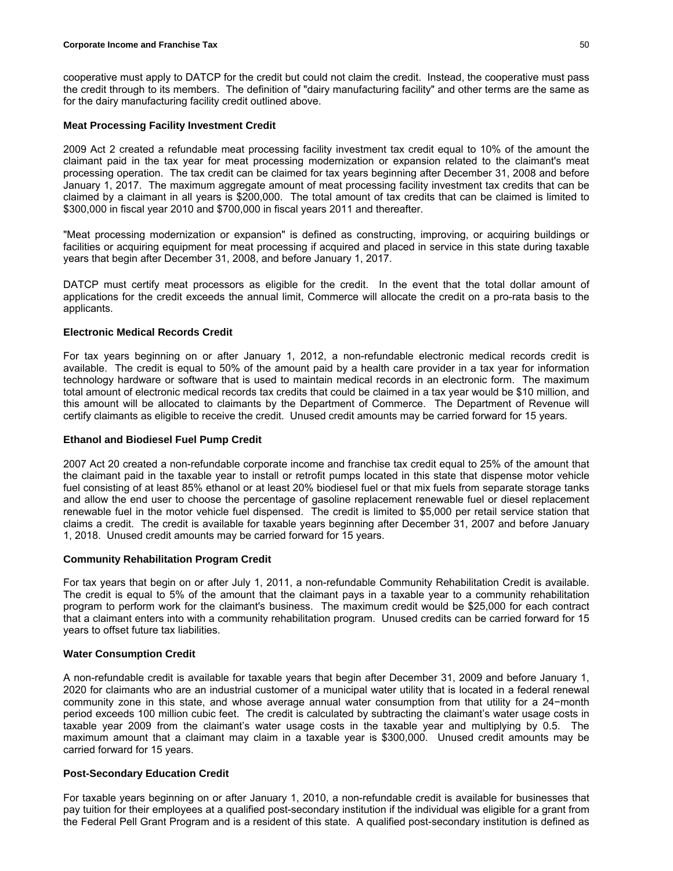cooperative must apply to DATCP for the credit but could not claim the credit. Instead, the cooperative must pass the credit through to its members. The definition of "dairy manufacturing facility" and other terms are the same as for the dairy manufacturing facility credit outlined above.

### **Meat Processing Facility Investment Credit**

2009 Act 2 created a refundable meat processing facility investment tax credit equal to 10% of the amount the claimant paid in the tax year for meat processing modernization or expansion related to the claimant's meat processing operation. The tax credit can be claimed for tax years beginning after December 31, 2008 and before January 1, 2017. The maximum aggregate amount of meat processing facility investment tax credits that can be claimed by a claimant in all years is \$200,000. The total amount of tax credits that can be claimed is limited to \$300,000 in fiscal year 2010 and \$700,000 in fiscal years 2011 and thereafter.

"Meat processing modernization or expansion" is defined as constructing, improving, or acquiring buildings or facilities or acquiring equipment for meat processing if acquired and placed in service in this state during taxable years that begin after December 31, 2008, and before January 1, 2017.

DATCP must certify meat processors as eligible for the credit. In the event that the total dollar amount of applications for the credit exceeds the annual limit, Commerce will allocate the credit on a pro-rata basis to the applicants.

# **Electronic Medical Records Credit**

For tax years beginning on or after January 1, 2012, a non-refundable electronic medical records credit is available. The credit is equal to 50% of the amount paid by a health care provider in a tax year for information technology hardware or software that is used to maintain medical records in an electronic form. The maximum total amount of electronic medical records tax credits that could be claimed in a tax year would be \$10 million, and this amount will be allocated to claimants by the Department of Commerce. The Department of Revenue will certify claimants as eligible to receive the credit. Unused credit amounts may be carried forward for 15 years.

#### **Ethanol and Biodiesel Fuel Pump Credit**

2007 Act 20 created a non-refundable corporate income and franchise tax credit equal to 25% of the amount that the claimant paid in the taxable year to install or retrofit pumps located in this state that dispense motor vehicle fuel consisting of at least 85% ethanol or at least 20% biodiesel fuel or that mix fuels from separate storage tanks and allow the end user to choose the percentage of gasoline replacement renewable fuel or diesel replacement renewable fuel in the motor vehicle fuel dispensed. The credit is limited to \$5,000 per retail service station that claims a credit. The credit is available for taxable years beginning after December 31, 2007 and before January 1, 2018. Unused credit amounts may be carried forward for 15 years.

#### **Community Rehabilitation Program Credit**

For tax years that begin on or after July 1, 2011, a non-refundable Community Rehabilitation Credit is available. The credit is equal to 5% of the amount that the claimant pays in a taxable year to a community rehabilitation program to perform work for the claimant's business. The maximum credit would be \$25,000 for each contract that a claimant enters into with a community rehabilitation program. Unused credits can be carried forward for 15 years to offset future tax liabilities.

# **Water Consumption Credit**

A non-refundable credit is available for taxable years that begin after December 31, 2009 and before January 1, 2020 for claimants who are an industrial customer of a municipal water utility that is located in a federal renewal community zone in this state, and whose average annual water consumption from that utility for a 24−month period exceeds 100 million cubic feet. The credit is calculated by subtracting the claimant's water usage costs in taxable year 2009 from the claimant's water usage costs in the taxable year and multiplying by 0.5. The maximum amount that a claimant may claim in a taxable year is \$300,000. Unused credit amounts may be carried forward for 15 years.

### **Post-Secondary Education Credit**

For taxable years beginning on or after January 1, 2010, a non-refundable credit is available for businesses that pay tuition for their employees at a qualified post-secondary institution if the individual was eligible for a grant from the Federal Pell Grant Program and is a resident of this state. A qualified post-secondary institution is defined as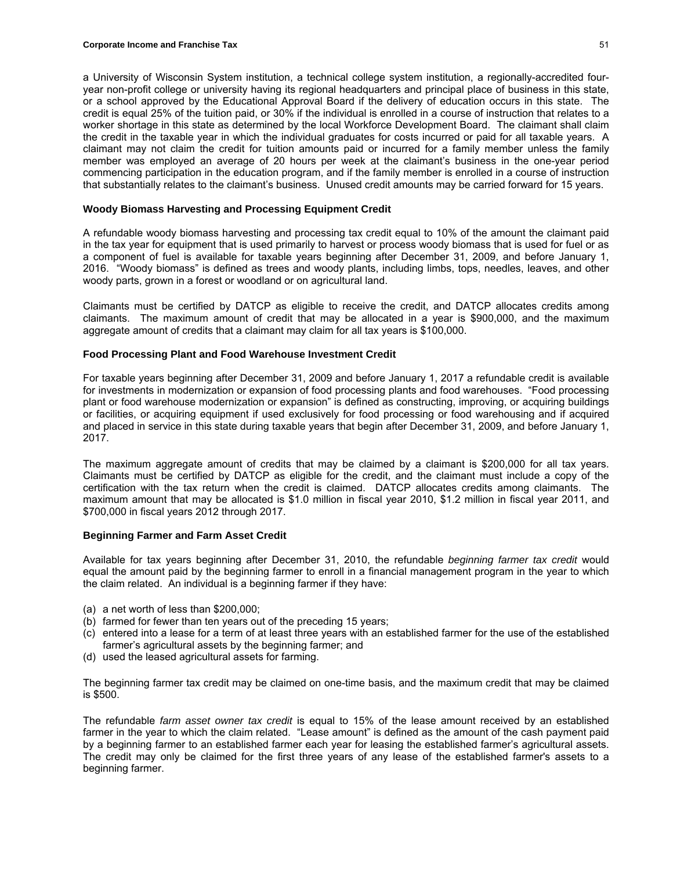a University of Wisconsin System institution, a technical college system institution, a regionally-accredited fouryear non-profit college or university having its regional headquarters and principal place of business in this state, or a school approved by the Educational Approval Board if the delivery of education occurs in this state. The credit is equal 25% of the tuition paid, or 30% if the individual is enrolled in a course of instruction that relates to a worker shortage in this state as determined by the local Workforce Development Board. The claimant shall claim the credit in the taxable year in which the individual graduates for costs incurred or paid for all taxable years. A claimant may not claim the credit for tuition amounts paid or incurred for a family member unless the family member was employed an average of 20 hours per week at the claimant's business in the one-year period commencing participation in the education program, and if the family member is enrolled in a course of instruction that substantially relates to the claimant's business. Unused credit amounts may be carried forward for 15 years.

### **Woody Biomass Harvesting and Processing Equipment Credit**

A refundable woody biomass harvesting and processing tax credit equal to 10% of the amount the claimant paid in the tax year for equipment that is used primarily to harvest or process woody biomass that is used for fuel or as a component of fuel is available for taxable years beginning after December 31, 2009, and before January 1, 2016. "Woody biomass" is defined as trees and woody plants, including limbs, tops, needles, leaves, and other woody parts, grown in a forest or woodland or on agricultural land.

Claimants must be certified by DATCP as eligible to receive the credit, and DATCP allocates credits among claimants. The maximum amount of credit that may be allocated in a year is \$900,000, and the maximum aggregate amount of credits that a claimant may claim for all tax years is \$100,000.

### **Food Processing Plant and Food Warehouse Investment Credit**

For taxable years beginning after December 31, 2009 and before January 1, 2017 a refundable credit is available for investments in modernization or expansion of food processing plants and food warehouses. "Food processing plant or food warehouse modernization or expansion" is defined as constructing, improving, or acquiring buildings or facilities, or acquiring equipment if used exclusively for food processing or food warehousing and if acquired and placed in service in this state during taxable years that begin after December 31, 2009, and before January 1, 2017.

The maximum aggregate amount of credits that may be claimed by a claimant is \$200,000 for all tax years. Claimants must be certified by DATCP as eligible for the credit, and the claimant must include a copy of the certification with the tax return when the credit is claimed. DATCP allocates credits among claimants. The maximum amount that may be allocated is \$1.0 million in fiscal year 2010, \$1.2 million in fiscal year 2011, and \$700,000 in fiscal years 2012 through 2017.

# **Beginning Farmer and Farm Asset Credit**

Available for tax years beginning after December 31, 2010, the refundable *beginning farmer tax credit* would equal the amount paid by the beginning farmer to enroll in a financial management program in the year to which the claim related. An individual is a beginning farmer if they have:

- (a) a net worth of less than \$200,000;
- (b) farmed for fewer than ten years out of the preceding 15 years;
- (c) entered into a lease for a term of at least three years with an established farmer for the use of the established farmer's agricultural assets by the beginning farmer; and
- (d) used the leased agricultural assets for farming.

The beginning farmer tax credit may be claimed on one-time basis, and the maximum credit that may be claimed is \$500.

The refundable *farm asset owner tax credit* is equal to 15% of the lease amount received by an established farmer in the year to which the claim related. "Lease amount" is defined as the amount of the cash payment paid by a beginning farmer to an established farmer each year for leasing the established farmer's agricultural assets. The credit may only be claimed for the first three years of any lease of the established farmer's assets to a beginning farmer.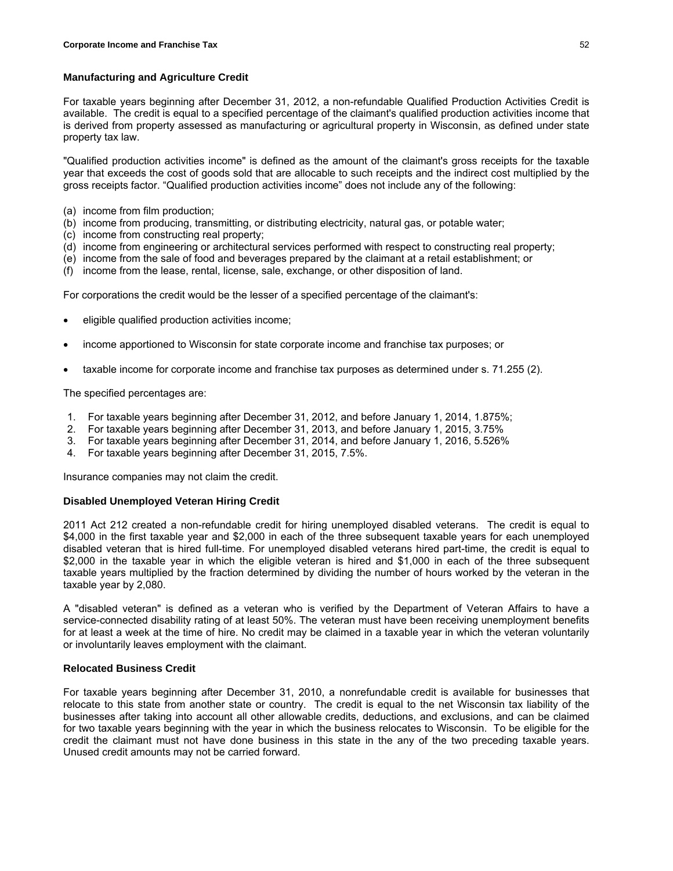### **Manufacturing and Agriculture Credit**

For taxable years beginning after December 31, 2012, a non-refundable Qualified Production Activities Credit is available. The credit is equal to a specified percentage of the claimant's qualified production activities income that is derived from property assessed as manufacturing or agricultural property in Wisconsin, as defined under state property tax law.

"Qualified production activities income" is defined as the amount of the claimant's gross receipts for the taxable year that exceeds the cost of goods sold that are allocable to such receipts and the indirect cost multiplied by the gross receipts factor. "Qualified production activities income" does not include any of the following:

- (a) income from film production;
- (b) income from producing, transmitting, or distributing electricity, natural gas, or potable water;
- (c) income from constructing real property;
- (d) income from engineering or architectural services performed with respect to constructing real property;
- (e) income from the sale of food and beverages prepared by the claimant at a retail establishment; or
- (f) income from the lease, rental, license, sale, exchange, or other disposition of land.

For corporations the credit would be the lesser of a specified percentage of the claimant's:

- eligible qualified production activities income;
- income apportioned to Wisconsin for state corporate income and franchise tax purposes; or
- taxable income for corporate income and franchise tax purposes as determined under s. 71.255 (2).

The specified percentages are:

- 1. For taxable years beginning after December 31, 2012, and before January 1, 2014, 1.875%;
- 2. For taxable years beginning after December 31, 2013, and before January 1, 2015, 3.75%
- 3. For taxable years beginning after December 31, 2014, and before January 1, 2016, 5.526%
- 4. For taxable years beginning after December 31, 2015, 7.5%.

Insurance companies may not claim the credit.

### **Disabled Unemployed Veteran Hiring Credit**

2011 Act 212 created a non-refundable credit for hiring unemployed disabled veterans. The credit is equal to \$4,000 in the first taxable year and \$2,000 in each of the three subsequent taxable years for each unemployed disabled veteran that is hired full-time. For unemployed disabled veterans hired part-time, the credit is equal to \$2,000 in the taxable year in which the eligible veteran is hired and \$1,000 in each of the three subsequent taxable years multiplied by the fraction determined by dividing the number of hours worked by the veteran in the taxable year by 2,080.

A "disabled veteran" is defined as a veteran who is verified by the Department of Veteran Affairs to have a service-connected disability rating of at least 50%. The veteran must have been receiving unemployment benefits for at least a week at the time of hire. No credit may be claimed in a taxable year in which the veteran voluntarily or involuntarily leaves employment with the claimant.

# **Relocated Business Credit**

For taxable years beginning after December 31, 2010, a nonrefundable credit is available for businesses that relocate to this state from another state or country. The credit is equal to the net Wisconsin tax liability of the businesses after taking into account all other allowable credits, deductions, and exclusions, and can be claimed for two taxable years beginning with the year in which the business relocates to Wisconsin. To be eligible for the credit the claimant must not have done business in this state in the any of the two preceding taxable years. Unused credit amounts may not be carried forward.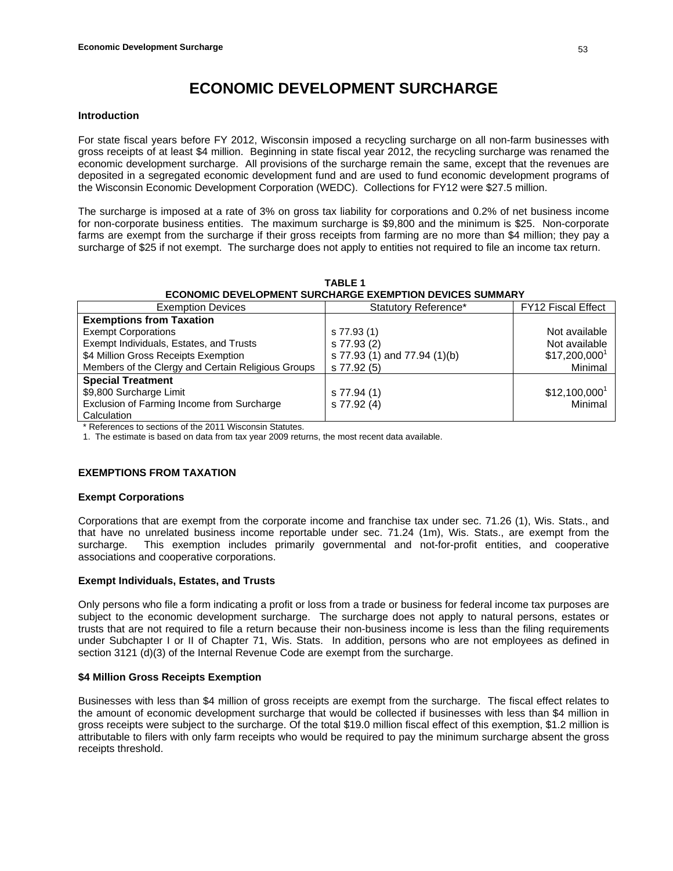# **ECONOMIC DEVELOPMENT SURCHARGE**

#### **Introduction**

For state fiscal years before FY 2012, Wisconsin imposed a recycling surcharge on all non-farm businesses with gross receipts of at least \$4 million. Beginning in state fiscal year 2012, the recycling surcharge was renamed the economic development surcharge. All provisions of the surcharge remain the same, except that the revenues are deposited in a segregated economic development fund and are used to fund economic development programs of the Wisconsin Economic Development Corporation (WEDC). Collections for FY12 were \$27.5 million.

The surcharge is imposed at a rate of 3% on gross tax liability for corporations and 0.2% of net business income for non-corporate business entities. The maximum surcharge is \$9,800 and the minimum is \$25. Non-corporate farms are exempt from the surcharge if their gross receipts from farming are no more than \$4 million; they pay a surcharge of \$25 if not exempt. The surcharge does not apply to entities not required to file an income tax return.

| <b>ECONOMIC DEVELOPMENT SURCHARGE EXEMPTION DEVICES SUMMARY</b> |                              |                            |  |
|-----------------------------------------------------------------|------------------------------|----------------------------|--|
| <b>Exemption Devices</b>                                        | Statutory Reference*         | <b>FY12 Fiscal Effect</b>  |  |
| <b>Exemptions from Taxation</b>                                 |                              |                            |  |
| <b>Exempt Corporations</b>                                      | s 77.93 (1)                  | Not available              |  |
| Exempt Individuals, Estates, and Trusts                         | s 77.93 (2)                  | Not available              |  |
| \$4 Million Gross Receipts Exemption                            | s 77.93 (1) and 77.94 (1)(b) | $$17,200,000$ <sup>1</sup> |  |
| Members of the Clergy and Certain Religious Groups              | s 77.92 (5)                  | Minimal                    |  |
| <b>Special Treatment</b>                                        |                              |                            |  |
| \$9,800 Surcharge Limit                                         | s 77.94 (1)                  | $$12,100,000^1$            |  |
| Exclusion of Farming Income from Surcharge                      | s 77.92 (4)                  | Minimal                    |  |
| Calculation                                                     |                              |                            |  |

**TABLE 1** 

\* References to sections of the 2011 Wisconsin Statutes.

1. The estimate is based on data from tax year 2009 returns, the most recent data available.

#### **EXEMPTIONS FROM TAXATION**

#### **Exempt Corporations**

Corporations that are exempt from the corporate income and franchise tax under sec. 71.26 (1), Wis. Stats., and that have no unrelated business income reportable under sec. 71.24 (1m), Wis. Stats., are exempt from the surcharge. This exemption includes primarily governmental and not-for-profit entities, and cooperative associations and cooperative corporations.

# **Exempt Individuals, Estates, and Trusts**

Only persons who file a form indicating a profit or loss from a trade or business for federal income tax purposes are subject to the economic development surcharge. The surcharge does not apply to natural persons, estates or trusts that are not required to file a return because their non-business income is less than the filing requirements under Subchapter I or II of Chapter 71, Wis. Stats. In addition, persons who are not employees as defined in section 3121 (d)(3) of the Internal Revenue Code are exempt from the surcharge.

# **\$4 Million Gross Receipts Exemption**

Businesses with less than \$4 million of gross receipts are exempt from the surcharge. The fiscal effect relates to the amount of economic development surcharge that would be collected if businesses with less than \$4 million in gross receipts were subject to the surcharge. Of the total \$19.0 million fiscal effect of this exemption, \$1.2 million is attributable to filers with only farm receipts who would be required to pay the minimum surcharge absent the gross receipts threshold.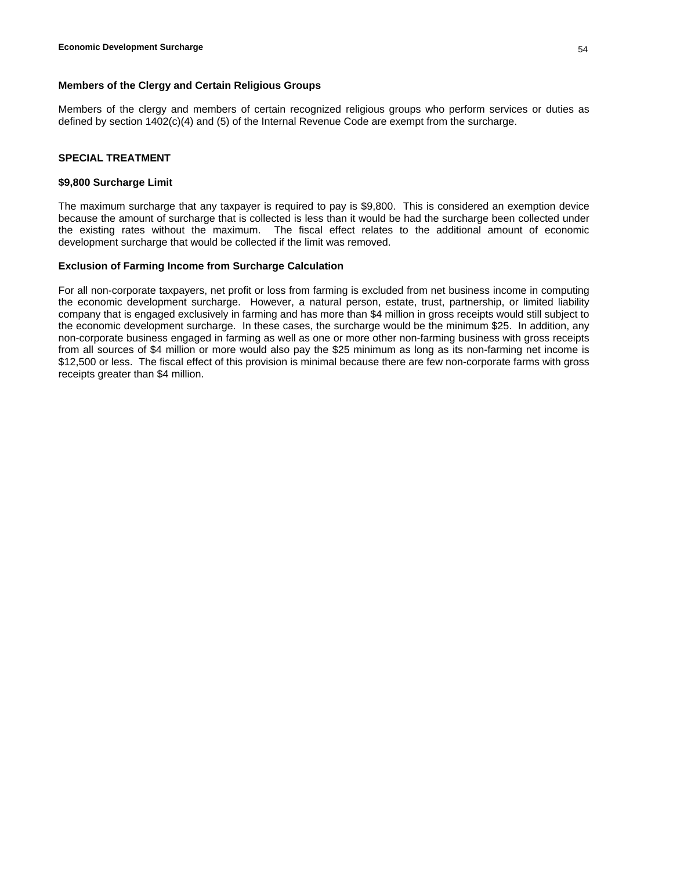# **Members of the Clergy and Certain Religious Groups**

Members of the clergy and members of certain recognized religious groups who perform services or duties as defined by section 1402(c)(4) and (5) of the Internal Revenue Code are exempt from the surcharge.

### **SPECIAL TREATMENT**

### **\$9,800 Surcharge Limit**

The maximum surcharge that any taxpayer is required to pay is \$9,800. This is considered an exemption device because the amount of surcharge that is collected is less than it would be had the surcharge been collected under the existing rates without the maximum. The fiscal effect relates to the additional amount of economic development surcharge that would be collected if the limit was removed.

### **Exclusion of Farming Income from Surcharge Calculation**

For all non-corporate taxpayers, net profit or loss from farming is excluded from net business income in computing the economic development surcharge. However, a natural person, estate, trust, partnership, or limited liability company that is engaged exclusively in farming and has more than \$4 million in gross receipts would still subject to the economic development surcharge. In these cases, the surcharge would be the minimum \$25. In addition, any non-corporate business engaged in farming as well as one or more other non-farming business with gross receipts from all sources of \$4 million or more would also pay the \$25 minimum as long as its non-farming net income is \$12,500 or less. The fiscal effect of this provision is minimal because there are few non-corporate farms with gross receipts greater than \$4 million.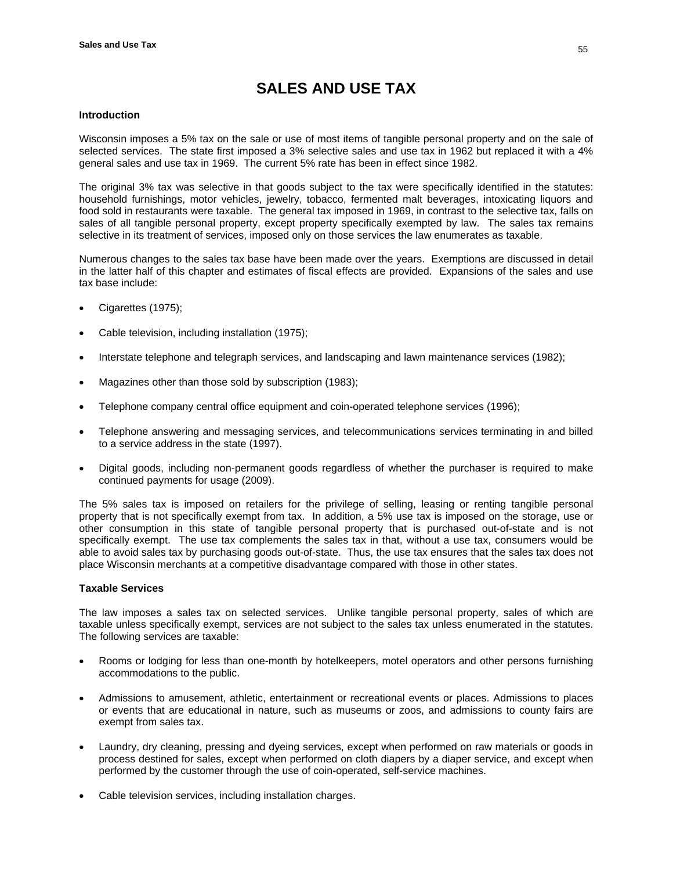# **SALES AND USE TAX**

### **Introduction**

Wisconsin imposes a 5% tax on the sale or use of most items of tangible personal property and on the sale of selected services. The state first imposed a 3% selective sales and use tax in 1962 but replaced it with a 4% general sales and use tax in 1969. The current 5% rate has been in effect since 1982.

The original 3% tax was selective in that goods subject to the tax were specifically identified in the statutes: household furnishings, motor vehicles, jewelry, tobacco, fermented malt beverages, intoxicating liquors and food sold in restaurants were taxable. The general tax imposed in 1969, in contrast to the selective tax, falls on sales of all tangible personal property, except property specifically exempted by law. The sales tax remains selective in its treatment of services, imposed only on those services the law enumerates as taxable.

Numerous changes to the sales tax base have been made over the years. Exemptions are discussed in detail in the latter half of this chapter and estimates of fiscal effects are provided. Expansions of the sales and use tax base include:

- Cigarettes (1975);
- Cable television, including installation (1975);
- Interstate telephone and telegraph services, and landscaping and lawn maintenance services (1982);
- Magazines other than those sold by subscription (1983);
- Telephone company central office equipment and coin-operated telephone services (1996);
- Telephone answering and messaging services, and telecommunications services terminating in and billed to a service address in the state (1997).
- Digital goods, including non-permanent goods regardless of whether the purchaser is required to make continued payments for usage (2009).

The 5% sales tax is imposed on retailers for the privilege of selling, leasing or renting tangible personal property that is not specifically exempt from tax. In addition, a 5% use tax is imposed on the storage, use or other consumption in this state of tangible personal property that is purchased out-of-state and is not specifically exempt. The use tax complements the sales tax in that, without a use tax, consumers would be able to avoid sales tax by purchasing goods out-of-state. Thus, the use tax ensures that the sales tax does not place Wisconsin merchants at a competitive disadvantage compared with those in other states.

### **Taxable Services**

The law imposes a sales tax on selected services. Unlike tangible personal property, sales of which are taxable unless specifically exempt, services are not subject to the sales tax unless enumerated in the statutes. The following services are taxable:

- Rooms or lodging for less than one-month by hotelkeepers, motel operators and other persons furnishing accommodations to the public.
- Admissions to amusement, athletic, entertainment or recreational events or places. Admissions to places or events that are educational in nature, such as museums or zoos, and admissions to county fairs are exempt from sales tax.
- Laundry, dry cleaning, pressing and dyeing services, except when performed on raw materials or goods in process destined for sales, except when performed on cloth diapers by a diaper service, and except when performed by the customer through the use of coin-operated, self-service machines.
- Cable television services, including installation charges.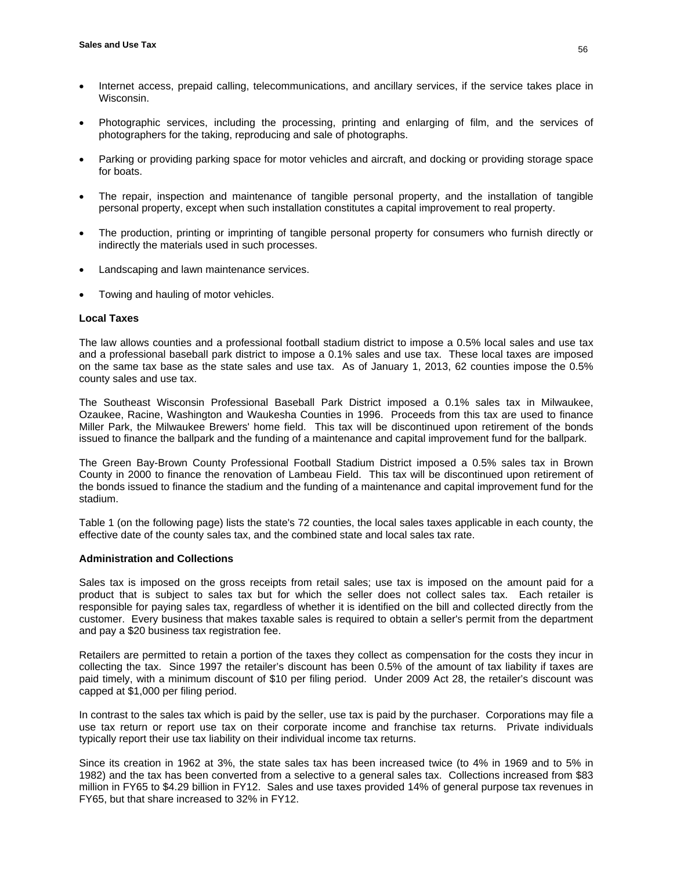- Internet access, prepaid calling, telecommunications, and ancillary services, if the service takes place in Wisconsin.
- Photographic services, including the processing, printing and enlarging of film, and the services of photographers for the taking, reproducing and sale of photographs.
- Parking or providing parking space for motor vehicles and aircraft, and docking or providing storage space for boats.
- The repair, inspection and maintenance of tangible personal property, and the installation of tangible personal property, except when such installation constitutes a capital improvement to real property.
- The production, printing or imprinting of tangible personal property for consumers who furnish directly or indirectly the materials used in such processes.
- Landscaping and lawn maintenance services.
- Towing and hauling of motor vehicles.

### **Local Taxes**

The law allows counties and a professional football stadium district to impose a 0.5% local sales and use tax and a professional baseball park district to impose a 0.1% sales and use tax. These local taxes are imposed on the same tax base as the state sales and use tax. As of January 1, 2013, 62 counties impose the 0.5% county sales and use tax.

The Southeast Wisconsin Professional Baseball Park District imposed a 0.1% sales tax in Milwaukee, Ozaukee, Racine, Washington and Waukesha Counties in 1996. Proceeds from this tax are used to finance Miller Park, the Milwaukee Brewers' home field. This tax will be discontinued upon retirement of the bonds issued to finance the ballpark and the funding of a maintenance and capital improvement fund for the ballpark.

The Green Bay-Brown County Professional Football Stadium District imposed a 0.5% sales tax in Brown County in 2000 to finance the renovation of Lambeau Field. This tax will be discontinued upon retirement of the bonds issued to finance the stadium and the funding of a maintenance and capital improvement fund for the stadium.

Table 1 (on the following page) lists the state's 72 counties, the local sales taxes applicable in each county, the effective date of the county sales tax, and the combined state and local sales tax rate.

### **Administration and Collections**

Sales tax is imposed on the gross receipts from retail sales; use tax is imposed on the amount paid for a product that is subject to sales tax but for which the seller does not collect sales tax. Each retailer is responsible for paying sales tax, regardless of whether it is identified on the bill and collected directly from the customer. Every business that makes taxable sales is required to obtain a seller's permit from the department and pay a \$20 business tax registration fee.

Retailers are permitted to retain a portion of the taxes they collect as compensation for the costs they incur in collecting the tax. Since 1997 the retailer's discount has been 0.5% of the amount of tax liability if taxes are paid timely, with a minimum discount of \$10 per filing period. Under 2009 Act 28, the retailer's discount was capped at \$1,000 per filing period.

In contrast to the sales tax which is paid by the seller, use tax is paid by the purchaser. Corporations may file a use tax return or report use tax on their corporate income and franchise tax returns. Private individuals typically report their use tax liability on their individual income tax returns.

Since its creation in 1962 at 3%, the state sales tax has been increased twice (to 4% in 1969 and to 5% in 1982) and the tax has been converted from a selective to a general sales tax. Collections increased from \$83 million in FY65 to \$4.29 billion in FY12. Sales and use taxes provided 14% of general purpose tax revenues in FY65, but that share increased to 32% in FY12.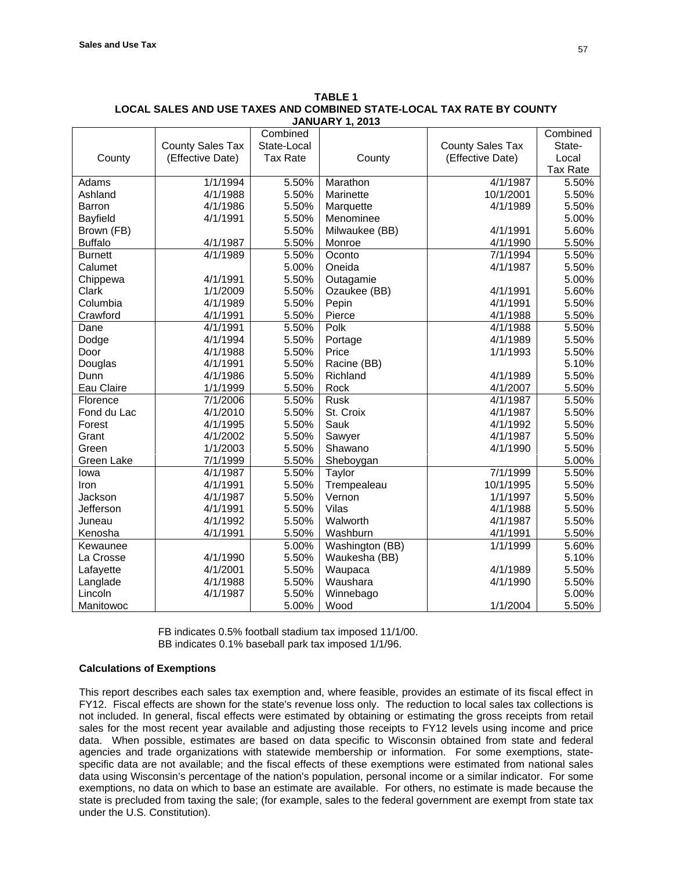|                |                         | Combined        |                 |                  | Combined        |
|----------------|-------------------------|-----------------|-----------------|------------------|-----------------|
|                | <b>County Sales Tax</b> | State-Local     |                 | County Sales Tax | State-          |
| County         | (Effective Date)        | <b>Tax Rate</b> | County          | (Effective Date) | Local           |
|                |                         |                 |                 |                  | <b>Tax Rate</b> |
| Adams          | 1/1/1994                | 5.50%           | Marathon        | 4/1/1987         | 5.50%           |
| Ashland        | 4/1/1988                | 5.50%           | Marinette       | 10/1/2001        | 5.50%           |
| Barron         | 4/1/1986                | 5.50%           | Marquette       | 4/1/1989         | 5.50%           |
| Bayfield       | 4/1/1991                | 5.50%           | Menominee       |                  | 5.00%           |
| Brown (FB)     |                         | 5.50%           | Milwaukee (BB)  | 4/1/1991         | 5.60%           |
| <b>Buffalo</b> | 4/1/1987                | 5.50%           | Monroe          | 4/1/1990         | 5.50%           |
| <b>Burnett</b> | 4/1/1989                | 5.50%           | Oconto          | 7/1/1994         | 5.50%           |
| Calumet        |                         | 5.00%           | Oneida          | 4/1/1987         | 5.50%           |
| Chippewa       | 4/1/1991                | 5.50%           | Outagamie       |                  | 5.00%           |
| Clark          | 1/1/2009                | 5.50%           | Ozaukee (BB)    | 4/1/1991         | 5.60%           |
| Columbia       | 4/1/1989                | 5.50%           | Pepin           | 4/1/1991         | 5.50%           |
| Crawford       | 4/1/1991                | 5.50%           | Pierce          | 4/1/1988         | 5.50%           |
| Dane           | 4/1/1991                | 5.50%           | Polk            | 4/1/1988         | 5.50%           |
| Dodge          | 4/1/1994                | 5.50%           | Portage         | 4/1/1989         | 5.50%           |
| Door           | 4/1/1988                | 5.50%           | Price           | 1/1/1993         | 5.50%           |
| Douglas        | 4/1/1991                | 5.50%           | Racine (BB)     |                  | 5.10%           |
| Dunn           | 4/1/1986                | 5.50%           | Richland        | 4/1/1989         | 5.50%           |
| Eau Claire     | 1/1/1999                | 5.50%           | Rock            | 4/1/2007         | 5.50%           |
| Florence       | 7/1/2006                | 5.50%           | <b>Rusk</b>     | 4/1/1987         | 5.50%           |
| Fond du Lac    | 4/1/2010                | 5.50%           | St. Croix       | 4/1/1987         | 5.50%           |
| Forest         | 4/1/1995                | 5.50%           | Sauk            | 4/1/1992         | 5.50%           |
| Grant          | 4/1/2002                | 5.50%           | Sawyer          | 4/1/1987         | 5.50%           |
| Green          | 1/1/2003                | 5.50%           | Shawano         | 4/1/1990         | 5.50%           |
| Green Lake     | 7/1/1999                | 5.50%           | Sheboygan       |                  | 5.00%           |
| lowa           | $\frac{1}{4}$ 1/1987    | 5.50%           | Taylor          | 7/1/1999         | 5.50%           |
| Iron           | 4/1/1991                | 5.50%           | Trempealeau     | 10/1/1995        | 5.50%           |
| Jackson        | 4/1/1987                | 5.50%           | Vernon          | 1/1/1997         | 5.50%           |
| Jefferson      | 4/1/1991                | 5.50%           | Vilas           | 4/1/1988         | 5.50%           |
| Juneau         | 4/1/1992                | 5.50%           | Walworth        | 4/1/1987         | 5.50%           |
| Kenosha        | 4/1/1991                | 5.50%           | Washburn        | 4/1/1991         | 5.50%           |
| Kewaunee       |                         | 5.00%           | Washington (BB) | 1/1/1999         | 5.60%           |
| La Crosse      | 4/1/1990                | 5.50%           | Waukesha (BB)   |                  | 5.10%           |
| Lafayette      | 4/1/2001                | 5.50%           | Waupaca         | 4/1/1989         | 5.50%           |
| Langlade       | 4/1/1988                | 5.50%           | Waushara        | 4/1/1990         | 5.50%           |
| Lincoln        | 4/1/1987                | 5.50%           | Winnebago       |                  | 5.00%           |
| Manitowoc      |                         | 5.00%           | Wood            | 1/1/2004         | 5.50%           |

| <b>TABLE 1</b>                                                        |
|-----------------------------------------------------------------------|
| LOCAL SALES AND USE TAXES AND COMBINED STATE-LOCAL TAX RATE BY COUNTY |
| <b>JANUARY 1. 2013</b>                                                |

FB indicates 0.5% football stadium tax imposed 11/1/00. BB indicates 0.1% baseball park tax imposed 1/1/96.

# **Calculations of Exemptions**

This report describes each sales tax exemption and, where feasible, provides an estimate of its fiscal effect in FY12. Fiscal effects are shown for the state's revenue loss only. The reduction to local sales tax collections is not included. In general, fiscal effects were estimated by obtaining or estimating the gross receipts from retail sales for the most recent year available and adjusting those receipts to FY12 levels using income and price data. When possible, estimates are based on data specific to Wisconsin obtained from state and federal agencies and trade organizations with statewide membership or information. For some exemptions, statespecific data are not available; and the fiscal effects of these exemptions were estimated from national sales data using Wisconsin's percentage of the nation's population, personal income or a similar indicator. For some exemptions, no data on which to base an estimate are available. For others, no estimate is made because the state is precluded from taxing the sale; (for example, sales to the federal government are exempt from state tax under the U.S. Constitution).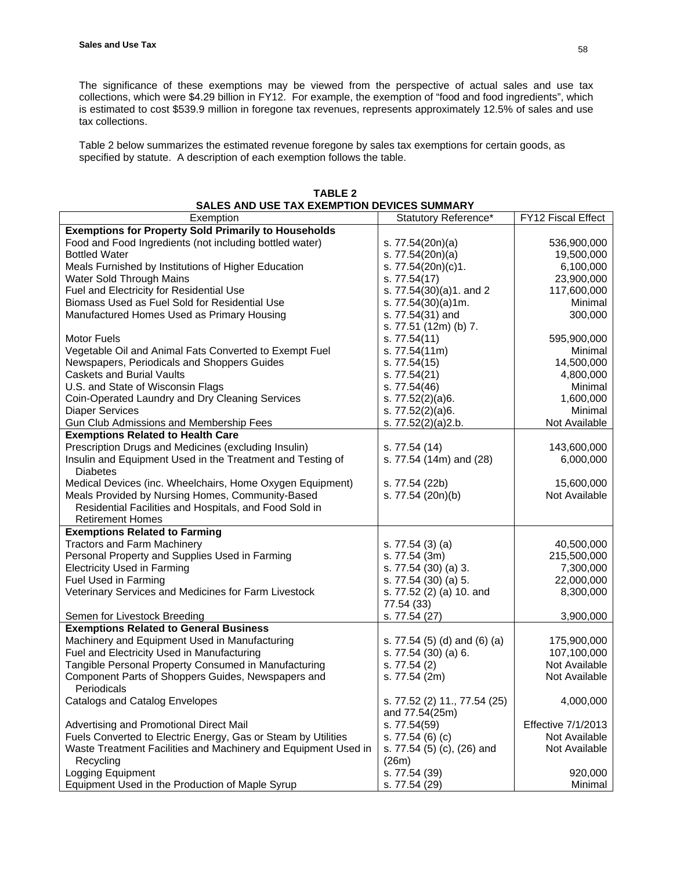The significance of these exemptions may be viewed from the perspective of actual sales and use tax collections, which were \$4.29 billion in FY12. For example, the exemption of "food and food ingredients", which is estimated to cost \$539.9 million in foregone tax revenues, represents approximately 12.5% of sales and use tax collections.

Table 2 below summarizes the estimated revenue foregone by sales tax exemptions for certain goods, as specified by statute. A description of each exemption follows the table.

| SALES AND USE TAX EXEMPTION DEVICES SUMMARY                    |                                                |                    |  |
|----------------------------------------------------------------|------------------------------------------------|--------------------|--|
| Exemption                                                      | Statutory Reference*                           | FY12 Fiscal Effect |  |
| <b>Exemptions for Property Sold Primarily to Households</b>    |                                                |                    |  |
| Food and Food Ingredients (not including bottled water)        | s. 77.54(20n)(a)                               | 536,900,000        |  |
| <b>Bottled Water</b>                                           | s. 77.54(20n)(a)                               | 19,500,000         |  |
| Meals Furnished by Institutions of Higher Education            | s. 77.54(20n)(c)1.                             | 6,100,000          |  |
| Water Sold Through Mains                                       | s. 77.54(17)                                   | 23,900,000         |  |
| Fuel and Electricity for Residential Use                       | s. 77.54(30)(a)1. and 2                        | 117,600,000        |  |
| Biomass Used as Fuel Sold for Residential Use                  | s. 77.54(30)(a)1m.                             | Minimal            |  |
| Manufactured Homes Used as Primary Housing                     | s. 77.54(31) and                               | 300,000            |  |
|                                                                | s. 77.51 (12m) (b) 7.                          |                    |  |
| <b>Motor Fuels</b>                                             | s. 77.54(11)                                   | 595,900,000        |  |
| Vegetable Oil and Animal Fats Converted to Exempt Fuel         | s. 77.54(11m)                                  | Minimal            |  |
| Newspapers, Periodicals and Shoppers Guides                    | s. 77.54(15)                                   | 14,500,000         |  |
| <b>Caskets and Burial Vaults</b>                               | s. 77.54(21)                                   | 4,800,000          |  |
| U.S. and State of Wisconsin Flags                              | s. 77.54(46)                                   | Minimal            |  |
|                                                                |                                                | 1,600,000          |  |
| Coin-Operated Laundry and Dry Cleaning Services                | s. 77.52(2)(a)6.                               |                    |  |
| <b>Diaper Services</b>                                         | s. 77.52(2)(a)6.                               | Minimal            |  |
| Gun Club Admissions and Membership Fees                        | s. 77.52(2)(a)2.b.                             | Not Available      |  |
| <b>Exemptions Related to Health Care</b>                       |                                                |                    |  |
| Prescription Drugs and Medicines (excluding Insulin)           | s. 77.54 (14)                                  | 143,600,000        |  |
| Insulin and Equipment Used in the Treatment and Testing of     | s. 77.54 (14m) and (28)                        | 6,000,000          |  |
| <b>Diabetes</b>                                                |                                                |                    |  |
| Medical Devices (inc. Wheelchairs, Home Oxygen Equipment)      | s. 77.54 (22b)                                 | 15,600,000         |  |
| Meals Provided by Nursing Homes, Community-Based               | s. 77.54 (20n)(b)                              | Not Available      |  |
| Residential Facilities and Hospitals, and Food Sold in         |                                                |                    |  |
| <b>Retirement Homes</b>                                        |                                                |                    |  |
| <b>Exemptions Related to Farming</b>                           |                                                |                    |  |
| <b>Tractors and Farm Machinery</b>                             | s. 77.54 (3) (a)                               | 40,500,000         |  |
| Personal Property and Supplies Used in Farming                 | s. 77.54 (3m)                                  | 215,500,000        |  |
| <b>Electricity Used in Farming</b>                             | s. 77.54 (30) (a) 3.                           | 7,300,000          |  |
| Fuel Used in Farming                                           | s. 77.54 (30) (a) 5.                           | 22,000,000         |  |
| Veterinary Services and Medicines for Farm Livestock           | s. 77.52 (2) (a) 10. and                       | 8,300,000          |  |
|                                                                | 77.54 (33)                                     |                    |  |
| Semen for Livestock Breeding                                   | s. 77.54 (27)                                  | 3,900,000          |  |
| <b>Exemptions Related to General Business</b>                  |                                                |                    |  |
| Machinery and Equipment Used in Manufacturing                  | s. 77.54 (5) (d) and (6) (a)                   | 175,900,000        |  |
| Fuel and Electricity Used in Manufacturing                     | s. 77.54 (30) (a) 6.                           | 107,100,000        |  |
| Tangible Personal Property Consumed in Manufacturing           | s. 77.54 (2)                                   | Not Available      |  |
|                                                                |                                                |                    |  |
| Component Parts of Shoppers Guides, Newspapers and             | s. 77.54 (2m)                                  | Not Available      |  |
| Periodicals                                                    |                                                |                    |  |
| Catalogs and Catalog Envelopes                                 | s. 77.52 (2) 11., 77.54 (25)<br>and 77.54(25m) | 4,000,000          |  |
| Advertising and Promotional Direct Mail                        | s. 77.54(59)                                   | Effective 7/1/2013 |  |
| Fuels Converted to Electric Energy, Gas or Steam by Utilities  | s. 77.54 (6) (c)                               | Not Available      |  |
| Waste Treatment Facilities and Machinery and Equipment Used in | s. 77.54 (5) (c), (26) and                     | Not Available      |  |
| Recycling                                                      | (26m)                                          |                    |  |
| Logging Equipment                                              | s. 77.54 (39)                                  | 920,000            |  |
| Equipment Used in the Production of Maple Syrup                | s. 77.54 (29)                                  | Minimal            |  |
|                                                                |                                                |                    |  |

**TABLE 2 SALES AND USE TAX EXEMPTION DEVICES SUMMARY**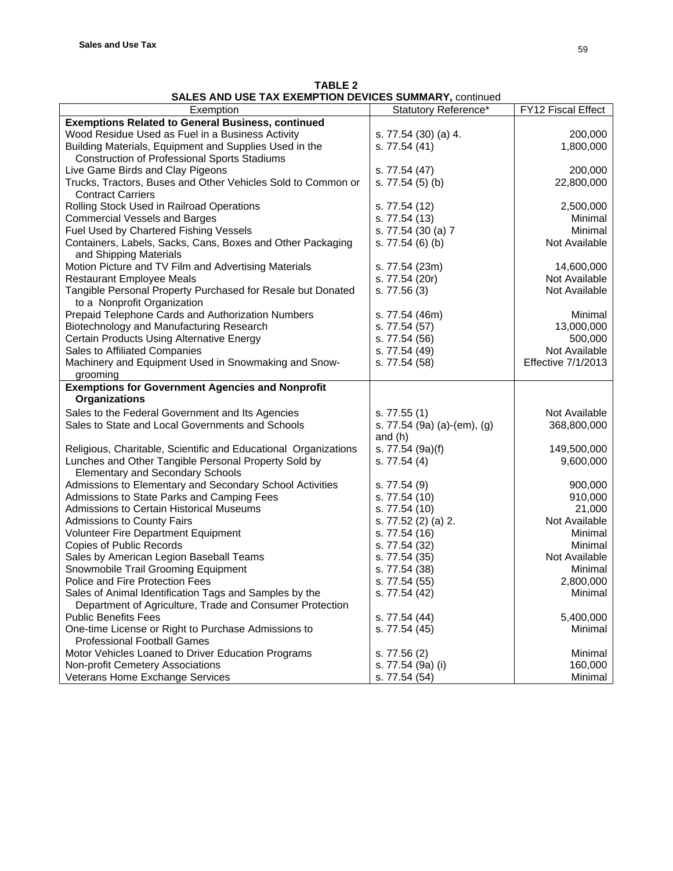| <b>TABLE 2</b>                                         |  |
|--------------------------------------------------------|--|
| SALES AND USE TAX EXEMPTION DEVICES SUMMARY, continued |  |

| <b>Exemptions Related to General Business, continued</b><br>Wood Residue Used as Fuel in a Business Activity<br>200,000<br>s. 77.54 (30) (a) 4.<br>1,800,000<br>Building Materials, Equipment and Supplies Used in the<br>s. 77.54 (41)<br><b>Construction of Professional Sports Stadiums</b><br>Live Game Birds and Clay Pigeons<br>s. 77.54 (47)<br>200,000<br>Trucks, Tractors, Buses and Other Vehicles Sold to Common or<br>s. 77.54 (5) (b)<br>22,800,000<br><b>Contract Carriers</b><br>Rolling Stock Used in Railroad Operations<br>2,500,000<br>s. 77.54 (12)<br><b>Commercial Vessels and Barges</b><br>s. 77.54 (13)<br>Minimal<br>Fuel Used by Chartered Fishing Vessels<br>s. 77.54 (30 (a) 7<br>Minimal<br>Containers, Labels, Sacks, Cans, Boxes and Other Packaging<br>Not Available<br>s. 77.54 (6) (b)<br>and Shipping Materials<br>Motion Picture and TV Film and Advertising Materials<br>14,600,000<br>s. 77.54 (23m)<br>Not Available<br><b>Restaurant Employee Meals</b><br>s. 77.54 (20r)<br>Tangible Personal Property Purchased for Resale but Donated<br>s. 77.56 (3)<br>Not Available<br>to a Nonprofit Organization<br>Prepaid Telephone Cards and Authorization Numbers<br>Minimal<br>s. 77.54 (46m)<br>Biotechnology and Manufacturing Research<br>s. 77.54 (57)<br>13,000,000<br>Certain Products Using Alternative Energy<br>s. 77.54 (56)<br>500,000<br>Sales to Affiliated Companies<br>s. 77.54 (49)<br>Not Available<br>Machinery and Equipment Used in Snowmaking and Snow-<br><b>Effective 7/1/2013</b><br>s. 77.54 (58)<br>grooming<br><b>Exemptions for Government Agencies and Nonprofit</b><br><b>Organizations</b><br>Sales to the Federal Government and Its Agencies<br>Not Available<br>s. 77.55 (1)<br>Sales to State and Local Governments and Schools<br>s. 77.54 (9a) (a)-(em), (g)<br>368,800,000<br>and $(h)$<br>Religious, Charitable, Scientific and Educational Organizations<br>s. 77.54 (9a)(f)<br>149,500,000<br>Lunches and Other Tangible Personal Property Sold by<br>9,600,000<br>s. $77.54(4)$<br><b>Elementary and Secondary Schools</b><br>Admissions to Elementary and Secondary School Activities<br>900,000<br>s. 77.54(9)<br>Admissions to State Parks and Camping Fees<br>s. 77.54 (10)<br>910,000<br><b>Admissions to Certain Historical Museums</b><br>21,000<br>s. 77.54 (10)<br>s. 77.52 (2) (a) 2.<br>Not Available<br><b>Admissions to County Fairs</b><br>Volunteer Fire Department Equipment<br>Minimal<br>s. 77.54 (16)<br><b>Copies of Public Records</b><br>s. 77.54 (32)<br>Minimal<br>Sales by American Legion Baseball Teams<br>Not Available<br>s. 77.54 (35)<br>Snowmobile Trail Grooming Equipment<br>Minimal<br>s. 77.54 (38)<br>Police and Fire Protection Fees<br>s. 77.54 (55)<br>2,800,000<br>Sales of Animal Identification Tags and Samples by the<br>s. 77.54 (42)<br>Minimal<br>Department of Agriculture, Trade and Consumer Protection<br><b>Public Benefits Fees</b><br>s. 77.54 (44)<br>5,400,000<br>Minimal<br>One-time License or Right to Purchase Admissions to<br>s. 77.54 (45)<br><b>Professional Football Games</b><br>Motor Vehicles Loaned to Driver Education Programs<br>Minimal<br>s. 77.56 (2)<br>Non-profit Cemetery Associations<br>160,000<br>s. 77.54 (9a) (i) | Exemption | Statutory Reference* | FY12 Fiscal Effect |
|---------------------------------------------------------------------------------------------------------------------------------------------------------------------------------------------------------------------------------------------------------------------------------------------------------------------------------------------------------------------------------------------------------------------------------------------------------------------------------------------------------------------------------------------------------------------------------------------------------------------------------------------------------------------------------------------------------------------------------------------------------------------------------------------------------------------------------------------------------------------------------------------------------------------------------------------------------------------------------------------------------------------------------------------------------------------------------------------------------------------------------------------------------------------------------------------------------------------------------------------------------------------------------------------------------------------------------------------------------------------------------------------------------------------------------------------------------------------------------------------------------------------------------------------------------------------------------------------------------------------------------------------------------------------------------------------------------------------------------------------------------------------------------------------------------------------------------------------------------------------------------------------------------------------------------------------------------------------------------------------------------------------------------------------------------------------------------------------------------------------------------------------------------------------------------------------------------------------------------------------------------------------------------------------------------------------------------------------------------------------------------------------------------------------------------------------------------------------------------------------------------------------------------------------------------------------------------------------------------------------------------------------------------------------------------------------------------------------------------------------------------------------------------------------------------------------------------------------------------------------------------------------------------------------------------------------------------------------------------------------------------------------------------------------------------------------------------------------------------------------------------------------------------------------------------------------------------------------------------------------------------------------------------------|-----------|----------------------|--------------------|
|                                                                                                                                                                                                                                                                                                                                                                                                                                                                                                                                                                                                                                                                                                                                                                                                                                                                                                                                                                                                                                                                                                                                                                                                                                                                                                                                                                                                                                                                                                                                                                                                                                                                                                                                                                                                                                                                                                                                                                                                                                                                                                                                                                                                                                                                                                                                                                                                                                                                                                                                                                                                                                                                                                                                                                                                                                                                                                                                                                                                                                                                                                                                                                                                                                                                                       |           |                      |                    |
|                                                                                                                                                                                                                                                                                                                                                                                                                                                                                                                                                                                                                                                                                                                                                                                                                                                                                                                                                                                                                                                                                                                                                                                                                                                                                                                                                                                                                                                                                                                                                                                                                                                                                                                                                                                                                                                                                                                                                                                                                                                                                                                                                                                                                                                                                                                                                                                                                                                                                                                                                                                                                                                                                                                                                                                                                                                                                                                                                                                                                                                                                                                                                                                                                                                                                       |           |                      |                    |
|                                                                                                                                                                                                                                                                                                                                                                                                                                                                                                                                                                                                                                                                                                                                                                                                                                                                                                                                                                                                                                                                                                                                                                                                                                                                                                                                                                                                                                                                                                                                                                                                                                                                                                                                                                                                                                                                                                                                                                                                                                                                                                                                                                                                                                                                                                                                                                                                                                                                                                                                                                                                                                                                                                                                                                                                                                                                                                                                                                                                                                                                                                                                                                                                                                                                                       |           |                      |                    |
|                                                                                                                                                                                                                                                                                                                                                                                                                                                                                                                                                                                                                                                                                                                                                                                                                                                                                                                                                                                                                                                                                                                                                                                                                                                                                                                                                                                                                                                                                                                                                                                                                                                                                                                                                                                                                                                                                                                                                                                                                                                                                                                                                                                                                                                                                                                                                                                                                                                                                                                                                                                                                                                                                                                                                                                                                                                                                                                                                                                                                                                                                                                                                                                                                                                                                       |           |                      |                    |
|                                                                                                                                                                                                                                                                                                                                                                                                                                                                                                                                                                                                                                                                                                                                                                                                                                                                                                                                                                                                                                                                                                                                                                                                                                                                                                                                                                                                                                                                                                                                                                                                                                                                                                                                                                                                                                                                                                                                                                                                                                                                                                                                                                                                                                                                                                                                                                                                                                                                                                                                                                                                                                                                                                                                                                                                                                                                                                                                                                                                                                                                                                                                                                                                                                                                                       |           |                      |                    |
|                                                                                                                                                                                                                                                                                                                                                                                                                                                                                                                                                                                                                                                                                                                                                                                                                                                                                                                                                                                                                                                                                                                                                                                                                                                                                                                                                                                                                                                                                                                                                                                                                                                                                                                                                                                                                                                                                                                                                                                                                                                                                                                                                                                                                                                                                                                                                                                                                                                                                                                                                                                                                                                                                                                                                                                                                                                                                                                                                                                                                                                                                                                                                                                                                                                                                       |           |                      |                    |
|                                                                                                                                                                                                                                                                                                                                                                                                                                                                                                                                                                                                                                                                                                                                                                                                                                                                                                                                                                                                                                                                                                                                                                                                                                                                                                                                                                                                                                                                                                                                                                                                                                                                                                                                                                                                                                                                                                                                                                                                                                                                                                                                                                                                                                                                                                                                                                                                                                                                                                                                                                                                                                                                                                                                                                                                                                                                                                                                                                                                                                                                                                                                                                                                                                                                                       |           |                      |                    |
|                                                                                                                                                                                                                                                                                                                                                                                                                                                                                                                                                                                                                                                                                                                                                                                                                                                                                                                                                                                                                                                                                                                                                                                                                                                                                                                                                                                                                                                                                                                                                                                                                                                                                                                                                                                                                                                                                                                                                                                                                                                                                                                                                                                                                                                                                                                                                                                                                                                                                                                                                                                                                                                                                                                                                                                                                                                                                                                                                                                                                                                                                                                                                                                                                                                                                       |           |                      |                    |
|                                                                                                                                                                                                                                                                                                                                                                                                                                                                                                                                                                                                                                                                                                                                                                                                                                                                                                                                                                                                                                                                                                                                                                                                                                                                                                                                                                                                                                                                                                                                                                                                                                                                                                                                                                                                                                                                                                                                                                                                                                                                                                                                                                                                                                                                                                                                                                                                                                                                                                                                                                                                                                                                                                                                                                                                                                                                                                                                                                                                                                                                                                                                                                                                                                                                                       |           |                      |                    |
|                                                                                                                                                                                                                                                                                                                                                                                                                                                                                                                                                                                                                                                                                                                                                                                                                                                                                                                                                                                                                                                                                                                                                                                                                                                                                                                                                                                                                                                                                                                                                                                                                                                                                                                                                                                                                                                                                                                                                                                                                                                                                                                                                                                                                                                                                                                                                                                                                                                                                                                                                                                                                                                                                                                                                                                                                                                                                                                                                                                                                                                                                                                                                                                                                                                                                       |           |                      |                    |
|                                                                                                                                                                                                                                                                                                                                                                                                                                                                                                                                                                                                                                                                                                                                                                                                                                                                                                                                                                                                                                                                                                                                                                                                                                                                                                                                                                                                                                                                                                                                                                                                                                                                                                                                                                                                                                                                                                                                                                                                                                                                                                                                                                                                                                                                                                                                                                                                                                                                                                                                                                                                                                                                                                                                                                                                                                                                                                                                                                                                                                                                                                                                                                                                                                                                                       |           |                      |                    |
|                                                                                                                                                                                                                                                                                                                                                                                                                                                                                                                                                                                                                                                                                                                                                                                                                                                                                                                                                                                                                                                                                                                                                                                                                                                                                                                                                                                                                                                                                                                                                                                                                                                                                                                                                                                                                                                                                                                                                                                                                                                                                                                                                                                                                                                                                                                                                                                                                                                                                                                                                                                                                                                                                                                                                                                                                                                                                                                                                                                                                                                                                                                                                                                                                                                                                       |           |                      |                    |
|                                                                                                                                                                                                                                                                                                                                                                                                                                                                                                                                                                                                                                                                                                                                                                                                                                                                                                                                                                                                                                                                                                                                                                                                                                                                                                                                                                                                                                                                                                                                                                                                                                                                                                                                                                                                                                                                                                                                                                                                                                                                                                                                                                                                                                                                                                                                                                                                                                                                                                                                                                                                                                                                                                                                                                                                                                                                                                                                                                                                                                                                                                                                                                                                                                                                                       |           |                      |                    |
|                                                                                                                                                                                                                                                                                                                                                                                                                                                                                                                                                                                                                                                                                                                                                                                                                                                                                                                                                                                                                                                                                                                                                                                                                                                                                                                                                                                                                                                                                                                                                                                                                                                                                                                                                                                                                                                                                                                                                                                                                                                                                                                                                                                                                                                                                                                                                                                                                                                                                                                                                                                                                                                                                                                                                                                                                                                                                                                                                                                                                                                                                                                                                                                                                                                                                       |           |                      |                    |
|                                                                                                                                                                                                                                                                                                                                                                                                                                                                                                                                                                                                                                                                                                                                                                                                                                                                                                                                                                                                                                                                                                                                                                                                                                                                                                                                                                                                                                                                                                                                                                                                                                                                                                                                                                                                                                                                                                                                                                                                                                                                                                                                                                                                                                                                                                                                                                                                                                                                                                                                                                                                                                                                                                                                                                                                                                                                                                                                                                                                                                                                                                                                                                                                                                                                                       |           |                      |                    |
|                                                                                                                                                                                                                                                                                                                                                                                                                                                                                                                                                                                                                                                                                                                                                                                                                                                                                                                                                                                                                                                                                                                                                                                                                                                                                                                                                                                                                                                                                                                                                                                                                                                                                                                                                                                                                                                                                                                                                                                                                                                                                                                                                                                                                                                                                                                                                                                                                                                                                                                                                                                                                                                                                                                                                                                                                                                                                                                                                                                                                                                                                                                                                                                                                                                                                       |           |                      |                    |
|                                                                                                                                                                                                                                                                                                                                                                                                                                                                                                                                                                                                                                                                                                                                                                                                                                                                                                                                                                                                                                                                                                                                                                                                                                                                                                                                                                                                                                                                                                                                                                                                                                                                                                                                                                                                                                                                                                                                                                                                                                                                                                                                                                                                                                                                                                                                                                                                                                                                                                                                                                                                                                                                                                                                                                                                                                                                                                                                                                                                                                                                                                                                                                                                                                                                                       |           |                      |                    |
|                                                                                                                                                                                                                                                                                                                                                                                                                                                                                                                                                                                                                                                                                                                                                                                                                                                                                                                                                                                                                                                                                                                                                                                                                                                                                                                                                                                                                                                                                                                                                                                                                                                                                                                                                                                                                                                                                                                                                                                                                                                                                                                                                                                                                                                                                                                                                                                                                                                                                                                                                                                                                                                                                                                                                                                                                                                                                                                                                                                                                                                                                                                                                                                                                                                                                       |           |                      |                    |
|                                                                                                                                                                                                                                                                                                                                                                                                                                                                                                                                                                                                                                                                                                                                                                                                                                                                                                                                                                                                                                                                                                                                                                                                                                                                                                                                                                                                                                                                                                                                                                                                                                                                                                                                                                                                                                                                                                                                                                                                                                                                                                                                                                                                                                                                                                                                                                                                                                                                                                                                                                                                                                                                                                                                                                                                                                                                                                                                                                                                                                                                                                                                                                                                                                                                                       |           |                      |                    |
|                                                                                                                                                                                                                                                                                                                                                                                                                                                                                                                                                                                                                                                                                                                                                                                                                                                                                                                                                                                                                                                                                                                                                                                                                                                                                                                                                                                                                                                                                                                                                                                                                                                                                                                                                                                                                                                                                                                                                                                                                                                                                                                                                                                                                                                                                                                                                                                                                                                                                                                                                                                                                                                                                                                                                                                                                                                                                                                                                                                                                                                                                                                                                                                                                                                                                       |           |                      |                    |
|                                                                                                                                                                                                                                                                                                                                                                                                                                                                                                                                                                                                                                                                                                                                                                                                                                                                                                                                                                                                                                                                                                                                                                                                                                                                                                                                                                                                                                                                                                                                                                                                                                                                                                                                                                                                                                                                                                                                                                                                                                                                                                                                                                                                                                                                                                                                                                                                                                                                                                                                                                                                                                                                                                                                                                                                                                                                                                                                                                                                                                                                                                                                                                                                                                                                                       |           |                      |                    |
|                                                                                                                                                                                                                                                                                                                                                                                                                                                                                                                                                                                                                                                                                                                                                                                                                                                                                                                                                                                                                                                                                                                                                                                                                                                                                                                                                                                                                                                                                                                                                                                                                                                                                                                                                                                                                                                                                                                                                                                                                                                                                                                                                                                                                                                                                                                                                                                                                                                                                                                                                                                                                                                                                                                                                                                                                                                                                                                                                                                                                                                                                                                                                                                                                                                                                       |           |                      |                    |
|                                                                                                                                                                                                                                                                                                                                                                                                                                                                                                                                                                                                                                                                                                                                                                                                                                                                                                                                                                                                                                                                                                                                                                                                                                                                                                                                                                                                                                                                                                                                                                                                                                                                                                                                                                                                                                                                                                                                                                                                                                                                                                                                                                                                                                                                                                                                                                                                                                                                                                                                                                                                                                                                                                                                                                                                                                                                                                                                                                                                                                                                                                                                                                                                                                                                                       |           |                      |                    |
|                                                                                                                                                                                                                                                                                                                                                                                                                                                                                                                                                                                                                                                                                                                                                                                                                                                                                                                                                                                                                                                                                                                                                                                                                                                                                                                                                                                                                                                                                                                                                                                                                                                                                                                                                                                                                                                                                                                                                                                                                                                                                                                                                                                                                                                                                                                                                                                                                                                                                                                                                                                                                                                                                                                                                                                                                                                                                                                                                                                                                                                                                                                                                                                                                                                                                       |           |                      |                    |
|                                                                                                                                                                                                                                                                                                                                                                                                                                                                                                                                                                                                                                                                                                                                                                                                                                                                                                                                                                                                                                                                                                                                                                                                                                                                                                                                                                                                                                                                                                                                                                                                                                                                                                                                                                                                                                                                                                                                                                                                                                                                                                                                                                                                                                                                                                                                                                                                                                                                                                                                                                                                                                                                                                                                                                                                                                                                                                                                                                                                                                                                                                                                                                                                                                                                                       |           |                      |                    |
|                                                                                                                                                                                                                                                                                                                                                                                                                                                                                                                                                                                                                                                                                                                                                                                                                                                                                                                                                                                                                                                                                                                                                                                                                                                                                                                                                                                                                                                                                                                                                                                                                                                                                                                                                                                                                                                                                                                                                                                                                                                                                                                                                                                                                                                                                                                                                                                                                                                                                                                                                                                                                                                                                                                                                                                                                                                                                                                                                                                                                                                                                                                                                                                                                                                                                       |           |                      |                    |
|                                                                                                                                                                                                                                                                                                                                                                                                                                                                                                                                                                                                                                                                                                                                                                                                                                                                                                                                                                                                                                                                                                                                                                                                                                                                                                                                                                                                                                                                                                                                                                                                                                                                                                                                                                                                                                                                                                                                                                                                                                                                                                                                                                                                                                                                                                                                                                                                                                                                                                                                                                                                                                                                                                                                                                                                                                                                                                                                                                                                                                                                                                                                                                                                                                                                                       |           |                      |                    |
|                                                                                                                                                                                                                                                                                                                                                                                                                                                                                                                                                                                                                                                                                                                                                                                                                                                                                                                                                                                                                                                                                                                                                                                                                                                                                                                                                                                                                                                                                                                                                                                                                                                                                                                                                                                                                                                                                                                                                                                                                                                                                                                                                                                                                                                                                                                                                                                                                                                                                                                                                                                                                                                                                                                                                                                                                                                                                                                                                                                                                                                                                                                                                                                                                                                                                       |           |                      |                    |
|                                                                                                                                                                                                                                                                                                                                                                                                                                                                                                                                                                                                                                                                                                                                                                                                                                                                                                                                                                                                                                                                                                                                                                                                                                                                                                                                                                                                                                                                                                                                                                                                                                                                                                                                                                                                                                                                                                                                                                                                                                                                                                                                                                                                                                                                                                                                                                                                                                                                                                                                                                                                                                                                                                                                                                                                                                                                                                                                                                                                                                                                                                                                                                                                                                                                                       |           |                      |                    |
|                                                                                                                                                                                                                                                                                                                                                                                                                                                                                                                                                                                                                                                                                                                                                                                                                                                                                                                                                                                                                                                                                                                                                                                                                                                                                                                                                                                                                                                                                                                                                                                                                                                                                                                                                                                                                                                                                                                                                                                                                                                                                                                                                                                                                                                                                                                                                                                                                                                                                                                                                                                                                                                                                                                                                                                                                                                                                                                                                                                                                                                                                                                                                                                                                                                                                       |           |                      |                    |
|                                                                                                                                                                                                                                                                                                                                                                                                                                                                                                                                                                                                                                                                                                                                                                                                                                                                                                                                                                                                                                                                                                                                                                                                                                                                                                                                                                                                                                                                                                                                                                                                                                                                                                                                                                                                                                                                                                                                                                                                                                                                                                                                                                                                                                                                                                                                                                                                                                                                                                                                                                                                                                                                                                                                                                                                                                                                                                                                                                                                                                                                                                                                                                                                                                                                                       |           |                      |                    |
|                                                                                                                                                                                                                                                                                                                                                                                                                                                                                                                                                                                                                                                                                                                                                                                                                                                                                                                                                                                                                                                                                                                                                                                                                                                                                                                                                                                                                                                                                                                                                                                                                                                                                                                                                                                                                                                                                                                                                                                                                                                                                                                                                                                                                                                                                                                                                                                                                                                                                                                                                                                                                                                                                                                                                                                                                                                                                                                                                                                                                                                                                                                                                                                                                                                                                       |           |                      |                    |
|                                                                                                                                                                                                                                                                                                                                                                                                                                                                                                                                                                                                                                                                                                                                                                                                                                                                                                                                                                                                                                                                                                                                                                                                                                                                                                                                                                                                                                                                                                                                                                                                                                                                                                                                                                                                                                                                                                                                                                                                                                                                                                                                                                                                                                                                                                                                                                                                                                                                                                                                                                                                                                                                                                                                                                                                                                                                                                                                                                                                                                                                                                                                                                                                                                                                                       |           |                      |                    |
|                                                                                                                                                                                                                                                                                                                                                                                                                                                                                                                                                                                                                                                                                                                                                                                                                                                                                                                                                                                                                                                                                                                                                                                                                                                                                                                                                                                                                                                                                                                                                                                                                                                                                                                                                                                                                                                                                                                                                                                                                                                                                                                                                                                                                                                                                                                                                                                                                                                                                                                                                                                                                                                                                                                                                                                                                                                                                                                                                                                                                                                                                                                                                                                                                                                                                       |           |                      |                    |
|                                                                                                                                                                                                                                                                                                                                                                                                                                                                                                                                                                                                                                                                                                                                                                                                                                                                                                                                                                                                                                                                                                                                                                                                                                                                                                                                                                                                                                                                                                                                                                                                                                                                                                                                                                                                                                                                                                                                                                                                                                                                                                                                                                                                                                                                                                                                                                                                                                                                                                                                                                                                                                                                                                                                                                                                                                                                                                                                                                                                                                                                                                                                                                                                                                                                                       |           |                      |                    |
|                                                                                                                                                                                                                                                                                                                                                                                                                                                                                                                                                                                                                                                                                                                                                                                                                                                                                                                                                                                                                                                                                                                                                                                                                                                                                                                                                                                                                                                                                                                                                                                                                                                                                                                                                                                                                                                                                                                                                                                                                                                                                                                                                                                                                                                                                                                                                                                                                                                                                                                                                                                                                                                                                                                                                                                                                                                                                                                                                                                                                                                                                                                                                                                                                                                                                       |           |                      |                    |
|                                                                                                                                                                                                                                                                                                                                                                                                                                                                                                                                                                                                                                                                                                                                                                                                                                                                                                                                                                                                                                                                                                                                                                                                                                                                                                                                                                                                                                                                                                                                                                                                                                                                                                                                                                                                                                                                                                                                                                                                                                                                                                                                                                                                                                                                                                                                                                                                                                                                                                                                                                                                                                                                                                                                                                                                                                                                                                                                                                                                                                                                                                                                                                                                                                                                                       |           |                      |                    |
|                                                                                                                                                                                                                                                                                                                                                                                                                                                                                                                                                                                                                                                                                                                                                                                                                                                                                                                                                                                                                                                                                                                                                                                                                                                                                                                                                                                                                                                                                                                                                                                                                                                                                                                                                                                                                                                                                                                                                                                                                                                                                                                                                                                                                                                                                                                                                                                                                                                                                                                                                                                                                                                                                                                                                                                                                                                                                                                                                                                                                                                                                                                                                                                                                                                                                       |           |                      |                    |
|                                                                                                                                                                                                                                                                                                                                                                                                                                                                                                                                                                                                                                                                                                                                                                                                                                                                                                                                                                                                                                                                                                                                                                                                                                                                                                                                                                                                                                                                                                                                                                                                                                                                                                                                                                                                                                                                                                                                                                                                                                                                                                                                                                                                                                                                                                                                                                                                                                                                                                                                                                                                                                                                                                                                                                                                                                                                                                                                                                                                                                                                                                                                                                                                                                                                                       |           |                      |                    |
|                                                                                                                                                                                                                                                                                                                                                                                                                                                                                                                                                                                                                                                                                                                                                                                                                                                                                                                                                                                                                                                                                                                                                                                                                                                                                                                                                                                                                                                                                                                                                                                                                                                                                                                                                                                                                                                                                                                                                                                                                                                                                                                                                                                                                                                                                                                                                                                                                                                                                                                                                                                                                                                                                                                                                                                                                                                                                                                                                                                                                                                                                                                                                                                                                                                                                       |           |                      |                    |
|                                                                                                                                                                                                                                                                                                                                                                                                                                                                                                                                                                                                                                                                                                                                                                                                                                                                                                                                                                                                                                                                                                                                                                                                                                                                                                                                                                                                                                                                                                                                                                                                                                                                                                                                                                                                                                                                                                                                                                                                                                                                                                                                                                                                                                                                                                                                                                                                                                                                                                                                                                                                                                                                                                                                                                                                                                                                                                                                                                                                                                                                                                                                                                                                                                                                                       |           |                      |                    |
|                                                                                                                                                                                                                                                                                                                                                                                                                                                                                                                                                                                                                                                                                                                                                                                                                                                                                                                                                                                                                                                                                                                                                                                                                                                                                                                                                                                                                                                                                                                                                                                                                                                                                                                                                                                                                                                                                                                                                                                                                                                                                                                                                                                                                                                                                                                                                                                                                                                                                                                                                                                                                                                                                                                                                                                                                                                                                                                                                                                                                                                                                                                                                                                                                                                                                       |           |                      |                    |
|                                                                                                                                                                                                                                                                                                                                                                                                                                                                                                                                                                                                                                                                                                                                                                                                                                                                                                                                                                                                                                                                                                                                                                                                                                                                                                                                                                                                                                                                                                                                                                                                                                                                                                                                                                                                                                                                                                                                                                                                                                                                                                                                                                                                                                                                                                                                                                                                                                                                                                                                                                                                                                                                                                                                                                                                                                                                                                                                                                                                                                                                                                                                                                                                                                                                                       |           |                      |                    |
|                                                                                                                                                                                                                                                                                                                                                                                                                                                                                                                                                                                                                                                                                                                                                                                                                                                                                                                                                                                                                                                                                                                                                                                                                                                                                                                                                                                                                                                                                                                                                                                                                                                                                                                                                                                                                                                                                                                                                                                                                                                                                                                                                                                                                                                                                                                                                                                                                                                                                                                                                                                                                                                                                                                                                                                                                                                                                                                                                                                                                                                                                                                                                                                                                                                                                       |           |                      |                    |
|                                                                                                                                                                                                                                                                                                                                                                                                                                                                                                                                                                                                                                                                                                                                                                                                                                                                                                                                                                                                                                                                                                                                                                                                                                                                                                                                                                                                                                                                                                                                                                                                                                                                                                                                                                                                                                                                                                                                                                                                                                                                                                                                                                                                                                                                                                                                                                                                                                                                                                                                                                                                                                                                                                                                                                                                                                                                                                                                                                                                                                                                                                                                                                                                                                                                                       |           |                      |                    |
|                                                                                                                                                                                                                                                                                                                                                                                                                                                                                                                                                                                                                                                                                                                                                                                                                                                                                                                                                                                                                                                                                                                                                                                                                                                                                                                                                                                                                                                                                                                                                                                                                                                                                                                                                                                                                                                                                                                                                                                                                                                                                                                                                                                                                                                                                                                                                                                                                                                                                                                                                                                                                                                                                                                                                                                                                                                                                                                                                                                                                                                                                                                                                                                                                                                                                       |           |                      |                    |
| Veterans Home Exchange Services<br>s. 77.54 (54)<br>Minimal                                                                                                                                                                                                                                                                                                                                                                                                                                                                                                                                                                                                                                                                                                                                                                                                                                                                                                                                                                                                                                                                                                                                                                                                                                                                                                                                                                                                                                                                                                                                                                                                                                                                                                                                                                                                                                                                                                                                                                                                                                                                                                                                                                                                                                                                                                                                                                                                                                                                                                                                                                                                                                                                                                                                                                                                                                                                                                                                                                                                                                                                                                                                                                                                                           |           |                      |                    |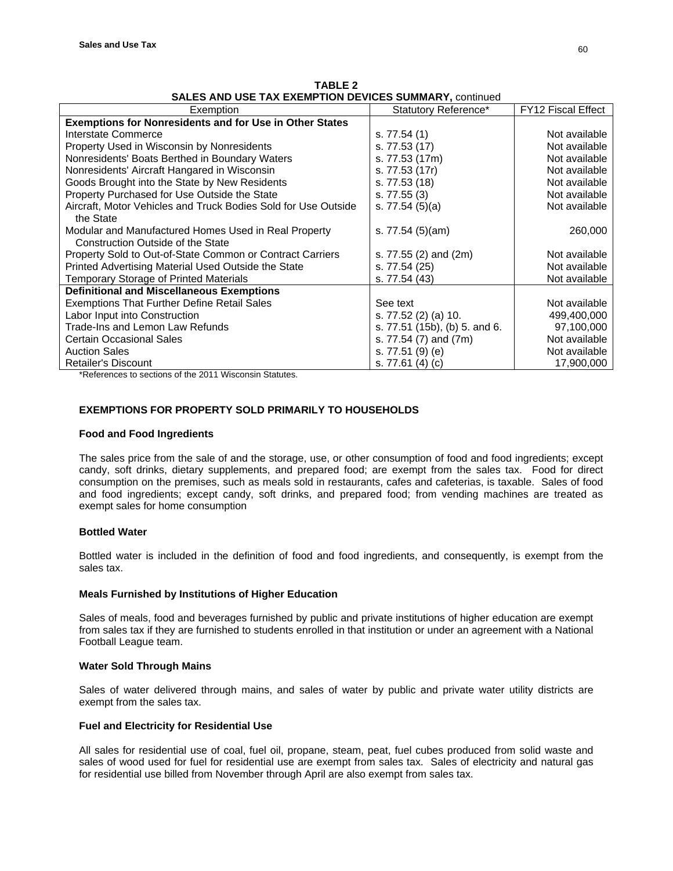| Exemption                                                                                        | Statutory Reference*          | FY12 Fiscal Effect |
|--------------------------------------------------------------------------------------------------|-------------------------------|--------------------|
| <b>Exemptions for Nonresidents and for Use in Other States</b>                                   |                               |                    |
| Interstate Commerce                                                                              | s. 77.54 (1)                  | Not available      |
| Property Used in Wisconsin by Nonresidents                                                       | s. 77.53 (17)                 | Not available      |
| Nonresidents' Boats Berthed in Boundary Waters                                                   | s. 77.53 (17m)                | Not available      |
| Nonresidents' Aircraft Hangared in Wisconsin                                                     | s. 77.53 (17r)                | Not available      |
| Goods Brought into the State by New Residents                                                    | s. 77.53 (18)                 | Not available      |
| Property Purchased for Use Outside the State                                                     | s. 77.55(3)                   | Not available      |
| Aircraft. Motor Vehicles and Truck Bodies Sold for Use Outside<br>the State                      | s. $77.54(5)(a)$              | Not available      |
|                                                                                                  |                               |                    |
| Modular and Manufactured Homes Used in Real Property<br><b>Construction Outside of the State</b> | s. $77.54(5)(am)$             | 260,000            |
| Property Sold to Out-of-State Common or Contract Carriers                                        | s. 77.55 (2) and (2m)         | Not available      |
| Printed Advertising Material Used Outside the State                                              | s. 77.54 (25)                 | Not available      |
| <b>Temporary Storage of Printed Materials</b>                                                    | s. 77.54 (43)                 | Not available      |
| <b>Definitional and Miscellaneous Exemptions</b>                                                 |                               |                    |
| Exemptions That Further Define Retail Sales                                                      | See text                      | Not available      |
| Labor Input into Construction                                                                    | s. 77.52 (2) (a) 10.          | 499,400,000        |
| Trade-Ins and Lemon Law Refunds                                                                  | s. 77.51 (15b), (b) 5. and 6. | 97,100,000         |
| <b>Certain Occasional Sales</b>                                                                  | s. 77.54 (7) and (7m)         | Not available      |
| <b>Auction Sales</b>                                                                             | s. 77.51 (9) (e)              | Not available      |
| <b>Retailer's Discount</b>                                                                       | s. 77.61 (4) (c)              | 17,900,000         |

**TABLE 2 SALES AND USE TAX EXEMPTION DEVICES SUMMARY, continued** 

\*References to sections of the 2011 Wisconsin Statutes.

# **EXEMPTIONS FOR PROPERTY SOLD PRIMARILY TO HOUSEHOLDS**

# **Food and Food Ingredients**

The sales price from the sale of and the storage, use, or other consumption of food and food ingredients; except candy, soft drinks, dietary supplements, and prepared food; are exempt from the sales tax. Food for direct consumption on the premises, such as meals sold in restaurants, cafes and cafeterias, is taxable. Sales of food and food ingredients; except candy, soft drinks, and prepared food; from vending machines are treated as exempt sales for home consumption

# **Bottled Water**

Bottled water is included in the definition of food and food ingredients, and consequently, is exempt from the sales tax.

# **Meals Furnished by Institutions of Higher Education**

Sales of meals, food and beverages furnished by public and private institutions of higher education are exempt from sales tax if they are furnished to students enrolled in that institution or under an agreement with a National Football League team.

# **Water Sold Through Mains**

Sales of water delivered through mains, and sales of water by public and private water utility districts are exempt from the sales tax.

# **Fuel and Electricity for Residential Use**

All sales for residential use of coal, fuel oil, propane, steam, peat, fuel cubes produced from solid waste and sales of wood used for fuel for residential use are exempt from sales tax. Sales of electricity and natural gas for residential use billed from November through April are also exempt from sales tax.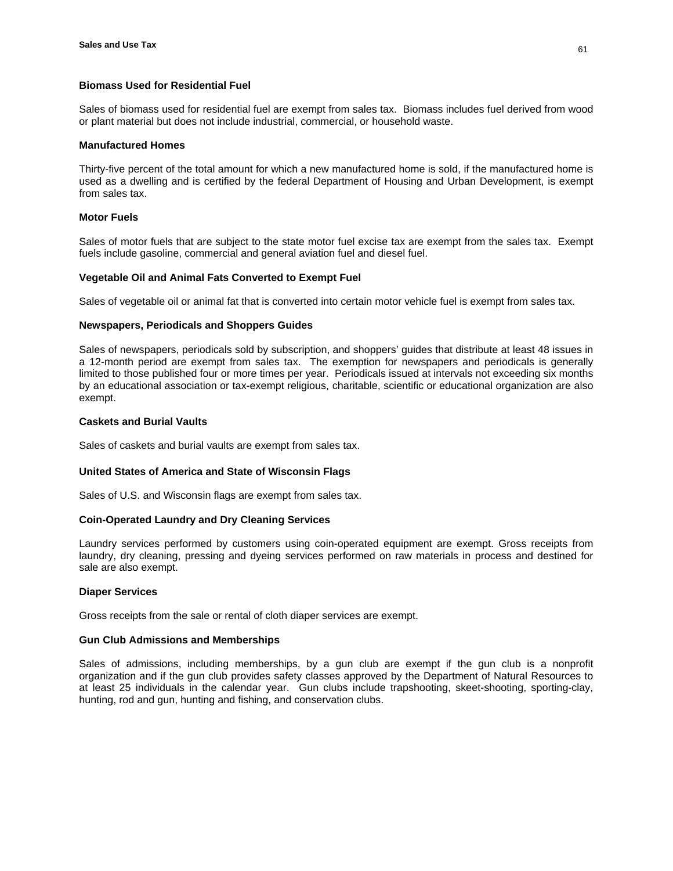# **Biomass Used for Residential Fuel**

Sales of biomass used for residential fuel are exempt from sales tax. Biomass includes fuel derived from wood or plant material but does not include industrial, commercial, or household waste.

### **Manufactured Homes**

Thirty-five percent of the total amount for which a new manufactured home is sold, if the manufactured home is used as a dwelling and is certified by the federal Department of Housing and Urban Development, is exempt from sales tax.

### **Motor Fuels**

Sales of motor fuels that are subject to the state motor fuel excise tax are exempt from the sales tax. Exempt fuels include gasoline, commercial and general aviation fuel and diesel fuel.

### **Vegetable Oil and Animal Fats Converted to Exempt Fuel**

Sales of vegetable oil or animal fat that is converted into certain motor vehicle fuel is exempt from sales tax.

# **Newspapers, Periodicals and Shoppers Guides**

Sales of newspapers, periodicals sold by subscription, and shoppers' guides that distribute at least 48 issues in a 12-month period are exempt from sales tax. The exemption for newspapers and periodicals is generally limited to those published four or more times per year. Periodicals issued at intervals not exceeding six months by an educational association or tax-exempt religious, charitable, scientific or educational organization are also exempt.

### **Caskets and Burial Vaults**

Sales of caskets and burial vaults are exempt from sales tax.

# **United States of America and State of Wisconsin Flags**

Sales of U.S. and Wisconsin flags are exempt from sales tax.

#### **Coin-Operated Laundry and Dry Cleaning Services**

Laundry services performed by customers using coin-operated equipment are exempt. Gross receipts from laundry, dry cleaning, pressing and dyeing services performed on raw materials in process and destined for sale are also exempt.

#### **Diaper Services**

Gross receipts from the sale or rental of cloth diaper services are exempt.

#### **Gun Club Admissions and Memberships**

Sales of admissions, including memberships, by a gun club are exempt if the gun club is a nonprofit organization and if the gun club provides safety classes approved by the Department of Natural Resources to at least 25 individuals in the calendar year. Gun clubs include trapshooting, skeet-shooting, sporting-clay, hunting, rod and gun, hunting and fishing, and conservation clubs.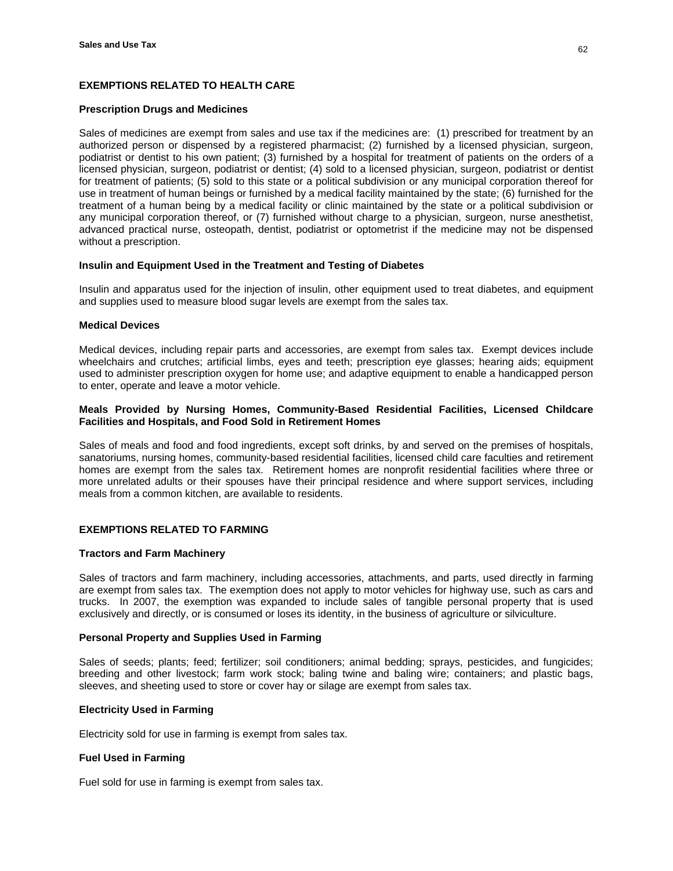# **EXEMPTIONS RELATED TO HEALTH CARE**

### **Prescription Drugs and Medicines**

Sales of medicines are exempt from sales and use tax if the medicines are: (1) prescribed for treatment by an authorized person or dispensed by a registered pharmacist; (2) furnished by a licensed physician, surgeon, podiatrist or dentist to his own patient; (3) furnished by a hospital for treatment of patients on the orders of a licensed physician, surgeon, podiatrist or dentist; (4) sold to a licensed physician, surgeon, podiatrist or dentist for treatment of patients; (5) sold to this state or a political subdivision or any municipal corporation thereof for use in treatment of human beings or furnished by a medical facility maintained by the state; (6) furnished for the treatment of a human being by a medical facility or clinic maintained by the state or a political subdivision or any municipal corporation thereof, or (7) furnished without charge to a physician, surgeon, nurse anesthetist, advanced practical nurse, osteopath, dentist, podiatrist or optometrist if the medicine may not be dispensed without a prescription.

# **Insulin and Equipment Used in the Treatment and Testing of Diabetes**

Insulin and apparatus used for the injection of insulin, other equipment used to treat diabetes, and equipment and supplies used to measure blood sugar levels are exempt from the sales tax.

# **Medical Devices**

Medical devices, including repair parts and accessories, are exempt from sales tax. Exempt devices include wheelchairs and crutches; artificial limbs, eyes and teeth; prescription eye glasses; hearing aids; equipment used to administer prescription oxygen for home use; and adaptive equipment to enable a handicapped person to enter, operate and leave a motor vehicle.

# **Meals Provided by Nursing Homes, Community-Based Residential Facilities, Licensed Childcare Facilities and Hospitals, and Food Sold in Retirement Homes**

Sales of meals and food and food ingredients, except soft drinks, by and served on the premises of hospitals, sanatoriums, nursing homes, community-based residential facilities, licensed child care faculties and retirement homes are exempt from the sales tax. Retirement homes are nonprofit residential facilities where three or more unrelated adults or their spouses have their principal residence and where support services, including meals from a common kitchen, are available to residents.

# **EXEMPTIONS RELATED TO FARMING**

# **Tractors and Farm Machinery**

Sales of tractors and farm machinery, including accessories, attachments, and parts, used directly in farming are exempt from sales tax. The exemption does not apply to motor vehicles for highway use, such as cars and trucks. In 2007, the exemption was expanded to include sales of tangible personal property that is used exclusively and directly, or is consumed or loses its identity, in the business of agriculture or silviculture.

# **Personal Property and Supplies Used in Farming**

Sales of seeds; plants; feed; fertilizer; soil conditioners; animal bedding; sprays, pesticides, and fungicides; breeding and other livestock; farm work stock; baling twine and baling wire; containers; and plastic bags, sleeves, and sheeting used to store or cover hay or silage are exempt from sales tax.

# **Electricity Used in Farming**

Electricity sold for use in farming is exempt from sales tax.

# **Fuel Used in Farming**

Fuel sold for use in farming is exempt from sales tax.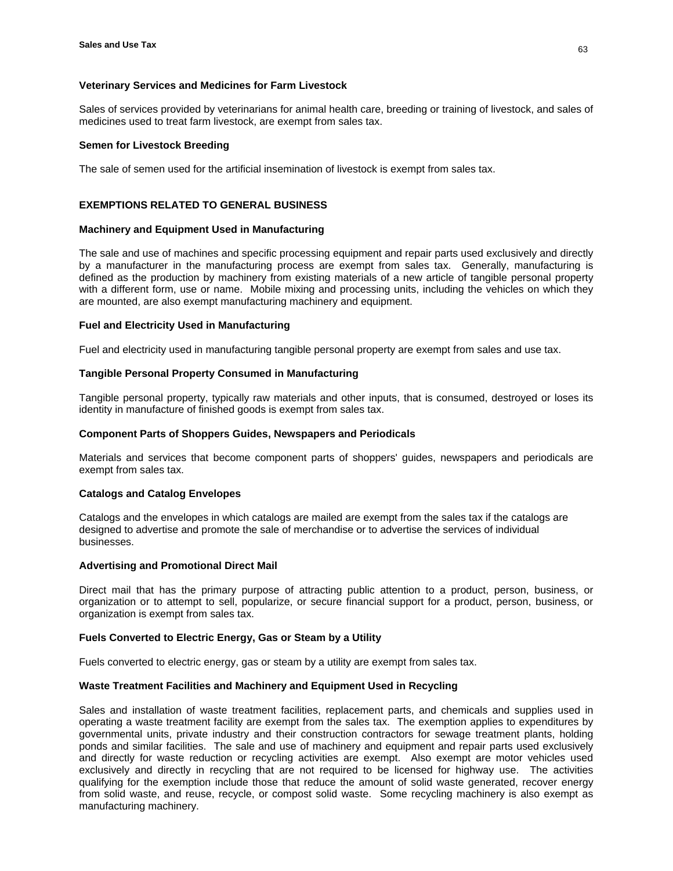### **Veterinary Services and Medicines for Farm Livestock**

Sales of services provided by veterinarians for animal health care, breeding or training of livestock, and sales of medicines used to treat farm livestock, are exempt from sales tax.

### **Semen for Livestock Breeding**

The sale of semen used for the artificial insemination of livestock is exempt from sales tax.

# **EXEMPTIONS RELATED TO GENERAL BUSINESS**

### **Machinery and Equipment Used in Manufacturing**

The sale and use of machines and specific processing equipment and repair parts used exclusively and directly by a manufacturer in the manufacturing process are exempt from sales tax. Generally, manufacturing is defined as the production by machinery from existing materials of a new article of tangible personal property with a different form, use or name. Mobile mixing and processing units, including the vehicles on which they are mounted, are also exempt manufacturing machinery and equipment.

# **Fuel and Electricity Used in Manufacturing**

Fuel and electricity used in manufacturing tangible personal property are exempt from sales and use tax.

### **Tangible Personal Property Consumed in Manufacturing**

Tangible personal property, typically raw materials and other inputs, that is consumed, destroyed or loses its identity in manufacture of finished goods is exempt from sales tax.

### **Component Parts of Shoppers Guides, Newspapers and Periodicals**

Materials and services that become component parts of shoppers' guides, newspapers and periodicals are exempt from sales tax.

#### **Catalogs and Catalog Envelopes**

Catalogs and the envelopes in which catalogs are mailed are exempt from the sales tax if the catalogs are designed to advertise and promote the sale of merchandise or to advertise the services of individual businesses.

#### **Advertising and Promotional Direct Mail**

Direct mail that has the primary purpose of attracting public attention to a product, person, business, or organization or to attempt to sell, popularize, or secure financial support for a product, person, business, or organization is exempt from sales tax.

# **Fuels Converted to Electric Energy, Gas or Steam by a Utility**

Fuels converted to electric energy, gas or steam by a utility are exempt from sales tax.

# **Waste Treatment Facilities and Machinery and Equipment Used in Recycling**

Sales and installation of waste treatment facilities, replacement parts, and chemicals and supplies used in operating a waste treatment facility are exempt from the sales tax. The exemption applies to expenditures by governmental units, private industry and their construction contractors for sewage treatment plants, holding ponds and similar facilities. The sale and use of machinery and equipment and repair parts used exclusively and directly for waste reduction or recycling activities are exempt. Also exempt are motor vehicles used exclusively and directly in recycling that are not required to be licensed for highway use. The activities qualifying for the exemption include those that reduce the amount of solid waste generated, recover energy from solid waste, and reuse, recycle, or compost solid waste. Some recycling machinery is also exempt as manufacturing machinery.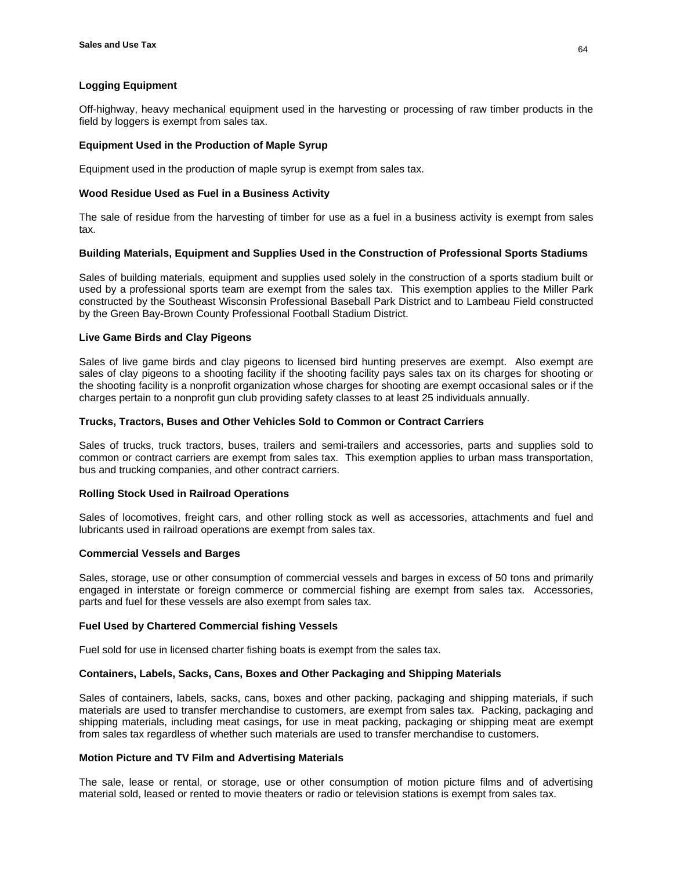# **Logging Equipment**

Off-highway, heavy mechanical equipment used in the harvesting or processing of raw timber products in the field by loggers is exempt from sales tax.

### **Equipment Used in the Production of Maple Syrup**

Equipment used in the production of maple syrup is exempt from sales tax.

### **Wood Residue Used as Fuel in a Business Activity**

The sale of residue from the harvesting of timber for use as a fuel in a business activity is exempt from sales tax.

### **Building Materials, Equipment and Supplies Used in the Construction of Professional Sports Stadiums**

Sales of building materials, equipment and supplies used solely in the construction of a sports stadium built or used by a professional sports team are exempt from the sales tax. This exemption applies to the Miller Park constructed by the Southeast Wisconsin Professional Baseball Park District and to Lambeau Field constructed by the Green Bay-Brown County Professional Football Stadium District.

# **Live Game Birds and Clay Pigeons**

Sales of live game birds and clay pigeons to licensed bird hunting preserves are exempt. Also exempt are sales of clay pigeons to a shooting facility if the shooting facility pays sales tax on its charges for shooting or the shooting facility is a nonprofit organization whose charges for shooting are exempt occasional sales or if the charges pertain to a nonprofit gun club providing safety classes to at least 25 individuals annually.

# **Trucks, Tractors, Buses and Other Vehicles Sold to Common or Contract Carriers**

Sales of trucks, truck tractors, buses, trailers and semi-trailers and accessories, parts and supplies sold to common or contract carriers are exempt from sales tax. This exemption applies to urban mass transportation, bus and trucking companies, and other contract carriers.

#### **Rolling Stock Used in Railroad Operations**

Sales of locomotives, freight cars, and other rolling stock as well as accessories, attachments and fuel and lubricants used in railroad operations are exempt from sales tax.

#### **Commercial Vessels and Barges**

Sales, storage, use or other consumption of commercial vessels and barges in excess of 50 tons and primarily engaged in interstate or foreign commerce or commercial fishing are exempt from sales tax. Accessories, parts and fuel for these vessels are also exempt from sales tax.

#### **Fuel Used by Chartered Commercial fishing Vessels**

Fuel sold for use in licensed charter fishing boats is exempt from the sales tax.

#### **Containers, Labels, Sacks, Cans, Boxes and Other Packaging and Shipping Materials**

Sales of containers, labels, sacks, cans, boxes and other packing, packaging and shipping materials, if such materials are used to transfer merchandise to customers, are exempt from sales tax. Packing, packaging and shipping materials, including meat casings, for use in meat packing, packaging or shipping meat are exempt from sales tax regardless of whether such materials are used to transfer merchandise to customers.

#### **Motion Picture and TV Film and Advertising Materials**

The sale, lease or rental, or storage, use or other consumption of motion picture films and of advertising material sold, leased or rented to movie theaters or radio or television stations is exempt from sales tax.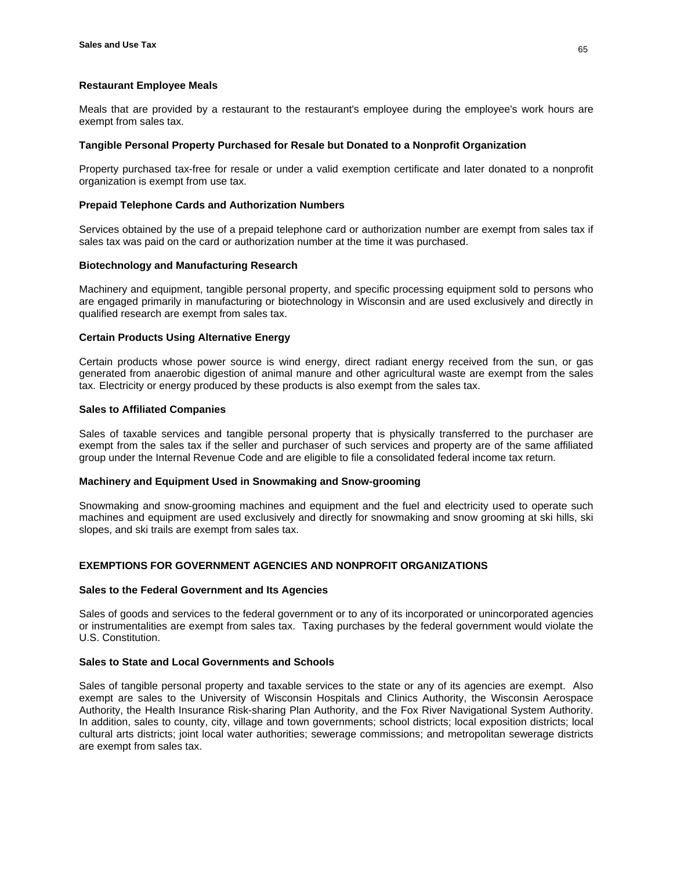### **Restaurant Employee Meals**

Meals that are provided by a restaurant to the restaurant's employee during the employee's work hours are exempt from sales tax.

### **Tangible Personal Property Purchased for Resale but Donated to a Nonprofit Organization**

Property purchased tax-free for resale or under a valid exemption certificate and later donated to a nonprofit organization is exempt from use tax.

### **Prepaid Telephone Cards and Authorization Numbers**

Services obtained by the use of a prepaid telephone card or authorization number are exempt from sales tax if sales tax was paid on the card or authorization number at the time it was purchased.

# **Biotechnology and Manufacturing Research**

Machinery and equipment, tangible personal property, and specific processing equipment sold to persons who are engaged primarily in manufacturing or biotechnology in Wisconsin and are used exclusively and directly in qualified research are exempt from sales tax.

# **Certain Products Using Alternative Energy**

Certain products whose power source is wind energy, direct radiant energy received from the sun, or gas generated from anaerobic digestion of animal manure and other agricultural waste are exempt from the sales tax. Electricity or energy produced by these products is also exempt from the sales tax.

### **Sales to Affiliated Companies**

Sales of taxable services and tangible personal property that is physically transferred to the purchaser are exempt from the sales tax if the seller and purchaser of such services and property are of the same affiliated group under the Internal Revenue Code and are eligible to file a consolidated federal income tax return.

#### **Machinery and Equipment Used in Snowmaking and Snow-grooming**

Snowmaking and snow-grooming machines and equipment and the fuel and electricity used to operate such machines and equipment are used exclusively and directly for snowmaking and snow grooming at ski hills, ski slopes, and ski trails are exempt from sales tax.

# **EXEMPTIONS FOR GOVERNMENT AGENCIES AND NONPROFIT ORGANIZATIONS**

#### **Sales to the Federal Government and Its Agencies**

Sales of goods and services to the federal government or to any of its incorporated or unincorporated agencies or instrumentalities are exempt from sales tax. Taxing purchases by the federal government would violate the U.S. Constitution.

#### **Sales to State and Local Governments and Schools**

Sales of tangible personal property and taxable services to the state or any of its agencies are exempt. Also exempt are sales to the University of Wisconsin Hospitals and Clinics Authority, the Wisconsin Aerospace Authority, the Health Insurance Risk-sharing Plan Authority, and the Fox River Navigational System Authority. In addition, sales to county, city, village and town governments; school districts; local exposition districts; local cultural arts districts; joint local water authorities; sewerage commissions; and metropolitan sewerage districts are exempt from sales tax.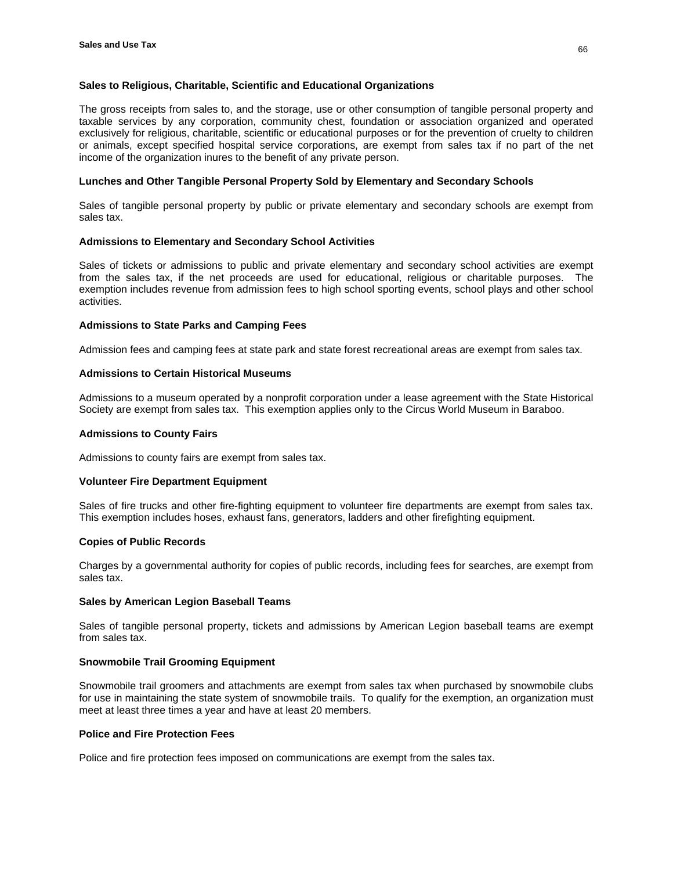# **Sales to Religious, Charitable, Scientific and Educational Organizations**

The gross receipts from sales to, and the storage, use or other consumption of tangible personal property and taxable services by any corporation, community chest, foundation or association organized and operated exclusively for religious, charitable, scientific or educational purposes or for the prevention of cruelty to children or animals, except specified hospital service corporations, are exempt from sales tax if no part of the net income of the organization inures to the benefit of any private person.

### **Lunches and Other Tangible Personal Property Sold by Elementary and Secondary Schools**

Sales of tangible personal property by public or private elementary and secondary schools are exempt from sales tax.

# **Admissions to Elementary and Secondary School Activities**

Sales of tickets or admissions to public and private elementary and secondary school activities are exempt from the sales tax, if the net proceeds are used for educational, religious or charitable purposes. The exemption includes revenue from admission fees to high school sporting events, school plays and other school activities.

### **Admissions to State Parks and Camping Fees**

Admission fees and camping fees at state park and state forest recreational areas are exempt from sales tax.

### **Admissions to Certain Historical Museums**

Admissions to a museum operated by a nonprofit corporation under a lease agreement with the State Historical Society are exempt from sales tax. This exemption applies only to the Circus World Museum in Baraboo.

### **Admissions to County Fairs**

Admissions to county fairs are exempt from sales tax.

# **Volunteer Fire Department Equipment**

Sales of fire trucks and other fire-fighting equipment to volunteer fire departments are exempt from sales tax. This exemption includes hoses, exhaust fans, generators, ladders and other firefighting equipment.

# **Copies of Public Records**

Charges by a governmental authority for copies of public records, including fees for searches, are exempt from sales tax.

# **Sales by American Legion Baseball Teams**

Sales of tangible personal property, tickets and admissions by American Legion baseball teams are exempt from sales tax.

# **Snowmobile Trail Grooming Equipment**

Snowmobile trail groomers and attachments are exempt from sales tax when purchased by snowmobile clubs for use in maintaining the state system of snowmobile trails. To qualify for the exemption, an organization must meet at least three times a year and have at least 20 members.

#### **Police and Fire Protection Fees**

Police and fire protection fees imposed on communications are exempt from the sales tax.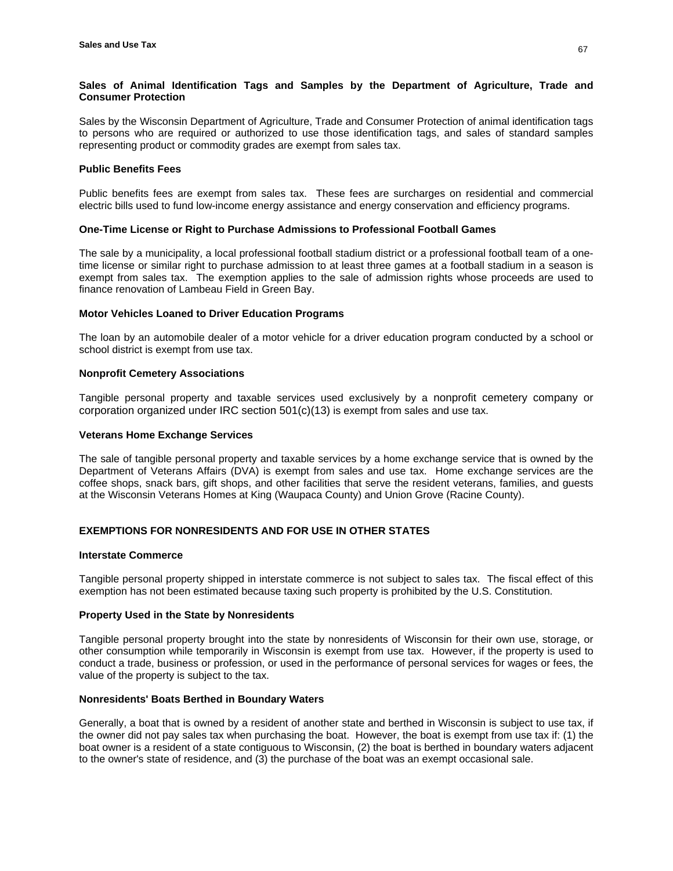# **Sales of Animal Identification Tags and Samples by the Department of Agriculture, Trade and Consumer Protection**

Sales by the Wisconsin Department of Agriculture, Trade and Consumer Protection of animal identification tags to persons who are required or authorized to use those identification tags, and sales of standard samples representing product or commodity grades are exempt from sales tax.

# **Public Benefits Fees**

Public benefits fees are exempt from sales tax. These fees are surcharges on residential and commercial electric bills used to fund low-income energy assistance and energy conservation and efficiency programs.

# **One-Time License or Right to Purchase Admissions to Professional Football Games**

The sale by a municipality, a local professional football stadium district or a professional football team of a onetime license or similar right to purchase admission to at least three games at a football stadium in a season is exempt from sales tax. The exemption applies to the sale of admission rights whose proceeds are used to finance renovation of Lambeau Field in Green Bay.

# **Motor Vehicles Loaned to Driver Education Programs**

The loan by an automobile dealer of a motor vehicle for a driver education program conducted by a school or school district is exempt from use tax.

# **Nonprofit Cemetery Associations**

Tangible personal property and taxable services used exclusively by a nonprofit cemetery company or corporation organized under IRC section 501(c)(13) is exempt from sales and use tax.

# **Veterans Home Exchange Services**

The sale of tangible personal property and taxable services by a home exchange service that is owned by the Department of Veterans Affairs (DVA) is exempt from sales and use tax. Home exchange services are the coffee shops, snack bars, gift shops, and other facilities that serve the resident veterans, families, and guests at the Wisconsin Veterans Homes at King (Waupaca County) and Union Grove (Racine County).

# **EXEMPTIONS FOR NONRESIDENTS AND FOR USE IN OTHER STATES**

### **Interstate Commerce**

Tangible personal property shipped in interstate commerce is not subject to sales tax. The fiscal effect of this exemption has not been estimated because taxing such property is prohibited by the U.S. Constitution.

# **Property Used in the State by Nonresidents**

Tangible personal property brought into the state by nonresidents of Wisconsin for their own use, storage, or other consumption while temporarily in Wisconsin is exempt from use tax. However, if the property is used to conduct a trade, business or profession, or used in the performance of personal services for wages or fees, the value of the property is subject to the tax.

# **Nonresidents' Boats Berthed in Boundary Waters**

Generally, a boat that is owned by a resident of another state and berthed in Wisconsin is subject to use tax, if the owner did not pay sales tax when purchasing the boat. However, the boat is exempt from use tax if: (1) the boat owner is a resident of a state contiguous to Wisconsin, (2) the boat is berthed in boundary waters adjacent to the owner's state of residence, and (3) the purchase of the boat was an exempt occasional sale.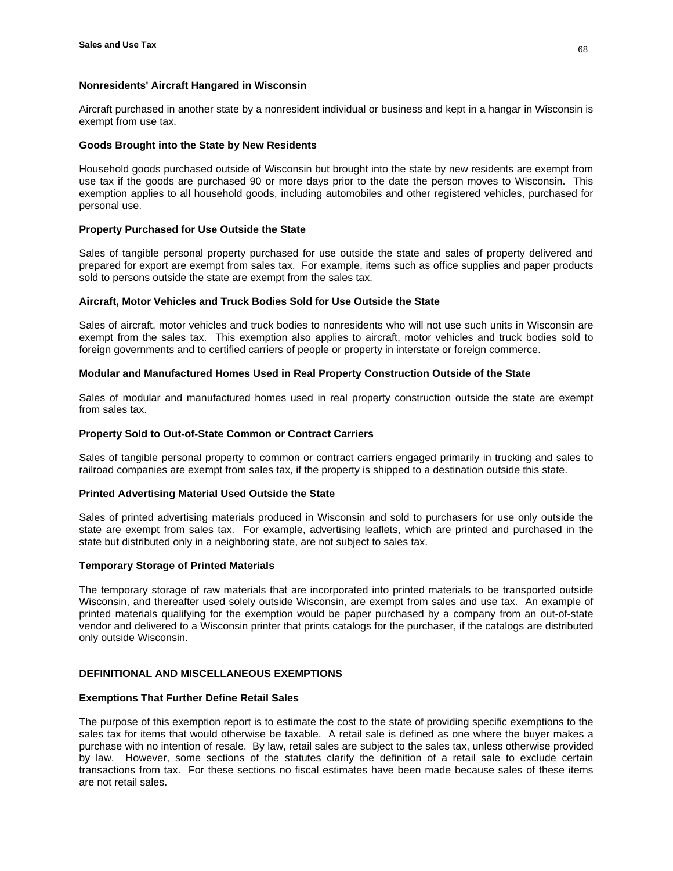# **Nonresidents' Aircraft Hangared in Wisconsin**

Aircraft purchased in another state by a nonresident individual or business and kept in a hangar in Wisconsin is exempt from use tax.

### **Goods Brought into the State by New Residents**

Household goods purchased outside of Wisconsin but brought into the state by new residents are exempt from use tax if the goods are purchased 90 or more days prior to the date the person moves to Wisconsin. This exemption applies to all household goods, including automobiles and other registered vehicles, purchased for personal use.

# **Property Purchased for Use Outside the State**

Sales of tangible personal property purchased for use outside the state and sales of property delivered and prepared for export are exempt from sales tax. For example, items such as office supplies and paper products sold to persons outside the state are exempt from the sales tax.

### **Aircraft, Motor Vehicles and Truck Bodies Sold for Use Outside the State**

Sales of aircraft, motor vehicles and truck bodies to nonresidents who will not use such units in Wisconsin are exempt from the sales tax. This exemption also applies to aircraft, motor vehicles and truck bodies sold to foreign governments and to certified carriers of people or property in interstate or foreign commerce.

### **Modular and Manufactured Homes Used in Real Property Construction Outside of the State**

Sales of modular and manufactured homes used in real property construction outside the state are exempt from sales tax.

### **Property Sold to Out-of-State Common or Contract Carriers**

Sales of tangible personal property to common or contract carriers engaged primarily in trucking and sales to railroad companies are exempt from sales tax, if the property is shipped to a destination outside this state.

# **Printed Advertising Material Used Outside the State**

Sales of printed advertising materials produced in Wisconsin and sold to purchasers for use only outside the state are exempt from sales tax. For example, advertising leaflets, which are printed and purchased in the state but distributed only in a neighboring state, are not subject to sales tax.

# **Temporary Storage of Printed Materials**

The temporary storage of raw materials that are incorporated into printed materials to be transported outside Wisconsin, and thereafter used solely outside Wisconsin, are exempt from sales and use tax. An example of printed materials qualifying for the exemption would be paper purchased by a company from an out-of-state vendor and delivered to a Wisconsin printer that prints catalogs for the purchaser, if the catalogs are distributed only outside Wisconsin.

# **DEFINITIONAL AND MISCELLANEOUS EXEMPTIONS**

#### **Exemptions That Further Define Retail Sales**

The purpose of this exemption report is to estimate the cost to the state of providing specific exemptions to the sales tax for items that would otherwise be taxable. A retail sale is defined as one where the buyer makes a purchase with no intention of resale. By law, retail sales are subject to the sales tax, unless otherwise provided by law. However, some sections of the statutes clarify the definition of a retail sale to exclude certain transactions from tax. For these sections no fiscal estimates have been made because sales of these items are not retail sales.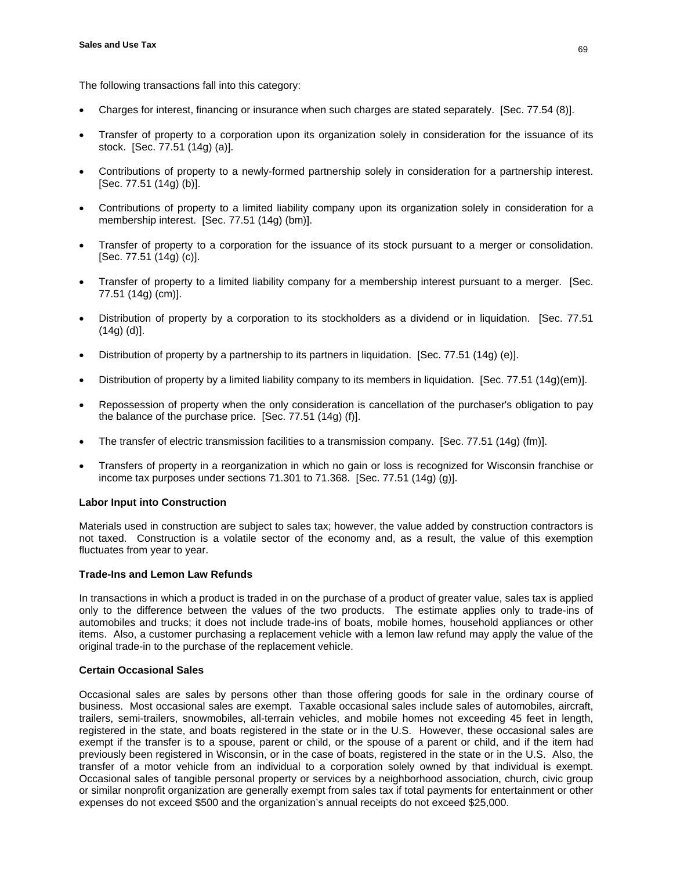The following transactions fall into this category:

- Charges for interest, financing or insurance when such charges are stated separately. [Sec. 77.54 (8)].
- Transfer of property to a corporation upon its organization solely in consideration for the issuance of its stock. [Sec. 77.51 (14g) (a)].
- Contributions of property to a newly-formed partnership solely in consideration for a partnership interest. [Sec. 77.51 (14g) (b)].
- Contributions of property to a limited liability company upon its organization solely in consideration for a membership interest. [Sec. 77.51 (14g) (bm)].
- Transfer of property to a corporation for the issuance of its stock pursuant to a merger or consolidation. [Sec. 77.51 (14g) (c)].
- Transfer of property to a limited liability company for a membership interest pursuant to a merger. [Sec. 77.51 (14g) (cm)].
- Distribution of property by a corporation to its stockholders as a dividend or in liquidation. [Sec. 77.51]  $(14g)$   $(d)$ ].
- Distribution of property by a partnership to its partners in liquidation. [Sec. 77.51 (14g) (e)].
- Distribution of property by a limited liability company to its members in liquidation. [Sec. 77.51 (14g)(em)].
- Repossession of property when the only consideration is cancellation of the purchaser's obligation to pay the balance of the purchase price. [Sec. 77.51 (14g) (f)].
- The transfer of electric transmission facilities to a transmission company. [Sec. 77.51 (14g) (fm)].
- Transfers of property in a reorganization in which no gain or loss is recognized for Wisconsin franchise or income tax purposes under sections 71.301 to 71.368. [Sec. 77.51 (14g) (g)].

# **Labor Input into Construction**

Materials used in construction are subject to sales tax; however, the value added by construction contractors is not taxed. Construction is a volatile sector of the economy and, as a result, the value of this exemption fluctuates from year to year.

# **Trade-Ins and Lemon Law Refunds**

In transactions in which a product is traded in on the purchase of a product of greater value, sales tax is applied only to the difference between the values of the two products. The estimate applies only to trade-ins of automobiles and trucks; it does not include trade-ins of boats, mobile homes, household appliances or other items. Also, a customer purchasing a replacement vehicle with a lemon law refund may apply the value of the original trade-in to the purchase of the replacement vehicle.

# **Certain Occasional Sales**

Occasional sales are sales by persons other than those offering goods for sale in the ordinary course of business. Most occasional sales are exempt. Taxable occasional sales include sales of automobiles, aircraft, trailers, semi-trailers, snowmobiles, all-terrain vehicles, and mobile homes not exceeding 45 feet in length, registered in the state, and boats registered in the state or in the U.S. However, these occasional sales are exempt if the transfer is to a spouse, parent or child, or the spouse of a parent or child, and if the item had previously been registered in Wisconsin, or in the case of boats, registered in the state or in the U.S. Also, the transfer of a motor vehicle from an individual to a corporation solely owned by that individual is exempt. Occasional sales of tangible personal property or services by a neighborhood association, church, civic group or similar nonprofit organization are generally exempt from sales tax if total payments for entertainment or other expenses do not exceed \$500 and the organization's annual receipts do not exceed \$25,000.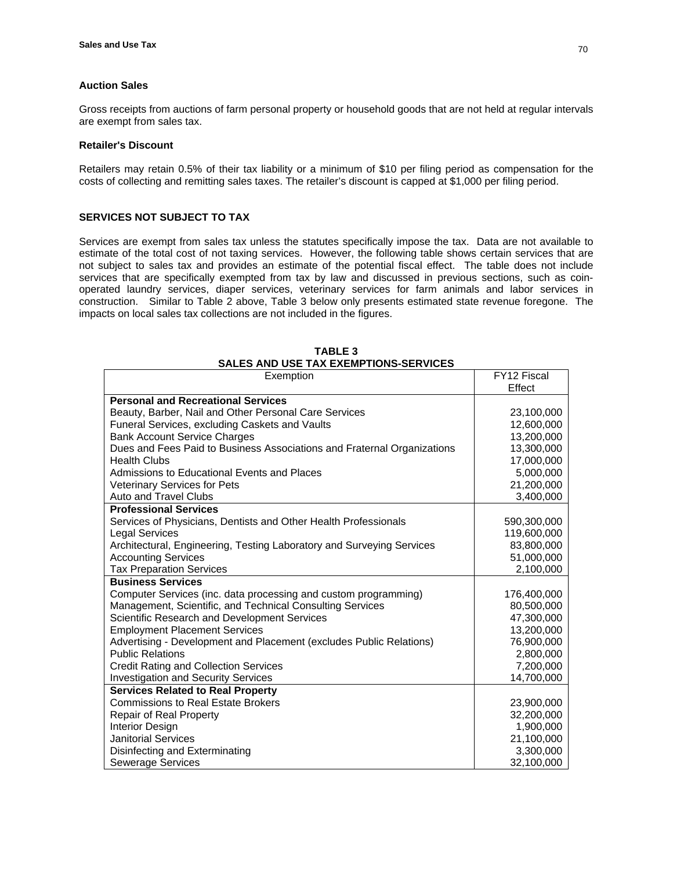# **Auction Sales**

Gross receipts from auctions of farm personal property or household goods that are not held at regular intervals are exempt from sales tax.

### **Retailer's Discount**

Retailers may retain 0.5% of their tax liability or a minimum of \$10 per filing period as compensation for the costs of collecting and remitting sales taxes. The retailer's discount is capped at \$1,000 per filing period.

# **SERVICES NOT SUBJECT TO TAX**

Services are exempt from sales tax unless the statutes specifically impose the tax. Data are not available to estimate of the total cost of not taxing services. However, the following table shows certain services that are not subject to sales tax and provides an estimate of the potential fiscal effect. The table does not include services that are specifically exempted from tax by law and discussed in previous sections, such as coinoperated laundry services, diaper services, veterinary services for farm animals and labor services in construction. Similar to Table 2 above, Table 3 below only presents estimated state revenue foregone. The impacts on local sales tax collections are not included in the figures.

| Exemption                                                               | FY12 Fiscal |
|-------------------------------------------------------------------------|-------------|
|                                                                         | Effect      |
| <b>Personal and Recreational Services</b>                               |             |
| Beauty, Barber, Nail and Other Personal Care Services                   | 23,100,000  |
| Funeral Services, excluding Caskets and Vaults                          | 12,600,000  |
| <b>Bank Account Service Charges</b>                                     | 13,200,000  |
| Dues and Fees Paid to Business Associations and Fraternal Organizations | 13,300,000  |
| <b>Health Clubs</b>                                                     | 17,000,000  |
| Admissions to Educational Events and Places                             | 5,000,000   |
| <b>Veterinary Services for Pets</b>                                     | 21,200,000  |
| Auto and Travel Clubs                                                   | 3,400,000   |
| <b>Professional Services</b>                                            |             |
| Services of Physicians, Dentists and Other Health Professionals         | 590,300,000 |
| <b>Legal Services</b>                                                   | 119,600,000 |
| Architectural, Engineering, Testing Laboratory and Surveying Services   | 83,800,000  |
| <b>Accounting Services</b>                                              | 51,000,000  |
| <b>Tax Preparation Services</b>                                         | 2,100,000   |
| <b>Business Services</b>                                                |             |
| Computer Services (inc. data processing and custom programming)         | 176,400,000 |
| Management, Scientific, and Technical Consulting Services               | 80,500,000  |
| Scientific Research and Development Services                            | 47,300,000  |
| <b>Employment Placement Services</b>                                    | 13,200,000  |
| Advertising - Development and Placement (excludes Public Relations)     | 76,900,000  |
| <b>Public Relations</b>                                                 | 2,800,000   |
| <b>Credit Rating and Collection Services</b>                            | 7,200,000   |
| <b>Investigation and Security Services</b>                              | 14,700,000  |
| <b>Services Related to Real Property</b>                                |             |
| <b>Commissions to Real Estate Brokers</b>                               | 23,900,000  |
| Repair of Real Property                                                 | 32,200,000  |
| Interior Design                                                         | 1,900,000   |
| <b>Janitorial Services</b>                                              | 21,100,000  |
| Disinfecting and Exterminating                                          | 3,300,000   |
| Sewerage Services                                                       | 32,100,000  |

**TABLE 3 SALES AND USE TAX EXEMPTIONS-SERVICES**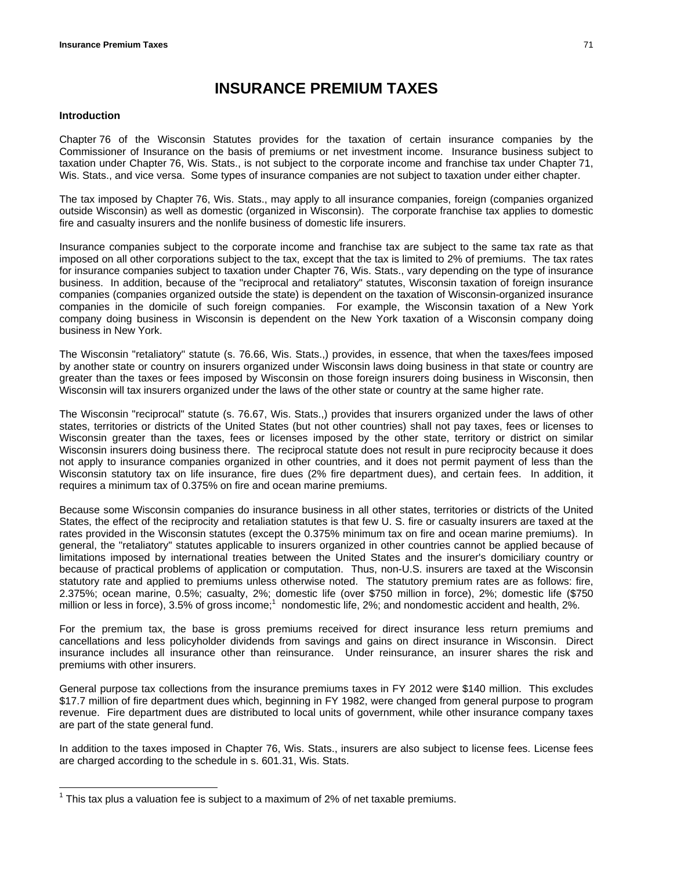# **INSURANCE PREMIUM TAXES**

#### **Introduction**

 $\overline{a}$ 

Chapter 76 of the Wisconsin Statutes provides for the taxation of certain insurance companies by the Commissioner of Insurance on the basis of premiums or net investment income. Insurance business subject to taxation under Chapter 76, Wis. Stats., is not subject to the corporate income and franchise tax under Chapter 71, Wis. Stats., and vice versa. Some types of insurance companies are not subject to taxation under either chapter.

The tax imposed by Chapter 76, Wis. Stats., may apply to all insurance companies, foreign (companies organized outside Wisconsin) as well as domestic (organized in Wisconsin). The corporate franchise tax applies to domestic fire and casualty insurers and the nonlife business of domestic life insurers.

Insurance companies subject to the corporate income and franchise tax are subject to the same tax rate as that imposed on all other corporations subject to the tax, except that the tax is limited to 2% of premiums. The tax rates for insurance companies subject to taxation under Chapter 76, Wis. Stats., vary depending on the type of insurance business. In addition, because of the "reciprocal and retaliatory" statutes, Wisconsin taxation of foreign insurance companies (companies organized outside the state) is dependent on the taxation of Wisconsin-organized insurance companies in the domicile of such foreign companies. For example, the Wisconsin taxation of a New York company doing business in Wisconsin is dependent on the New York taxation of a Wisconsin company doing business in New York.

The Wisconsin "retaliatory" statute (s. 76.66, Wis. Stats.,) provides, in essence, that when the taxes/fees imposed by another state or country on insurers organized under Wisconsin laws doing business in that state or country are greater than the taxes or fees imposed by Wisconsin on those foreign insurers doing business in Wisconsin, then Wisconsin will tax insurers organized under the laws of the other state or country at the same higher rate.

The Wisconsin "reciprocal" statute (s. 76.67, Wis. Stats.,) provides that insurers organized under the laws of other states, territories or districts of the United States (but not other countries) shall not pay taxes, fees or licenses to Wisconsin greater than the taxes, fees or licenses imposed by the other state, territory or district on similar Wisconsin insurers doing business there. The reciprocal statute does not result in pure reciprocity because it does not apply to insurance companies organized in other countries, and it does not permit payment of less than the Wisconsin statutory tax on life insurance, fire dues (2% fire department dues), and certain fees. In addition, it requires a minimum tax of 0.375% on fire and ocean marine premiums.

Because some Wisconsin companies do insurance business in all other states, territories or districts of the United States, the effect of the reciprocity and retaliation statutes is that few U. S. fire or casualty insurers are taxed at the rates provided in the Wisconsin statutes (except the 0.375% minimum tax on fire and ocean marine premiums). In general, the "retaliatory" statutes applicable to insurers organized in other countries cannot be applied because of limitations imposed by international treaties between the United States and the insurer's domiciliary country or because of practical problems of application or computation. Thus, non-U.S. insurers are taxed at the Wisconsin statutory rate and applied to premiums unless otherwise noted. The statutory premium rates are as follows: fire, 2.375%; ocean marine, 0.5%; casualty, 2%; domestic life (over \$750 million in force), 2%; domestic life (\$750 million or less in force), 3.5% of gross income;<sup>1</sup> nondomestic life, 2%; and nondomestic accident and health, 2%.

For the premium tax, the base is gross premiums received for direct insurance less return premiums and cancellations and less policyholder dividends from savings and gains on direct insurance in Wisconsin. Direct insurance includes all insurance other than reinsurance. Under reinsurance, an insurer shares the risk and premiums with other insurers.

General purpose tax collections from the insurance premiums taxes in FY 2012 were \$140 million. This excludes \$17.7 million of fire department dues which, beginning in FY 1982, were changed from general purpose to program revenue. Fire department dues are distributed to local units of government, while other insurance company taxes are part of the state general fund.

In addition to the taxes imposed in Chapter 76, Wis. Stats., insurers are also subject to license fees. License fees are charged according to the schedule in s. 601.31, Wis. Stats.

 $1$  This tax plus a valuation fee is subject to a maximum of 2% of net taxable premiums.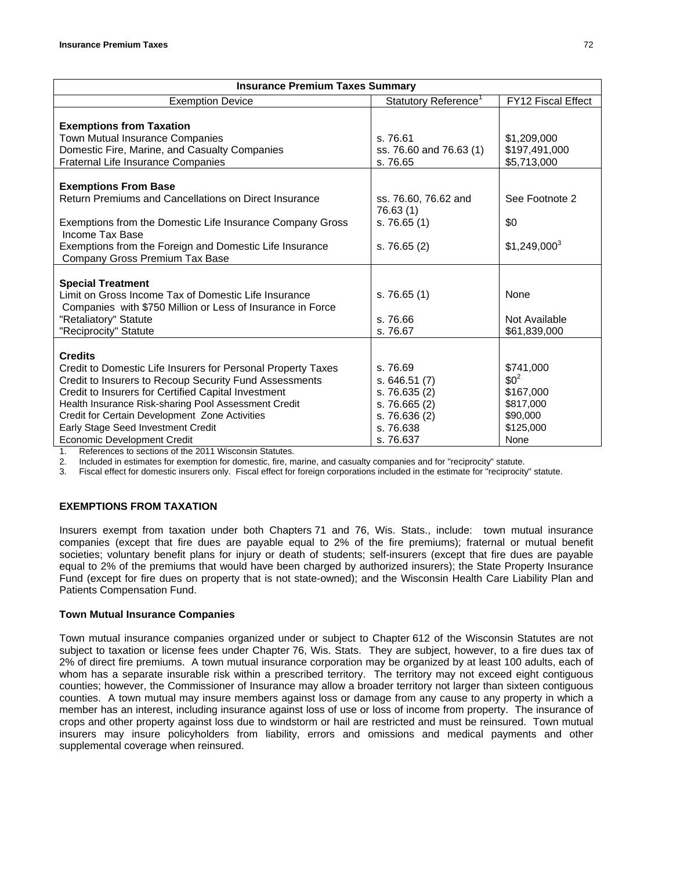| <b>Insurance Premium Taxes Summary</b>                                              |                                  |                    |  |  |  |  |
|-------------------------------------------------------------------------------------|----------------------------------|--------------------|--|--|--|--|
| <b>Exemption Device</b>                                                             | Statutory Reference <sup>1</sup> | FY12 Fiscal Effect |  |  |  |  |
|                                                                                     |                                  |                    |  |  |  |  |
| <b>Exemptions from Taxation</b>                                                     |                                  |                    |  |  |  |  |
| Town Mutual Insurance Companies                                                     | s. 76.61                         | \$1,209,000        |  |  |  |  |
| Domestic Fire, Marine, and Casualty Companies                                       | ss. 76.60 and 76.63 (1)          | \$197,491,000      |  |  |  |  |
| Fraternal Life Insurance Companies                                                  | s. 76.65                         | \$5,713,000        |  |  |  |  |
|                                                                                     |                                  |                    |  |  |  |  |
| <b>Exemptions From Base</b>                                                         |                                  |                    |  |  |  |  |
| Return Premiums and Cancellations on Direct Insurance                               | ss. 76.60, 76.62 and             | See Footnote 2     |  |  |  |  |
|                                                                                     | 76.63 (1)                        |                    |  |  |  |  |
| Exemptions from the Domestic Life Insurance Company Gross                           | s. 76.65(1)                      | \$0                |  |  |  |  |
| Income Tax Base                                                                     |                                  |                    |  |  |  |  |
| Exemptions from the Foreign and Domestic Life Insurance                             | s. 76.65(2)                      | $$1,249,000^3$     |  |  |  |  |
| Company Gross Premium Tax Base                                                      |                                  |                    |  |  |  |  |
|                                                                                     |                                  |                    |  |  |  |  |
| <b>Special Treatment</b>                                                            |                                  |                    |  |  |  |  |
| Limit on Gross Income Tax of Domestic Life Insurance                                | s. 76.65(1)                      | None               |  |  |  |  |
| Companies with \$750 Million or Less of Insurance in Force                          |                                  |                    |  |  |  |  |
| "Retaliatory" Statute                                                               | s. 76.66                         | Not Available      |  |  |  |  |
| "Reciprocity" Statute                                                               | s. 76.67                         | \$61,839,000       |  |  |  |  |
|                                                                                     |                                  |                    |  |  |  |  |
| <b>Credits</b>                                                                      |                                  |                    |  |  |  |  |
| Credit to Domestic Life Insurers for Personal Property Taxes                        | s. 76.69                         | \$741,000          |  |  |  |  |
| Credit to Insurers to Recoup Security Fund Assessments                              | s.646.51(7)                      | $$0^2$$            |  |  |  |  |
| Credit to Insurers for Certified Capital Investment                                 | s. 76.635 (2)                    | \$167,000          |  |  |  |  |
| Health Insurance Risk-sharing Pool Assessment Credit                                | s. 76.665(2)                     | \$817,000          |  |  |  |  |
| Credit for Certain Development Zone Activities                                      | s. 76.636 (2)                    | \$90,000           |  |  |  |  |
| Early Stage Seed Investment Credit                                                  | s. 76.638                        | \$125,000          |  |  |  |  |
| Economic Development Credit<br>Defensesse to continue of the 0044 Missourin Otatute | s. 76.637                        | None               |  |  |  |  |

References to sections of the 2011 Wisconsin Statutes.

2. Included in estimates for exemption for domestic, fire, marine, and casualty companies and for "reciprocity" statute.

3. Fiscal effect for domestic insurers only. Fiscal effect for foreign corporations included in the estimate for "reciprocity" statute.

## **EXEMPTIONS FROM TAXATION**

Insurers exempt from taxation under both Chapters 71 and 76, Wis. Stats., include: town mutual insurance companies (except that fire dues are payable equal to 2% of the fire premiums); fraternal or mutual benefit societies; voluntary benefit plans for injury or death of students; self-insurers (except that fire dues are payable equal to 2% of the premiums that would have been charged by authorized insurers); the State Property Insurance Fund (except for fire dues on property that is not state-owned); and the Wisconsin Health Care Liability Plan and Patients Compensation Fund.

## **Town Mutual Insurance Companies**

Town mutual insurance companies organized under or subject to Chapter 612 of the Wisconsin Statutes are not subject to taxation or license fees under Chapter 76, Wis. Stats. They are subject, however, to a fire dues tax of 2% of direct fire premiums. A town mutual insurance corporation may be organized by at least 100 adults, each of whom has a separate insurable risk within a prescribed territory. The territory may not exceed eight contiguous counties; however, the Commissioner of Insurance may allow a broader territory not larger than sixteen contiguous counties. A town mutual may insure members against loss or damage from any cause to any property in which a member has an interest, including insurance against loss of use or loss of income from property. The insurance of crops and other property against loss due to windstorm or hail are restricted and must be reinsured. Town mutual insurers may insure policyholders from liability, errors and omissions and medical payments and other supplemental coverage when reinsured.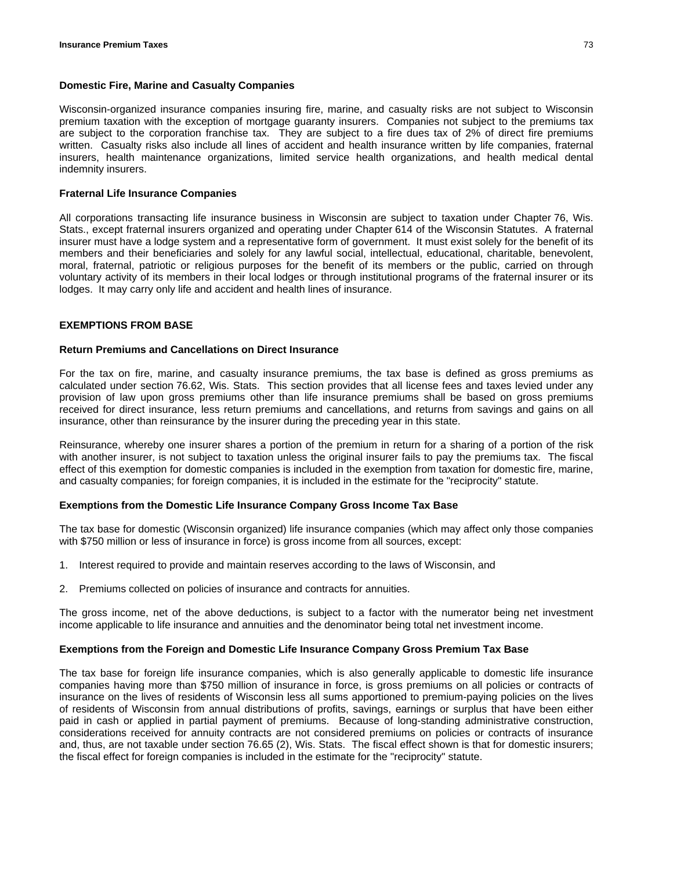## **Domestic Fire, Marine and Casualty Companies**

Wisconsin-organized insurance companies insuring fire, marine, and casualty risks are not subject to Wisconsin premium taxation with the exception of mortgage guaranty insurers. Companies not subject to the premiums tax are subject to the corporation franchise tax. They are subject to a fire dues tax of 2% of direct fire premiums written. Casualty risks also include all lines of accident and health insurance written by life companies, fraternal insurers, health maintenance organizations, limited service health organizations, and health medical dental indemnity insurers.

## **Fraternal Life Insurance Companies**

All corporations transacting life insurance business in Wisconsin are subject to taxation under Chapter 76, Wis. Stats., except fraternal insurers organized and operating under Chapter 614 of the Wisconsin Statutes. A fraternal insurer must have a lodge system and a representative form of government. It must exist solely for the benefit of its members and their beneficiaries and solely for any lawful social, intellectual, educational, charitable, benevolent, moral, fraternal, patriotic or religious purposes for the benefit of its members or the public, carried on through voluntary activity of its members in their local lodges or through institutional programs of the fraternal insurer or its lodges. It may carry only life and accident and health lines of insurance.

#### **EXEMPTIONS FROM BASE**

#### **Return Premiums and Cancellations on Direct Insurance**

For the tax on fire, marine, and casualty insurance premiums, the tax base is defined as gross premiums as calculated under section 76.62, Wis. Stats. This section provides that all license fees and taxes levied under any provision of law upon gross premiums other than life insurance premiums shall be based on gross premiums received for direct insurance, less return premiums and cancellations, and returns from savings and gains on all insurance, other than reinsurance by the insurer during the preceding year in this state.

Reinsurance, whereby one insurer shares a portion of the premium in return for a sharing of a portion of the risk with another insurer, is not subject to taxation unless the original insurer fails to pay the premiums tax. The fiscal effect of this exemption for domestic companies is included in the exemption from taxation for domestic fire, marine, and casualty companies; for foreign companies, it is included in the estimate for the "reciprocity" statute.

#### **Exemptions from the Domestic Life Insurance Company Gross Income Tax Base**

The tax base for domestic (Wisconsin organized) life insurance companies (which may affect only those companies with \$750 million or less of insurance in force) is gross income from all sources, except:

- 1. Interest required to provide and maintain reserves according to the laws of Wisconsin, and
- 2. Premiums collected on policies of insurance and contracts for annuities.

The gross income, net of the above deductions, is subject to a factor with the numerator being net investment income applicable to life insurance and annuities and the denominator being total net investment income.

#### **Exemptions from the Foreign and Domestic Life Insurance Company Gross Premium Tax Base**

The tax base for foreign life insurance companies, which is also generally applicable to domestic life insurance companies having more than \$750 million of insurance in force, is gross premiums on all policies or contracts of insurance on the lives of residents of Wisconsin less all sums apportioned to premium-paying policies on the lives of residents of Wisconsin from annual distributions of profits, savings, earnings or surplus that have been either paid in cash or applied in partial payment of premiums. Because of long-standing administrative construction, considerations received for annuity contracts are not considered premiums on policies or contracts of insurance and, thus, are not taxable under section 76.65 (2), Wis. Stats. The fiscal effect shown is that for domestic insurers; the fiscal effect for foreign companies is included in the estimate for the "reciprocity" statute.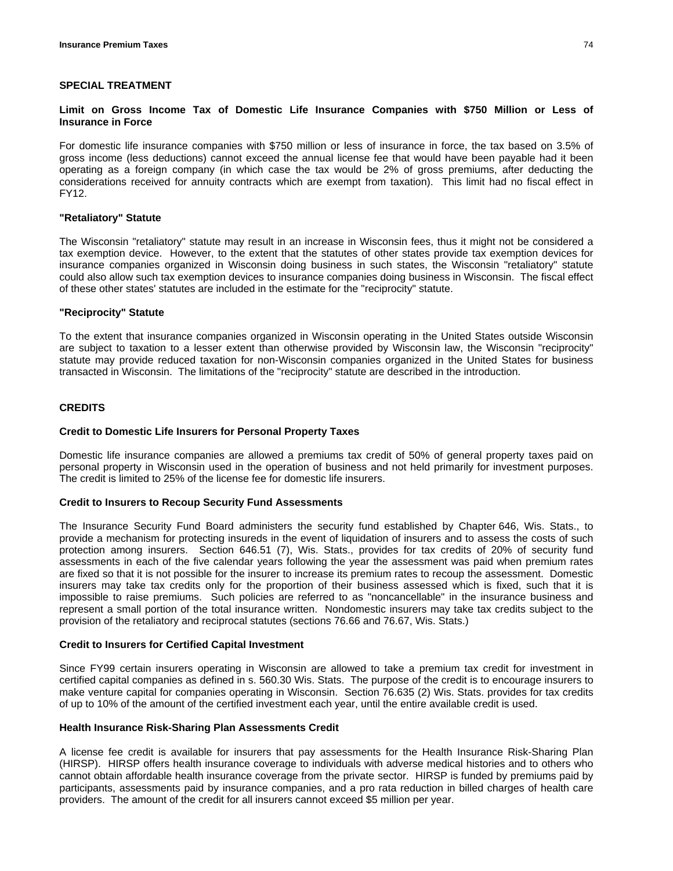#### **SPECIAL TREATMENT**

#### **Limit on Gross Income Tax of Domestic Life Insurance Companies with \$750 Million or Less of Insurance in Force**

For domestic life insurance companies with \$750 million or less of insurance in force, the tax based on 3.5% of gross income (less deductions) cannot exceed the annual license fee that would have been payable had it been operating as a foreign company (in which case the tax would be 2% of gross premiums, after deducting the considerations received for annuity contracts which are exempt from taxation). This limit had no fiscal effect in FY12.

#### **"Retaliatory" Statute**

The Wisconsin "retaliatory" statute may result in an increase in Wisconsin fees, thus it might not be considered a tax exemption device. However, to the extent that the statutes of other states provide tax exemption devices for insurance companies organized in Wisconsin doing business in such states, the Wisconsin "retaliatory" statute could also allow such tax exemption devices to insurance companies doing business in Wisconsin. The fiscal effect of these other states' statutes are included in the estimate for the "reciprocity" statute.

#### **"Reciprocity" Statute**

To the extent that insurance companies organized in Wisconsin operating in the United States outside Wisconsin are subject to taxation to a lesser extent than otherwise provided by Wisconsin law, the Wisconsin "reciprocity" statute may provide reduced taxation for non-Wisconsin companies organized in the United States for business transacted in Wisconsin. The limitations of the "reciprocity" statute are described in the introduction.

## **CREDITS**

#### **Credit to Domestic Life Insurers for Personal Property Taxes**

Domestic life insurance companies are allowed a premiums tax credit of 50% of general property taxes paid on personal property in Wisconsin used in the operation of business and not held primarily for investment purposes. The credit is limited to 25% of the license fee for domestic life insurers.

#### **Credit to Insurers to Recoup Security Fund Assessments**

The Insurance Security Fund Board administers the security fund established by Chapter 646, Wis. Stats., to provide a mechanism for protecting insureds in the event of liquidation of insurers and to assess the costs of such protection among insurers. Section 646.51 (7), Wis. Stats., provides for tax credits of 20% of security fund assessments in each of the five calendar years following the year the assessment was paid when premium rates are fixed so that it is not possible for the insurer to increase its premium rates to recoup the assessment. Domestic insurers may take tax credits only for the proportion of their business assessed which is fixed, such that it is impossible to raise premiums. Such policies are referred to as "noncancellable" in the insurance business and represent a small portion of the total insurance written. Nondomestic insurers may take tax credits subject to the provision of the retaliatory and reciprocal statutes (sections 76.66 and 76.67, Wis. Stats.)

#### **Credit to Insurers for Certified Capital Investment**

Since FY99 certain insurers operating in Wisconsin are allowed to take a premium tax credit for investment in certified capital companies as defined in s. 560.30 Wis. Stats. The purpose of the credit is to encourage insurers to make venture capital for companies operating in Wisconsin. Section 76.635 (2) Wis. Stats. provides for tax credits of up to 10% of the amount of the certified investment each year, until the entire available credit is used.

#### **Health Insurance Risk-Sharing Plan Assessments Credit**

A license fee credit is available for insurers that pay assessments for the Health Insurance Risk-Sharing Plan (HIRSP). HIRSP offers health insurance coverage to individuals with adverse medical histories and to others who cannot obtain affordable health insurance coverage from the private sector. HIRSP is funded by premiums paid by participants, assessments paid by insurance companies, and a pro rata reduction in billed charges of health care providers. The amount of the credit for all insurers cannot exceed \$5 million per year.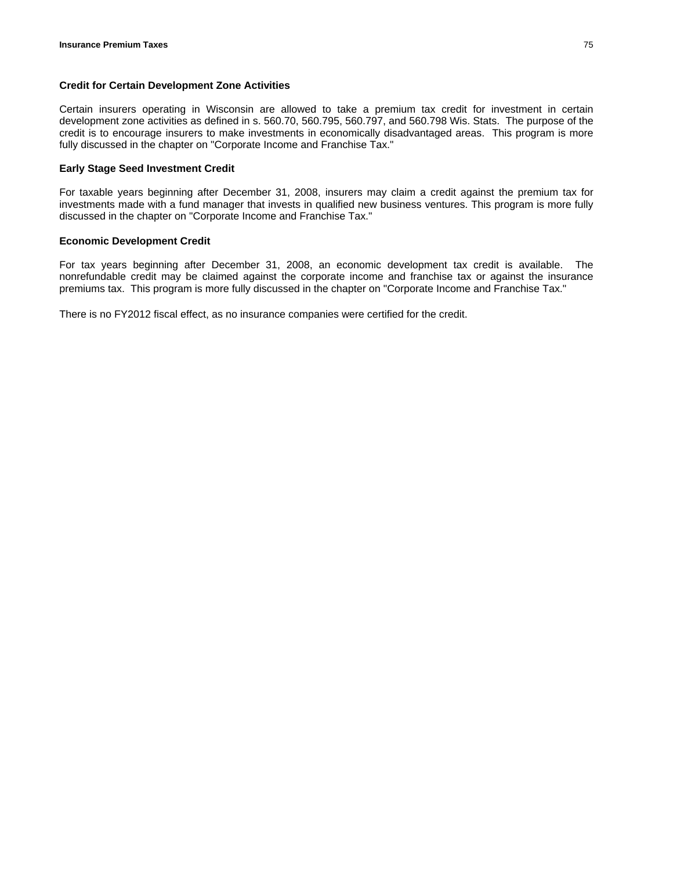## **Credit for Certain Development Zone Activities**

Certain insurers operating in Wisconsin are allowed to take a premium tax credit for investment in certain development zone activities as defined in s. 560.70, 560.795, 560.797, and 560.798 Wis. Stats. The purpose of the credit is to encourage insurers to make investments in economically disadvantaged areas. This program is more fully discussed in the chapter on "Corporate Income and Franchise Tax."

## **Early Stage Seed Investment Credit**

For taxable years beginning after December 31, 2008, insurers may claim a credit against the premium tax for investments made with a fund manager that invests in qualified new business ventures. This program is more fully discussed in the chapter on "Corporate Income and Franchise Tax."

## **Economic Development Credit**

For tax years beginning after December 31, 2008, an economic development tax credit is available. The nonrefundable credit may be claimed against the corporate income and franchise tax or against the insurance premiums tax. This program is more fully discussed in the chapter on "Corporate Income and Franchise Tax."

There is no FY2012 fiscal effect, as no insurance companies were certified for the credit.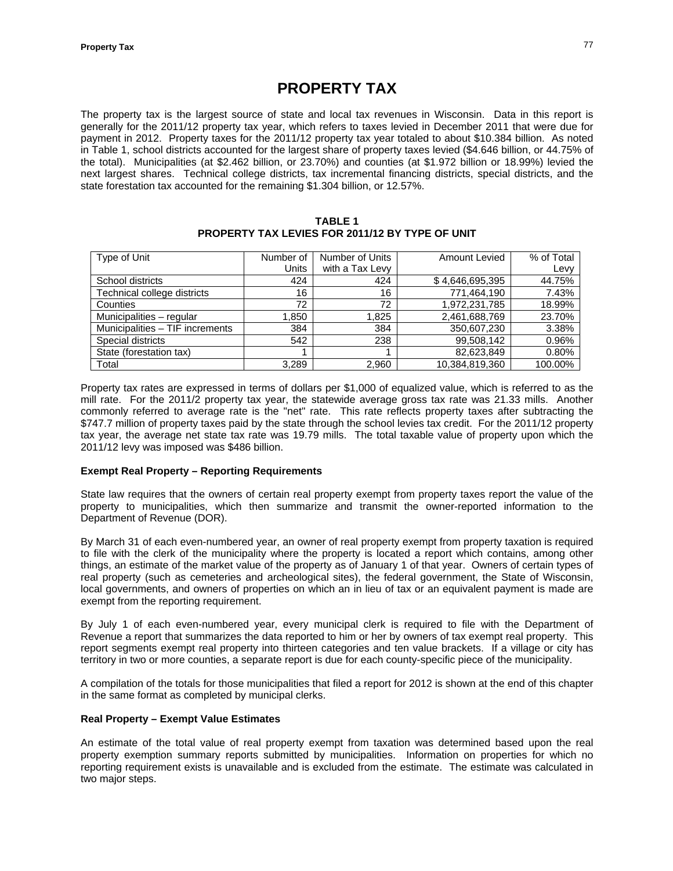# **PROPERTY TAX**

The property tax is the largest source of state and local tax revenues in Wisconsin. Data in this report is generally for the 2011/12 property tax year, which refers to taxes levied in December 2011 that were due for payment in 2012. Property taxes for the 2011/12 property tax year totaled to about \$10.384 billion. As noted in Table 1, school districts accounted for the largest share of property taxes levied (\$4.646 billion, or 44.75% of the total). Municipalities (at \$2.462 billion, or 23.70%) and counties (at \$1.972 billion or 18.99%) levied the next largest shares. Technical college districts, tax incremental financing districts, special districts, and the state forestation tax accounted for the remaining \$1.304 billion, or 12.57%.

**TABLE 1 PROPERTY TAX LEVIES FOR 2011/12 BY TYPE OF UNIT** 

| Type of Unit                    | Number of    | Number of Units | Amount Levied   | % of Total |
|---------------------------------|--------------|-----------------|-----------------|------------|
|                                 | <b>Units</b> | with a Tax Levy |                 | Levy       |
| School districts                | 424          | 424             | \$4,646,695,395 | 44.75%     |
| Technical college districts     | 16           | 16              | 771,464,190     | 7.43%      |
| Counties                        | 72           | 72              | 1,972,231,785   | 18.99%     |
| Municipalities - regular        | 1,850        | 1,825           | 2,461,688,769   | 23.70%     |
| Municipalities - TIF increments | 384          | 384             | 350,607,230     | 3.38%      |
| Special districts               | 542          | 238             | 99,508,142      | 0.96%      |
| State (forestation tax)         |              |                 | 82,623,849      | 0.80%      |
| Total                           | 3,289        | 2,960           | 10,384,819,360  | 100.00%    |

Property tax rates are expressed in terms of dollars per \$1,000 of equalized value, which is referred to as the mill rate. For the 2011/2 property tax year, the statewide average gross tax rate was 21.33 mills. Another commonly referred to average rate is the "net" rate. This rate reflects property taxes after subtracting the \$747.7 million of property taxes paid by the state through the school levies tax credit. For the 2011/12 property tax year, the average net state tax rate was 19.79 mills. The total taxable value of property upon which the 2011/12 levy was imposed was \$486 billion.

## **Exempt Real Property – Reporting Requirements**

State law requires that the owners of certain real property exempt from property taxes report the value of the property to municipalities, which then summarize and transmit the owner-reported information to the Department of Revenue (DOR).

By March 31 of each even-numbered year, an owner of real property exempt from property taxation is required to file with the clerk of the municipality where the property is located a report which contains, among other things, an estimate of the market value of the property as of January 1 of that year. Owners of certain types of real property (such as cemeteries and archeological sites), the federal government, the State of Wisconsin, local governments, and owners of properties on which an in lieu of tax or an equivalent payment is made are exempt from the reporting requirement.

By July 1 of each even-numbered year, every municipal clerk is required to file with the Department of Revenue a report that summarizes the data reported to him or her by owners of tax exempt real property. This report segments exempt real property into thirteen categories and ten value brackets. If a village or city has territory in two or more counties, a separate report is due for each county-specific piece of the municipality.

A compilation of the totals for those municipalities that filed a report for 2012 is shown at the end of this chapter in the same format as completed by municipal clerks.

## **Real Property – Exempt Value Estimates**

An estimate of the total value of real property exempt from taxation was determined based upon the real property exemption summary reports submitted by municipalities. Information on properties for which no reporting requirement exists is unavailable and is excluded from the estimate. The estimate was calculated in two major steps.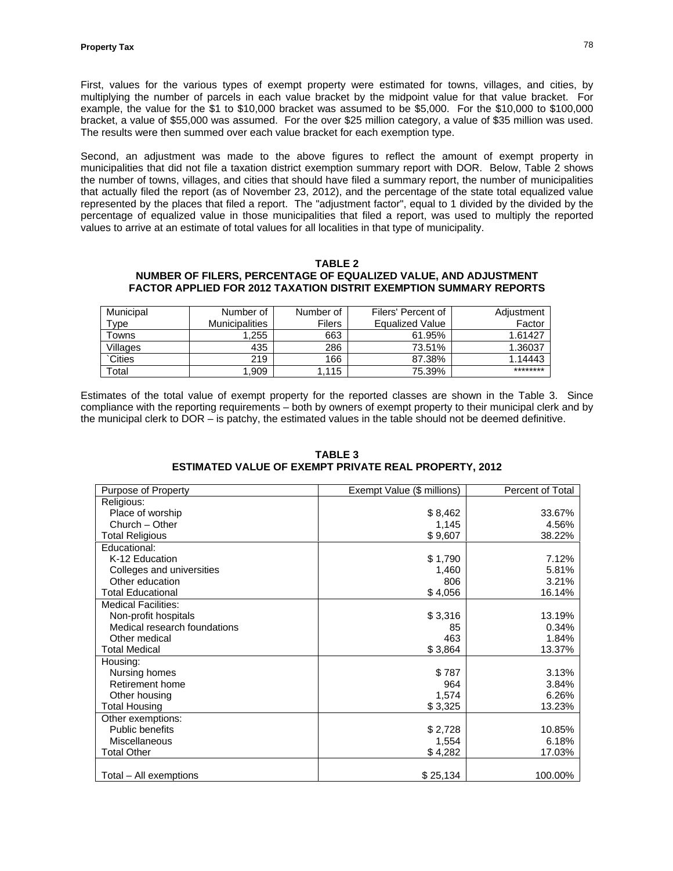First, values for the various types of exempt property were estimated for towns, villages, and cities, by multiplying the number of parcels in each value bracket by the midpoint value for that value bracket. For example, the value for the \$1 to \$10,000 bracket was assumed to be \$5,000. For the \$10,000 to \$100,000 bracket, a value of \$55,000 was assumed. For the over \$25 million category, a value of \$35 million was used. The results were then summed over each value bracket for each exemption type.

Second, an adjustment was made to the above figures to reflect the amount of exempt property in municipalities that did not file a taxation district exemption summary report with DOR. Below, Table 2 shows the number of towns, villages, and cities that should have filed a summary report, the number of municipalities that actually filed the report (as of November 23, 2012), and the percentage of the state total equalized value represented by the places that filed a report. The "adjustment factor", equal to 1 divided by the divided by the percentage of equalized value in those municipalities that filed a report, was used to multiply the reported values to arrive at an estimate of total values for all localities in that type of municipality.

#### **TABLE 2 NUMBER OF FILERS, PERCENTAGE OF EQUALIZED VALUE, AND ADJUSTMENT FACTOR APPLIED FOR 2012 TAXATION DISTRIT EXEMPTION SUMMARY REPORTS**

| Municipal     | Number of      | Number of | Filers' Percent of | Adjustment |
|---------------|----------------|-----------|--------------------|------------|
| туре          | Municipalities | Filers    | Equalized Value    | Factor     |
| Towns         | 1.255          | 663       | 61.95%             | 1.61427    |
| Villages      | 435            | 286       | 73.51%             | 1.36037    |
| <b>Cities</b> | 219            | 166       | 87.38%             | 1.14443    |
| Total         | 1.909          | .115      | 75.39%             | ********   |

Estimates of the total value of exempt property for the reported classes are shown in the Table 3. Since compliance with the reporting requirements – both by owners of exempt property to their municipal clerk and by the municipal clerk to DOR – is patchy, the estimated values in the table should not be deemed definitive.

| Purpose of Property          | Exempt Value (\$ millions) | Percent of Total |
|------------------------------|----------------------------|------------------|
| Religious:                   |                            |                  |
| Place of worship             | \$8,462                    | 33.67%           |
| Church - Other               | 1,145                      | 4.56%            |
| <b>Total Religious</b>       | \$9,607                    | 38.22%           |
| Educational:                 |                            |                  |
| K-12 Education               | \$1,790                    | 7.12%            |
| Colleges and universities    | 1,460                      | 5.81%            |
| Other education              | 806                        | 3.21%            |
| <b>Total Educational</b>     | \$4,056                    | 16.14%           |
| <b>Medical Facilities:</b>   |                            |                  |
| Non-profit hospitals         | \$3,316                    | 13.19%           |
| Medical research foundations | 85                         | 0.34%            |
| Other medical                | 463                        | 1.84%            |
| <b>Total Medical</b>         | \$3,864                    | 13.37%           |
| Housing:                     |                            |                  |
| Nursing homes                | \$787                      | 3.13%            |
| Retirement home              | 964                        | 3.84%            |
| Other housing                | 1,574                      | 6.26%            |
| <b>Total Housing</b>         | \$3,325                    | 13.23%           |
| Other exemptions:            |                            |                  |
| Public benefits              | \$2,728                    | 10.85%           |
| Miscellaneous                | 1,554                      | 6.18%            |
| <b>Total Other</b>           | \$4,282                    | 17.03%           |
| Total - All exemptions       | \$25,134                   | 100.00%          |

#### **TABLE 3 ESTIMATED VALUE OF EXEMPT PRIVATE REAL PROPERTY, 2012**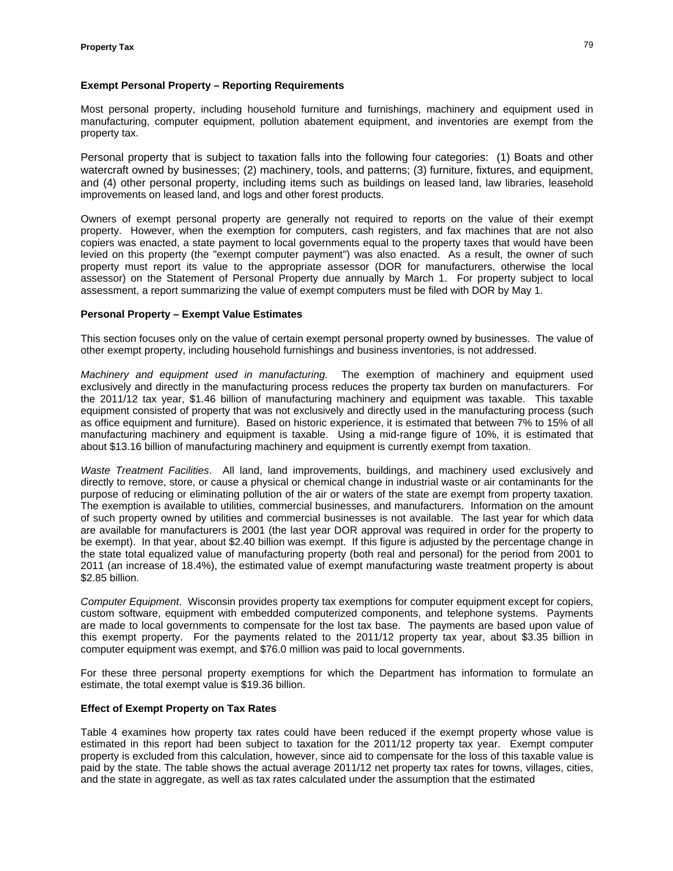## **Exempt Personal Property – Reporting Requirements**

Most personal property, including household furniture and furnishings, machinery and equipment used in manufacturing, computer equipment, pollution abatement equipment, and inventories are exempt from the property tax.

Personal property that is subject to taxation falls into the following four categories: (1) Boats and other watercraft owned by businesses; (2) machinery, tools, and patterns; (3) furniture, fixtures, and equipment, and (4) other personal property, including items such as buildings on leased land, law libraries, leasehold improvements on leased land, and logs and other forest products.

Owners of exempt personal property are generally not required to reports on the value of their exempt property. However, when the exemption for computers, cash registers, and fax machines that are not also copiers was enacted, a state payment to local governments equal to the property taxes that would have been levied on this property (the "exempt computer payment") was also enacted. As a result, the owner of such property must report its value to the appropriate assessor (DOR for manufacturers, otherwise the local assessor) on the Statement of Personal Property due annually by March 1. For property subject to local assessment, a report summarizing the value of exempt computers must be filed with DOR by May 1.

## **Personal Property – Exempt Value Estimates**

This section focuses only on the value of certain exempt personal property owned by businesses. The value of other exempt property, including household furnishings and business inventories, is not addressed.

*Machinery and equipment used in manufacturing.* The exemption of machinery and equipment used exclusively and directly in the manufacturing process reduces the property tax burden on manufacturers. For the 2011/12 tax year, \$1.46 billion of manufacturing machinery and equipment was taxable. This taxable equipment consisted of property that was not exclusively and directly used in the manufacturing process (such as office equipment and furniture). Based on historic experience, it is estimated that between 7% to 15% of all manufacturing machinery and equipment is taxable. Using a mid-range figure of 10%, it is estimated that about \$13.16 billion of manufacturing machinery and equipment is currently exempt from taxation.

*Waste Treatment Facilities*. All land, land improvements, buildings, and machinery used exclusively and directly to remove, store, or cause a physical or chemical change in industrial waste or air contaminants for the purpose of reducing or eliminating pollution of the air or waters of the state are exempt from property taxation. The exemption is available to utilities, commercial businesses, and manufacturers. Information on the amount of such property owned by utilities and commercial businesses is not available. The last year for which data are available for manufacturers is 2001 (the last year DOR approval was required in order for the property to be exempt). In that year, about \$2.40 billion was exempt. If this figure is adjusted by the percentage change in the state total equalized value of manufacturing property (both real and personal) for the period from 2001 to 2011 (an increase of 18.4%), the estimated value of exempt manufacturing waste treatment property is about \$2.85 billion.

*Computer Equipment*. Wisconsin provides property tax exemptions for computer equipment except for copiers, custom software, equipment with embedded computerized components, and telephone systems. Payments are made to local governments to compensate for the lost tax base. The payments are based upon value of this exempt property. For the payments related to the 2011/12 property tax year, about \$3.35 billion in computer equipment was exempt, and \$76.0 million was paid to local governments.

For these three personal property exemptions for which the Department has information to formulate an estimate, the total exempt value is \$19.36 billion.

## **Effect of Exempt Property on Tax Rates**

Table 4 examines how property tax rates could have been reduced if the exempt property whose value is estimated in this report had been subject to taxation for the 2011/12 property tax year. Exempt computer property is excluded from this calculation, however, since aid to compensate for the loss of this taxable value is paid by the state. The table shows the actual average 2011/12 net property tax rates for towns, villages, cities, and the state in aggregate, as well as tax rates calculated under the assumption that the estimated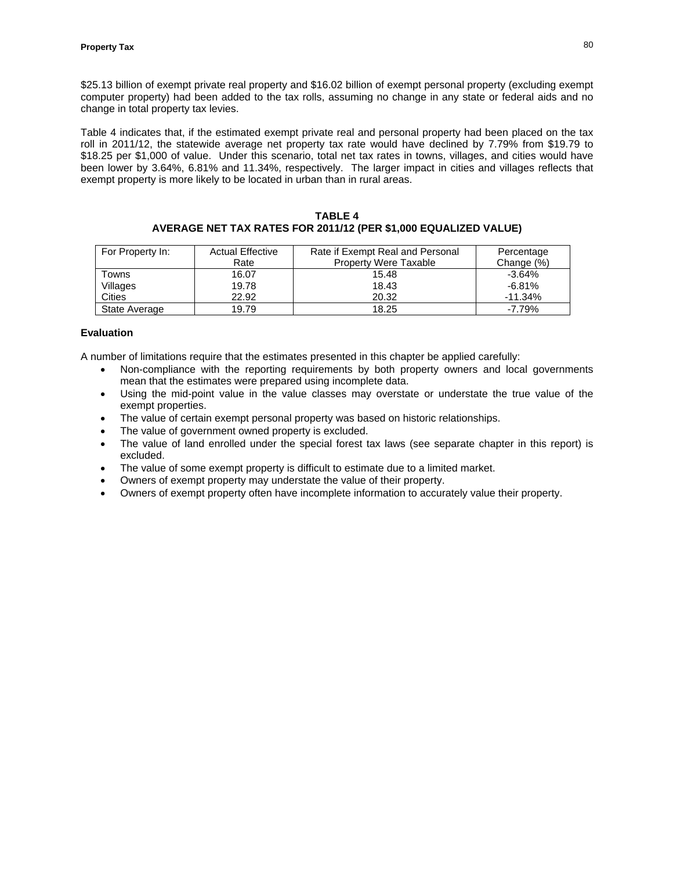\$25.13 billion of exempt private real property and \$16.02 billion of exempt personal property (excluding exempt computer property) had been added to the tax rolls, assuming no change in any state or federal aids and no change in total property tax levies.

Table 4 indicates that, if the estimated exempt private real and personal property had been placed on the tax roll in 2011/12, the statewide average net property tax rate would have declined by 7.79% from \$19.79 to \$18.25 per \$1,000 of value. Under this scenario, total net tax rates in towns, villages, and cities would have been lower by 3.64%, 6.81% and 11.34%, respectively. The larger impact in cities and villages reflects that exempt property is more likely to be located in urban than in rural areas.

#### **TABLE 4 AVERAGE NET TAX RATES FOR 2011/12 (PER \$1,000 EQUALIZED VALUE)**

| For Property In: | <b>Actual Effective</b> | Rate if Exempt Real and Personal | Percentage |
|------------------|-------------------------|----------------------------------|------------|
|                  | Rate                    | <b>Property Were Taxable</b>     | Change (%) |
| Towns            | 16.07                   | 15.48                            | $-3.64%$   |
| Villages         | 19.78                   | 18.43                            | $-6.81%$   |
| Cities           | 22.92                   | 20.32                            | $-11.34\%$ |
| State Average    | 19.79                   | 18.25                            | $-7.79%$   |

# **Evaluation**

A number of limitations require that the estimates presented in this chapter be applied carefully:

- Non-compliance with the reporting requirements by both property owners and local governments mean that the estimates were prepared using incomplete data.
- Using the mid-point value in the value classes may overstate or understate the true value of the exempt properties.
- The value of certain exempt personal property was based on historic relationships.
- The value of government owned property is excluded.
- The value of land enrolled under the special forest tax laws (see separate chapter in this report) is excluded.
- The value of some exempt property is difficult to estimate due to a limited market.
- Owners of exempt property may understate the value of their property.
- Owners of exempt property often have incomplete information to accurately value their property.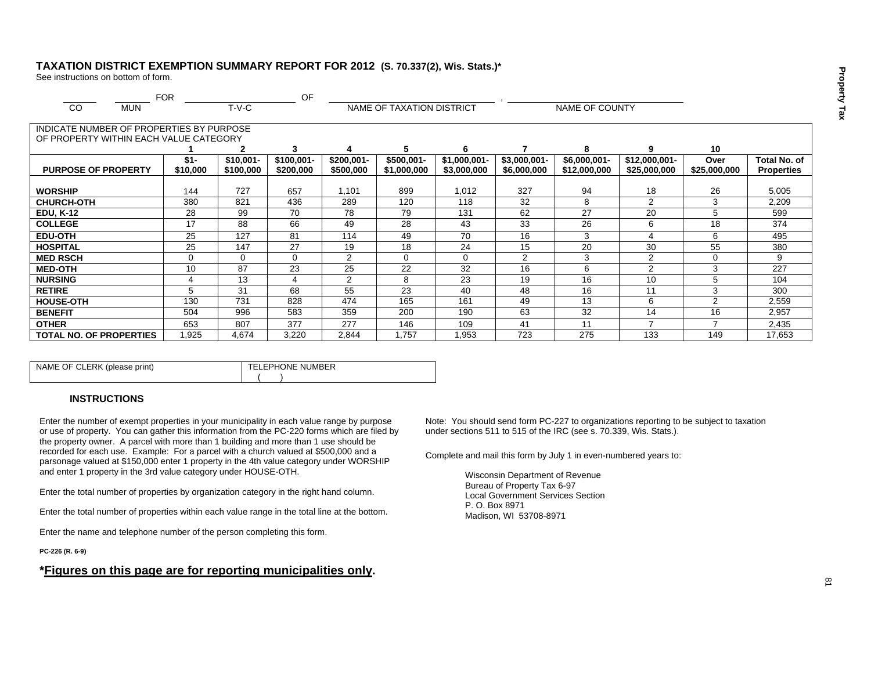## **TAXATION DISTRICT EXEMPTION SUMMARY REPORT FOR 2012 (S. 70.337(2), Wis. Stats.)\***

See instructions on bottom of form.

|                                          | <b>FOR</b> |             | OF           |             |                           |               |                |                |                |                |                   |
|------------------------------------------|------------|-------------|--------------|-------------|---------------------------|---------------|----------------|----------------|----------------|----------------|-------------------|
| CO<br><b>MUN</b>                         |            | $T-V-C$     |              |             | NAME OF TAXATION DISTRICT |               |                | NAME OF COUNTY |                |                |                   |
|                                          |            |             |              |             |                           |               |                |                |                |                |                   |
| INDICATE NUMBER OF PROPERTIES BY PURPOSE |            |             |              |             |                           |               |                |                |                |                |                   |
| OF PROPERTY WITHIN EACH VALUE CATEGORY   |            |             |              |             |                           |               |                |                |                |                |                   |
|                                          |            | 2           | 3            | 4           | 5                         | 6             |                | 8              | q              | 10             |                   |
|                                          | $$1-$      | $$10.001 -$ | $$100,001 -$ | $$200,001-$ | \$500,001-                | $$1,000,001-$ | $$3,000,001-$  | $$6,000,001-$  | \$12,000,001-  | Over           | Total No. of      |
| <b>PURPOSE OF PROPERTY</b>               | \$10,000   | \$100,000   | \$200,000    | \$500,000   | \$1,000,000               | \$3,000,000   | \$6,000,000    | \$12,000,000   | \$25,000,000   | \$25,000,000   | <b>Properties</b> |
|                                          |            |             |              |             |                           |               |                |                |                |                |                   |
| <b>WORSHIP</b>                           | 144        | 727         | 657          | 1,101       | 899                       | 1,012         | 327            | 94             | 18             | 26             | 5,005             |
| <b>CHURCH-OTH</b>                        | 380        | 821         | 436          | 289         | 120                       | 118           | 32             | 8              | 2              | 3              | 2,209             |
| <b>EDU, K-12</b>                         | 28         | 99          | 70           | 78          | 79                        | 131           | 62             | 27             | 20             | 5              | 599               |
| <b>COLLEGE</b>                           | 17         | 88          | 66           | 49          | 28                        | 43            | 33             | 26             | 6              | 18             | 374               |
| <b>EDU-OTH</b>                           | 25         | 127         | 81           | 114         | 49                        | 70            | 16             | 3              |                | 6              | 495               |
| <b>HOSPITAL</b>                          | 25         | 147         | 27           | 19          | 18                        | 24            | 15             | 20             | 30             | 55             | 380               |
| <b>MED RSCH</b>                          | 0          | 0           | $\Omega$     | 2           | 0                         | $\Omega$      | $\overline{2}$ | 3              | 2              | 0              | 9                 |
| <b>MED-OTH</b>                           | 10         | 87          | 23           | 25          | 22                        | 32            | 16             | 6              | $\overline{2}$ | 3              | 227               |
| <b>NURSING</b>                           | 4          | 13          | 4            | 2           | 8                         | 23            | 19             | 16             | 10             | 5              | 104               |
| <b>RETIRE</b>                            | 5          | 31          | 68           | 55          | 23                        | 40            | 48             | 16             | 11             | 3              | 300               |
| <b>HOUSE-OTH</b>                         | 130        | 731         | 828          | 474         | 165                       | 161           | 49             | 13             | 6              | 2              | 2,559             |
| <b>BENEFIT</b>                           | 504        | 996         | 583          | 359         | 200                       | 190           | 63             | 32             | 14             | 16             | 2,957             |
| <b>OTHER</b>                             | 653        | 807         | 377          | 277         | 146                       | 109           | 41             | 11             | $\rightarrow$  | $\overline{ }$ | 2,435             |
| <b>TOTAL NO. OF PROPERTIES</b>           | 1,925      | 4,674       | 3,220        | 2,844       | .757                      | <b>953.</b>   | 723            | 275            | 133            | 149            | 17,653            |

| NAME OF CLERK (please print) | FELEPHONE NUMBER |
|------------------------------|------------------|
|                              |                  |

#### **INSTRUCTIONS**

Enter the number of exempt properties in your municipality in each value range by purpose or use of property. You can gather this information from the PC-220 forms which are filed by the property owner. A parcel with more than 1 building and more than 1 use should be recorded for each use. Example: For a parcel with a church valued at \$500,000 and a parsonage valued at \$150,000 enter 1 property in the 4th value category under WORSHIP and enter 1 property in the 3rd value category under HOUSE-OTH.

Enter the total number of properties by organization category in the right hand column.

Enter the total number of properties within each value range in the total line at the bottom.

Enter the name and telephone number of the person completing this form.

**PC-226 (R. 6-9)** 

# **\*Figures on this page are for reporting municipalities only.**

Note: You should send form PC-227 to organizations reporting to be subject to taxation under sections 511 to 515 of the IRC (see s. 70.339, Wis. Stats.).

Complete and mail this form by July 1 in even-numbered years to:

Wisconsin Department of Revenue Bureau of Property Tax 6-97 Local Government Services Section P. O. Box 8971 Madison, WI 53708-8971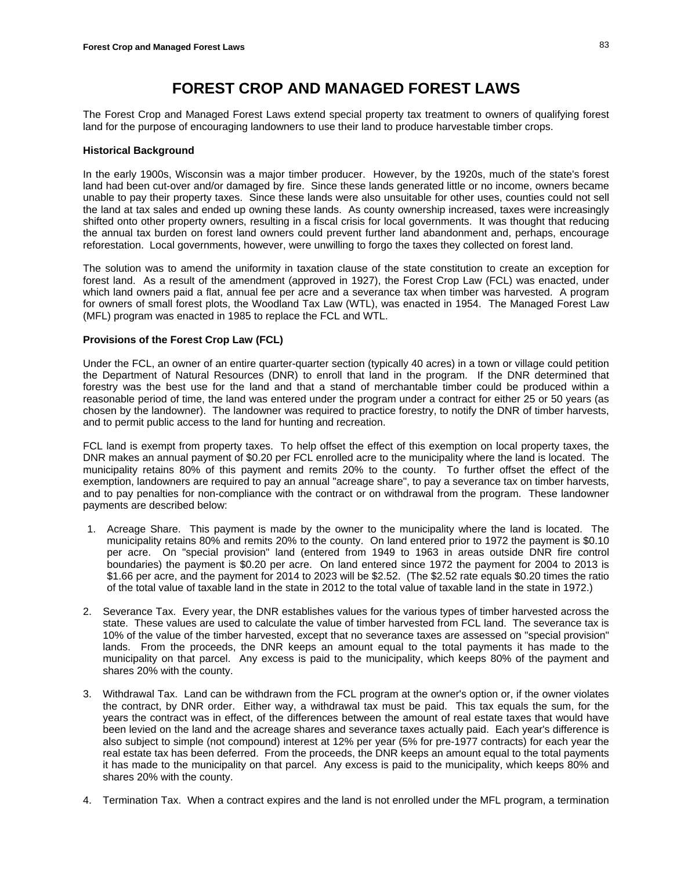# **FOREST CROP AND MANAGED FOREST LAWS**

The Forest Crop and Managed Forest Laws extend special property tax treatment to owners of qualifying forest land for the purpose of encouraging landowners to use their land to produce harvestable timber crops.

#### **Historical Background**

In the early 1900s, Wisconsin was a major timber producer. However, by the 1920s, much of the state's forest land had been cut-over and/or damaged by fire. Since these lands generated little or no income, owners became unable to pay their property taxes. Since these lands were also unsuitable for other uses, counties could not sell the land at tax sales and ended up owning these lands. As county ownership increased, taxes were increasingly shifted onto other property owners, resulting in a fiscal crisis for local governments. It was thought that reducing the annual tax burden on forest land owners could prevent further land abandonment and, perhaps, encourage reforestation. Local governments, however, were unwilling to forgo the taxes they collected on forest land.

The solution was to amend the uniformity in taxation clause of the state constitution to create an exception for forest land. As a result of the amendment (approved in 1927), the Forest Crop Law (FCL) was enacted, under which land owners paid a flat, annual fee per acre and a severance tax when timber was harvested. A program for owners of small forest plots, the Woodland Tax Law (WTL), was enacted in 1954. The Managed Forest Law (MFL) program was enacted in 1985 to replace the FCL and WTL.

## **Provisions of the Forest Crop Law (FCL)**

Under the FCL, an owner of an entire quarter-quarter section (typically 40 acres) in a town or village could petition the Department of Natural Resources (DNR) to enroll that land in the program. If the DNR determined that forestry was the best use for the land and that a stand of merchantable timber could be produced within a reasonable period of time, the land was entered under the program under a contract for either 25 or 50 years (as chosen by the landowner). The landowner was required to practice forestry, to notify the DNR of timber harvests, and to permit public access to the land for hunting and recreation.

FCL land is exempt from property taxes. To help offset the effect of this exemption on local property taxes, the DNR makes an annual payment of \$0.20 per FCL enrolled acre to the municipality where the land is located. The municipality retains 80% of this payment and remits 20% to the county. To further offset the effect of the exemption, landowners are required to pay an annual "acreage share", to pay a severance tax on timber harvests, and to pay penalties for non-compliance with the contract or on withdrawal from the program. These landowner payments are described below:

- 1. Acreage Share. This payment is made by the owner to the municipality where the land is located. The municipality retains 80% and remits 20% to the county. On land entered prior to 1972 the payment is \$0.10 per acre. On "special provision" land (entered from 1949 to 1963 in areas outside DNR fire control boundaries) the payment is \$0.20 per acre. On land entered since 1972 the payment for 2004 to 2013 is \$1.66 per acre, and the payment for 2014 to 2023 will be \$2.52. (The \$2.52 rate equals \$0.20 times the ratio of the total value of taxable land in the state in 2012 to the total value of taxable land in the state in 1972.)
- 2. Severance Tax. Every year, the DNR establishes values for the various types of timber harvested across the state. These values are used to calculate the value of timber harvested from FCL land. The severance tax is 10% of the value of the timber harvested, except that no severance taxes are assessed on "special provision" lands. From the proceeds, the DNR keeps an amount equal to the total payments it has made to the municipality on that parcel. Any excess is paid to the municipality, which keeps 80% of the payment and shares 20% with the county.
- 3. Withdrawal Tax. Land can be withdrawn from the FCL program at the owner's option or, if the owner violates the contract, by DNR order. Either way, a withdrawal tax must be paid. This tax equals the sum, for the years the contract was in effect, of the differences between the amount of real estate taxes that would have been levied on the land and the acreage shares and severance taxes actually paid. Each year's difference is also subject to simple (not compound) interest at 12% per year (5% for pre-1977 contracts) for each year the real estate tax has been deferred. From the proceeds, the DNR keeps an amount equal to the total payments it has made to the municipality on that parcel. Any excess is paid to the municipality, which keeps 80% and shares 20% with the county.
- 4. Termination Tax. When a contract expires and the land is not enrolled under the MFL program, a termination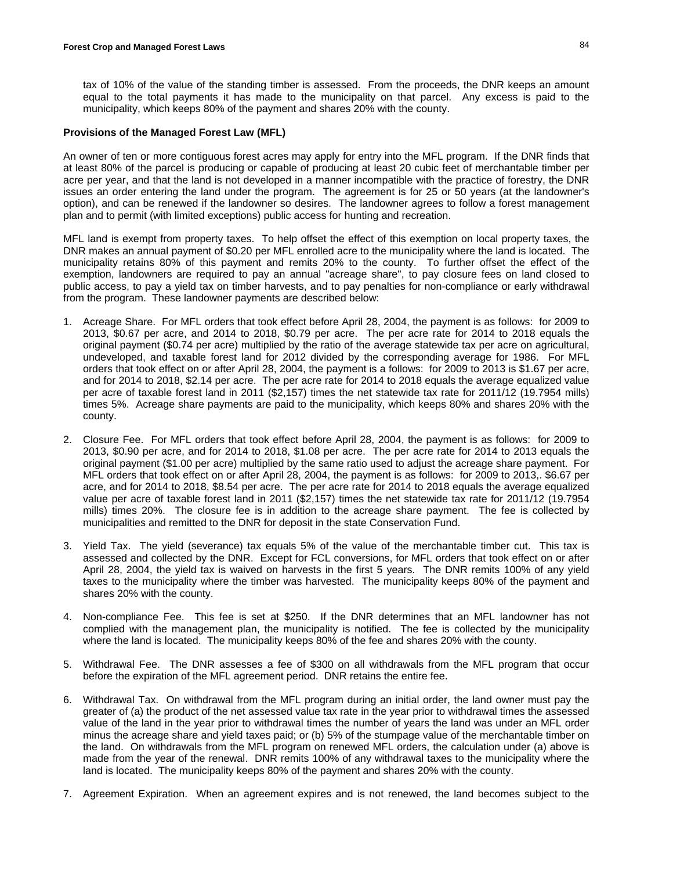tax of 10% of the value of the standing timber is assessed. From the proceeds, the DNR keeps an amount equal to the total payments it has made to the municipality on that parcel. Any excess is paid to the municipality, which keeps 80% of the payment and shares 20% with the county.

#### **Provisions of the Managed Forest Law (MFL)**

An owner of ten or more contiguous forest acres may apply for entry into the MFL program. If the DNR finds that at least 80% of the parcel is producing or capable of producing at least 20 cubic feet of merchantable timber per acre per year, and that the land is not developed in a manner incompatible with the practice of forestry, the DNR issues an order entering the land under the program. The agreement is for 25 or 50 years (at the landowner's option), and can be renewed if the landowner so desires. The landowner agrees to follow a forest management plan and to permit (with limited exceptions) public access for hunting and recreation.

MFL land is exempt from property taxes. To help offset the effect of this exemption on local property taxes, the DNR makes an annual payment of \$0.20 per MFL enrolled acre to the municipality where the land is located. The municipality retains 80% of this payment and remits 20% to the county. To further offset the effect of the exemption, landowners are required to pay an annual "acreage share", to pay closure fees on land closed to public access, to pay a yield tax on timber harvests, and to pay penalties for non-compliance or early withdrawal from the program. These landowner payments are described below:

- 1. Acreage Share. For MFL orders that took effect before April 28, 2004, the payment is as follows: for 2009 to 2013, \$0.67 per acre, and 2014 to 2018, \$0.79 per acre. The per acre rate for 2014 to 2018 equals the original payment (\$0.74 per acre) multiplied by the ratio of the average statewide tax per acre on agricultural, undeveloped, and taxable forest land for 2012 divided by the corresponding average for 1986. For MFL orders that took effect on or after April 28, 2004, the payment is a follows: for 2009 to 2013 is \$1.67 per acre, and for 2014 to 2018, \$2.14 per acre. The per acre rate for 2014 to 2018 equals the average equalized value per acre of taxable forest land in 2011 (\$2,157) times the net statewide tax rate for 2011/12 (19.7954 mills) times 5%. Acreage share payments are paid to the municipality, which keeps 80% and shares 20% with the county.
- 2. Closure Fee. For MFL orders that took effect before April 28, 2004, the payment is as follows: for 2009 to 2013, \$0.90 per acre, and for 2014 to 2018, \$1.08 per acre. The per acre rate for 2014 to 2013 equals the original payment (\$1.00 per acre) multiplied by the same ratio used to adjust the acreage share payment. For MFL orders that took effect on or after April 28, 2004, the payment is as follows: for 2009 to 2013,. \$6.67 per acre, and for 2014 to 2018, \$8.54 per acre. The per acre rate for 2014 to 2018 equals the average equalized value per acre of taxable forest land in 2011 (\$2,157) times the net statewide tax rate for 2011/12 (19.7954 mills) times 20%. The closure fee is in addition to the acreage share payment. The fee is collected by municipalities and remitted to the DNR for deposit in the state Conservation Fund.
- 3. Yield Tax. The yield (severance) tax equals 5% of the value of the merchantable timber cut. This tax is assessed and collected by the DNR. Except for FCL conversions, for MFL orders that took effect on or after April 28, 2004, the yield tax is waived on harvests in the first 5 years. The DNR remits 100% of any yield taxes to the municipality where the timber was harvested. The municipality keeps 80% of the payment and shares 20% with the county.
- 4. Non-compliance Fee. This fee is set at \$250. If the DNR determines that an MFL landowner has not complied with the management plan, the municipality is notified. The fee is collected by the municipality where the land is located. The municipality keeps 80% of the fee and shares 20% with the county.
- 5. Withdrawal Fee. The DNR assesses a fee of \$300 on all withdrawals from the MFL program that occur before the expiration of the MFL agreement period. DNR retains the entire fee.
- 6. Withdrawal Tax. On withdrawal from the MFL program during an initial order, the land owner must pay the greater of (a) the product of the net assessed value tax rate in the year prior to withdrawal times the assessed value of the land in the year prior to withdrawal times the number of years the land was under an MFL order minus the acreage share and yield taxes paid; or (b) 5% of the stumpage value of the merchantable timber on the land. On withdrawals from the MFL program on renewed MFL orders, the calculation under (a) above is made from the year of the renewal. DNR remits 100% of any withdrawal taxes to the municipality where the land is located. The municipality keeps 80% of the payment and shares 20% with the county.
- 7. Agreement Expiration. When an agreement expires and is not renewed, the land becomes subject to the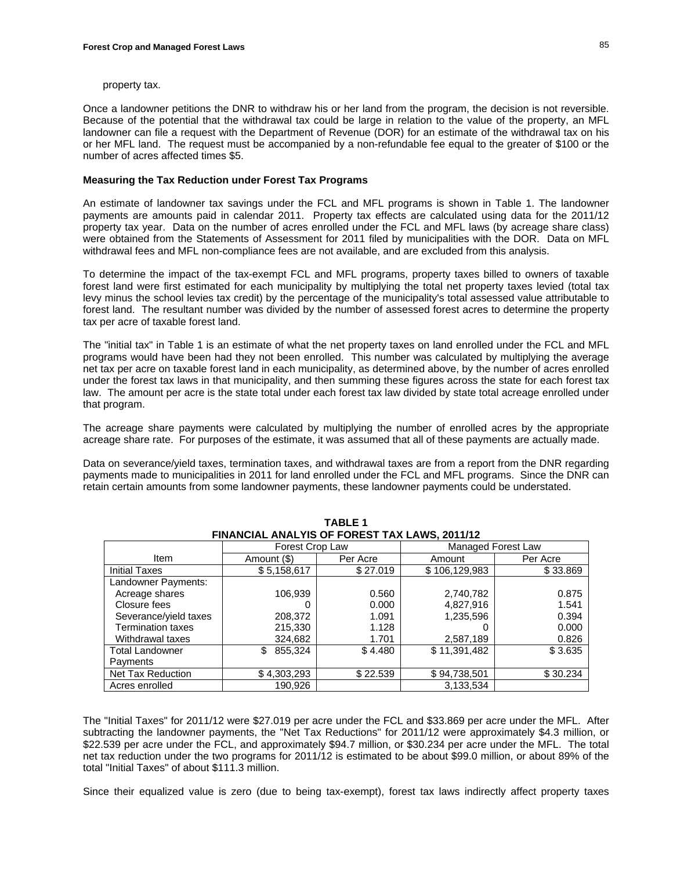#### property tax.

Once a landowner petitions the DNR to withdraw his or her land from the program, the decision is not reversible. Because of the potential that the withdrawal tax could be large in relation to the value of the property, an MFL landowner can file a request with the Department of Revenue (DOR) for an estimate of the withdrawal tax on his or her MFL land. The request must be accompanied by a non-refundable fee equal to the greater of \$100 or the number of acres affected times \$5.

#### **Measuring the Tax Reduction under Forest Tax Programs**

An estimate of landowner tax savings under the FCL and MFL programs is shown in Table 1. The landowner payments are amounts paid in calendar 2011. Property tax effects are calculated using data for the 2011/12 property tax year. Data on the number of acres enrolled under the FCL and MFL laws (by acreage share class) were obtained from the Statements of Assessment for 2011 filed by municipalities with the DOR. Data on MFL withdrawal fees and MFL non-compliance fees are not available, and are excluded from this analysis.

To determine the impact of the tax-exempt FCL and MFL programs, property taxes billed to owners of taxable forest land were first estimated for each municipality by multiplying the total net property taxes levied (total tax levy minus the school levies tax credit) by the percentage of the municipality's total assessed value attributable to forest land. The resultant number was divided by the number of assessed forest acres to determine the property tax per acre of taxable forest land.

The "initial tax" in Table 1 is an estimate of what the net property taxes on land enrolled under the FCL and MFL programs would have been had they not been enrolled. This number was calculated by multiplying the average net tax per acre on taxable forest land in each municipality, as determined above, by the number of acres enrolled under the forest tax laws in that municipality, and then summing these figures across the state for each forest tax law. The amount per acre is the state total under each forest tax law divided by state total acreage enrolled under that program.

The acreage share payments were calculated by multiplying the number of enrolled acres by the appropriate acreage share rate. For purposes of the estimate, it was assumed that all of these payments are actually made.

Data on severance/yield taxes, termination taxes, and withdrawal taxes are from a report from the DNR regarding payments made to municipalities in 2011 for land enrolled under the FCL and MFL programs. Since the DNR can retain certain amounts from some landowner payments, these landowner payments could be understated.

| FINANCIAL ANALYIS OF FOREST TAX LAWS, 2011/12 |                 |          |               |                    |  |  |
|-----------------------------------------------|-----------------|----------|---------------|--------------------|--|--|
|                                               | Forest Crop Law |          |               | Managed Forest Law |  |  |
| Item                                          | Amount (\$)     | Per Acre | Amount        | Per Acre           |  |  |
| <b>Initial Taxes</b>                          | \$5,158,617     | \$27.019 | \$106,129,983 | \$33.869           |  |  |
| Landowner Payments:                           |                 |          |               |                    |  |  |
| Acreage shares                                | 106,939         | 0.560    | 2,740,782     | 0.875              |  |  |
| Closure fees                                  |                 | 0.000    | 4,827,916     | 1.541              |  |  |
| Severance/yield taxes                         | 208,372         | 1.091    | 1,235,596     | 0.394              |  |  |
| <b>Termination taxes</b>                      | 215,330         | 1.128    |               | 0.000              |  |  |
| Withdrawal taxes                              | 324,682         | 1.701    | 2,587,189     | 0.826              |  |  |
| <b>Total Landowner</b>                        | 855.324<br>\$   | \$4.480  | \$11,391,482  | \$3.635            |  |  |
| Payments                                      |                 |          |               |                    |  |  |
| <b>Net Tax Reduction</b>                      | \$4,303,293     | \$22.539 | \$94,738,501  | \$30.234           |  |  |
| Acres enrolled                                | 190,926         |          | 3,133,534     |                    |  |  |

**TABLE 1** 

The "Initial Taxes" for 2011/12 were \$27.019 per acre under the FCL and \$33.869 per acre under the MFL. After subtracting the landowner payments, the "Net Tax Reductions" for 2011/12 were approximately \$4.3 million, or \$22.539 per acre under the FCL, and approximately \$94.7 million, or \$30.234 per acre under the MFL. The total net tax reduction under the two programs for 2011/12 is estimated to be about \$99.0 million, or about 89% of the total "Initial Taxes" of about \$111.3 million.

Since their equalized value is zero (due to being tax-exempt), forest tax laws indirectly affect property taxes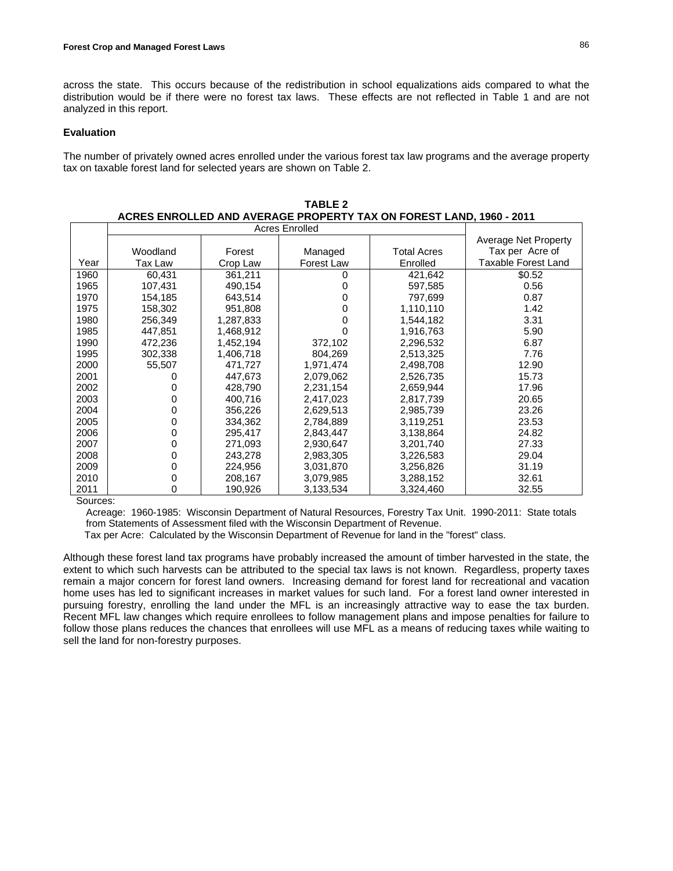across the state. This occurs because of the redistribution in school equalizations aids compared to what the distribution would be if there were no forest tax laws. These effects are not reflected in Table 1 and are not analyzed in this report.

## **Evaluation**

The number of privately owned acres enrolled under the various forest tax law programs and the average property tax on taxable forest land for selected years are shown on Table 2.

|      |          |           |            |             | Average Net Property |
|------|----------|-----------|------------|-------------|----------------------|
|      | Woodland | Forest    | Managed    | Total Acres | Tax per Acre of      |
| Year | Tax Law  | Crop Law  | Forest Law | Enrolled    | Taxable Forest Land  |
| 1960 | 60.431   | 361,211   | 0          | 421,642     | \$0.52               |
| 1965 | 107,431  | 490,154   | 0          | 597,585     | 0.56                 |
| 1970 | 154,185  | 643,514   | 0          | 797,699     | 0.87                 |
| 1975 | 158,302  | 951,808   | 0          | 1,110,110   | 1.42                 |
| 1980 | 256,349  | 1,287,833 | 0          | 1,544,182   | 3.31                 |
| 1985 | 447,851  | 1,468,912 | 0          | 1,916,763   | 5.90                 |
| 1990 | 472,236  | 1,452,194 | 372,102    | 2,296,532   | 6.87                 |
| 1995 | 302,338  | 1,406,718 | 804,269    | 2,513,325   | 7.76                 |
| 2000 | 55,507   | 471,727   | 1,971,474  | 2,498,708   | 12.90                |
| 2001 |          | 447,673   | 2,079,062  | 2,526,735   | 15.73                |
| 2002 |          | 428,790   | 2,231,154  | 2,659,944   | 17.96                |
| 2003 |          | 400,716   | 2,417,023  | 2,817,739   | 20.65                |
| 2004 | 0        | 356,226   | 2,629,513  | 2,985,739   | 23.26                |
| 2005 | 0        | 334,362   | 2,784,889  | 3,119,251   | 23.53                |
| 2006 | 0        | 295,417   | 2,843,447  | 3,138,864   | 24.82                |
| 2007 | 0        | 271,093   | 2,930,647  | 3,201,740   | 27.33                |
| 2008 | 0        | 243,278   | 2,983,305  | 3,226,583   | 29.04                |
| 2009 | 0        | 224,956   | 3,031,870  | 3,256,826   | 31.19                |
| 2010 | 0        | 208,167   | 3,079,985  | 3,288,152   | 32.61                |
| 2011 | 0        | 190,926   | 3,133,534  | 3,324,460   | 32.55                |

**TABLE 2 ACRES ENROLLED AND AVERAGE PROPERTY TAX ON FOREST LAND, 1960 - 2011**

Sources:

Acreage: 1960-1985: Wisconsin Department of Natural Resources, Forestry Tax Unit. 1990-2011: State totals from Statements of Assessment filed with the Wisconsin Department of Revenue.

Tax per Acre: Calculated by the Wisconsin Department of Revenue for land in the "forest" class.

Although these forest land tax programs have probably increased the amount of timber harvested in the state, the extent to which such harvests can be attributed to the special tax laws is not known. Regardless, property taxes remain a major concern for forest land owners. Increasing demand for forest land for recreational and vacation home uses has led to significant increases in market values for such land. For a forest land owner interested in pursuing forestry, enrolling the land under the MFL is an increasingly attractive way to ease the tax burden. Recent MFL law changes which require enrollees to follow management plans and impose penalties for failure to follow those plans reduces the chances that enrollees will use MFL as a means of reducing taxes while waiting to sell the land for non-forestry purposes.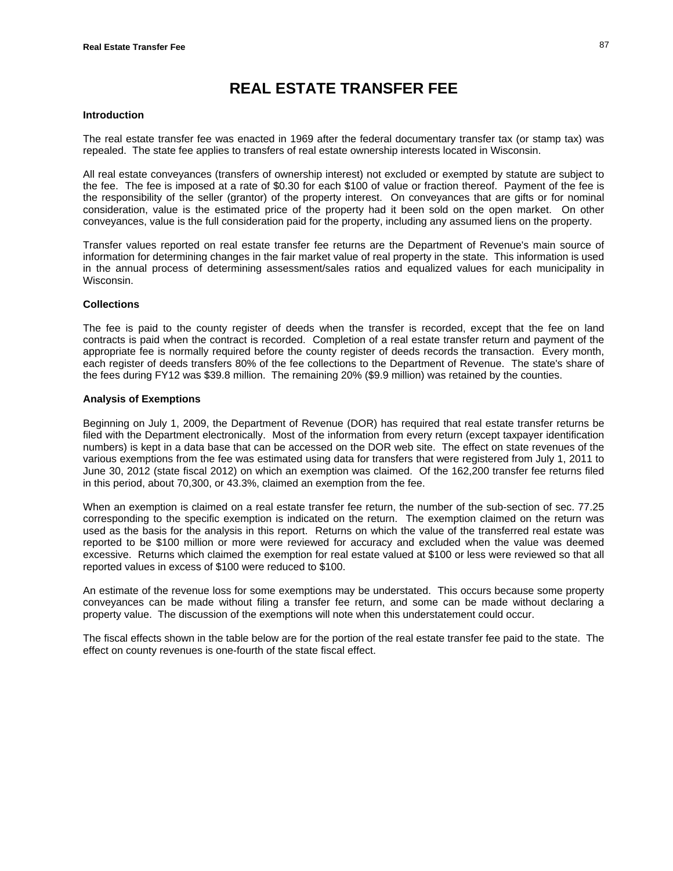# **REAL ESTATE TRANSFER FEE**

#### **Introduction**

The real estate transfer fee was enacted in 1969 after the federal documentary transfer tax (or stamp tax) was repealed. The state fee applies to transfers of real estate ownership interests located in Wisconsin.

All real estate conveyances (transfers of ownership interest) not excluded or exempted by statute are subject to the fee. The fee is imposed at a rate of \$0.30 for each \$100 of value or fraction thereof. Payment of the fee is the responsibility of the seller (grantor) of the property interest. On conveyances that are gifts or for nominal consideration, value is the estimated price of the property had it been sold on the open market. On other conveyances, value is the full consideration paid for the property, including any assumed liens on the property.

Transfer values reported on real estate transfer fee returns are the Department of Revenue's main source of information for determining changes in the fair market value of real property in the state. This information is used in the annual process of determining assessment/sales ratios and equalized values for each municipality in Wisconsin.

#### **Collections**

The fee is paid to the county register of deeds when the transfer is recorded, except that the fee on land contracts is paid when the contract is recorded. Completion of a real estate transfer return and payment of the appropriate fee is normally required before the county register of deeds records the transaction. Every month, each register of deeds transfers 80% of the fee collections to the Department of Revenue. The state's share of the fees during FY12 was \$39.8 million. The remaining 20% (\$9.9 million) was retained by the counties.

#### **Analysis of Exemptions**

Beginning on July 1, 2009, the Department of Revenue (DOR) has required that real estate transfer returns be filed with the Department electronically. Most of the information from every return (except taxpayer identification numbers) is kept in a data base that can be accessed on the DOR web site. The effect on state revenues of the various exemptions from the fee was estimated using data for transfers that were registered from July 1, 2011 to June 30, 2012 (state fiscal 2012) on which an exemption was claimed. Of the 162,200 transfer fee returns filed in this period, about 70,300, or 43.3%, claimed an exemption from the fee.

When an exemption is claimed on a real estate transfer fee return, the number of the sub-section of sec. 77.25 corresponding to the specific exemption is indicated on the return. The exemption claimed on the return was used as the basis for the analysis in this report. Returns on which the value of the transferred real estate was reported to be \$100 million or more were reviewed for accuracy and excluded when the value was deemed excessive. Returns which claimed the exemption for real estate valued at \$100 or less were reviewed so that all reported values in excess of \$100 were reduced to \$100.

An estimate of the revenue loss for some exemptions may be understated. This occurs because some property conveyances can be made without filing a transfer fee return, and some can be made without declaring a property value. The discussion of the exemptions will note when this understatement could occur.

The fiscal effects shown in the table below are for the portion of the real estate transfer fee paid to the state. The effect on county revenues is one-fourth of the state fiscal effect.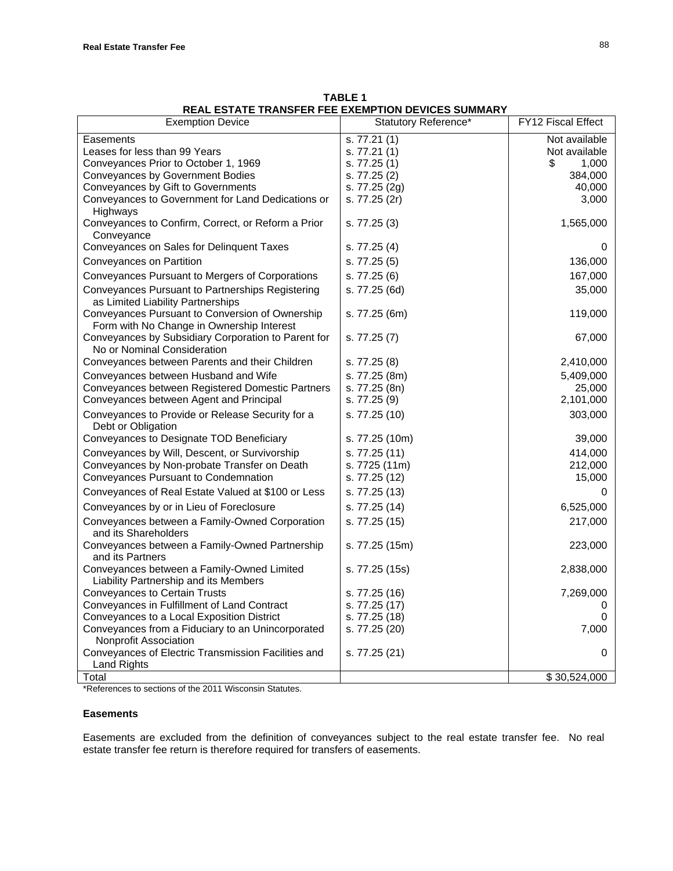|                                                                                              | REAL ESTATE TRANSFER FEE EXEMPTION DEVICES SUMMARY |                    |
|----------------------------------------------------------------------------------------------|----------------------------------------------------|--------------------|
| <b>Exemption Device</b>                                                                      | Statutory Reference*                               | FY12 Fiscal Effect |
| Easements                                                                                    | s. 77.21(1)                                        | Not available      |
| Leases for less than 99 Years                                                                | s. 77.21(1)                                        | Not available      |
| Conveyances Prior to October 1, 1969                                                         | s. 77.25 (1)                                       | \$<br>1,000        |
| Conveyances by Government Bodies                                                             | s. 77.25 (2)                                       | 384,000            |
| Conveyances by Gift to Governments                                                           | s. 77.25 (2g)                                      | 40,000             |
| Conveyances to Government for Land Dedications or<br>Highways                                | s. 77.25 (2r)                                      | 3,000              |
| Conveyances to Confirm, Correct, or Reform a Prior<br>Conveyance                             | s. 77.25 (3)                                       | 1,565,000          |
| Conveyances on Sales for Delinquent Taxes                                                    | s. 77.25 (4)                                       | 0                  |
| Conveyances on Partition                                                                     | s. 77.25 (5)                                       | 136,000            |
| Conveyances Pursuant to Mergers of Corporations                                              | s. 77.25 (6)                                       | 167,000            |
| Conveyances Pursuant to Partnerships Registering<br>as Limited Liability Partnerships        | s. 77.25 (6d)                                      | 35,000             |
| Conveyances Pursuant to Conversion of Ownership<br>Form with No Change in Ownership Interest | s. 77.25 (6m)                                      | 119,000            |
| Conveyances by Subsidiary Corporation to Parent for<br>No or Nominal Consideration           | s. 77.25 (7)                                       | 67,000             |
| Conveyances between Parents and their Children                                               | s. 77.25 (8)                                       | 2,410,000          |
| Conveyances between Husband and Wife                                                         | s. 77.25 (8m)                                      | 5,409,000          |
| Conveyances between Registered Domestic Partners                                             | s. 77.25 (8n)                                      | 25,000             |
| Conveyances between Agent and Principal                                                      | s. 77.25 (9)                                       | 2,101,000          |
| Conveyances to Provide or Release Security for a<br>Debt or Obligation                       | s. 77.25 (10)                                      | 303,000            |
| Conveyances to Designate TOD Beneficiary                                                     | s. 77.25 (10m)                                     | 39,000             |
| Conveyances by Will, Descent, or Survivorship                                                | s. 77.25 (11)                                      | 414,000            |
| Conveyances by Non-probate Transfer on Death                                                 | s. 7725 (11m)                                      | 212,000            |
| Conveyances Pursuant to Condemnation                                                         | s. 77.25 (12)                                      | 15,000             |
| Conveyances of Real Estate Valued at \$100 or Less                                           | s. 77.25 (13)                                      | 0                  |
| Conveyances by or in Lieu of Foreclosure                                                     | s. 77.25 (14)                                      | 6,525,000          |
| Conveyances between a Family-Owned Corporation                                               | s. 77.25 (15)                                      | 217,000            |
| and its Shareholders                                                                         |                                                    |                    |
| Conveyances between a Family-Owned Partnership<br>and its Partners                           | s. 77.25 (15m)                                     | 223,000            |
| Conveyances between a Family-Owned Limited<br>Liability Partnership and its Members          | s. 77.25 (15s)                                     | 2,838,000          |
| <b>Conveyances to Certain Trusts</b>                                                         | s. 77.25 (16)                                      | 7,269,000          |
| Conveyances in Fulfillment of Land Contract                                                  | s. 77.25 (17)                                      | 0                  |
| Conveyances to a Local Exposition District                                                   | s. 77.25 (18)                                      | 0                  |
| Conveyances from a Fiduciary to an Unincorporated                                            | s. 77.25 (20)                                      | 7,000              |
| Nonprofit Association                                                                        |                                                    |                    |
| Conveyances of Electric Transmission Facilities and<br><b>Land Rights</b>                    | s. 77.25 (21)                                      | 0                  |
| Total                                                                                        |                                                    | \$30,524,000       |
|                                                                                              |                                                    |                    |

| <b>TABLE 1</b>                                     |
|----------------------------------------------------|
| REAL ESTATE TRANSFER FEE EXEMPTION DEVICES SUMMARY |

\*References to sections of the 2011 Wisconsin Statutes.

#### **Easements**

Easements are excluded from the definition of conveyances subject to the real estate transfer fee. No real estate transfer fee return is therefore required for transfers of easements.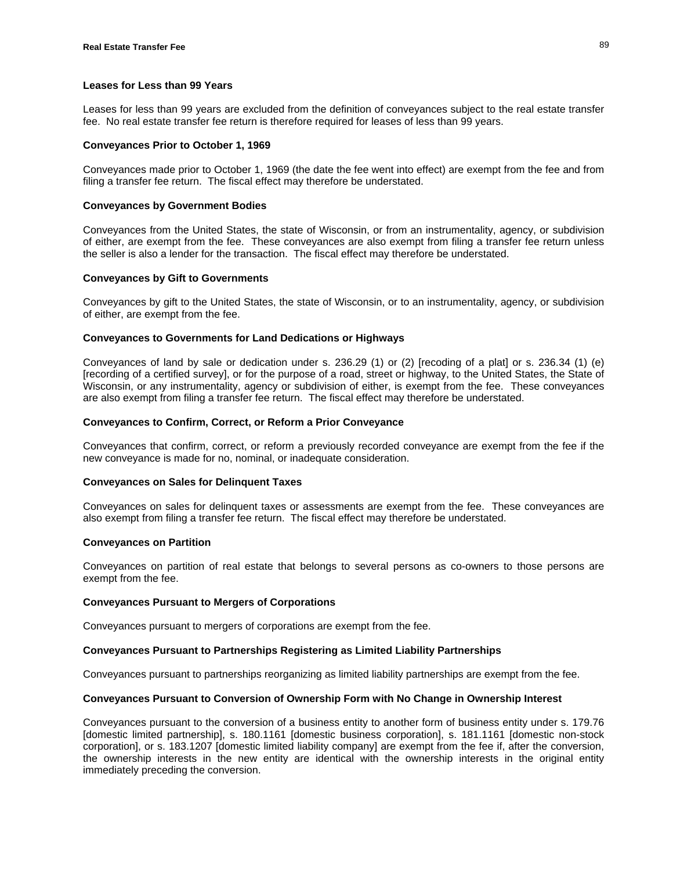## **Leases for Less than 99 Years**

Leases for less than 99 years are excluded from the definition of conveyances subject to the real estate transfer fee. No real estate transfer fee return is therefore required for leases of less than 99 years.

#### **Conveyances Prior to October 1, 1969**

Conveyances made prior to October 1, 1969 (the date the fee went into effect) are exempt from the fee and from filing a transfer fee return. The fiscal effect may therefore be understated.

#### **Conveyances by Government Bodies**

Conveyances from the United States, the state of Wisconsin, or from an instrumentality, agency, or subdivision of either, are exempt from the fee. These conveyances are also exempt from filing a transfer fee return unless the seller is also a lender for the transaction. The fiscal effect may therefore be understated.

#### **Conveyances by Gift to Governments**

Conveyances by gift to the United States, the state of Wisconsin, or to an instrumentality, agency, or subdivision of either, are exempt from the fee.

#### **Conveyances to Governments for Land Dedications or Highways**

Conveyances of land by sale or dedication under s. 236.29 (1) or (2) [recoding of a plat] or s. 236.34 (1) (e) [recording of a certified survey], or for the purpose of a road, street or highway, to the United States, the State of Wisconsin, or any instrumentality, agency or subdivision of either, is exempt from the fee. These conveyances are also exempt from filing a transfer fee return. The fiscal effect may therefore be understated.

## **Conveyances to Confirm, Correct, or Reform a Prior Conveyance**

Conveyances that confirm, correct, or reform a previously recorded conveyance are exempt from the fee if the new conveyance is made for no, nominal, or inadequate consideration.

#### **Conveyances on Sales for Delinquent Taxes**

Conveyances on sales for delinquent taxes or assessments are exempt from the fee. These conveyances are also exempt from filing a transfer fee return. The fiscal effect may therefore be understated.

#### **Conveyances on Partition**

Conveyances on partition of real estate that belongs to several persons as co-owners to those persons are exempt from the fee.

#### **Conveyances Pursuant to Mergers of Corporations**

Conveyances pursuant to mergers of corporations are exempt from the fee.

## **Conveyances Pursuant to Partnerships Registering as Limited Liability Partnerships**

Conveyances pursuant to partnerships reorganizing as limited liability partnerships are exempt from the fee.

## **Conveyances Pursuant to Conversion of Ownership Form with No Change in Ownership Interest**

Conveyances pursuant to the conversion of a business entity to another form of business entity under s. 179.76 [domestic limited partnership], s. 180.1161 [domestic business corporation], s. 181.1161 [domestic non-stock corporation], or s. 183.1207 [domestic limited liability company] are exempt from the fee if, after the conversion, the ownership interests in the new entity are identical with the ownership interests in the original entity immediately preceding the conversion.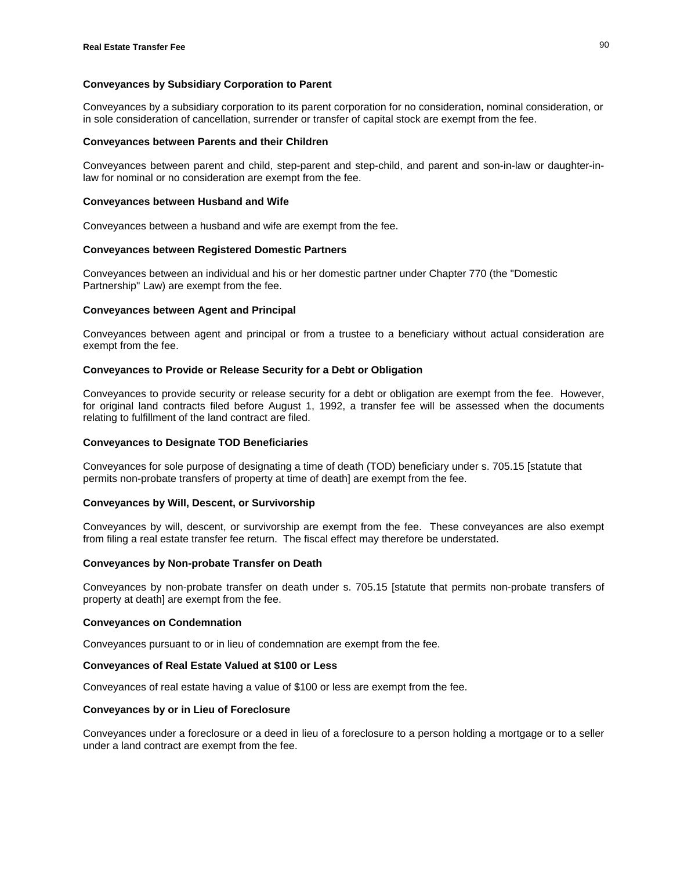## **Conveyances by Subsidiary Corporation to Parent**

Conveyances by a subsidiary corporation to its parent corporation for no consideration, nominal consideration, or in sole consideration of cancellation, surrender or transfer of capital stock are exempt from the fee.

## **Conveyances between Parents and their Children**

Conveyances between parent and child, step-parent and step-child, and parent and son-in-law or daughter-inlaw for nominal or no consideration are exempt from the fee.

## **Conveyances between Husband and Wife**

Conveyances between a husband and wife are exempt from the fee.

#### **Conveyances between Registered Domestic Partners**

Conveyances between an individual and his or her domestic partner under Chapter 770 (the "Domestic Partnership" Law) are exempt from the fee.

#### **Conveyances between Agent and Principal**

Conveyances between agent and principal or from a trustee to a beneficiary without actual consideration are exempt from the fee.

## **Conveyances to Provide or Release Security for a Debt or Obligation**

Conveyances to provide security or release security for a debt or obligation are exempt from the fee. However, for original land contracts filed before August 1, 1992, a transfer fee will be assessed when the documents relating to fulfillment of the land contract are filed.

## **Conveyances to Designate TOD Beneficiaries**

Conveyances for sole purpose of designating a time of death (TOD) beneficiary under s. 705.15 [statute that permits non-probate transfers of property at time of death] are exempt from the fee.

## **Conveyances by Will, Descent, or Survivorship**

Conveyances by will, descent, or survivorship are exempt from the fee. These conveyances are also exempt from filing a real estate transfer fee return. The fiscal effect may therefore be understated.

## **Conveyances by Non-probate Transfer on Death**

Conveyances by non-probate transfer on death under s. 705.15 [statute that permits non-probate transfers of property at death] are exempt from the fee.

#### **Conveyances on Condemnation**

Conveyances pursuant to or in lieu of condemnation are exempt from the fee.

#### **Conveyances of Real Estate Valued at \$100 or Less**

Conveyances of real estate having a value of \$100 or less are exempt from the fee.

## **Conveyances by or in Lieu of Foreclosure**

Conveyances under a foreclosure or a deed in lieu of a foreclosure to a person holding a mortgage or to a seller under a land contract are exempt from the fee.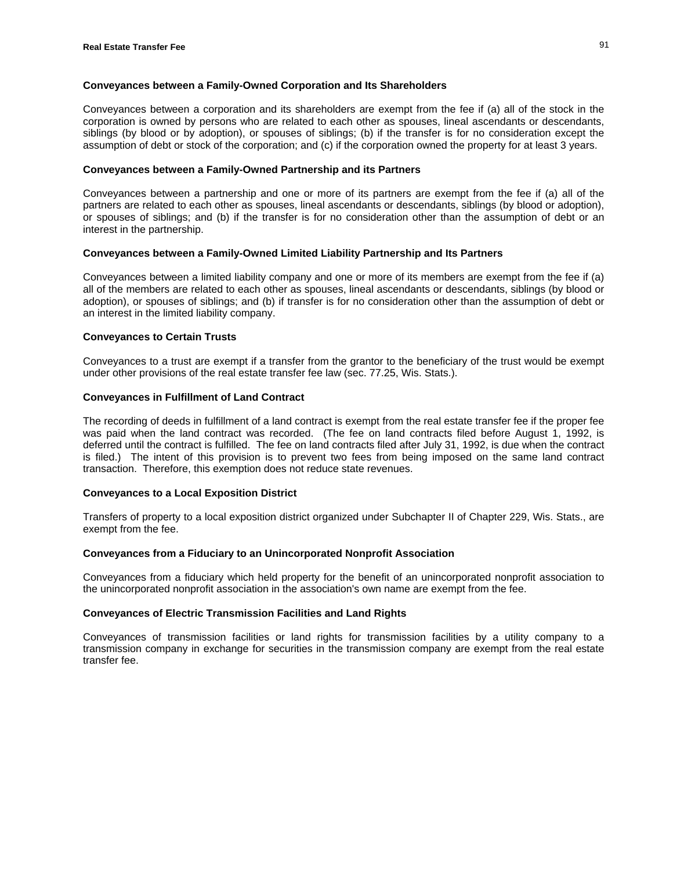## **Conveyances between a Family-Owned Corporation and Its Shareholders**

Conveyances between a corporation and its shareholders are exempt from the fee if (a) all of the stock in the corporation is owned by persons who are related to each other as spouses, lineal ascendants or descendants, siblings (by blood or by adoption), or spouses of siblings; (b) if the transfer is for no consideration except the assumption of debt or stock of the corporation; and (c) if the corporation owned the property for at least 3 years.

## **Conveyances between a Family-Owned Partnership and its Partners**

Conveyances between a partnership and one or more of its partners are exempt from the fee if (a) all of the partners are related to each other as spouses, lineal ascendants or descendants, siblings (by blood or adoption), or spouses of siblings; and (b) if the transfer is for no consideration other than the assumption of debt or an interest in the partnership.

## **Conveyances between a Family-Owned Limited Liability Partnership and Its Partners**

Conveyances between a limited liability company and one or more of its members are exempt from the fee if (a) all of the members are related to each other as spouses, lineal ascendants or descendants, siblings (by blood or adoption), or spouses of siblings; and (b) if transfer is for no consideration other than the assumption of debt or an interest in the limited liability company.

#### **Conveyances to Certain Trusts**

Conveyances to a trust are exempt if a transfer from the grantor to the beneficiary of the trust would be exempt under other provisions of the real estate transfer fee law (sec. 77.25, Wis. Stats.).

## **Conveyances in Fulfillment of Land Contract**

The recording of deeds in fulfillment of a land contract is exempt from the real estate transfer fee if the proper fee was paid when the land contract was recorded. (The fee on land contracts filed before August 1, 1992, is deferred until the contract is fulfilled. The fee on land contracts filed after July 31, 1992, is due when the contract is filed.) The intent of this provision is to prevent two fees from being imposed on the same land contract transaction. Therefore, this exemption does not reduce state revenues.

## **Conveyances to a Local Exposition District**

Transfers of property to a local exposition district organized under Subchapter II of Chapter 229, Wis. Stats., are exempt from the fee.

#### **Conveyances from a Fiduciary to an Unincorporated Nonprofit Association**

Conveyances from a fiduciary which held property for the benefit of an unincorporated nonprofit association to the unincorporated nonprofit association in the association's own name are exempt from the fee.

#### **Conveyances of Electric Transmission Facilities and Land Rights**

Conveyances of transmission facilities or land rights for transmission facilities by a utility company to a transmission company in exchange for securities in the transmission company are exempt from the real estate transfer fee.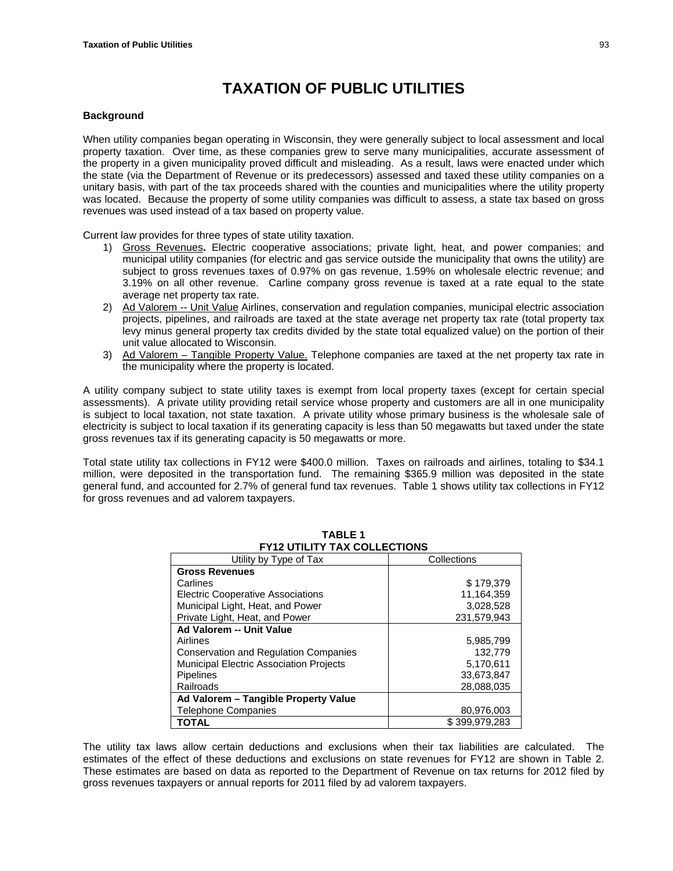# **TAXATION OF PUBLIC UTILITIES**

## **Background**

When utility companies began operating in Wisconsin, they were generally subject to local assessment and local property taxation. Over time, as these companies grew to serve many municipalities, accurate assessment of the property in a given municipality proved difficult and misleading. As a result, laws were enacted under which the state (via the Department of Revenue or its predecessors) assessed and taxed these utility companies on a unitary basis, with part of the tax proceeds shared with the counties and municipalities where the utility property was located. Because the property of some utility companies was difficult to assess, a state tax based on gross revenues was used instead of a tax based on property value.

Current law provides for three types of state utility taxation.

- 1) Gross Revenues**.** Electric cooperative associations; private light, heat, and power companies; and municipal utility companies (for electric and gas service outside the municipality that owns the utility) are subject to gross revenues taxes of 0.97% on gas revenue, 1.59% on wholesale electric revenue; and 3.19% on all other revenue. Carline company gross revenue is taxed at a rate equal to the state average net property tax rate.
- 2) Ad Valorem -- Unit Value Airlines, conservation and regulation companies, municipal electric association projects, pipelines, and railroads are taxed at the state average net property tax rate (total property tax levy minus general property tax credits divided by the state total equalized value) on the portion of their unit value allocated to Wisconsin.
- 3) Ad Valorem Tangible Property Value. Telephone companies are taxed at the net property tax rate in the municipality where the property is located.

A utility company subject to state utility taxes is exempt from local property taxes (except for certain special assessments). A private utility providing retail service whose property and customers are all in one municipality is subject to local taxation, not state taxation. A private utility whose primary business is the wholesale sale of electricity is subject to local taxation if its generating capacity is less than 50 megawatts but taxed under the state gross revenues tax if its generating capacity is 50 megawatts or more.

Total state utility tax collections in FY12 were \$400.0 million. Taxes on railroads and airlines, totaling to \$34.1 million, were deposited in the transportation fund. The remaining \$365.9 million was deposited in the state general fund, and accounted for 2.7% of general fund tax revenues. Table 1 shows utility tax collections in FY12 for gross revenues and ad valorem taxpayers.

| FIIZ UTILITT TAA GOLLEGITUNS                   |               |  |  |  |  |
|------------------------------------------------|---------------|--|--|--|--|
| Utility by Type of Tax                         | Collections   |  |  |  |  |
| <b>Gross Revenues</b>                          |               |  |  |  |  |
| Carlines                                       | \$179.379     |  |  |  |  |
| <b>Electric Cooperative Associations</b>       | 11,164,359    |  |  |  |  |
| Municipal Light, Heat, and Power               | 3.028.528     |  |  |  |  |
| Private Light, Heat, and Power                 | 231.579.943   |  |  |  |  |
| Ad Valorem -- Unit Value                       |               |  |  |  |  |
| Airlines                                       | 5,985,799     |  |  |  |  |
| <b>Conservation and Regulation Companies</b>   | 132.779       |  |  |  |  |
| <b>Municipal Electric Association Projects</b> | 5,170,611     |  |  |  |  |
| <b>Pipelines</b>                               | 33.673.847    |  |  |  |  |
| Railroads                                      | 28,088,035    |  |  |  |  |
| Ad Valorem - Tangible Property Value           |               |  |  |  |  |
| <b>Telephone Companies</b>                     | 80,976,003    |  |  |  |  |
| TOTAL                                          | \$399.979.283 |  |  |  |  |

**TABLE 1 FY12 UTILITY TAX COLLECTIONS** 

The utility tax laws allow certain deductions and exclusions when their tax liabilities are calculated. The estimates of the effect of these deductions and exclusions on state revenues for FY12 are shown in Table 2. These estimates are based on data as reported to the Department of Revenue on tax returns for 2012 filed by gross revenues taxpayers or annual reports for 2011 filed by ad valorem taxpayers.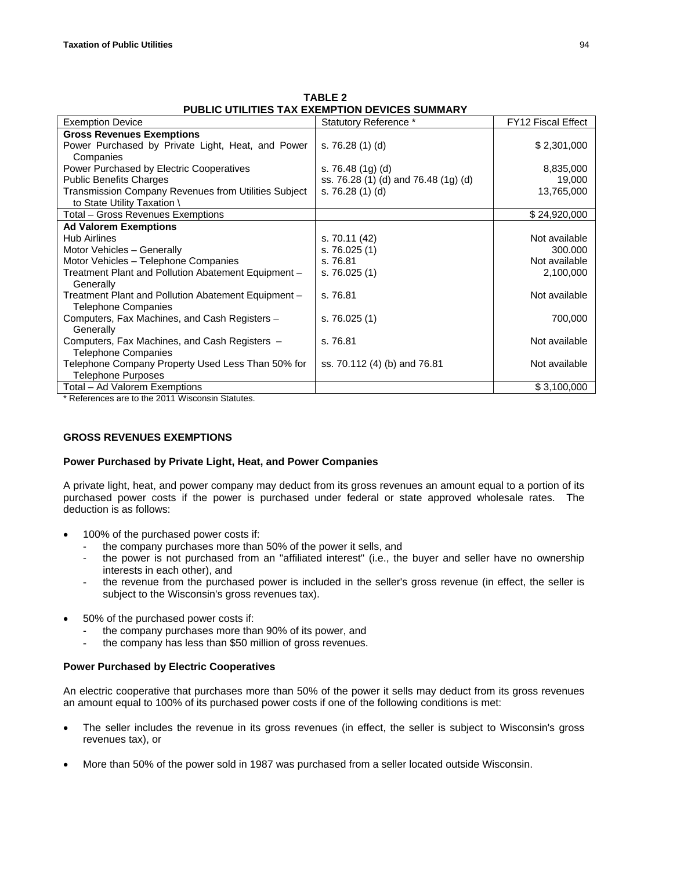| PUBLIC UTILITIES TAX EXEMPTION DEVICES SUMMARY              |                                      |                           |  |  |
|-------------------------------------------------------------|--------------------------------------|---------------------------|--|--|
| <b>Exemption Device</b>                                     | Statutory Reference *                | <b>FY12 Fiscal Effect</b> |  |  |
| <b>Gross Revenues Exemptions</b>                            |                                      |                           |  |  |
| Power Purchased by Private Light, Heat, and Power           | s. $76.28(1)(d)$                     | \$2,301,000               |  |  |
| Companies                                                   |                                      |                           |  |  |
| Power Purchased by Electric Cooperatives                    | s. 76.48 $(1g)(d)$                   | 8,835,000                 |  |  |
| <b>Public Benefits Charges</b>                              | ss. 76.28 (1) (d) and 76.48 (1g) (d) | 19,000                    |  |  |
| <b>Transmission Company Revenues from Utilities Subject</b> | s. 76.28 (1) (d)                     | 13,765,000                |  |  |
| to State Utility Taxation \                                 |                                      |                           |  |  |
| Total - Gross Revenues Exemptions                           |                                      | \$24,920,000              |  |  |
| <b>Ad Valorem Exemptions</b>                                |                                      |                           |  |  |
| <b>Hub Airlines</b>                                         | s. 70.11 (42)                        | Not available             |  |  |
| Motor Vehicles - Generally                                  | s. $76.025(1)$                       | 300,000                   |  |  |
| Motor Vehicles - Telephone Companies                        | s. 76.81                             | Not available             |  |  |
| Treatment Plant and Pollution Abatement Equipment -         | s. $76.025(1)$                       | 2,100,000                 |  |  |
| Generally                                                   |                                      |                           |  |  |
| Treatment Plant and Pollution Abatement Equipment -         | s. 76.81                             | Not available             |  |  |
| <b>Telephone Companies</b>                                  |                                      |                           |  |  |
| Computers, Fax Machines, and Cash Registers -               | s. $76.025(1)$                       | 700,000                   |  |  |
| Generally                                                   |                                      |                           |  |  |
| Computers, Fax Machines, and Cash Registers -               | s. 76.81                             | Not available             |  |  |
| <b>Telephone Companies</b>                                  |                                      |                           |  |  |
| Telephone Company Property Used Less Than 50% for           | ss. 70.112 (4) (b) and 76.81         | Not available             |  |  |
| <b>Telephone Purposes</b>                                   |                                      |                           |  |  |
| Total – Ad Valorem Exemptions                               |                                      | \$3,100,000               |  |  |

**TABLE 2 PUBLIC UTILITIES TAX EXEMPTION DEVICES SUMMARY**

\* References are to the 2011 Wisconsin Statutes.

# **GROSS REVENUES EXEMPTIONS**

## **Power Purchased by Private Light, Heat, and Power Companies**

A private light, heat, and power company may deduct from its gross revenues an amount equal to a portion of its purchased power costs if the power is purchased under federal or state approved wholesale rates. The deduction is as follows:

- 100% of the purchased power costs if:
	- the company purchases more than 50% of the power it sells, and
	- the power is not purchased from an "affiliated interest" (i.e., the buyer and seller have no ownership interests in each other), and
	- the revenue from the purchased power is included in the seller's gross revenue (in effect, the seller is subject to the Wisconsin's gross revenues tax).
- 50% of the purchased power costs if:
	- the company purchases more than 90% of its power, and
	- the company has less than \$50 million of gross revenues.

## **Power Purchased by Electric Cooperatives**

An electric cooperative that purchases more than 50% of the power it sells may deduct from its gross revenues an amount equal to 100% of its purchased power costs if one of the following conditions is met:

- The seller includes the revenue in its gross revenues (in effect, the seller is subject to Wisconsin's gross revenues tax), or
- More than 50% of the power sold in 1987 was purchased from a seller located outside Wisconsin.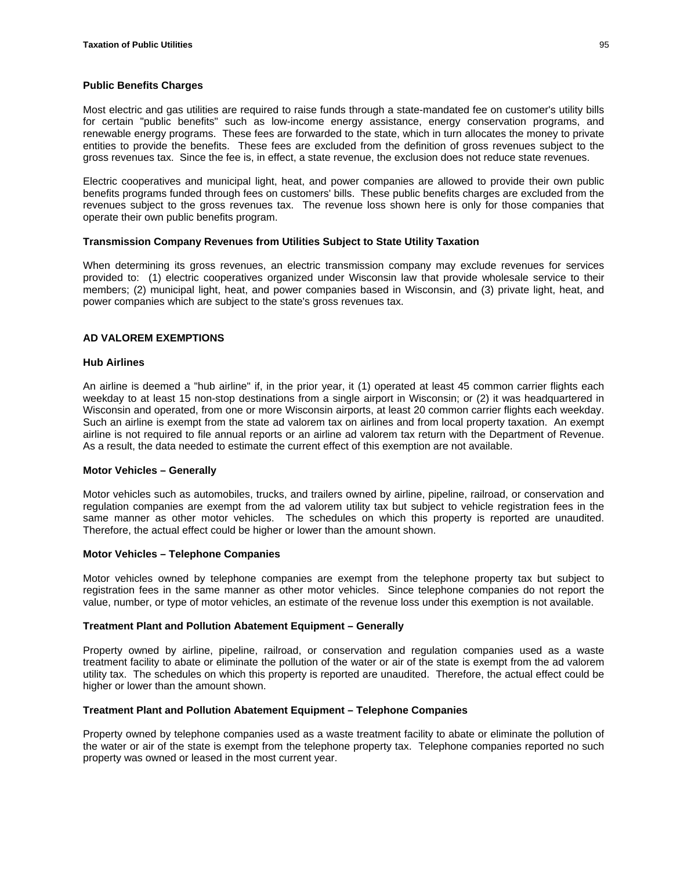## **Public Benefits Charges**

Most electric and gas utilities are required to raise funds through a state-mandated fee on customer's utility bills for certain "public benefits" such as low-income energy assistance, energy conservation programs, and renewable energy programs. These fees are forwarded to the state, which in turn allocates the money to private entities to provide the benefits. These fees are excluded from the definition of gross revenues subject to the gross revenues tax. Since the fee is, in effect, a state revenue, the exclusion does not reduce state revenues.

Electric cooperatives and municipal light, heat, and power companies are allowed to provide their own public benefits programs funded through fees on customers' bills. These public benefits charges are excluded from the revenues subject to the gross revenues tax. The revenue loss shown here is only for those companies that operate their own public benefits program.

#### **Transmission Company Revenues from Utilities Subject to State Utility Taxation**

When determining its gross revenues, an electric transmission company may exclude revenues for services provided to: (1) electric cooperatives organized under Wisconsin law that provide wholesale service to their members; (2) municipal light, heat, and power companies based in Wisconsin, and (3) private light, heat, and power companies which are subject to the state's gross revenues tax.

## **AD VALOREM EXEMPTIONS**

#### **Hub Airlines**

An airline is deemed a "hub airline" if, in the prior year, it (1) operated at least 45 common carrier flights each weekday to at least 15 non-stop destinations from a single airport in Wisconsin; or (2) it was headquartered in Wisconsin and operated, from one or more Wisconsin airports, at least 20 common carrier flights each weekday. Such an airline is exempt from the state ad valorem tax on airlines and from local property taxation. An exempt airline is not required to file annual reports or an airline ad valorem tax return with the Department of Revenue. As a result, the data needed to estimate the current effect of this exemption are not available.

#### **Motor Vehicles – Generally**

Motor vehicles such as automobiles, trucks, and trailers owned by airline, pipeline, railroad, or conservation and regulation companies are exempt from the ad valorem utility tax but subject to vehicle registration fees in the same manner as other motor vehicles. The schedules on which this property is reported are unaudited. Therefore, the actual effect could be higher or lower than the amount shown.

#### **Motor Vehicles – Telephone Companies**

Motor vehicles owned by telephone companies are exempt from the telephone property tax but subject to registration fees in the same manner as other motor vehicles. Since telephone companies do not report the value, number, or type of motor vehicles, an estimate of the revenue loss under this exemption is not available.

#### **Treatment Plant and Pollution Abatement Equipment – Generally**

Property owned by airline, pipeline, railroad, or conservation and regulation companies used as a waste treatment facility to abate or eliminate the pollution of the water or air of the state is exempt from the ad valorem utility tax. The schedules on which this property is reported are unaudited. Therefore, the actual effect could be higher or lower than the amount shown.

#### **Treatment Plant and Pollution Abatement Equipment – Telephone Companies**

Property owned by telephone companies used as a waste treatment facility to abate or eliminate the pollution of the water or air of the state is exempt from the telephone property tax. Telephone companies reported no such property was owned or leased in the most current year.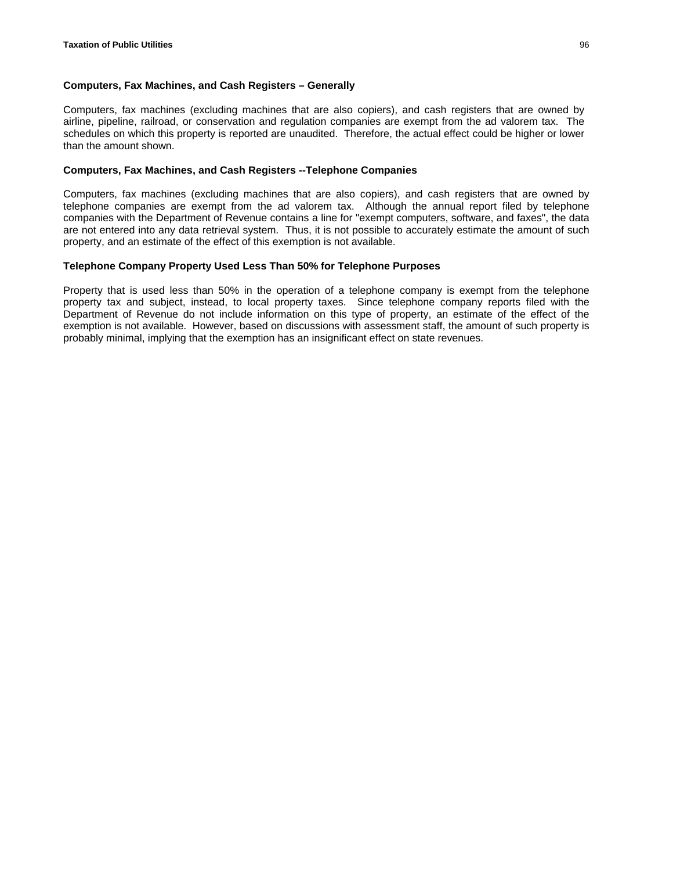## **Computers, Fax Machines, and Cash Registers – Generally**

Computers, fax machines (excluding machines that are also copiers), and cash registers that are owned by airline, pipeline, railroad, or conservation and regulation companies are exempt from the ad valorem tax. The schedules on which this property is reported are unaudited. Therefore, the actual effect could be higher or lower than the amount shown.

## **Computers, Fax Machines, and Cash Registers --Telephone Companies**

Computers, fax machines (excluding machines that are also copiers), and cash registers that are owned by telephone companies are exempt from the ad valorem tax. Although the annual report filed by telephone companies with the Department of Revenue contains a line for "exempt computers, software, and faxes", the data are not entered into any data retrieval system. Thus, it is not possible to accurately estimate the amount of such property, and an estimate of the effect of this exemption is not available.

#### **Telephone Company Property Used Less Than 50% for Telephone Purposes**

Property that is used less than 50% in the operation of a telephone company is exempt from the telephone property tax and subject, instead, to local property taxes. Since telephone company reports filed with the Department of Revenue do not include information on this type of property, an estimate of the effect of the exemption is not available. However, based on discussions with assessment staff, the amount of such property is probably minimal, implying that the exemption has an insignificant effect on state revenues.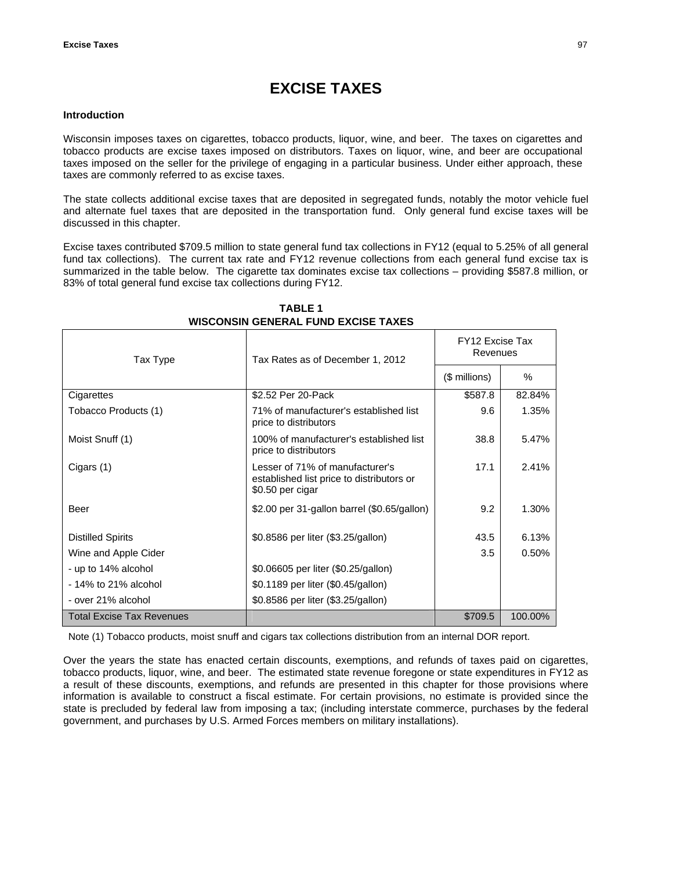# **EXCISE TAXES**

## **Introduction**

Wisconsin imposes taxes on cigarettes, tobacco products, liquor, wine, and beer. The taxes on cigarettes and tobacco products are excise taxes imposed on distributors. Taxes on liquor, wine, and beer are occupational taxes imposed on the seller for the privilege of engaging in a particular business. Under either approach, these taxes are commonly referred to as excise taxes.

The state collects additional excise taxes that are deposited in segregated funds, notably the motor vehicle fuel and alternate fuel taxes that are deposited in the transportation fund. Only general fund excise taxes will be discussed in this chapter.

Excise taxes contributed \$709.5 million to state general fund tax collections in FY12 (equal to 5.25% of all general fund tax collections). The current tax rate and FY12 revenue collections from each general fund excise tax is summarized in the table below. The cigarette tax dominates excise tax collections – providing \$587.8 million, or 83% of total general fund excise tax collections during FY12.

| Tax Type                         | Tax Rates as of December 1, 2012                                                                 | FY12 Excise Tax<br>Revenues |         |  |
|----------------------------------|--------------------------------------------------------------------------------------------------|-----------------------------|---------|--|
|                                  |                                                                                                  | (\$ millions)               | %       |  |
| Cigarettes                       | \$2.52 Per 20-Pack                                                                               | \$587.8                     | 82.84%  |  |
| Tobacco Products (1)             | 71% of manufacturer's established list<br>price to distributors                                  | 9.6                         | 1.35%   |  |
| Moist Snuff (1)                  | 100% of manufacturer's established list<br>price to distributors                                 | 38.8                        | 5.47%   |  |
| Cigars (1)                       | Lesser of 71% of manufacturer's<br>established list price to distributors or<br>\$0.50 per cigar | 17.1                        | 2.41%   |  |
| Beer                             | \$2.00 per 31-gallon barrel (\$0.65/gallon)                                                      | 9.2                         | 1.30%   |  |
| <b>Distilled Spirits</b>         | \$0.8586 per liter (\$3.25/gallon)                                                               | 43.5                        | 6.13%   |  |
| Wine and Apple Cider             |                                                                                                  | 3.5                         | 0.50%   |  |
| - up to 14% alcohol              | \$0.06605 per liter (\$0.25/gallon)                                                              |                             |         |  |
| - 14% to 21% alcohol             | \$0.1189 per liter (\$0.45/gallon)                                                               |                             |         |  |
| - over 21% alcohol               | \$0.8586 per liter (\$3.25/gallon)                                                               |                             |         |  |
| <b>Total Excise Tax Revenues</b> |                                                                                                  | \$709.5                     | 100.00% |  |

# **TABLE 1 WISCONSIN GENERAL FUND EXCISE TAXES**

Note (1) Tobacco products, moist snuff and cigars tax collections distribution from an internal DOR report.

Over the years the state has enacted certain discounts, exemptions, and refunds of taxes paid on cigarettes, tobacco products, liquor, wine, and beer. The estimated state revenue foregone or state expenditures in FY12 as a result of these discounts, exemptions, and refunds are presented in this chapter for those provisions where information is available to construct a fiscal estimate. For certain provisions, no estimate is provided since the state is precluded by federal law from imposing a tax; (including interstate commerce, purchases by the federal government, and purchases by U.S. Armed Forces members on military installations).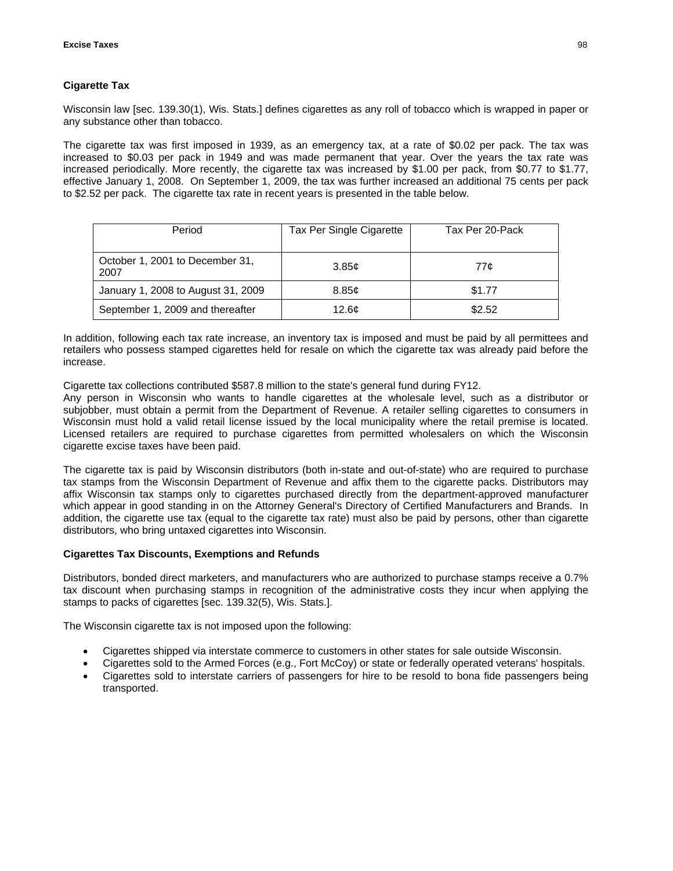# **Cigarette Tax**

Wisconsin law [sec. 139.30(1), Wis. Stats.] defines cigarettes as any roll of tobacco which is wrapped in paper or any substance other than tobacco.

The cigarette tax was first imposed in 1939, as an emergency tax, at a rate of \$0.02 per pack. The tax was increased to \$0.03 per pack in 1949 and was made permanent that year. Over the years the tax rate was increased periodically. More recently, the cigarette tax was increased by \$1.00 per pack, from \$0.77 to \$1.77, effective January 1, 2008. On September 1, 2009, the tax was further increased an additional 75 cents per pack to \$2.52 per pack. The cigarette tax rate in recent years is presented in the table below.

| Period                                  | Tax Per Single Cigarette | Tax Per 20-Pack |
|-----------------------------------------|--------------------------|-----------------|
| October 1, 2001 to December 31,<br>2007 | 3.85c                    | 77¢             |
| January 1, 2008 to August 31, 2009      | 8.85c                    | \$1.77          |
| September 1, 2009 and thereafter        | 12.6 <sub>c</sub>        | \$2.52          |

In addition, following each tax rate increase, an inventory tax is imposed and must be paid by all permittees and retailers who possess stamped cigarettes held for resale on which the cigarette tax was already paid before the increase.

Cigarette tax collections contributed \$587.8 million to the state's general fund during FY12.

Any person in Wisconsin who wants to handle cigarettes at the wholesale level, such as a distributor or subjobber, must obtain a permit from the Department of Revenue. A retailer selling cigarettes to consumers in Wisconsin must hold a valid retail license issued by the local municipality where the retail premise is located. Licensed retailers are required to purchase cigarettes from permitted wholesalers on which the Wisconsin cigarette excise taxes have been paid.

The cigarette tax is paid by Wisconsin distributors (both in-state and out-of-state) who are required to purchase tax stamps from the Wisconsin Department of Revenue and affix them to the cigarette packs. Distributors may affix Wisconsin tax stamps only to cigarettes purchased directly from the department-approved manufacturer which appear in good standing in on the Attorney General's Directory of Certified Manufacturers and Brands. In addition, the cigarette use tax (equal to the cigarette tax rate) must also be paid by persons, other than cigarette distributors, who bring untaxed cigarettes into Wisconsin.

## **Cigarettes Tax Discounts, Exemptions and Refunds**

Distributors, bonded direct marketers, and manufacturers who are authorized to purchase stamps receive a 0.7% tax discount when purchasing stamps in recognition of the administrative costs they incur when applying the stamps to packs of cigarettes [sec. 139.32(5), Wis. Stats.].

The Wisconsin cigarette tax is not imposed upon the following:

- Cigarettes shipped via interstate commerce to customers in other states for sale outside Wisconsin.
- Cigarettes sold to the Armed Forces (e.g., Fort McCoy) or state or federally operated veterans' hospitals.
- Cigarettes sold to interstate carriers of passengers for hire to be resold to bona fide passengers being transported.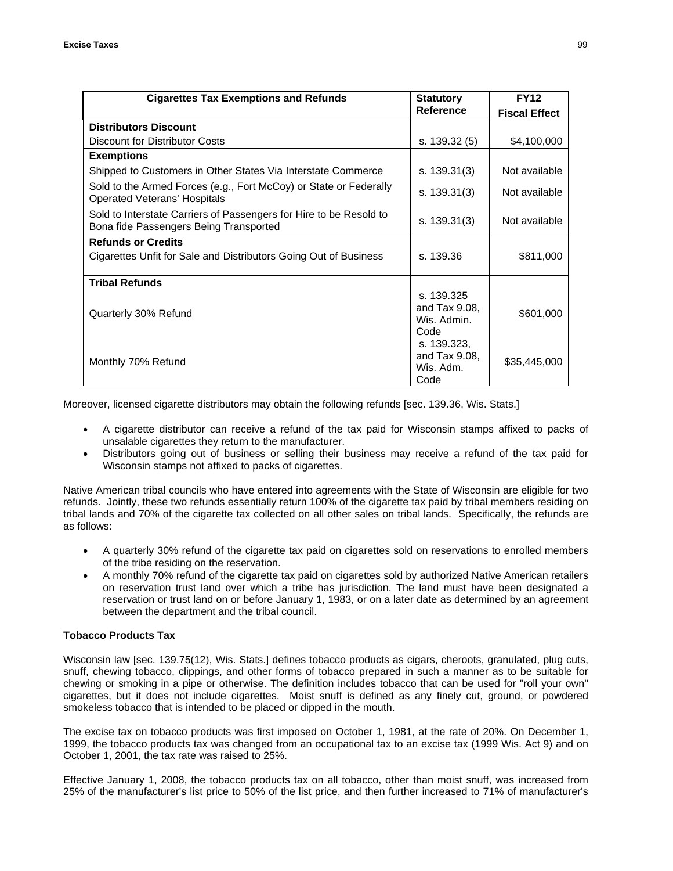| <b>Cigarettes Tax Exemptions and Refunds</b>                                                                 | <b>Statutory</b>                                      | <b>FY12</b>          |
|--------------------------------------------------------------------------------------------------------------|-------------------------------------------------------|----------------------|
|                                                                                                              | <b>Reference</b>                                      | <b>Fiscal Effect</b> |
| <b>Distributors Discount</b>                                                                                 |                                                       |                      |
| <b>Discount for Distributor Costs</b>                                                                        | s. 139.32 (5)                                         | \$4,100,000          |
| <b>Exemptions</b>                                                                                            |                                                       |                      |
| Shipped to Customers in Other States Via Interstate Commerce                                                 | s. 139.31(3)                                          | Not available        |
| Sold to the Armed Forces (e.g., Fort McCoy) or State or Federally<br><b>Operated Veterans' Hospitals</b>     | s. $139.31(3)$                                        | Not available        |
| Sold to Interstate Carriers of Passengers for Hire to be Resold to<br>Bona fide Passengers Being Transported | s. $139.31(3)$                                        | Not available        |
| <b>Refunds or Credits</b>                                                                                    |                                                       |                      |
| Cigarettes Unfit for Sale and Distributors Going Out of Business                                             | s. 139.36                                             | \$811,000            |
| <b>Tribal Refunds</b>                                                                                        |                                                       |                      |
| Quarterly 30% Refund                                                                                         | s. 139.325<br>and Tax $9.08$ ,<br>Wis. Admin.<br>Code | \$601,000            |
| Monthly 70% Refund                                                                                           | s. 139.323,<br>and Tax 9.08,<br>Wis. Adm.<br>Code     | \$35,445,000         |

Moreover, licensed cigarette distributors may obtain the following refunds [sec. 139.36, Wis. Stats.]

- A cigarette distributor can receive a refund of the tax paid for Wisconsin stamps affixed to packs of unsalable cigarettes they return to the manufacturer.
- Distributors going out of business or selling their business may receive a refund of the tax paid for Wisconsin stamps not affixed to packs of cigarettes.

Native American tribal councils who have entered into agreements with the State of Wisconsin are eligible for two refunds. Jointly, these two refunds essentially return 100% of the cigarette tax paid by tribal members residing on tribal lands and 70% of the cigarette tax collected on all other sales on tribal lands. Specifically, the refunds are as follows:

- A quarterly 30% refund of the cigarette tax paid on cigarettes sold on reservations to enrolled members of the tribe residing on the reservation.
- A monthly 70% refund of the cigarette tax paid on cigarettes sold by authorized Native American retailers on reservation trust land over which a tribe has jurisdiction. The land must have been designated a reservation or trust land on or before January 1, 1983, or on a later date as determined by an agreement between the department and the tribal council.

## **Tobacco Products Tax**

Wisconsin law [sec. 139.75(12), Wis. Stats.] defines tobacco products as cigars, cheroots, granulated, plug cuts, snuff, chewing tobacco, clippings, and other forms of tobacco prepared in such a manner as to be suitable for chewing or smoking in a pipe or otherwise. The definition includes tobacco that can be used for "roll your own" cigarettes, but it does not include cigarettes. Moist snuff is defined as any finely cut, ground, or powdered smokeless tobacco that is intended to be placed or dipped in the mouth.

The excise tax on tobacco products was first imposed on October 1, 1981, at the rate of 20%. On December 1, 1999, the tobacco products tax was changed from an occupational tax to an excise tax (1999 Wis. Act 9) and on October 1, 2001, the tax rate was raised to 25%.

Effective January 1, 2008, the tobacco products tax on all tobacco, other than moist snuff, was increased from 25% of the manufacturer's list price to 50% of the list price, and then further increased to 71% of manufacturer's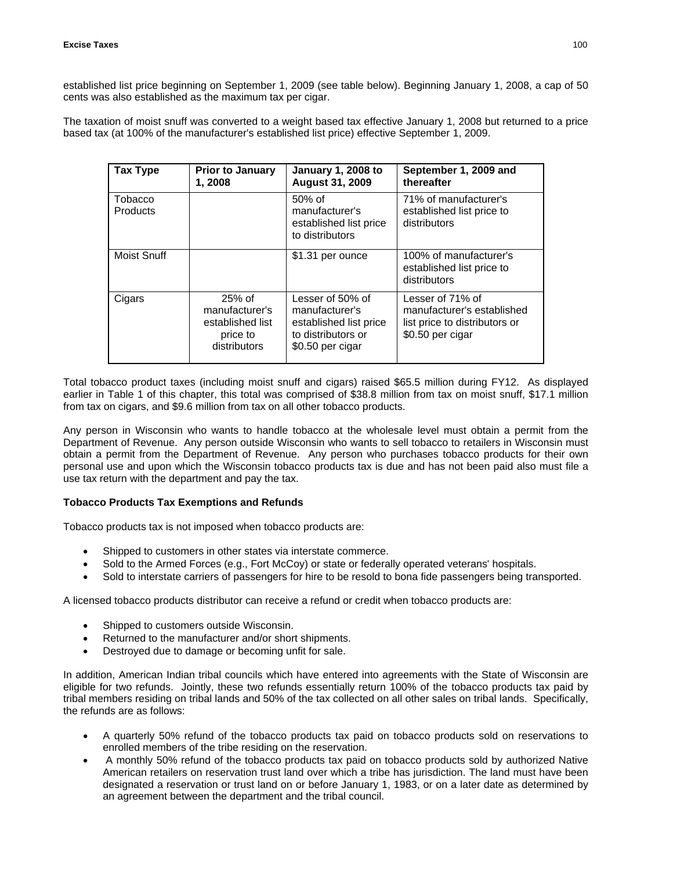established list price beginning on September 1, 2009 (see table below). Beginning January 1, 2008, a cap of 50 cents was also established as the maximum tax per cigar.

The taxation of moist snuff was converted to a weight based tax effective January 1, 2008 but returned to a price based tax (at 100% of the manufacturer's established list price) effective September 1, 2009.

| <b>Tax Type</b>            | <b>Prior to January</b><br>1, 2008                                         | <b>January 1, 2008 to</b><br><b>August 31, 2009</b>                                                    | September 1, 2009 and<br>thereafter                                                                 |
|----------------------------|----------------------------------------------------------------------------|--------------------------------------------------------------------------------------------------------|-----------------------------------------------------------------------------------------------------|
| Tobacco<br><b>Products</b> |                                                                            | $50%$ of<br>manufacturer's<br>established list price<br>to distributors                                | 71% of manufacturer's<br>established list price to<br>distributors                                  |
| Moist Snuff                |                                                                            | \$1.31 per ounce                                                                                       | 100% of manufacturer's<br>established list price to<br>distributors                                 |
| Cigars                     | $25%$ of<br>manufacturer's<br>established list<br>price to<br>distributors | Lesser of 50% of<br>manufacturer's<br>established list price<br>to distributors or<br>\$0.50 per cigar | Lesser of 71% of<br>manufacturer's established<br>list price to distributors or<br>\$0.50 per cigar |

Total tobacco product taxes (including moist snuff and cigars) raised \$65.5 million during FY12. As displayed earlier in Table 1 of this chapter, this total was comprised of \$38.8 million from tax on moist snuff, \$17.1 million from tax on cigars, and \$9.6 million from tax on all other tobacco products.

Any person in Wisconsin who wants to handle tobacco at the wholesale level must obtain a permit from the Department of Revenue. Any person outside Wisconsin who wants to sell tobacco to retailers in Wisconsin must obtain a permit from the Department of Revenue. Any person who purchases tobacco products for their own personal use and upon which the Wisconsin tobacco products tax is due and has not been paid also must file a use tax return with the department and pay the tax.

## **Tobacco Products Tax Exemptions and Refunds**

Tobacco products tax is not imposed when tobacco products are:

- Shipped to customers in other states via interstate commerce.
- Sold to the Armed Forces (e.g., Fort McCoy) or state or federally operated veterans' hospitals.
- Sold to interstate carriers of passengers for hire to be resold to bona fide passengers being transported.

A licensed tobacco products distributor can receive a refund or credit when tobacco products are:

- Shipped to customers outside Wisconsin.
- Returned to the manufacturer and/or short shipments.
- Destroyed due to damage or becoming unfit for sale.

In addition, American Indian tribal councils which have entered into agreements with the State of Wisconsin are eligible for two refunds. Jointly, these two refunds essentially return 100% of the tobacco products tax paid by tribal members residing on tribal lands and 50% of the tax collected on all other sales on tribal lands. Specifically, the refunds are as follows:

- A quarterly 50% refund of the tobacco products tax paid on tobacco products sold on reservations to enrolled members of the tribe residing on the reservation.
- A monthly 50% refund of the tobacco products tax paid on tobacco products sold by authorized Native American retailers on reservation trust land over which a tribe has jurisdiction. The land must have been designated a reservation or trust land on or before January 1, 1983, or on a later date as determined by an agreement between the department and the tribal council.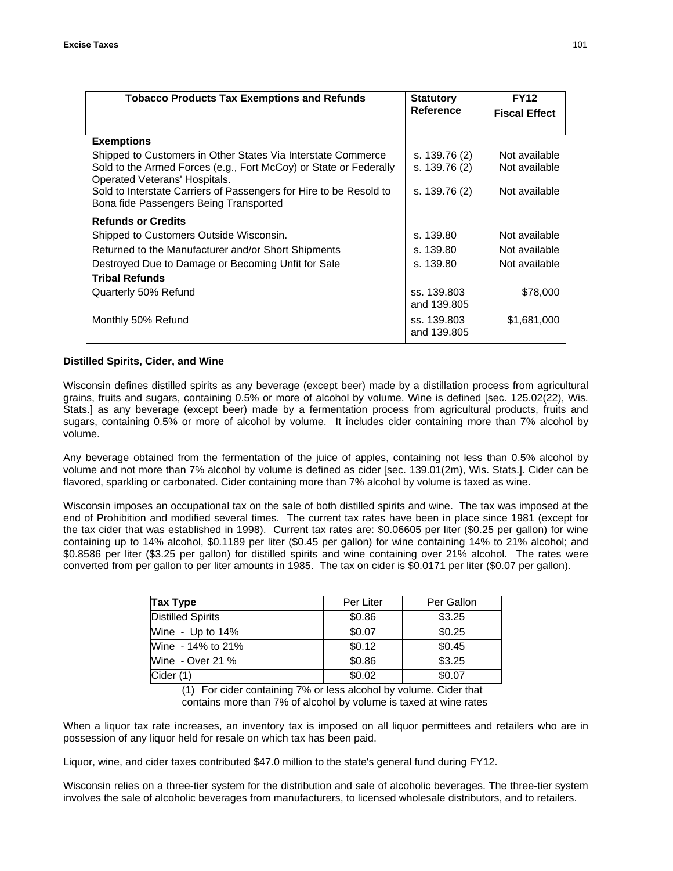| <b>Tobacco Products Tax Exemptions and Refunds</b>                                                                                                                 | <b>Statutory</b>               | <b>FY12</b>                    |
|--------------------------------------------------------------------------------------------------------------------------------------------------------------------|--------------------------------|--------------------------------|
|                                                                                                                                                                    | Reference                      | <b>Fiscal Effect</b>           |
| <b>Exemptions</b>                                                                                                                                                  |                                |                                |
| Shipped to Customers in Other States Via Interstate Commerce<br>Sold to the Armed Forces (e.g., Fort McCoy) or State or Federally<br>Operated Veterans' Hospitals. | s. 139.76 (2)<br>s. 139.76 (2) | Not available<br>Not available |
| Sold to Interstate Carriers of Passengers for Hire to be Resold to<br>Bona fide Passengers Being Transported                                                       | s. 139.76 (2)                  | Not available                  |
| <b>Refunds or Credits</b>                                                                                                                                          |                                |                                |
| Shipped to Customers Outside Wisconsin.                                                                                                                            | s. 139.80                      | Not available                  |
| Returned to the Manufacturer and/or Short Shipments                                                                                                                | s. 139.80                      | Not available                  |
| Destroyed Due to Damage or Becoming Unfit for Sale                                                                                                                 | s. 139.80                      | Not available                  |
| <b>Tribal Refunds</b>                                                                                                                                              |                                |                                |
| Quarterly 50% Refund                                                                                                                                               | ss. 139.803<br>and 139,805     | \$78,000                       |
| Monthly 50% Refund                                                                                                                                                 | ss. 139.803<br>and 139.805     | \$1,681,000                    |

#### **Distilled Spirits, Cider, and Wine**

Wisconsin defines distilled spirits as any beverage (except beer) made by a distillation process from agricultural grains, fruits and sugars, containing 0.5% or more of alcohol by volume. Wine is defined [sec. 125.02(22), Wis. Stats.] as any beverage (except beer) made by a fermentation process from agricultural products, fruits and sugars, containing 0.5% or more of alcohol by volume. It includes cider containing more than 7% alcohol by volume.

Any beverage obtained from the fermentation of the juice of apples, containing not less than 0.5% alcohol by volume and not more than 7% alcohol by volume is defined as cider [sec. 139.01(2m), Wis. Stats.]. Cider can be flavored, sparkling or carbonated. Cider containing more than 7% alcohol by volume is taxed as wine.

Wisconsin imposes an occupational tax on the sale of both distilled spirits and wine. The tax was imposed at the end of Prohibition and modified several times. The current tax rates have been in place since 1981 (except for the tax cider that was established in 1998). Current tax rates are: \$0.06605 per liter (\$0.25 per gallon) for wine containing up to 14% alcohol, \$0.1189 per liter (\$0.45 per gallon) for wine containing 14% to 21% alcohol; and \$0.8586 per liter (\$3.25 per gallon) for distilled spirits and wine containing over 21% alcohol. The rates were converted from per gallon to per liter amounts in 1985. The tax on cider is \$0.0171 per liter (\$0.07 per gallon).

| Tax Type                 | Per Liter | Per Gallon |
|--------------------------|-----------|------------|
| <b>Distilled Spirits</b> | \$0.86    | \$3.25     |
| Wine - Up to 14%         | \$0.07    | \$0.25     |
| Wine - 14% to 21%        | \$0.12    | \$0.45     |
| Wine - Over 21 %         | \$0.86    | \$3.25     |
| Cider (1)                | \$0.02    | \$0.07     |

(1) For cider containing 7% or less alcohol by volume. Cider that contains more than 7% of alcohol by volume is taxed at wine rates

When a liquor tax rate increases, an inventory tax is imposed on all liquor permittees and retailers who are in possession of any liquor held for resale on which tax has been paid.

Liquor, wine, and cider taxes contributed \$47.0 million to the state's general fund during FY12.

Wisconsin relies on a three-tier system for the distribution and sale of alcoholic beverages. The three-tier system involves the sale of alcoholic beverages from manufacturers, to licensed wholesale distributors, and to retailers.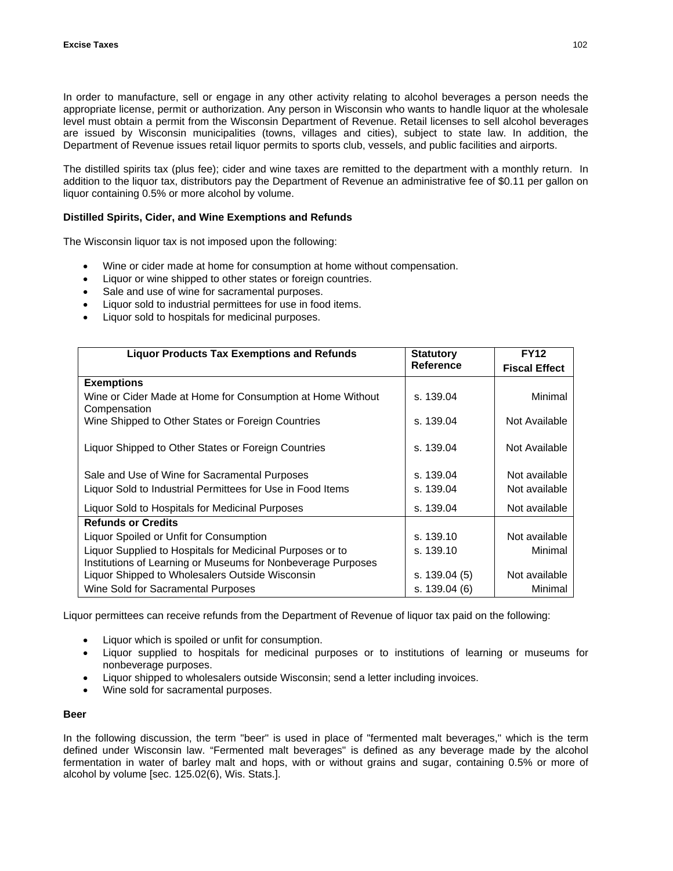In order to manufacture, sell or engage in any other activity relating to alcohol beverages a person needs the appropriate license, permit or authorization. Any person in Wisconsin who wants to handle liquor at the wholesale level must obtain a permit from the Wisconsin Department of Revenue. Retail licenses to sell alcohol beverages are issued by Wisconsin municipalities (towns, villages and cities), subject to state law. In addition, the Department of Revenue issues retail liquor permits to sports club, vessels, and public facilities and airports.

The distilled spirits tax (plus fee); cider and wine taxes are remitted to the department with a monthly return. In addition to the liquor tax, distributors pay the Department of Revenue an administrative fee of \$0.11 per gallon on liquor containing 0.5% or more alcohol by volume.

## **Distilled Spirits, Cider, and Wine Exemptions and Refunds**

The Wisconsin liquor tax is not imposed upon the following:

- Wine or cider made at home for consumption at home without compensation.
- Liquor or wine shipped to other states or foreign countries.
- Sale and use of wine for sacramental purposes.
- Liquor sold to industrial permittees for use in food items.
- Liquor sold to hospitals for medicinal purposes.

| <b>Liquor Products Tax Exemptions and Refunds</b>                                                                         | <b>Statutory</b> | <b>FY12</b>          |
|---------------------------------------------------------------------------------------------------------------------------|------------------|----------------------|
|                                                                                                                           | <b>Reference</b> | <b>Fiscal Effect</b> |
| <b>Exemptions</b>                                                                                                         |                  |                      |
| Wine or Cider Made at Home for Consumption at Home Without<br>Compensation                                                | s. 139.04        | Minimal              |
| Wine Shipped to Other States or Foreign Countries                                                                         | s. 139.04        | Not Available        |
| Liquor Shipped to Other States or Foreign Countries                                                                       | s. 139.04        | Not Available        |
| Sale and Use of Wine for Sacramental Purposes                                                                             | s. 139.04        | Not available        |
| Liquor Sold to Industrial Permittees for Use in Food Items                                                                | s. 139.04        | Not available        |
| Liquor Sold to Hospitals for Medicinal Purposes                                                                           | s. 139.04        | Not available        |
| <b>Refunds or Credits</b>                                                                                                 |                  |                      |
| Liquor Spoiled or Unfit for Consumption                                                                                   | s. 139.10        | Not available        |
| Liquor Supplied to Hospitals for Medicinal Purposes or to<br>Institutions of Learning or Museums for Nonbeverage Purposes | s. 139.10        | Minimal              |
| Liquor Shipped to Wholesalers Outside Wisconsin                                                                           | s. 139.04 (5)    | Not available        |
| Wine Sold for Sacramental Purposes                                                                                        | s. 139.04 (6)    | Minimal              |

Liquor permittees can receive refunds from the Department of Revenue of liquor tax paid on the following:

- Liquor which is spoiled or unfit for consumption.
- Liquor supplied to hospitals for medicinal purposes or to institutions of learning or museums for nonbeverage purposes.
- Liquor shipped to wholesalers outside Wisconsin; send a letter including invoices.
- Wine sold for sacramental purposes.

## **Beer**

In the following discussion, the term "beer" is used in place of "fermented malt beverages," which is the term defined under Wisconsin law. "Fermented malt beverages" is defined as any beverage made by the alcohol fermentation in water of barley malt and hops, with or without grains and sugar, containing 0.5% or more of alcohol by volume [sec. 125.02(6), Wis. Stats.].